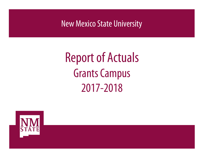New Mexico State University

# Report of Actuals **Grants Campus** 2017-2018

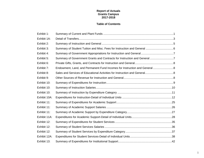### **Report of Actuals Grants Campus 2017-2018**

### **Table of Contents**

| Exhibit 1:   |                                                                           |  |
|--------------|---------------------------------------------------------------------------|--|
| Exhibit 1A:  |                                                                           |  |
| Exhibit 2:   |                                                                           |  |
| Exhibit 3:   |                                                                           |  |
| Exhibit 4:   |                                                                           |  |
| Exhibit 5:   | Summary of Government Grants and Contracts for Instruction and General7   |  |
| Exhibit 6:   |                                                                           |  |
| Exhibit 7:   | Endowment, Land, and Permanent Fund Incomes for Instruction and General 8 |  |
| Exhibit 8:   |                                                                           |  |
| Exhibit 9:   |                                                                           |  |
| Exhibit 10:  |                                                                           |  |
| Exhibit 10:  |                                                                           |  |
| Exhibit 10:  |                                                                           |  |
| Exhibit 10A: |                                                                           |  |
| Exhibit 11:  |                                                                           |  |
| Exhibit 11:  |                                                                           |  |
| Exhibit 11:  |                                                                           |  |
| Exhibit 11A: |                                                                           |  |
| Exhibit 12:  |                                                                           |  |
| Exhibit 12:  |                                                                           |  |
| Exhibit 12:  |                                                                           |  |
| Exhibit 12A: |                                                                           |  |
| Exhibit 13:  |                                                                           |  |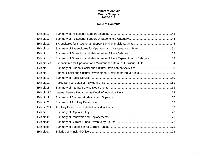### **Report of Actuals Grants Campus 2017-2018**

### **Table of Contents**

| Exhibit 13:  |                                                                          |  |
|--------------|--------------------------------------------------------------------------|--|
| Exhibit 13:  |                                                                          |  |
| Exhibit 13A: |                                                                          |  |
| Exhibit 14:  |                                                                          |  |
| Exhibit 14:  |                                                                          |  |
| Exhibit 14:  | Summary of Operation and Maintenance of Plant Expenditure by Category 53 |  |
| Exhibit 14A: | Expenditures for Operation and Maintenance-Detail of Individual Units54  |  |
| Exhibit 15:  |                                                                          |  |
| Exhibit 15A: |                                                                          |  |
| Exhibit 17:  |                                                                          |  |
| Exhibit 17A: |                                                                          |  |
| Exhibit 18:  |                                                                          |  |
| Exhibit 18A: |                                                                          |  |
| Exhibit 19:  |                                                                          |  |
| Exhibit 20:  |                                                                          |  |
| Exhibit 20A: |                                                                          |  |
| Exhibit I:   |                                                                          |  |
| Exhibit II:  |                                                                          |  |
| Exhibit a:   |                                                                          |  |
| Exhibit b:   |                                                                          |  |
| Exhibit e:   |                                                                          |  |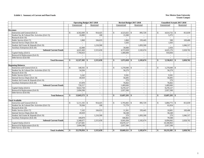#### **Exhibit 1. Summary of Current and Plant Funds New Mexico State University**

|                                                |                                | <b>Operating Budget 2017-2018</b> |              | Revised Budget 2017-2018 |                          |               | <b>Unaudited Actuals 2017-2018</b> |                          |
|------------------------------------------------|--------------------------------|-----------------------------------|--------------|--------------------------|--------------------------|---------------|------------------------------------|--------------------------|
|                                                | Unrestricted                   | Restricted                        |              | Unrestricted             | Restricted               |               | Unrestricted                       | Restricted               |
|                                                |                                |                                   |              |                          |                          |               |                                    |                          |
| <b>Revenues</b>                                |                                |                                   |              |                          |                          |               |                                    |                          |
| Instruction and General (Exh 2)                | $4,562,600$ \$<br>$\mathbb{S}$ | 914,425                           | $\mathbb{S}$ | $4,523,025$ \$           | 895,729                  | $\mathbb{S}$  | $4,614,732$ \$                     | 813,039                  |
| Student Soc & Cultural Dev Activities (Exh 15) | 16,000                         | 100                               |              | 15,500                   | $\sim$                   |               | 5,375                              | $\sim$                   |
| Research (Exh 16)                              |                                |                                   |              |                          |                          |               |                                    |                          |
| Public Service (Exh 17)                        | 1,860                          | 184,633                           |              | 1,860                    | 193,445                  |               | 500                                | 169,406                  |
| Internal Service Depts (Exh 18)                | $\sim$                         |                                   |              | 1,643                    |                          |               | 1,643                              |                          |
| Student Aid Grants & Stipends (Exh 19)         |                                | 1,216,500                         |              |                          | 1,093,500                |               |                                    | 1,046,317                |
| Auxiliary Enterprises (Exh 20)                 | 42.000                         |                                   |              | 30,000                   |                          |               | 2,926                              |                          |
| <b>Subtotal Current Funds</b>                  | 4,622,460                      | 2,315,658                         |              | 4,572,028                | 2,182,674                |               | 4,625,176                          | 2,028,762                |
| Capital Outlay (Exh I)                         | 7,704,923                      |                                   |              | 1,400,000                |                          |               | 910,836                            |                          |
| Renewal & Replacement (Exh II)                 | $\sim$                         | $\overline{\phantom{a}}$          |              | $\sim$                   | $\sim$                   |               | $\sim$                             | $\overline{a}$           |
| Debt Service (Exh III)                         |                                |                                   |              | $\overline{a}$           |                          |               |                                    |                          |
| <b>Total Revenues</b>                          | $12,327,383$ \$<br>\$          | 2,315,658                         | \$           | $5,972,028$ \$           | 2,182,674                | \$            | $5,536,012$ \$                     | 2,028,762                |
|                                                |                                |                                   |              |                          |                          |               |                                    |                          |
| <b>Beginning Balances</b>                      |                                |                                   |              |                          |                          |               |                                    |                          |
| Instruction and General (Exh 2)                | $\mathbb{S}$<br>548,592 \$     |                                   | \$           |                          |                          | $\mathbb{S}$  | $1,270,040$ \$                     |                          |
| Student Soc & Cultural Dev Activities (Exh 15) | 54,584                         |                                   |              | 56,279                   | $\overline{\phantom{a}}$ |               | 56,279                             |                          |
| Research (Exh 16)                              |                                |                                   |              | $\sim$                   | $\sim$                   |               |                                    |                          |
| Public Service (Exh 17)                        | 5,242                          | $\overline{a}$                    |              | 9.501                    | $\sim$                   |               | 9.501                              |                          |
| Internal Service Depts (Exh 18)                | 49.929                         | $\sim$                            |              | 56,605                   | $\sim$                   |               | 56,605                             |                          |
| Student Aid Grants & Stipends (Exh 19)         | $\sim$                         | $\sim$                            |              | 579                      | $\sim$                   |               | 579                                | $\overline{\phantom{a}}$ |
| Auxiliary Enterprises (Exh 20)                 | 67,870                         | $\sim$                            |              | 76,662                   | $\sim$                   |               | 76,662                             |                          |
| <b>Subtotal Current Funds</b>                  | 726.217                        | $\sim$                            |              | 1,469,666                | $\sim$                   |               | 1,469,666                          | $\overline{\phantom{a}}$ |
| Capital Outlay (Exh I)                         | 9,622,758                      | $\sim$                            |              | 9,270,127                | $\sim$                   |               | 9,270,127                          | $\overline{\phantom{a}}$ |
| Renewal & Replacement (Exh II)                 | 2,694,598                      |                                   |              | 2,957,500                | $\overline{a}$           |               | 2,957,500                          |                          |
| Debt Service (Exh III)                         |                                | $\sim$                            |              | $\sim$                   | $\sim$                   |               |                                    |                          |
| <b>Total Balances</b>                          | $13,043,573$ \$<br>\$          |                                   | \$           | $13,697,293$ \$          |                          | \$            | $13,697,293$ \$                    |                          |
|                                                |                                |                                   |              |                          |                          |               |                                    |                          |
| <b>Total Available</b>                         |                                |                                   |              |                          |                          |               |                                    |                          |
| Instruction and General (Exh 2)                | $5,111,192$ \$<br>£.           | 914,425                           | $\mathbb{S}$ |                          | 895,729                  | $\mathcal{S}$ | 5,884,772 \$                       | 813,039                  |
| Student Soc & Cultural Dev Activities (Exh 15) | 70,584                         | 100                               |              | 71,779                   | $\sim$                   |               | 61,654                             |                          |
| Research (Exh 16)                              | $\overline{a}$                 |                                   |              | $\overline{a}$           | $\overline{a}$           |               |                                    |                          |
| Public Service (Exh 17)                        | 7,102                          | 184,633                           |              | 11,361                   | 193,445                  |               | 10,001                             | 169,406                  |
| Internal Service Depts (Exh 18)                | 49.929                         | -                                 |              | 58,248                   |                          |               | 58,248                             |                          |
| Student Aid Grants & Stipends (Exh 19)         |                                | 1,216,500                         |              | 579                      | 1,093,500                |               | 579                                | 1,046,317                |
| Auxiliary Enterprises (Exh 20)                 | 109,870                        |                                   |              | 106,662                  |                          |               | 79,588                             |                          |
| <b>Subtotal Current Funds</b>                  | 5,348,677                      | 2,315,658                         |              | 6,041,694                | 2,182,674                |               | 6,094,842                          | 2,028,762                |
| Capital Outlay (Exh I)                         | 17,327,681                     |                                   |              | 10,670,127               |                          |               | 10,180,963                         |                          |
| Renewal & Replacement (Exh II)                 | 2,694,598                      | $\sim$                            |              | 2,957,500                | $\sim$                   |               | 2,957,500                          | $\sim$                   |
| Debt Service (Exh III)                         |                                |                                   |              | $\sim$                   | $\overline{a}$           |               | $\overline{a}$                     |                          |
| <b>Total Available</b>                         | 25,370,956 \$<br>\$            | 2,315,658                         | \$           | $19,669,321$ \$          | 2,182,674                | \$            | $19,233,305$ \$                    | 2,028,762                |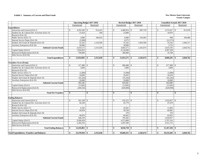#### **Exhibit 1. Summary of Current and Plant Funds New Mexico State University**

|                                                   |                                 | <b>Operating Budget 2017-2018</b> |                          |  |  | Revised Budget 2017-2018 |                 |                                     |  |               |                 | <b>Unaudited Actuals 2017-2018</b> |                |  |
|---------------------------------------------------|---------------------------------|-----------------------------------|--------------------------|--|--|--------------------------|-----------------|-------------------------------------|--|---------------|-----------------|------------------------------------|----------------|--|
|                                                   | Unrestricted                    |                                   | Restricted               |  |  |                          | Unrestricted    | Restricted                          |  |               | Unrestricted    |                                    | Restricted     |  |
| <b>Expenditures</b>                               |                                 |                                   |                          |  |  |                          |                 |                                     |  |               |                 |                                    |                |  |
| Instruction and General (Exh 2)                   | $4,292,506$ \$<br>$\mathcal{S}$ |                                   | 914,425                  |  |  | $\mathcal{S}$            |                 | 895,729                             |  | -8            | $3,574,427$ \$  |                                    | 813,039        |  |
| Student Soc & Cultural Dev Activities (Exh 15)    | 23,424                          |                                   | 100                      |  |  |                          | 23,000          | $\mathcal{L}^{\pm}$                 |  |               | 10,976          |                                    |                |  |
| Research (Exh 16)                                 |                                 |                                   |                          |  |  |                          |                 |                                     |  |               |                 |                                    |                |  |
| Public Service (Exh 17)                           | 3,000                           |                                   | 184,633                  |  |  |                          | 6,000           | 193,445                             |  |               | 998             |                                    | 169,406        |  |
| Internal Service Depts (Exh 18)                   | (5,000)                         |                                   |                          |  |  |                          | 8,275           |                                     |  |               | (12, 271)       |                                    |                |  |
| Student Aid Grants & Stipends (Exh 19)            | 55,242                          |                                   | 1,216,500                |  |  |                          | 55,242          | 1,093,500                           |  |               | 55,242          |                                    | 1,046,317      |  |
| Auxiliary Enterprises (Exh 20)                    | 50,000                          |                                   | $\overline{\phantom{a}}$ |  |  |                          | 30,000          | $\sim$                              |  |               | 3,733           |                                    |                |  |
| <b>Subtotal Current Funds</b>                     | 4,419,172                       |                                   | 2,315,658                |  |  |                          | 4,602,571       | 2,182,674                           |  |               | 3,633,105       |                                    | 2,028,762      |  |
| Capital Outlay (Exh I)                            | 7,834,923                       |                                   |                          |  |  |                          | 6,110,000       |                                     |  |               | 4,397,328       |                                    |                |  |
| Renewal & Replacement (Exh II)                    | 700,000                         |                                   | $\overline{\phantom{a}}$ |  |  |                          | 300,000         | $\sim$                              |  |               | 35,768          |                                    |                |  |
| Debt Service (Exh III)                            | $\overline{a}$                  |                                   | $\sim$                   |  |  |                          | $\overline{a}$  | $\sim$                              |  |               | $\overline{a}$  |                                    | $\sim$         |  |
| <b>Total Expenditures</b>                         | $12,954,095$ \$<br>S.           |                                   | 2,315,658                |  |  | -S                       | $11,012,571$ \$ | 2,182,674                           |  | -\$           | $8,066,201$ \$  |                                    | 2,028,762      |  |
|                                                   |                                 |                                   |                          |  |  |                          |                 |                                     |  |               |                 |                                    |                |  |
| <b>Transfers To or (From)</b>                     |                                 |                                   |                          |  |  |                          |                 |                                     |  |               |                 |                                    |                |  |
| Instruction and General (Exh 2)                   | $\mathbf S$                     |                                   |                          |  |  | $\mathbb{S}$             | 680,488 \$      |                                     |  | <sup>\$</sup> | 677,488 \$      |                                    |                |  |
| Student Soc & Cultural Dev Activities (Exh 15)    | 3.000                           |                                   |                          |  |  |                          | 3,000           | $\overline{a}$                      |  |               | 3,000           |                                    |                |  |
| Research (Exh 16)                                 | $\overline{a}$                  |                                   | $\sim$                   |  |  |                          | $\sim$          | $\sim$                              |  |               | $\overline{a}$  |                                    | $\blacksquare$ |  |
| Public Service (Exh 17)                           | (2,000)                         |                                   | $\sim$                   |  |  |                          | (5,000)         | $\overline{a}$                      |  |               | (2,000)         |                                    |                |  |
| Internal Service Depts (Exh 18)                   | 10.000                          |                                   |                          |  |  |                          | 10.435          | $\overline{a}$                      |  |               | 10,434          |                                    |                |  |
| Student Aid Grants & Stipends (Exh 19)            | (55, 242)                       |                                   | $\sim$                   |  |  |                          | (55, 242)       | $\sim$                              |  |               | (55, 242)       |                                    | $\sim$         |  |
| Auxiliary Enterprises (Exh 20)                    | 10,000                          |                                   | $\sim$                   |  |  |                          | 10,000          | $\sim$                              |  |               | 10,000          |                                    | $\overline{a}$ |  |
| <b>Subtotal Current Funds</b>                     | 283,246                         |                                   | $\overline{a}$           |  |  |                          | 643,681         | $\sim$                              |  |               | 643,680         |                                    |                |  |
| Capital Outlay (Exh I)                            | (13, 681)                       |                                   | $\sim$                   |  |  |                          | (13,681)        | $\sim$                              |  |               | (13,681)        |                                    | $\sim$         |  |
| Renewal & Replacement (Exh II)                    | (269, 565)                      |                                   | $\overline{\phantom{a}}$ |  |  |                          | (630,000)       | $\blacksquare$                      |  |               | (629,999)       |                                    | $\overline{a}$ |  |
| Debt Service (Exh III)                            |                                 |                                   | $\overline{\phantom{a}}$ |  |  |                          |                 | $\overline{\phantom{a}}$            |  |               |                 |                                    | $\overline{a}$ |  |
| <b>Total Net Transfers</b>                        | \$                              | $-$ \$                            | $\sim$                   |  |  | S.                       |                 | $-1$ \$<br>$\overline{\phantom{a}}$ |  | -\$           |                 | - 8                                | $\sim$         |  |
| <b>Ending Balances</b>                            |                                 |                                   |                          |  |  |                          |                 |                                     |  |               |                 |                                    |                |  |
| Instruction and General (Exh 2)                   | $\mathbf S$                     |                                   |                          |  |  | $\mathbb{S}$             | $632,523$ \$    |                                     |  | $\mathcal{S}$ | $1,632,857$ \$  |                                    |                |  |
| Student Soc & Cultural Dev Activities (Exh 15)    | 44,160                          |                                   | $\sim$                   |  |  |                          | 45,779          | $\overline{a}$                      |  |               | 47,678          |                                    |                |  |
| Research (Exh 16)                                 |                                 |                                   |                          |  |  |                          |                 | $\overline{a}$                      |  |               |                 |                                    |                |  |
| Public Service (Exh 17)                           | 6,102                           |                                   | $\sim$                   |  |  |                          | 10,361          | $\sim$                              |  |               | 11,003          |                                    | $\sim$         |  |
| Internal Service Depts (Exh 18)                   | 44.929                          |                                   | $\overline{a}$           |  |  |                          | 39,538          | $\sim$                              |  |               | 60,085          |                                    | $\sim$         |  |
| Student Aid Grants & Stipends (Exh 19)            |                                 |                                   | $\sim$                   |  |  |                          | 579             | $\sim$                              |  |               | 579             |                                    | $\sim$         |  |
| Auxiliary Enterprises (Exh 20)                    | 49,870                          |                                   | $\overline{\phantom{a}}$ |  |  |                          | 66,662          | $\sim$                              |  |               | 65,855          |                                    | $\sim$         |  |
| <b>Subtotal Current Funds</b>                     | 646.259                         |                                   | $\sim$                   |  |  |                          | 795.442         | $\sim$                              |  |               | 1,818,057       |                                    | $\sim$         |  |
| Capital Outlay (Exh I)                            | 9,506,439                       |                                   | $\sim$                   |  |  |                          | 4,573,808       | $\sim$                              |  |               | 5,797,316       |                                    | $\sim$         |  |
| Renewal & Replacement (Exh II)                    | 2,264,163                       |                                   | $\sim$                   |  |  |                          | 3,287,500       | $\overline{a}$                      |  |               | 3,551,731       |                                    | $\sim$         |  |
| Debt Service (Exh III)                            |                                 |                                   | $\overline{\phantom{a}}$ |  |  |                          |                 | $\overline{\phantom{a}}$            |  |               |                 |                                    |                |  |
| <b>Total Ending Balances</b>                      | $12,416,861$ \$<br>\$           |                                   | $\sim$                   |  |  | \$                       | $8,656,750$ \$  |                                     |  | -\$           | $11,167,104$ \$ |                                    |                |  |
|                                                   |                                 |                                   |                          |  |  |                          |                 |                                     |  |               |                 |                                    |                |  |
| <b>Total Expenditures, Transfers and Balances</b> | \$<br>25,370,956 \$             |                                   | 2,315,658                |  |  | \$                       | $19,669,321$ \$ | 2,182,674                           |  | \$            | $19,233,305$ \$ |                                    | 2,028,762      |  |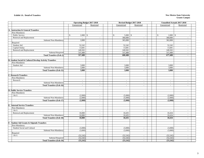#### **Exhibit 1A. Detail of Transfers**

#### **New Mexico State University Grants Campus**

|                                                                    | <b>Operating Budget 2017-2018</b> |                          |  | Revised Budget 2017-2018 |                             | <b>Unaudited Actuals 2017-2018</b> |                          |  |
|--------------------------------------------------------------------|-----------------------------------|--------------------------|--|--------------------------|-----------------------------|------------------------------------|--------------------------|--|
|                                                                    | Unrestricted                      | Restricted               |  | Unrestricted             | Restricted                  | Unrestricted                       | Restricted               |  |
|                                                                    |                                   |                          |  |                          |                             |                                    |                          |  |
| A. Instruction & General Transfers                                 |                                   |                          |  |                          |                             |                                    |                          |  |
| Non-Mandatory                                                      |                                   |                          |  |                          |                             |                                    |                          |  |
| Public Service                                                     | $2,000$ \$<br>$\mathcal{S}$       | $\overline{a}$           |  | 5,000<br>\$              | $\mathbb{S}$                | 2,000<br>$\mathbb{S}$<br>\$        |                          |  |
| Renewal and Replacement                                            |                                   | $\overline{\phantom{a}}$ |  | 360,000                  | $\overline{\phantom{a}}$    | 360,000                            | $\overline{a}$           |  |
| Subtotal Non-Mandatory                                             | 2.000                             | $\overline{\phantom{a}}$ |  | 365,000                  | $\overline{\phantom{a}}$    | 362,000                            |                          |  |
| Required                                                           |                                   |                          |  |                          |                             |                                    |                          |  |
| Student Aid                                                        | 52,242                            | $\overline{\phantom{a}}$ |  | 52,242                   | $\sim$                      | 52,242                             | $\overline{\phantom{a}}$ |  |
| Capital Outlay                                                     | 13,681                            | $\sim$                   |  | 13,681                   | $\sim$                      | 13,681                             | $\sim$                   |  |
| Renewal and Replacement                                            | 249,565                           | $\sim$                   |  | 249,565                  | $\sim$                      | 249,565                            | $\overline{a}$           |  |
| <b>Subtotal Required</b>                                           | 315,488                           | $\sim$                   |  | 315,488                  | $\sim$                      | 315,488                            | $\sim$                   |  |
| <b>Total Transfers (Exh 2)</b>                                     | 317,488                           | $\sim$                   |  | 680,488                  | $\blacksquare$              | 677,488                            | $\blacksquare$           |  |
| <b>B. Student Social &amp; Cultural Develop Activity Transfers</b> |                                   |                          |  |                          |                             |                                    |                          |  |
| Non-Mandatory                                                      |                                   |                          |  |                          |                             |                                    |                          |  |
| Student Aid                                                        | 3,000                             | $\sim$                   |  | 3,000                    | $\sim$                      | 3,000                              | $\overline{a}$           |  |
| Subtotal Non-Mandatory                                             | 3,000                             |                          |  | 3,000                    | $\overline{a}$              | 3,000                              |                          |  |
| <b>Total Transfers (Exh 15)</b>                                    | 3,000                             | $\sim$                   |  | 3,000                    | $\sim$                      | 3,000                              | $\sim$                   |  |
|                                                                    |                                   |                          |  |                          |                             |                                    |                          |  |
| <b>C. Research Transfers</b>                                       |                                   |                          |  |                          |                             |                                    |                          |  |
| Non-Mandatory                                                      |                                   |                          |  |                          |                             |                                    |                          |  |
| Research                                                           | $\sim$                            | $\sim$                   |  | $\sim$                   | $\sim$                      | $\sim$                             | $\sim$                   |  |
| Subtotal Non-Mandatory                                             | $\sim$                            | $\sim$                   |  | $\overline{a}$           | $\overline{\phantom{a}}$    | $\overline{a}$                     |                          |  |
| <b>Total Transfers (Exh 16)</b>                                    | $\blacksquare$                    | $\blacksquare$           |  | $\blacksquare$           | $\blacksquare$              | $\blacksquare$                     | $\blacksquare$           |  |
|                                                                    |                                   |                          |  |                          |                             |                                    |                          |  |
| <b>D. Public Service Transfers</b>                                 |                                   |                          |  |                          |                             |                                    |                          |  |
| Non-Mandatory                                                      |                                   |                          |  |                          |                             |                                    |                          |  |
| I & G                                                              | (2,000)                           | $\overline{\phantom{a}}$ |  | (5,000)                  | $\sim$                      | (2,000)                            |                          |  |
| Subtotal Non-Mandatory                                             | (2,000)                           | $\overline{\phantom{a}}$ |  | (5,000)                  | $\overline{\phantom{a}}$    | (2,000)                            | $\sim$                   |  |
| <b>Total Transfers (Exh 17)</b>                                    | (2,000)                           | $\blacksquare$           |  | (5,000)                  | $\blacksquare$              | (2,000)                            | $\mathbf{r}$             |  |
|                                                                    |                                   |                          |  |                          |                             |                                    |                          |  |
| <b>E.</b> Internal Service Transfers                               |                                   |                          |  |                          |                             |                                    |                          |  |
| Non-Mandatory<br>I & G                                             | $\sim$                            | $\sim$                   |  | $\sim$                   |                             | $\overline{a}$                     | $\overline{a}$           |  |
| Renewal and Replacement                                            | 10,000                            | $\sim$                   |  | 10,435                   | $\sim$<br>$\sim$            | 10,434                             | $\overline{a}$           |  |
| Subtotal Non-Mandatory                                             | 10,000                            | $\overline{\phantom{a}}$ |  | 10,435                   | $\sim$                      | 10,434                             | $\overline{a}$           |  |
| <b>Total Transfers (Exh 18)</b>                                    | 10,000                            | $\overline{\phantom{a}}$ |  | 10,435                   | $\overline{\phantom{a}}$    | 10,434                             | $\overline{a}$           |  |
|                                                                    |                                   |                          |  |                          |                             |                                    |                          |  |
| F. Student Aid Grants & Stipends Transfers                         |                                   |                          |  |                          |                             |                                    |                          |  |
| Non-Mandatory                                                      |                                   |                          |  |                          |                             |                                    |                          |  |
| Student Social and Cultural                                        | (3,000)                           | $\sim$                   |  | (3,000)                  | $\sim$                      | (3,000)                            | $\overline{a}$           |  |
| Subtotal Non-Mandatory                                             | (3,000)                           | $\sim$                   |  | (3,000)                  | $\sim$                      | (3,000)                            | $\overline{\phantom{a}}$ |  |
| Required                                                           |                                   |                          |  |                          |                             |                                    |                          |  |
| I & G                                                              | (52, 242)                         | $\sim$                   |  | (52, 242)                | $\mathcal{L}_{\mathcal{A}}$ | (52, 242)                          | $\overline{a}$           |  |
| <b>Subtotal Required</b>                                           | (52, 242)                         | $\sim$                   |  | (52, 242)                | $\sim$                      | (52, 242)                          |                          |  |
| <b>Total Transfers (Exh 19)</b>                                    | (55, 242)                         | $\blacksquare$           |  | (55, 242)                | $\blacksquare$              | (55,242)                           | ä,                       |  |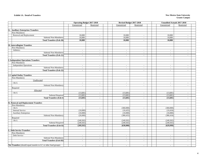#### **Exhibit 1A. Detail of Transfers**

#### **New Mexico State University Grants Campus**

|                                                                  | <b>Operating Budget 2017-2018</b> |                          | Revised Budget 2017-2018    |                          | <b>Unaudited Actuals 2017-2018</b> |                                    |
|------------------------------------------------------------------|-----------------------------------|--------------------------|-----------------------------|--------------------------|------------------------------------|------------------------------------|
|                                                                  | Unrestricted                      | Restricted               | Unrestricted                | Restricted               | Unrestricted                       | Restricted                         |
|                                                                  |                                   |                          |                             |                          |                                    |                                    |
| <b>G. Auxiliary Enterprises Transfers</b>                        |                                   |                          |                             |                          |                                    |                                    |
| Non-Mandatory                                                    |                                   |                          |                             |                          |                                    |                                    |
| Renewal and Replacement                                          | 10,000                            | $\sim$                   | 10,000                      | $\overline{\phantom{a}}$ | 10,000                             |                                    |
| Subtotal Non-Mandatory                                           | 10,000                            | $\overline{a}$           | 10,000                      | $\sim$                   | 10,000                             | $\sim$                             |
| <b>Total Transfers (Exh 20)</b>                                  | 10,000                            | $\blacksquare$           | 10,000                      | $\sim$                   | 10,000                             | $\blacksquare$                     |
|                                                                  |                                   |                          |                             |                          |                                    |                                    |
| H. Intercollegiate Transfers                                     |                                   |                          |                             |                          |                                    |                                    |
| Non-Mandatory                                                    |                                   |                          |                             |                          |                                    |                                    |
| Athletics                                                        | $\overline{\phantom{a}}$          | $\sim$                   | $\sim$                      | $\sim$                   | $\overline{\phantom{a}}$           | $\sim$                             |
| Subtotal Non-Mandatory                                           | $\sim$                            | $\overline{a}$           | $\mathcal{L}$               | $\sim$                   | $\sim$                             | $\sim$                             |
| <b>Total Transfers (Exh 21)</b>                                  | $\blacksquare$                    | $\blacksquare$           | $\blacksquare$              | $\sim$                   | $\blacksquare$                     | $\blacksquare$                     |
|                                                                  |                                   |                          |                             |                          |                                    |                                    |
| <b>I. Independent Operations Transfers</b><br>Non-Mandatory      |                                   |                          |                             |                          |                                    |                                    |
| <b>Independent Operations</b>                                    | $\overline{a}$                    |                          |                             |                          |                                    |                                    |
| Subtotal Non-Mandatory                                           | $\mathbb{Z}^2$                    | $\sim$<br>$\sim$         | $\sim$<br>$\sim$            | $\sim$<br>$\sim$         | $\sim$<br>$\sim$                   | $\overline{\phantom{a}}$<br>$\sim$ |
| <b>Total Transfers (Exh 22)</b>                                  | $\sim$                            | $\sim$                   | $\sim$                      | $\sim$                   | $\sim$                             | $\sim$                             |
|                                                                  |                                   |                          |                             |                          |                                    |                                    |
| <b>J. Capital Outlay Transfers</b>                               |                                   |                          |                             |                          |                                    |                                    |
| Non-Mandatory                                                    |                                   |                          |                             |                          |                                    |                                    |
| Unallocated                                                      |                                   |                          |                             |                          |                                    |                                    |
| I & G                                                            | $\sim$                            | $\sim$                   | $\sim$                      | $\sim$                   | $\sim$                             | $\sim$                             |
| Subtotal Non-Mandatory                                           | $\sim$                            | $\sim$                   | $\mathcal{L}_{\mathcal{A}}$ | $\sim$                   | $\sim$                             | $\overline{a}$                     |
| Required                                                         |                                   |                          |                             |                          |                                    |                                    |
| Allocated                                                        |                                   |                          |                             |                          |                                    |                                    |
| I & G                                                            | (13,681)                          | $\blacksquare$           | (13,681)                    | $\sim$                   | (13,681)                           | $\sim$                             |
| <b>Subtotal Required</b>                                         | (13,681)                          | $\sim$                   | (13,681)                    | $\sim$                   | (13,681)                           | $\overline{\phantom{a}}$           |
| <b>Total Transfers (Exh I)</b>                                   | (13,681)                          | $\blacksquare$           | (13,681)                    | $\sim$                   | (13,681)                           | $\sim$                             |
|                                                                  |                                   |                          |                             |                          |                                    |                                    |
| K. Renewal and Replacement Transfers                             |                                   |                          |                             |                          |                                    |                                    |
| Non-Mandatory                                                    |                                   |                          |                             |                          |                                    |                                    |
| I & G                                                            | $\sim$                            | $\sim$                   | (360,000)                   | $\sim$                   | (360,000)                          | $\sim$                             |
| Internal Service                                                 | (10,000)                          | $\sim$                   | (10, 435)                   | $\sim$                   | (10, 434)                          | $\sim$                             |
| <b>Auxiliary Enterprises</b>                                     | (10,000)                          | $\sim$                   | (10,000)                    | $\sim$                   | (10,000)                           | $\sim$                             |
| Subtotal Non-Mandatory                                           | (20,000)                          | $\sim$                   | (380, 435)                  | $\sim$                   | (380, 434)                         | $\sim$                             |
| Required                                                         |                                   |                          |                             |                          |                                    |                                    |
| I & G                                                            | (249, 565)                        | $\sim$                   | (249, 565)                  | $\sim$                   | (249, 565)                         | $\sim$                             |
| Subtotal Required                                                | (249, 565)                        | $\overline{\phantom{a}}$ | (249, 565)                  | $\sim$                   | (249, 565)                         | $\sim$                             |
| <b>Total Transfers (Exh II)</b>                                  | (269, 565)                        | $\blacksquare$           | (630,000)                   | $\sim$                   | (629,999)                          | $\blacksquare$                     |
|                                                                  |                                   |                          |                             |                          |                                    |                                    |
| <b>L. Debt Service Transfers</b>                                 |                                   |                          |                             |                          |                                    |                                    |
| Non-Mandatory                                                    |                                   |                          |                             |                          |                                    |                                    |
| Debt Service                                                     | $\sim$                            | $\sim$                   | $\sim$                      | $\sim$                   | $\sim$                             | $\overline{\phantom{a}}$           |
| Subtotal Non-Mandatory                                           | $\overline{\phantom{a}}$          | $\sim$                   | $\blacksquare$              | $\sim$                   | $\overline{\phantom{a}}$           | $\sim$                             |
| <b>Total Transfers (Exh III)</b>                                 | $\sim$                            | $\blacksquare$           | $\sim$                      | $\blacksquare$           | $\blacksquare$                     |                                    |
| Net Transfers (should equal transfer to LC or other fund groups) |                                   |                          |                             |                          |                                    |                                    |
|                                                                  | $\blacksquare$                    |                          | $\blacksquare$              | $\blacksquare$           | $\blacksquare$                     |                                    |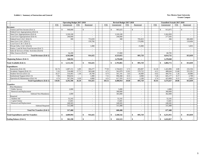#### **Exhibit 2. Summary of Instruction and General New Mexico State University**

|                                             |            | <b>Operating Budget 2017-2018</b> |            |               |        |              | Revised Budget 2017-2018 |            |               |            |              | <b>Unaudited Actuals 2017-2018</b> |            |               |                |
|---------------------------------------------|------------|-----------------------------------|------------|---------------|--------|--------------|--------------------------|------------|---------------|------------|--------------|------------------------------------|------------|---------------|----------------|
|                                             | <b>FTE</b> | Unrestricted                      | <b>FTE</b> | Restricted    |        | <b>FTE</b>   | Unrestricted             | <b>FTE</b> | Restricted    | <b>FTE</b> |              | Unrestricted                       | <b>FTE</b> |               | Restricted     |
| <b>Revenues</b>                             |            |                                   |            |               |        |              |                          |            |               |            |              |                                    |            |               |                |
| Tuition and Fees Income (Exh 3)             |            | $\mathbf{s}$<br>948,000           |            | $\mathbb{S}$  |        | $\mathbb{S}$ | 905,625                  |            | $\mathbb S$   |            | $\mathbb{S}$ | 913,075                            |            | $\mathcal{S}$ |                |
| Federal Govt Appropriations (Exh 4)         |            |                                   |            |               | $\sim$ |              |                          |            |               |            |              |                                    |            |               | $\sim$         |
| State Govt Appropriations (Exh 4)           |            | 3,320,100                         |            |               | $\sim$ |              | 3,320,100                |            | $\sim$        |            |              | 3,362,850                          |            |               | $\sim$         |
| Local Govt Appropriations (Exh 4)           |            | 240,000                           |            |               |        |              | 240,000                  |            |               |            |              | 277,836                            |            |               | $\sim$         |
| Federal Govt G & C (Exh 5)                  |            | 300                               |            | 753,659       |        |              | 300                      |            | 705,823       |            |              | 266                                |            |               | 682,800        |
| State Govt G & C (Exh 5)                    |            | $\sim$                            |            | 159,766       |        |              | $\sim$                   |            | 174,906       |            |              | $\sim$                             |            |               | 124,404        |
| Local Govt G & C (Exh 5)                    |            | $\sim$                            |            |               |        |              | $\sim$                   |            |               |            |              | $\sim$                             |            |               |                |
| Private Gifts, G & C (Exh 6)                |            | $\sim$                            |            |               | 1,000  |              | $\sim$                   |            | 15,000        |            |              | $\sim$                             |            |               | 5,835          |
| Endow, Land & Perm Fund Income (Exh 7)      |            |                                   |            |               | $\sim$ |              | $\sim$                   |            |               |            |              | $\sim$                             |            |               | $\sim$         |
| Sales & Services of Educ Activities (Exh 8) |            | $\sim$                            |            |               | $\sim$ |              | $\sim$                   |            | $\sim$        |            |              | $\sim$                             |            |               | $\sim$         |
| Other Sources (Exh 9)                       |            | 54,200                            |            |               |        |              | 57,000                   |            |               |            |              | 60,705                             |            |               | $\sim$         |
| <b>Total Revenues (Exh 1)</b>               |            | 4.562.600                         |            | 914.425       |        |              | 4,523,025                |            | 895,729       |            |              | 4,614,732                          |            |               | 813,039        |
| <b>Beginning Balance (Exh 1)</b>            |            | 548,592                           |            |               |        |              | 1,270,040                |            |               |            |              | 1,270,040                          |            |               | $\sim$         |
| <b>Total Available (Exh 1)</b>              |            | \$<br>5,111,192                   |            | \$<br>914,425 |        | \$           | 5,793,065                |            | 895,729<br>\$ |            | \$           | 5,884,772                          |            | \$            | 813,039        |
| <b>Expenditures</b>                         |            |                                   |            |               |        |              |                          |            |               |            |              |                                    |            |               |                |
| Instruction (Exh 10)                        | 82.74      | 1,687,151                         | 6.89       | 304,277       |        | 77.03        | 1,744,023                | 5.72       | 283,007       | 61.30      |              | 1,422,896                          | 4.80       |               | 232,556        |
| Academic Support (Exh 11)                   | 5.16       | 534,480                           | 17.71      | 583,648       |        | 4.71         | 562,879                  | 12.81      | 579,722       | 4.21       |              | 408,644                            | 13.68      |               | 555,291        |
| Student Services (Exh 12)                   | 10.27      | 516,465                           | 1.30       | 20,700        |        | 9.75         | 561,191                  | 1.63       | 26,000        | 9.42       |              | 494,701                            | 1.26       |               | 20,080         |
| <b>Institutional Support (Exh 13)</b>       | 7.94       | 956,816                           |            |               | 1.000  | 7.51         | 994,368                  | 0.31       | 4,900         | 7.26       |              | 825,177                            | 0.17       |               | 2.709          |
| Operation & Maintenance (Exh 14)            | 4.74       | 597,594                           | 0.30       |               | 4,800  | 4.51         | 617,593                  | 0.13       | 2,100         | 3.74       |              | 423,009                            | 0.15       |               | 2,403          |
| <b>Total Expenditures (Exh 1)</b>           | 110.85     | 4,292,506                         | 26.20      | 914,425       |        | 103.51       | 4,480,054                | 20.60      | 895,729       | 85.93      |              | 3,574,427                          | 20.06      |               | 813,039        |
| <b>Transfers</b>                            |            |                                   |            |               |        |              |                          |            |               |            |              |                                    |            |               |                |
| Non-Mandatory                               |            |                                   |            |               |        |              |                          |            |               |            |              |                                    |            |               |                |
| <b>Public Service</b>                       |            | 2,000                             |            |               | $\sim$ |              | 5,000                    |            | $\sim$        |            |              | 2.000                              |            |               | $\sim$         |
| Renewal and Replacement                     |            |                                   |            |               |        |              | 360,000                  |            |               |            |              | 360,000                            |            |               | $\sim$         |
| Subtotal Non-Mandatory                      |            | 2.000                             |            |               | $\sim$ |              | 365,000                  |            | $\sim$        |            |              | 362,000                            |            |               | $\sim$         |
| Required                                    |            |                                   |            |               |        |              |                          |            |               |            |              |                                    |            |               |                |
| Student Aid                                 |            | 52,242                            |            |               | $\sim$ |              | 52,242                   |            |               |            |              | 52,242                             |            |               | $\sim$         |
| Capital Outlay                              |            | 13,681                            |            |               |        |              | 13,681                   |            |               |            |              | 13,681                             |            |               | $\sim$         |
| Renewal and Replacement                     |            | 249,565                           |            |               | $\sim$ |              | 249,565                  |            | $\sim$        |            |              | 249,565                            |            |               | $\sim$         |
| <b>Subtotal Required</b>                    |            | 315,488                           |            |               | $\sim$ |              | 315,488                  |            |               |            |              | 315,488                            |            |               | $\sim$         |
| <b>Total Net Transfers (Exh 1)</b>          |            | 317,488                           |            |               |        |              |                          |            |               |            |              |                                    |            |               |                |
|                                             |            |                                   |            |               |        |              | 680,488                  |            |               |            |              | 677,488                            |            |               | $\blacksquare$ |
| <b>Total Expenditures and Net Transfers</b> |            | 4,609,994<br>\$                   |            | \$<br>914,425 |        | S.           | 5,160,542                |            | \$<br>895,729 |            | \$           | 4,251,915                          |            | $\mathbf{s}$  | 813,039        |
| <b>Ending Balance (Exh 1)</b>               |            | ¢<br>501,198                      |            | \$            |        | \$           | 632,523                  |            | \$            |            | \$           | 1,632,857                          |            | \$            |                |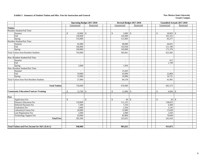#### **Exhibit 3. Summary of Student Tuition and Misc. Fees for Instruction and General <b>New Mexico State University New Mexico State University**

|                |                                                 | <b>Operating Budget 2017-2018</b> |              |                |  |                             | Revised Budget 2017-2018 |                              | <b>Unaudited Actuals 2017-2018</b> |
|----------------|-------------------------------------------------|-----------------------------------|--------------|----------------|--|-----------------------------|--------------------------|------------------------------|------------------------------------|
|                |                                                 | Unrestricted                      |              | Restricted     |  | Unrestricted                | Restricted               | Unrestricted                 | Restricted                         |
| <b>Tuition</b> |                                                 |                                   |              |                |  |                             |                          |                              |                                    |
|                | Resident Student/Full Time                      |                                   |              |                |  |                             |                          |                              |                                    |
|                | Summer                                          | $\mathcal{S}$<br>$10,000$ \$      |              |                |  | $\mathbb{S}$<br>$3,000$ \$  |                          | $\mathbb{S}$                 |                                    |
|                | Fall                                            | 150,000                           |              | $\sim$         |  | 142,000                     | $\sim$                   | 101,331                      | $\sim$                             |
|                | Spring                                          | 155,000                           |              | $\sim$         |  | 111,903                     | $\sim$                   | 65,377                       | $\sim$                             |
|                | <b>Resident Student/Part Time</b>               |                                   |              |                |  |                             |                          |                              |                                    |
|                | Summer                                          | 62,000                            |              | $\sim$         |  | 40,000                      | $\sim$                   | 44,021                       | $\sim$                             |
|                | Fall                                            | 166,000                           |              | $\sim$         |  | 143,938                     | $\sim$                   | 211,190                      | $\sim$                             |
|                | Spring                                          | 160,000                           |              | $\sim$         |  | 145,000                     | $\sim$                   | 171,370                      | $\sim$                             |
|                | <b>Total Tuition from Resident Students</b>     | 703,000                           |              | $\sim$         |  | 585,841                     | $\sim$                   | 623,382                      | $\sim$                             |
|                | Non-Resident Student/Full Time                  |                                   |              |                |  |                             |                          |                              |                                    |
|                | Summer                                          | $\sim$                            |              | $\sim$         |  | $\sim$                      | $\sim$                   | 611                          | $\sim$                             |
|                | Fall                                            | $\sim$                            |              | $\sim$         |  |                             | $\sim$                   | 1,799                        | $\blacksquare$                     |
|                | Spring                                          | 2,000                             |              | $\sim$         |  | 1,956                       | $\sim$                   | $\sim$                       | $\sim$                             |
|                | Non-Resident Student/Part Time                  |                                   |              |                |  |                             |                          |                              |                                    |
|                | Summer                                          | $\overline{\phantom{a}}$          |              | $\sim$         |  | 13,203                      | $\sim$                   |                              | $\overline{\phantom{a}}$           |
|                | Fall                                            | 10,000                            |              | $\sim$         |  | 45,000                      | $\sim$                   | 22,860                       | $\sim$                             |
|                | Spring                                          | 15,000                            |              | $\sim$         |  | 24,000                      | $\sim$                   | 16,721                       | $\sim$                             |
|                | <b>Total Tuition from Non-Resident Students</b> | 27,000                            |              | $\sim$         |  | 84,159                      | $\sim$                   | 41,991                       | ÷.                                 |
|                |                                                 |                                   |              |                |  |                             |                          |                              |                                    |
|                | <b>Total Tuition</b>                            | 730,000                           |              | $\sim$         |  | 670,000                     | $\sim$                   | 665,373                      | ٠                                  |
|                |                                                 |                                   |              |                |  |                             |                          |                              |                                    |
|                | <b>Community Education/Contract Training</b>    | $\mathbb{S}$<br>$12,700$ \$       |              |                |  | $\mathbb{S}$<br>$12,000$ \$ |                          | $\mathsf{\$}$                |                                    |
| Fees           |                                                 |                                   |              |                |  |                             |                          |                              |                                    |
|                | Application Fee                                 | $\mathbb{S}$                      | $\mathbb{S}$ |                |  | $\mathbb{S}$<br>40          | <sup>\$</sup>            | $20 \mid$ \$<br>$\mathbb{S}$ |                                    |
|                | Distance Education Fee                          | 110,000                           |              | $\sim$         |  | 111,125                     | $\sim$                   | 138,025                      | $\sim$                             |
|                | Deferred Payment Fee                            | 7,300                             |              | $\sim$         |  | 7,310                       | $\sim$                   | 6,490                        | $\sim$                             |
|                | Graduation Fee                                  | 3,000                             |              | $\sim$         |  | 2,350                       | $\sim$                   | 2,145                        | $\omega$                           |
|                | Laboratory/Course Fee                           | 20,000                            |              | $\sim$         |  | 15,000                      | $\sim$                   | 13,639                       | $\sim$                             |
|                | Late Registration Fee                           | 2,000                             |              | $\sim$         |  | 2,000                       | $\sim$                   | 1,650                        | $\sim$                             |
|                | <b>Technology Support Fee</b>                   | 63,000                            |              | $\sim$         |  | 85,800                      | $\sim$                   | 79,049                       | $\sim$                             |
|                | <b>Total Fees</b>                               | 205,300                           |              | $\mathcal{L}$  |  | 223,625                     | $\sim$                   | 241,018                      | $\blacksquare$                     |
|                |                                                 |                                   |              |                |  |                             |                          |                              |                                    |
|                | Total Tuition and Fees Income for I&G (Exh 2)   | 948,000                           |              | $\blacksquare$ |  | 905,625                     | $\blacksquare$           | 913,075                      | $\blacksquare$                     |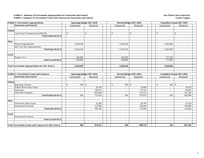#### **Exhibit 4. Summary of Government Appropriations for Instruction and General Exhibit 5. Summary of Government Grants and Contracts for Instruction and General**

#### **New Mexico State University Grants Campus**

|              | <b>Exhibit 4. Government Appropriations</b>                |              |           | <b>Operating Budget 2017-2018</b> |                | Revised Budget 2017-2018 |              | <b>Unaudited Actuals 2017-2018</b> |               |                |  |
|--------------|------------------------------------------------------------|--------------|-----------|-----------------------------------|----------------|--------------------------|--------------|------------------------------------|---------------|----------------|--|
|              | <b>Instruction and General</b>                             | Unrestricted |           | Restricted                        | Unrestricted   | Restricted               |              | Unrestricted                       | Restricted    |                |  |
|              |                                                            |              |           |                                   |                |                          |              |                                    |               |                |  |
| Federal      |                                                            |              |           |                                   |                |                          |              |                                    |               |                |  |
|              | Land Grant Teaching Funds (Morrill)                        | $\mathbb{S}$ |           | $\mathbb{S}$                      | ${\mathbb S}$  | $\mathbb{S}$             | $\mathbb{S}$ | $\sim$                             | $\mathbb{S}$  |                |  |
|              | <b>Total Federal (Exh 2)</b>                               |              | $\sim$    | ÷.                                | $\sim$         | $\sim$                   |              |                                    |               | $\sim$         |  |
|              |                                                            |              |           |                                   |                |                          |              |                                    |               |                |  |
| <b>State</b> |                                                            |              |           |                                   |                |                          |              |                                    |               |                |  |
|              | General Appropriation                                      |              | 3,320,100 | $\sim$                            | 3,320,100      | $\sim$                   |              | 3,362,850                          |               | $\sim$         |  |
|              | I&G Line Item Appropriations                               |              | $\sim$    | $\overline{\phantom{a}}$          |                | $\sim$                   |              | $\sim$                             |               | $\sim$         |  |
|              | <b>Total State (Exh 2)</b>                                 |              | 3,320,100 | $\overline{\phantom{a}}$          | 3,320,100      | $\overline{\phantom{a}}$ |              | 3,362,850                          |               | ٠              |  |
|              |                                                            |              |           |                                   |                |                          |              |                                    |               |                |  |
| Local        |                                                            |              |           |                                   |                |                          |              |                                    |               |                |  |
|              | Regular Levy                                               |              | 240,000   | $\sim$                            | 240,000        | $\sim$                   |              | 277,836                            |               | $\sim$         |  |
|              | <b>Total Local (Exh 2)</b>                                 |              | 240,000   | $\sim$                            | 240,000        | $\sim$                   |              | 277,836                            |               | $\sim$         |  |
|              |                                                            |              |           |                                   |                |                          |              |                                    |               |                |  |
|              | <b>Total Government Appropriations for I&amp;G (Exh 2)</b> |              | 3,560,100 | $\blacksquare$                    | 3,560,100      | $\blacksquare$           |              | 3,640,686                          |               | $\blacksquare$ |  |
|              |                                                            |              |           |                                   |                |                          |              |                                    |               |                |  |
|              |                                                            |              |           |                                   |                |                          |              |                                    |               |                |  |
|              | <b>Exhibit 5. Government Grants and Contracts</b>          |              |           | <b>Operating Budget 2017-2018</b> |                | Revised Budget 2017-2018 |              | <b>Unaudited Actuals 2017-2018</b> |               |                |  |
|              | <b>Instruction and General</b>                             | Unrestricted |           | Restricted                        | Unrestricted   | Restricted               |              | Unrestricted                       | Restricted    |                |  |
|              |                                                            |              |           |                                   |                |                          |              |                                    |               |                |  |
| Federal      |                                                            |              |           |                                   |                |                          |              |                                    |               |                |  |
|              | <b>Reporting Veterans</b>                                  | \$.          | 300       | $\mathcal{S}$                     | \$<br>300S     |                          | $\mathbb{S}$ | 266                                | <sup>\$</sup> |                |  |
|              | Federal Work Study Funds                                   |              |           | 20,100                            |                | 34,600                   |              |                                    |               | 36,618         |  |
|              | Instruction                                                |              | $\sim$    | 130,611                           |                | 97,101                   |              |                                    |               | 94,833         |  |
|              | Other I&G Programs                                         |              |           | 602,948                           |                | 574,122                  |              |                                    |               | 551,349        |  |
|              | <b>Total Federal (Exh 2)</b>                               |              | 300       | 753,659                           | 300            | 705,823                  |              | 266                                |               | 682,800        |  |
|              |                                                            |              |           |                                   |                |                          |              |                                    |               |                |  |
| <b>State</b> |                                                            |              |           |                                   |                |                          |              |                                    |               |                |  |
|              | <b>State Work Study Funds</b>                              |              | $\sim$    | 32,200                            | $\sim$         | 36,700                   |              | $\overline{\phantom{a}}$           |               | 19,524         |  |
|              | <b>Instruction &amp; General</b>                           |              | $\sim$    | 127,566                           | $\sim$         | 138,206                  |              | $\overline{\phantom{a}}$           |               | 104,880        |  |
|              | <b>Total State (Exh 2)</b>                                 |              | $\sim$    | 159,766                           | $\overline{a}$ | 174,906                  |              |                                    |               | 124,404        |  |
|              |                                                            |              |           |                                   |                |                          |              |                                    |               |                |  |
| Local        |                                                            |              |           |                                   |                |                          |              |                                    |               |                |  |
|              | Instruction & General                                      |              | $\sim$    | $\sim$                            | $\sim$         | $\sim$                   |              | $\overline{\phantom{a}}$           |               | $\sim$         |  |
|              | <b>Total Local (Exh 2)</b>                                 |              | $\sim$    | $\sim$                            | $\sim$         | $\sim$                   |              | $\overline{\phantom{a}}$           |               | $\sim$         |  |
|              |                                                            |              |           |                                   |                |                          |              |                                    |               |                |  |
|              | Total Government Grants and Contracts for I&G (Exh 2)      |              | 300       | 913,425                           | 300            | 880,729                  |              | 266                                |               | 807,204        |  |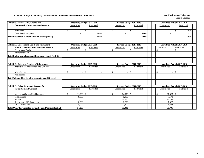#### **Exhibit 6 through 9. Summary of Revenues for Instruction and General as Listed Below New Mexico State University**

| Exhibit 6. Private Gifts, Grants, and                           |                         | <b>Operating Budget 2017-2018</b> |               | Revised Budget 2017-2018 | <b>Unaudited Actuals 2017-2018</b> |                        |
|-----------------------------------------------------------------|-------------------------|-----------------------------------|---------------|--------------------------|------------------------------------|------------------------|
| <b>Contracts for Instruction and General</b>                    | Unrestricted            | Restricted                        | Unrestricted  | Restricted               | Unrestricted                       | Restricted             |
|                                                                 |                         |                                   |               |                          |                                    |                        |
| Instruction                                                     | $\mathcal{S}$           | \$                                | $\mathcal{S}$ | $\mathcal{S}$            | \$                                 | <sup>\$</sup><br>5,835 |
| Other I & G Programs                                            |                         | 1.000                             |               | 15,000                   |                                    |                        |
| <b>Total Private for Instruction and General (Exh 2)</b>        |                         | 1,000                             |               | 15,000                   | $\blacksquare$                     | 5,835                  |
|                                                                 |                         |                                   |               |                          |                                    |                        |
| <b>Exhibit 7. Endowment, Land, and Permanent</b>                |                         | <b>Operating Budget 2017-2018</b> |               | Revised Budget 2017-2018 | <b>Unaudited Actuals 2017-2018</b> |                        |
| <b>Fund Incomes for Instruction and General</b>                 | Unrestricted            | Restricted                        | Unrestricted  | Restricted               | Unrestricted                       | Restricted             |
| <b>Endowment Funds</b>                                          | $\mathcal{S}$           | $\mathbb{S}$                      | $\mathcal{S}$ | $\mathcal{S}$            | \$.                                | \$                     |
| <b>Permanent Funds</b>                                          |                         |                                   |               |                          | $\overline{\phantom{a}}$           |                        |
| <b>Total Endowment, Land, and Permanent Funds (Exh 2)</b>       |                         |                                   |               |                          | $\blacksquare$                     |                        |
|                                                                 |                         |                                   |               |                          |                                    |                        |
| <b>Exhibit 8. Sales and Services of Educational</b>             |                         | <b>Operating Budget 2017-2018</b> |               | Revised Budget 2017-2018 | <b>Unaudited Actuals 2017-2018</b> |                        |
| <b>Activities for Instruction and General</b>                   | Unrestricted            | Restricted                        | Unrestricted  | Restricted               | Unrestricted                       | Restricted             |
| Miscellanous                                                    | <sup>\$</sup>           | $\mathcal{S}$                     |               | $\mathcal{S}$            | $\mathcal{S}$                      | <sup>\$</sup>          |
| Publications                                                    |                         | $\overline{\phantom{a}}$          |               |                          | $\overline{\phantom{a}}$           |                        |
| <b>Total Sales and Services for Instruction and General</b>     |                         | $\blacksquare$                    |               | $\blacksquare$           | $\blacksquare$                     |                        |
|                                                                 |                         |                                   |               |                          |                                    |                        |
| <b>Exhibit 9. Other Sources of Revenue for</b>                  |                         | <b>Operating Budget 2017-2018</b> |               | Revised Budget 2017-2018 | <b>Unaudited Actuals 2017-2018</b> |                        |
| <b>Instruction and General</b>                                  | Unrestricted            | Restricted                        | Unrestricted  | Restricted               | Unrestricted                       | Restricted             |
| Interest on Current Fund Balances                               | 11,000<br><sup>\$</sup> | -S                                | 14,000        | $\mathcal{S}$            | 21,023<br>\$                       | -\$                    |
| Misc Income                                                     | 8,000                   | $\sim$                            | 8,000         | $\overline{\phantom{a}}$ | 7,578                              |                        |
| Rentals                                                         | 23,000                  | $\sim$                            | 24,000        | $\overline{\phantom{a}}$ | 22,285                             |                        |
| Recovery of IDC-Instruction                                     | 8,200                   | $\sim$                            | 8,200         | ٠                        | 7,927                              |                        |
| <b>GED Testing Fees</b>                                         | 4.000                   | $\sim$                            | 2.800         |                          | 1.892                              |                        |
| <b>Total Other Revenues for Instruction and General (Exh 2)</b> | 54,200                  |                                   | 57,000        |                          | 60,705                             |                        |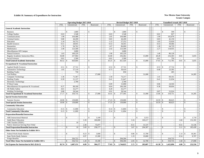#### **Exhibit 10. Summary of Expenditures for Instruction New Mexico State University**

|                                                        |                |                           | <b>Operating Budget 2017-2018</b> |                    |            |                |                    | Revised Budget 2017-2018 |               |                    |            |                |               | <b>Unaudited Actuals 2017-2018</b> |            |                    |            |
|--------------------------------------------------------|----------------|---------------------------|-----------------------------------|--------------------|------------|----------------|--------------------|--------------------------|---------------|--------------------|------------|----------------|---------------|------------------------------------|------------|--------------------|------------|
|                                                        | <b>FTE</b>     | Unrestricted              | <b>FTE</b>                        |                    | Restricted | <b>FTE</b>     |                    | Unrestricted             | <b>FTE</b>    |                    | Restricted | <b>FTE</b>     |               | Unrestricted                       | <b>FTE</b> |                    | Restricted |
| <b>General Academic Instruction</b>                    |                |                           |                                   |                    |            |                |                    |                          |               |                    |            |                |               |                                    |            |                    |            |
| <b>Business</b>                                        |                | $\mathcal{S}$             | 1,800                             | $\mathbb{S}$       |            |                | $\mathbf{s}$       | 1,800                    | $\sim$        | $\mathbf{s}$       |            | $\sim$         | $\mathcal{S}$ | 599                                |            | $\mathcal{S}$      |            |
| <b>College Studies</b>                                 | 0.03           |                           | 2,548<br>$\mathbb{Z}^2$           |                    |            | 0.03           |                    | 2.548                    | $\mathbf{r}$  |                    | $\sim$     | 0.01           |               | 827                                | $\omega$   |                    | $\sim$     |
| Communications                                         | 1.98           | 104,488                   | $\sim$                            |                    |            | 2.05           |                    | 104,488                  | $\omega$      |                    |            | 1.99           |               | 102,878                            | $\sim$     |                    | $\sim$     |
| Criminal Justice                                       | 0.80           | 44,200                    | $\sim$                            |                    |            | 0.83           |                    | 44,200                   | $\mathbf{r}$  |                    |            | 0.83           |               | 42,150                             | $\sim$     |                    | $\sim$     |
| Education                                              | 1.10           | 56,752                    | $\sim$                            |                    |            | 1.13           |                    | 57,252                   | $\sim$        |                    |            | 1.05           |               | 55,020                             | $\sim$     |                    | $\sim$     |
| <b>Health Sciences</b>                                 | 0.51           | 28,941                    | $\sim$                            |                    |            | 0.53           |                    | 34,441                   | $\sim$        |                    |            | 0.53           |               | 30,466                             | $\sim$     |                    | $\sim$     |
| Humanities                                             | 1.78           | 94,762                    | $\sim$                            |                    | $\sim$     | 1.67           |                    | 86,000                   | $\sim$        |                    | $\sim$     | 1.28           |               | 64,729                             | $\sim$     |                    | $\sim$     |
| Mathematics                                            | 2.40           | 123,500                   | $\sim$                            |                    | $\sim$     | 2.42           |                    | 123,500                  | $\sim$        |                    | $\sim$     | 2.27           |               | 118,935                            | $\sim$     |                    | $\sim$     |
| Miscellaneous Off Campus                               | $\sim$         |                           | 3,000<br>$\sim$                   |                    |            | $\blacksquare$ |                    | 3,000                    | $\sim$        |                    |            | $\sim$         |               |                                    | $\sim$     |                    | $\sim$     |
| <b>Natural Sciences</b>                                | 1.83           | 100,229                   | $\sim$                            |                    |            | 1.90           |                    | 105,229                  | $\sim$        |                    |            | 1.40           |               | 80,128                             | $\sim$     |                    |            |
| Regular Academic Instruction Misc.                     | 36.08          | 257,964                   | $\omega$                          |                    |            | 32.68          |                    | 256,462                  | $\omega$      |                    | 15,000     | 28.28          |               | 216,303                            | 0.01       |                    | 5,835      |
| Social Sciences                                        | 0.01           |                           | 2,500<br>$\mathcal{L}^{\pm}$      |                    |            | 0.01           |                    | 2,500                    | $\sim$        |                    |            | 0.01           |               | 750                                | $\sim$     |                    |            |
| <b>Total General Academic Instruction</b>              | 46.52          | 820,684<br>\$.            | $\sim$                            | \$                 |            | 43.25          | \$                 | 821,420                  | $\omega$      | £.                 | 15,000     | 37.65          | \$            | 712,785                            | 0.01       | -S                 | 5,835      |
| <b>Occupational &amp; Vocational Instruction</b>       |                |                           |                                   |                    |            |                |                    |                          |               |                    |            |                |               |                                    |            |                    |            |
| Applied Health Sciences                                | 0.51           | $\mathbb{S}$<br>27,741    | $\sim$                            | $\mathbf{\hat{S}}$ |            | 0.53           | $\mathbf{s}$       | 27,741                   | $\sim$        | $\mathcal{S}$      |            | 0.53           | $\mathbb{S}$  | 27,724                             | $\sim$     | $\mathbf{\hat{S}}$ |            |
| Automotive Technology                                  | 1.05           | 57,119                    | $\sim$                            |                    |            | 0.73           |                    | 39,419                   | $\sim$        |                    |            | 0.40           |               | 23,305                             | $\sim$     |                    |            |
| <b>Building Trades</b>                                 | $\omega$       |                           | 750<br>$\omega$                   |                    |            | $\omega$       |                    | 850                      | $\omega$      |                    |            | $\mathbb{Z}^2$ |               | 405                                | $\omega$   |                    |            |
| Carl Perkins                                           | $\mathbb{Z}^2$ |                           | $\sim$                            |                    | 27,000     | $\blacksquare$ |                    |                          | $\omega$      |                    | 31,000     | $\omega$       |               |                                    | $\sim$     |                    | 14,285     |
| <b>Computer Technology</b>                             | 1.36           | 71,367                    | $\sim$                            |                    |            | 1.50           |                    | 73,217                   | $\omega$      |                    |            | 1.41           |               | 69,161                             | $\sim$     |                    |            |
| <b>Drafting Trades</b>                                 | 0.39           | 21,137                    | $\omega$                          |                    |            | 0.41           |                    | 21,647                   | $\omega$      |                    | $\sim$     | 0.41           |               | 21,034                             | $\sim$     |                    |            |
| Electronic Technology                                  | $\omega$       |                           | 2,700<br>$\sim$                   |                    |            | $\sim$         |                    | 2,700                    | $\sim$        |                    |            | $\sim$         |               |                                    |            |                    |            |
| IT Boot Camp                                           | $\omega$       |                           | $\sim$                            |                    | $\sim$     | 0.09           |                    | 15,000                   | $\omega$      |                    | $\sim$     | 0.06           |               | 24,504                             | $\sim$     |                    | $\sim$     |
| Miscellaneous Occupational & Vocational                | 8.37           | 88,100                    | $\sim$                            |                    | $\sim$     | 8.04           |                    | 106,100                  | $\sim$        |                    | $\sim$     | 9.38           |               | 99,694                             | $\sim$     |                    | $\sim$     |
| OE Public Safety                                       | 4.61           | 32,277                    | $\sim$                            |                    | $\sim$     | 4.20           |                    | 32,277                   | $\sim$        |                    | $\sim$     | $\mathbb{Z}^2$ |               |                                    | $\sim$     |                    | $\sim$     |
| Welding Technology                                     | 0.88           | 58,544                    | $\mathcal{L}$                     |                    |            | 0.91           |                    | 58,544                   | $\sim$        |                    |            | 0.87           |               | 52,924                             |            |                    |            |
| <b>Total Occupational &amp; Vocational Instruction</b> | 17.17          | 359,735<br>$\mathbf{s}$   | $\sim$                            | $\mathbb{S}$       | 27,000     | $16.41 \t$ \$  |                    | 377,495                  | $\mathbf{r}$  | $\mathcal{S}$      | 31,000     | 13.06          | <sup>\$</sup> | 318,751                            | $\sim$     | -\$                | 14,285     |
| <b>Special Session Instruction</b>                     |                |                           |                                   |                    |            |                |                    |                          |               |                    |            |                |               |                                    |            |                    |            |
| <b>Summer Session</b>                                  | $18.90$ \$     | 139,000                   | $\sim$                            | $\mathbf S$        |            | $17.23$ \$     |                    | 139,000                  | $\sim$        | $\mathbf{\hat{S}}$ |            |                |               | 80,625                             |            | $\mathcal{S}$      |            |
| <b>Total Special Session Instruction</b>               | 18.90          | $\mathbf{s}$<br>139,000   | $\sim$                            | $\mathbf S$        | $\sim$     |                |                    | 139,000                  | $\omega$      | $\mathbf{s}$       | $\sim$     | 10.59          | $\mathbb{S}$  | 80,625                             | $\sim$     | $\mathcal{S}$      |            |
| <b>Community Education</b>                             |                |                           |                                   |                    |            |                |                    |                          |               |                    |            |                |               |                                    |            |                    |            |
| <b>Community Education</b>                             | 0.15           | $\mathbb{S}$<br>11,000    |                                   | $\mathbf S$        |            | 0.14           | $\mathbf S$        | 11,804                   |               | $\mathcal{S}$      |            |                | $\mathcal{S}$ |                                    |            | $\mathcal{S}$      |            |
| <b>Total Community Education</b>                       | 0.15           | $\mathbb{S}$<br>11,000    | $\mathbb{Z}^2$                    | $\mathbf S$        |            | 0.14           | $\mathbf{\hat{S}}$ | 11,804                   | $\mathcal{L}$ | $\mathcal{S}$      |            | $\mathbb{Z}^2$ | $\mathbb{S}$  |                                    | $\sim$     | $\mathcal{S}$      |            |
| <b>Preparation/Remedial Instruction</b>                |                |                           |                                   |                    |            |                |                    |                          |               |                    |            |                |               |                                    |            |                    |            |
| <b>ABE</b> Instructional Material                      | $\bar{a}$      | $\mathbb{S}$              |                                   | $\mathbf S$        | 3,100      | $\overline{a}$ | $\mathbb{S}$       |                          | $\omega$      | $\mathbf{s}$       | 3,553      | $\omega$       | $\mathbb{S}$  |                                    |            | $\mathcal{S}$      | 1,710      |
| <b>Adult Basic Education</b>                           | $\sim$         |                           | 3.39                              |                    | 180,000    | $\blacksquare$ |                    | $\sim$                   | 3.16          |                    | 169,217    | $\omega$       |               |                                    | 2.60       |                    | 152,182    |
| CHE Teacher (TEDC)                                     | $\sim$         |                           | 10<br>$\sim$                      |                    |            | $\sim$         |                    | $\sim$                   | $\sim$        |                    |            | $\sim$         |               |                                    | $\sim$     |                    |            |
| Native American Serving Non-Tribal                     | $\sim$         |                           | 2.30                              |                    | 75,077     | $\blacksquare$ |                    | $\sim$                   | 0.51          |                    | 31,537     | $\sim$         |               |                                    | 0.51       |                    | 31,536     |
| <b>Total Preparation/Remedial Instruction</b>          | $\omega$       | \$                        | 10<br>5.69                        | <sup>\$</sup>      | 258,177    | $\blacksquare$ | $\mathbf{\hat{S}}$ |                          | 3.67          | <sup>\$</sup>      | 204,307    | $\omega$       | \$            |                                    | 3.11       | - \$               | 185,428    |
| Other Items Not Included in Exhibit 10A's              |                |                           |                                   |                    |            |                |                    |                          |               |                    |            |                |               |                                    |            |                    |            |
| Federal Work-Study Salaries                            | $\sim$         | $\mathbb{S}$              |                                   |                    | 3,600      |                | \$                 |                          | 0.86          | $\mathbf{s}$       | 13,700     | $\omega$       | \$            |                                    |            |                    | 18,301     |
| <b>State Work-Study Salaries</b>                       | $\sim$         |                           | 0.97                              |                    | 15,500     | $\sim$         |                    |                          | 1.19          |                    | 19,000     | $\omega$       |               |                                    | 0.54       |                    | 8,707      |
| Fringe Benefits                                        |                | 356,722                   |                                   |                    |            |                |                    | 394,304                  |               |                    |            |                |               | 310,735                            |            |                    |            |
| <b>Total Other Items Not Included in Exhibit 10A's</b> | $\sim$         | 356,722<br>\$             | 1.20                              | $\mathcal{S}$      | 19,100     | $\sim$         | \$                 | 394,304                  | 2.05          | $\mathcal{S}$      | 32,700     | $\sim$         | \$            | 310,735                            | 1.68       |                    | 27,008     |
| Net Expense for Instruction in I&G (Exh 2)             | 82.74          | $\mathbf{s}$<br>1,687,151 | 6.89                              | \$                 | 304,277    | 77.03          | - \$               | 1,744,023                | 5.72          | \$                 | 283,007    | 61.30          | \$            | 1,422,896                          | 4.80       | \$                 | 232,556    |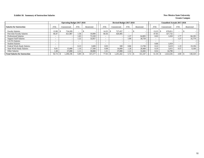### **Exhibit 10. Summary of Instruction Salaries** New Mexico State University

|                                       |            | <b>Operating Budget 2017-2018</b> |            |            |            |                          | Revised Budget 2017-2018 |            |            | <b>Unaudited Actuals 2017-2018</b> |              |                          |  |            |  |
|---------------------------------------|------------|-----------------------------------|------------|------------|------------|--------------------------|--------------------------|------------|------------|------------------------------------|--------------|--------------------------|--|------------|--|
| <b>Salaries for Instruction</b>       | <b>FTE</b> | Unrestricted                      | <b>FTE</b> | Restricted | <b>FTE</b> |                          | Unrestricted             | <b>FTE</b> | Restricted | <b>FTE</b>                         | Unrestricted | <b>FTE</b>               |  | Restricted |  |
| <b>Faculty Salaries</b>               | 13.98      | 734,209                           |            |            |            | 4.35،                    | 727,457                  |            |            | 13.23                              | 670,811      | $\overline{\phantom{0}}$ |  |            |  |
| Part-time Faculty Salaries            | 66.47      | 421,987                           | 1.58       | 10,000     |            | 60.36                    | 420,485                  |            |            | 47.05                              | 327.732      | $\overline{\phantom{0}}$ |  |            |  |
| <b>Professional Salaries</b>          |            |                                   | 1.65       | 73,320     |            |                          |                          | 1.37       | 64.805     | 0.03                               | 1,650        | 1.77                     |  | 84,185     |  |
| <b>Support Staff Salaries</b>         |            |                                   | 1.22       | 32,857     |            |                          |                          | 1.09       | 30,750     | $\overline{\phantom{0}}$           |              | 1.27                     |  | 35,779     |  |
| GA/TA Salaries                        |            |                                   |            |            |            |                          |                          |            |            | $\overline{\phantom{0}}$           |              | $\overline{\phantom{0}}$ |  |            |  |
| <b>Student Salaries</b>               |            |                                   |            |            |            | $\overline{\phantom{0}}$ |                          |            |            | 0.06                               | 1,019        | $\overline{\phantom{0}}$ |  |            |  |
| Federal Work-Study Salaries           |            |                                   | 0.23       | 3,600      |            | 0.03                     | 500                      | 0.86       | 13,700     | 0.22                               | 3,619        | 1.19                     |  | 19,196     |  |
| <b>State Work-Study Salaries</b>      | 0.91       | 15,000                            | 1.10       | 17.500     |            | 0.98                     | 16.000                   | 1.28       | 20.400     | 0.19                               | 3.015        | 0.57                     |  | 9.160      |  |
| <b>Other Salaries</b>                 | .38        | 37,000                            | 1.11       | 30,000     |            | 1.31                     | 37,000                   | 1.12       | 31,692     | 0.52                               | 14.790       | $\overline{\phantom{0}}$ |  |            |  |
| <b>Total Salaries for Instruction</b> | 82.74      | 1.208.196                         | 6.89       | 167,277    |            | 77.03                    | 1.201.442                | 5.72       | 161,347    | 61.30                              | 1.022.636    | 4.80                     |  | 148,320    |  |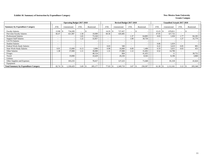### **Exhibit 10. Summary of Instruction by Expenditure Category New Mexico State University**

|                                              |                          | <b>Operating Budget 2017-2018</b> |                          |                |                          | Revised Budget 2017-2018 |                          |                 |            | <b>Unaudited Actuals 2017-2018</b> |                          |            |
|----------------------------------------------|--------------------------|-----------------------------------|--------------------------|----------------|--------------------------|--------------------------|--------------------------|-----------------|------------|------------------------------------|--------------------------|------------|
| <b>Summary by Expenditure Category</b>       | <b>FTE</b>               | Unrestricted                      | <b>FTE</b>               | Restricted     | <b>FTE</b>               | Unrestricted             | <b>FTE</b>               | Restricted      | <b>FTE</b> | Unrestricted                       | <b>FTE</b>               | Restricted |
| <b>Faculty Salaries</b>                      | 13.98                    | 734,209                           | $\overline{\phantom{0}}$ | S.             | 14.35                    | 727,457                  | $\overline{\phantom{0}}$ |                 | 13.23      | 670,811                            | $\overline{\phantom{a}}$ |            |
| Part-time Faculty Salaries                   | 66.47                    | 421,987                           | 1.58                     | 10.000         | 60.36                    | 420,485                  | $\sim$                   |                 | 47.05      | 327,732                            | $\overline{\phantom{0}}$ |            |
| <b>Professional Salaries</b>                 | $\overline{\phantom{a}}$ |                                   | 1.65                     | 73,320         | ٠                        |                          | 1.37                     | 64,805          | 0.03       | 1,650                              | 1.77                     | 84,185     |
| <b>Support Staff Salaries</b>                | $\overline{\phantom{a}}$ |                                   | 1.22                     | 32,857         | ٠                        |                          | 1.09                     | 30,750          |            |                                    | 1.27                     | 35,779     |
| <b>GA/TA Salaries</b>                        |                          |                                   | ۰                        |                |                          |                          |                          |                 |            |                                    | $\overline{\phantom{a}}$ |            |
| <b>Student Salaries</b>                      | $\overline{\phantom{0}}$ |                                   | $\overline{\phantom{0}}$ |                | $\overline{\phantom{0}}$ |                          | $\overline{\phantom{a}}$ |                 | 0.06       | 1,019                              | $\overline{\phantom{a}}$ |            |
| Federal Work-Study Salaries                  | $\overline{\phantom{0}}$ |                                   | $\overline{\phantom{a}}$ |                | 0.03                     | 500                      | $\overline{\phantom{0}}$ |                 | 0.22       | 3,619                              | 0.05                     | 895        |
| <b>State Work-Study Salaries</b>             | 0.91                     | 15,000                            | 0.13                     | 2,000          | 0.98                     | 16,000                   | 0.09                     | 1.400           | 0.19       | 3,015                              | 0.03                     | 453        |
| <b>Other Salaries</b>                        | 1.38                     | 37,000                            | $1.1^{\circ}$            | 30,000         | 1.31                     | 37,000                   | 1.12                     | 31,692          | 0.52       | 14,790                             | $\overline{\phantom{a}}$ |            |
| Fringes                                      |                          |                                   |                          | 48,154         |                          | 804                      |                          | 41,455          |            |                                    |                          | 38,752     |
| Travel                                       |                          | 19.000                            |                          | 10,429         |                          | 20,250                   |                          | 8,565           |            | 8,196                              |                          | 3,860      |
| Utilities                                    |                          |                                   |                          |                |                          |                          |                          |                 |            |                                    |                          |            |
| Other Supplies and Expenses                  |                          | 103,233                           |                          | 78,417         |                          | 127,223                  |                          | 71,640          |            | 81,318                             |                          | 41,624     |
| Equipment                                    |                          |                                   |                          |                |                          |                          |                          |                 |            |                                    |                          |            |
| <b>Total Summary by Expenditure Category</b> | 82.74                    | 1,330,429                         | 5.69                     | 285,177<br>1 S | 77.03                    | 1,349,719                | 3.67                     | 250,307<br>- 75 | 61.30      | 1,112,161                          | 3.12                     | 205,548    |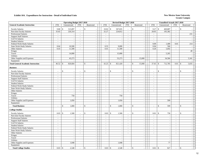|                                           |                          | <b>Operating Budget 2017-2018</b> |                          |                             |                       | Revised Budget 2017-2018 |                             |                                |                             | <b>Unaudited Actuals 2017-2018</b> |                          |                          |  |
|-------------------------------------------|--------------------------|-----------------------------------|--------------------------|-----------------------------|-----------------------|--------------------------|-----------------------------|--------------------------------|-----------------------------|------------------------------------|--------------------------|--------------------------|--|
| <b>General Academic Instruction</b>       | <b>FTE</b>               | Unrestricted                      | <b>FTE</b>               | Restricted                  | <b>FTE</b>            | Unrestricted             | <b>FTE</b>                  | Restricted                     | <b>FTE</b>                  | Unrestricted                       | <b>FTE</b>               | Restricted               |  |
| <b>Faculty Salaries</b>                   | 9.80                     | 515,097<br>\$                     | $\sim$                   | \$                          | 10.02<br>$\mathbb{S}$ | 507,835                  | $\sim$                      | \$<br>$\overline{\phantom{a}}$ | 9.27                        | \$<br>469,887                      | $\blacksquare$           | \$                       |  |
| Part-time Faculty Salaries                | 35.65                    | 226,314                           | $\mathcal{L}$            |                             | 32.27                 | 224,812                  | $\mathcal{L}$               | $\sim$                         | 28.05                       | 195,382                            | $\sim$                   |                          |  |
| Professional Salaries                     | $\overline{\phantom{a}}$ |                                   | $\overline{\phantom{a}}$ |                             | $\sim$                |                          | $\equiv$                    | $\mathcal{L}_{\mathcal{A}}$    | $\blacksquare$              |                                    | $\blacksquare$           | 231                      |  |
| <b>Support Staff Salaries</b>             | $\sim$                   | $\sim$                            | $\mathcal{L}$            | $\sim$                      | $\sim$                | $\overline{a}$           | $\omega$                    | $\sim$                         | $\sim$                      | $\overline{\phantom{a}}$           | $\sim$                   | $\sim$                   |  |
| GA/TA Salaries                            | $\sim$                   | $\sim$                            | $\sim$                   | $\overline{a}$              | $\sim$                | $\overline{\phantom{a}}$ | $\overline{a}$              | $\sim$                         | $\sim$                      | $\overline{\phantom{a}}$           | $\sim$                   | $\overline{a}$           |  |
| <b>Student Salaries</b>                   | $\sim$                   | $\sim$                            | $\sim$                   | $\sim$                      | $\sim$                | $\sim$                   | $\mathcal{L}_{\mathcal{A}}$ | $\sim$                         | $\mathcal{L}_{\mathcal{A}}$ |                                    | $\sim$                   |                          |  |
| Federal Work-Study Salaries               | $\sim$                   | $\sim$                            | $\sim$                   | $\overline{\phantom{a}}$    | $\sim$                | ÷,                       | $\blacksquare$              | $\sim$                         | 0.09                        | 1,409                              | 0.01                     | 214                      |  |
| State Work-Study Salaries                 | 0.64                     | 10,500                            | $\sim$                   | $\sim$                      | 0.55                  | 9,000                    | $\sim$                      | $\sim$                         | 0.04                        | 566                                | $\sim$                   | $\sim$                   |  |
| Other Salaries                            | 0.43                     | 11,500                            | $\sim$                   | $\sim$                      | 0.41                  | 11,500                   | $\blacksquare$              | $\sim$                         | 0.20                        | 5,692                              | $\sim$                   | $\sim$                   |  |
| Fringes                                   |                          |                                   |                          |                             |                       |                          |                             | $\mathcal{L}_{\mathcal{A}}$    |                             |                                    |                          | 49                       |  |
| Travel                                    |                          | 14,000                            |                          | $\sim$                      |                       | 15,000                   |                             | $\sim$                         |                             | 5,265                              |                          | $\sim$                   |  |
| <b>Utilities</b>                          |                          |                                   |                          | $\sim$                      |                       |                          |                             | $\sim$                         |                             |                                    |                          |                          |  |
| Other Supplies and Expenses               |                          | 43,273                            |                          | $\sim$                      |                       | 53,273                   |                             | 15,000                         |                             | 34,584                             |                          | 5,341                    |  |
| Equipment                                 |                          |                                   |                          | $\overline{\phantom{a}}$    |                       |                          |                             | $\blacksquare$                 |                             |                                    |                          |                          |  |
| <b>Total General Academic Instruction</b> | 46.52                    | 820,684<br>$\mathbf{\hat{S}}$     | $\sim$                   | $\mathbf{\hat{S}}$          | 43.25<br>$\mathbb{S}$ | 821,420                  | $\equiv$                    | $\mathbb{S}$<br>15,000         | 37.65                       | $\mathcal{S}$<br>712,785           | 0.01                     | 5,835<br>\$              |  |
| <b>Business</b>                           |                          |                                   |                          |                             |                       |                          |                             |                                |                             |                                    |                          |                          |  |
| <b>Faculty Salaries</b>                   |                          | $\mathbb{S}$                      |                          | \$                          | \$                    |                          |                             | \$                             | $\sim$                      | $\mathbb{S}$                       |                          | \$                       |  |
| Part-time Faculty Salaries                | $\sim$                   | $\sim$                            | $\sim$                   | $\mathcal{L}_{\mathcal{A}}$ | $\sim$                | $\blacksquare$           | $\mathcal{L}_{\mathcal{A}}$ | $\sim$                         | $\sim$                      | $\sim$                             | $\sim$                   | $\overline{\phantom{a}}$ |  |
| Professional Salaries                     | $\sim$                   | $\sim$                            | $\sim$                   | $\overline{a}$              | $\sim$                | $\sim$                   | $\mathcal{L}$               | $\sim$                         | $\sim$                      | $\sim$                             | $\sim$                   | $\sim$                   |  |
| <b>Support Staff Salaries</b>             | $\sim$                   | $\omega$                          | $\sim$                   | $\sim$                      | $\sim$                | $\sim$                   | $\omega$                    | $\mathcal{L}_{\mathcal{A}}$    | $\overline{\phantom{a}}$    | $\overline{\phantom{a}}$           | $\overline{\phantom{a}}$ | $\sim$                   |  |
| GA/TA Salaries                            | $\sim$                   | $\blacksquare$                    | $\overline{\phantom{a}}$ | $\overline{\phantom{a}}$    | $\sim$                | $\overline{\phantom{a}}$ | $\mathcal{L}_{\mathcal{A}}$ | $\mathbb{Z}^2$                 | $\sim$                      | ÷,                                 | $\blacksquare$           | $\sim$                   |  |
| <b>Student Salaries</b>                   | $\sim$                   | $\sim$                            | $\overline{a}$           | $\sim$                      | $\sim$                | $\sim$                   | $\sim$                      | $\sim$                         | $\sim$                      | $\sim$                             | $\sim$                   | $\overline{\phantom{a}}$ |  |
| Federal Work-Study Salaries               | $\mathbb{Z}^2$           | $\mathcal{L}_{\mathcal{A}}$       | $\sim$                   | $\sim$                      | $\sim$                | $\sim$                   | $\omega$                    | $\sim$                         | $\mathcal{L}_{\mathcal{A}}$ | $\overline{\phantom{a}}$           | $\mathbb{Z}^2$           | $\sim$                   |  |
| <b>State Work-Study Salaries</b>          | $\overline{\phantom{a}}$ | $\blacksquare$                    | $\blacksquare$           | $\sim$                      | $\sim$                | $\sim$                   | $\blacksquare$              | $\sim$                         | $\sim$                      | $\overline{\phantom{a}}$           | $\sim$                   | $\overline{\phantom{a}}$ |  |
| Other Salaries                            | $\sim$                   | $\sim$                            | $\sim$                   | $\sim$                      | $\sim$                | $\sim$                   | $\omega$                    | $\sim$                         | $\sim$                      | $\sim$                             | $\sim$                   | $\overline{\phantom{a}}$ |  |
| Fringes                                   |                          | $\omega$                          |                          | $\sim$                      |                       | $\sim$                   |                             | $\sim$                         |                             | $\overline{\phantom{a}}$           |                          | $\overline{\phantom{a}}$ |  |
| Travel                                    |                          | 750                               |                          | $\sim$                      |                       | 750                      |                             | $\sim$                         |                             | $\sim$                             |                          | $\overline{\phantom{a}}$ |  |
| Utilities                                 |                          | $\overline{a}$                    |                          | ÷,                          |                       |                          |                             | $\mathbb{L}$                   |                             |                                    |                          |                          |  |
| Other Supplies and Expenses               |                          | 1,050                             |                          | $\sim$                      |                       | 1,050                    |                             | $\sim$                         |                             | 599                                |                          | $\sim$                   |  |
| Equipment                                 |                          | $\overline{a}$                    |                          | $\sim$                      |                       | L.                       |                             | $\sim$                         |                             | ÷.                                 |                          | $\sim$                   |  |
| <b>Total Business</b>                     |                          | $\mathbf{\hat{S}}$<br>1,800       | $\bar{\phantom{a}}$      | \$                          | $\mathbb{S}$          | 1,800                    | $\bar{a}$                   | $\mathbf{s}$<br>$\sim$         | $\bar{a}$                   | $\mathbf{\hat{S}}$<br>599          | $\sim$                   | $\mathbf{s}$             |  |
| <b>College Studies</b>                    |                          |                                   |                          |                             |                       |                          |                             |                                |                             |                                    |                          |                          |  |
|                                           |                          |                                   |                          |                             |                       |                          |                             |                                |                             |                                    |                          |                          |  |
| <b>Faculty Salaries</b>                   | 0.03                     | $\mathbb{S}$<br>1,500             | $\overline{a}$           | \$                          | $\mathbb{S}$<br>0.03  | 1,500                    | $\overline{a}$              | \$<br>$\sim$                   | 0.01                        | \$<br>750                          | $\overline{a}$           | \$                       |  |
| Part-time Faculty Salaries                | $\sim$                   | $\sim$                            | $\sim$                   | $\sim$                      | $\sim$                |                          | $\sim$                      | $\sim$                         | $\sim$                      | $\overline{\phantom{a}}$           | $\sim$                   | $\sim$                   |  |
| <b>Professional Salaries</b>              | $\sim$                   | $\sim$                            | $\blacksquare$           | $\sim$                      | $\blacksquare$        | $\sim$                   | $\sim$                      | $\sim$                         | $\sim$                      | $\overline{\phantom{a}}$           | $\sim$                   | $\overline{\phantom{a}}$ |  |
| <b>Support Staff Salaries</b>             | $\sim$                   | $\sim$                            | $\sim$                   | $\sim$                      | $\sim$                | $\sim$                   | $\sim$                      | $\sim$                         | $\sim$                      | $\sim$                             | $\sim$                   | $\overline{\phantom{a}}$ |  |
| GA/TA Salaries                            | $\sim$                   | $\blacksquare$                    | $\blacksquare$           | $\sim$                      | $\sim$                | $\overline{\phantom{a}}$ | $\omega$                    | $\sim$                         | $\sim$                      | $\sim$                             | $\sim$                   | $\sim$                   |  |
| <b>Student Salaries</b>                   | $\sim$                   | $\sim$                            | $\bar{\phantom{a}}$      |                             | $\sim$                |                          | $\overline{\phantom{a}}$    | $\mathbb{Z}^2$                 | $\overline{\phantom{a}}$    |                                    | $\mathbf{r}$             | $\sim$                   |  |
| Federal Work-Study Salaries               | $\sim$                   | $\blacksquare$                    | ÷,                       | $\overline{a}$              | $\sim$                | $\overline{\phantom{a}}$ | $\blacksquare$              | $\mathcal{L}$                  | $\blacksquare$              | J.                                 | $\sim$                   | $\sim$                   |  |
| State Work-Study Salaries                 | $\sim$                   | $\sim$                            | $\sim$                   | $\sim$                      | $\sim$                | $\sim$                   | $\sim$                      | $\sim$                         | $\sim$                      | $\overline{a}$                     | $\overline{a}$           | $\sim$                   |  |
| Other Salaries                            | $\sim$                   | $\blacksquare$                    | $\sim$                   | $\sim$                      | $\sim$                | $\sim$                   | $\blacksquare$              | $\sim$                         | $\sim$                      | $\overline{\phantom{a}}$           | $\sim$                   | $\sim$                   |  |
| Fringes                                   |                          | $\sim$                            |                          | $\blacksquare$              |                       | $\overline{\phantom{a}}$ |                             | $\sim$                         |                             | $\overline{\phantom{a}}$           |                          | $\sim$                   |  |
| Travel                                    |                          | $\sim$                            |                          | $\sim$                      |                       | $\overline{a}$           |                             | $\sim$                         |                             | $\overline{\phantom{a}}$           |                          | $\sim$                   |  |
| Utilities                                 |                          | $\omega$                          |                          | $\sim$                      |                       | $\sim$                   |                             | $\sim$                         |                             | $\sim$                             |                          | $\overline{\phantom{a}}$ |  |
| Other Supplies and Expenses               |                          | 1,048                             |                          | $\sim$                      |                       | 1,048                    |                             | $\blacksquare$                 |                             | 77                                 |                          | $\sim$                   |  |
| Equipment                                 |                          |                                   |                          | $\overline{\phantom{a}}$    |                       |                          |                             | $\blacksquare$                 |                             |                                    |                          | $\overline{\phantom{a}}$ |  |
| <b>Total College Studies</b>              | 0.03                     | 2,548<br>$\mathbb{S}$             | $\sim$                   | $\mathbf{\hat{S}}$          | 0.03<br>\$            | 2,548                    | $\sim$                      | \$<br>$\blacksquare$           | 0.01                        | 827<br>\$                          | $\sim$                   | \$<br>$\sim$             |  |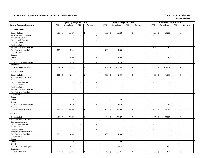|                                     |                          | <b>Operating Budget 2017-2018</b> |                             |                              |                          | Revised Budget 2017-2018     |                             |                              |                            | Unaudited Actuals 2017-2018 |                |               |        |
|-------------------------------------|--------------------------|-----------------------------------|-----------------------------|------------------------------|--------------------------|------------------------------|-----------------------------|------------------------------|----------------------------|-----------------------------|----------------|---------------|--------|
| <b>General Academic Instruction</b> | <b>FTE</b>               | Unrestricted                      | <b>FTE</b>                  | Restricted                   | <b>FTE</b>               | Unrestricted                 | <b>FTE</b>                  | Restricted                   | <b>FTE</b>                 | Unrestricted                | FTE            | Restricted    |        |
|                                     |                          |                                   |                             |                              |                          |                              |                             |                              |                            |                             |                |               |        |
| Communications                      |                          |                                   |                             |                              |                          |                              |                             |                              |                            |                             |                |               |        |
| <b>Faculty Salaries</b>             | 1.89                     | $\mathbb{S}$<br>99,238            | $\sim$                      | \$<br>$\sim$                 | 1.96                     | $\mathbb{S}$<br>99,238       | $\sim$                      | \$                           | $\mathbb{S}$<br>1.96       | 99,238                      | $\sim$         | \$            |        |
| Part-time Faculty Salaries          | $\overline{\phantom{a}}$ |                                   | $\overline{\phantom{a}}$    | $\sim$                       | $\sim$                   |                              | $\sim$                      |                              | $\sim$                     |                             | $\sim$         |               | $\sim$ |
| <b>Professional Salaries</b>        | $\sim$                   |                                   | $\sim$                      | $\omega$                     | $\sim$                   | $\sim$                       | $\mathbf{r}$                | $\sim$                       | $\omega$                   | $\sim$                      | $\mathbf{r}$   |               | $\sim$ |
| <b>Support Staff Salaries</b>       | $\bar{\phantom{a}}$      |                                   | $\mathcal{L}_{\mathcal{A}}$ | $\sim$                       | $\blacksquare$           | $\sim$                       | $\mathcal{L}_{\mathcal{A}}$ | $\blacksquare$               | $\blacksquare$             | $\overline{\phantom{a}}$    | $\sim$         |               | $\sim$ |
| GA/TA Salaries                      | $\sim$                   |                                   | $\sim$                      | $\mathcal{L}_{\mathcal{A}}$  | $\overline{\phantom{a}}$ | $\overline{\phantom{a}}$     | $\sim$                      | $\blacksquare$               | $\sim$                     | $\overline{\phantom{a}}$    | $\sim$         |               | $\sim$ |
| <b>Student Salaries</b>             | $\overline{\phantom{a}}$ |                                   | $\blacksquare$              | $\blacksquare$               | $\sim$                   | $\sim$                       | $\sim$                      | $\overline{\phantom{a}}$     | $\overline{\phantom{a}}$   |                             | $\mathcal{L}$  |               |        |
| Federal Work-Study Salaries         | $\overline{a}$           |                                   | $\sim$                      | $\sim$                       | $\sim$                   |                              | $\sim$                      | $\sim$                       | 0.03                       | 403                         | $\sim$         |               | $\sim$ |
| State Work-Study Salaries           | 0.09                     | 1,500                             | $\sim$                      | $\omega$                     | 0.09                     | 1,500                        | $\omega$                    | $\overline{\phantom{a}}$     | $\blacksquare$             |                             | $\blacksquare$ |               |        |
| Other Salaries                      | $\sim$                   | $\overline{\phantom{a}}$          | $\sim$                      | $\mathcal{L}_{\mathcal{A}}$  | $\sim$                   | $\sim$                       | $\mathcal{L}$               | $\sim$                       | $\mathcal{L}$              | $\sim$                      | $\sim$         |               | $\sim$ |
| Fringes                             |                          |                                   |                             | $\blacksquare$               |                          |                              |                             | $\blacksquare$               |                            |                             |                |               |        |
| Travel                              |                          | 1,500                             |                             | $\sim$                       |                          | 1,500                        |                             | $\sim$                       |                            | 502                         |                |               | $\sim$ |
| Utilities                           |                          |                                   |                             | $\omega$                     |                          |                              |                             | $\sim$                       |                            |                             |                |               | $\sim$ |
| Other Supplies and Expenses         |                          | 2,250                             |                             | $\sim$                       |                          | 2,250                        |                             | $\sim$                       |                            | 2,735                       |                |               |        |
| Equipment                           |                          |                                   |                             | $\blacksquare$               |                          |                              |                             | $\overline{\phantom{a}}$     |                            |                             |                |               |        |
| <b>Total Communications</b>         | 1.98                     | 104,488<br>l \$                   | $\sim$                      | \$<br>$\sim$                 | 2.05                     | \$<br>104,488                | $\sim$                      | $\mathbb{S}$<br>$\sim$       | 1.99<br>\$                 | 102,878                     | $\sim$         | $\mathcal{S}$ |        |
| <b>Criminal Justice</b>             |                          |                                   |                             |                              |                          |                              |                             |                              |                            |                             |                |               |        |
|                                     |                          |                                   |                             |                              |                          |                              |                             |                              |                            |                             |                |               |        |
| <b>Faculty Salaries</b>             | 0.80                     | $\mathcal{S}$<br>42,000           | $\mathbf{r}$                | \$<br>$\sim$                 | 0.83                     | $\mathbf{\hat{S}}$<br>42,000 | $\sim$                      | $\mathbb{S}$                 | $\mathbb{S}$<br>0.83       | 41,981                      | $\sim$         | $\mathcal{S}$ |        |
| Part-time Faculty Salaries          | $\sim$                   |                                   | $\sim$                      | $\omega$                     | $\sim$                   |                              | $\sim$                      | $\sim$                       | $\sim$                     |                             | $\sim$         |               | $\sim$ |
| Professional Salaries               | $\sim$                   |                                   | $\sim$                      | $\mathcal{L}_{\mathcal{A}}$  | $\sim$                   | $\overline{\phantom{a}}$     | $\sim$                      | $\sim$                       | $\sim$                     | $\sim$                      | $\sim$         |               | $\sim$ |
| <b>Support Staff Salaries</b>       | $\frac{1}{2}$            |                                   | $\overline{\phantom{a}}$    | $\mathcal{L}_{\mathcal{A}}$  | $\blacksquare$           | $\overline{\phantom{a}}$     | $\mathcal{L}_{\mathcal{A}}$ | $\blacksquare$               | $\overline{\phantom{a}}$   | $\sim$                      | $\equiv$       |               |        |
| GA/TA Salaries                      | $\sim$                   |                                   | $\sim$                      | $\omega$                     | $\sim$                   | $\sim$                       | $\mathbf{r}$                | $\sim$                       | $\overline{a}$             | $\sim$                      | $\sim$         |               | $\sim$ |
| <b>Student Salaries</b>             | $\overline{\phantom{a}}$ |                                   | $\sim$                      | $\sim$                       | $\overline{\phantom{a}}$ | $\overline{\phantom{a}}$     | $\sim$                      | $\sim$                       | $\bar{a}$                  | $\sim$                      | $\sim$         |               |        |
| Federal Work-Study Salaries         | $\overline{\phantom{a}}$ |                                   | $\sim$                      | $\sim$                       | $\sim$                   | $\sim$                       | $\sim$                      | $\blacksquare$               | $\sim$                     | $\sim$                      | $\sim$         |               | $\sim$ |
| <b>State Work-Study Salaries</b>    | $\overline{a}$           |                                   | $\sim$                      | $\blacksquare$               | $\sim$                   |                              | $\sim$                      | $\sim$                       | $\overline{\phantom{a}}$   |                             | $\mathcal{L}$  |               |        |
| Other Salaries                      | $\overline{a}$           | $\sim$                            | $\sim$                      | $\omega$                     | $\sim$                   | $\sim$                       | $\sim$                      | $\bar{\phantom{a}}$          | $\sim$                     | $\sim$                      | $\mathbf{r}$   |               | $\sim$ |
| Fringes                             |                          | $\overline{\phantom{a}}$          |                             | $\mathbb{L}$                 |                          | $\sim$                       |                             | $\sim$                       |                            | $\overline{\phantom{a}}$    |                |               | $\sim$ |
| Travel                              |                          | 750                               |                             | $\sim$                       |                          | 750                          |                             | $\sim$                       |                            | $\sim$                      |                |               | $\sim$ |
| Utilities                           |                          |                                   |                             | $\blacksquare$               |                          |                              |                             | $\overline{\phantom{a}}$     |                            | $\overline{\phantom{a}}$    |                |               |        |
| Other Supplies and Expenses         |                          | 1,450                             |                             | $\blacksquare$               |                          | 1,450                        |                             | $\sim$                       |                            | 169                         |                |               | $\sim$ |
| Equipment                           |                          |                                   |                             | $\blacksquare$               |                          |                              |                             | $\sim$                       |                            |                             |                |               |        |
| <b>Total Criminal Justice</b>       | 0.80                     | 44,200<br>\$                      | $\omega$                    | \$<br>$\sim$                 | 0.83                     | $\mathcal{S}$<br>44,200      | $\sim$                      | $\mathbb{S}$<br>$\sim$       | 0.83<br>$\mathbb{S}$       | 42,150                      | $\sim$         | $\mathcal{S}$ | $\sim$ |
|                                     |                          |                                   |                             |                              |                          |                              |                             |                              |                            |                             |                |               |        |
| Education                           |                          |                                   |                             |                              |                          |                              |                             |                              |                            |                             |                |               |        |
| <b>Faculty Salaries</b>             | 1.01                     | $\mathcal{S}$<br>52,927           | $\blacksquare$              | \$<br>$\sim$                 | 1.04                     | $\mathbf S$<br>52,927        | $\sim$                      | \$                           | 1.05<br>$\mathbb{S}$       | 53,338                      | $\sim$         | $\mathcal{S}$ |        |
| Part-time Faculty Salaries          | $\overline{\phantom{a}}$ |                                   | $\sim$                      | $\blacksquare$               | $\overline{\phantom{a}}$ |                              | $\sim$                      | $\overline{\phantom{a}}$     | $\sim$                     |                             | $\blacksquare$ |               |        |
| Professional Salaries               | $\sim$                   |                                   | $\sim$                      | $\sim$                       | $\sim$                   | $\overline{a}$               | $\sim$                      | $\sim$                       | $\sim$                     | $\overline{\phantom{a}}$    | $\sim$         |               | $\sim$ |
| <b>Support Staff Salaries</b>       | $\overline{\phantom{a}}$ |                                   | $\sim$                      | $\Box$                       | $\sim$                   | $\overline{\phantom{a}}$     | $\sim$                      | $\sim$                       | $\sim$                     |                             | $\sim$         |               |        |
| GA/TA Salaries                      | $\sim$                   | $\overline{a}$                    | $\sim$                      | $\omega$                     | $\sim$                   | $\sim$                       | $\sim$                      | $\blacksquare$               | $\sim$                     | $\sim$                      | $\sim$         |               | $\sim$ |
| <b>Student Salaries</b>             | $\overline{\phantom{a}}$ |                                   | $\sim$                      | $\blacksquare$               | $\sim$                   | $\sim$                       | $\sim$                      | $\sim$                       | $\blacksquare$             | $\sim$                      | $\sim$         |               |        |
| Federal Work-Study Salaries         | $\sim$                   |                                   | $\sim$                      | $\mathcal{L}_{\mathcal{A}}$  | $\sim$                   | $\overline{\phantom{a}}$     | $\sim$                      | $\overline{\phantom{a}}$     | $\sim$                     | $\overline{\phantom{a}}$    | $\sim$         |               | $\sim$ |
| <b>State Work-Study Salaries</b>    | 0.09                     | 1,500                             | $\sim$                      | $\sim$                       | 0.09                     | 1,500                        | $\sim$                      | $\sim$                       | $\sim$                     | $\sim$                      | $\sim$         |               | $\sim$ |
| Other Salaries                      | $\sim$                   |                                   | $\sim$                      | $\omega$                     | $\sim$                   | $\sim$                       | $\sim$                      | $\sim$                       | $\sim$                     | $\sim$                      | $\sim$         |               | $\sim$ |
| Fringes                             |                          |                                   |                             | $\blacksquare$               |                          |                              |                             | $\overline{\phantom{a}}$     |                            | $\overline{a}$              |                |               |        |
| Travel                              |                          | 750                               |                             | $\blacksquare$               |                          | 750                          |                             | $\sim$                       |                            | $\sim$                      |                |               | $\sim$ |
| Utilities                           |                          |                                   |                             | $\sim$                       |                          |                              |                             | $\sim$                       |                            | $\overline{\phantom{a}}$    |                |               | $\sim$ |
| Other Supplies and Expenses         |                          | 1,575                             |                             | $\sim$                       |                          | 2,075                        |                             | $\sim$                       |                            | 1,682                       |                |               | $\sim$ |
|                                     |                          |                                   |                             |                              |                          |                              |                             | $\sim$                       |                            | $\overline{a}$              |                |               | $\sim$ |
| Equipment                           |                          |                                   |                             | $\blacksquare$               |                          |                              |                             |                              |                            |                             |                |               |        |
| <b>Total Education</b>              |                          | 56,752                            | $\sim$                      | $\mathbf{\hat{S}}$<br>$\sim$ | 1.13                     | $\mathbf{\hat{S}}$<br>57,252 | $\sim$                      | $\mathbf{\hat{S}}$<br>$\sim$ | 1.05<br>$\mathbf{\hat{S}}$ | 55,020                      | $\sim$         | $\mathbb{S}$  | $\sim$ |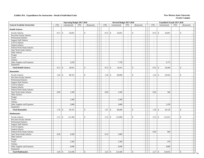|                                     |                          | <b>Operating Budget 2017-2018</b> |                             |                             |                |      | Revised Budget 2017-2018 |                |                          |                       |                    | <b>Unaudited Actuals 2017-2018</b> |                             |                              |              |
|-------------------------------------|--------------------------|-----------------------------------|-----------------------------|-----------------------------|----------------|------|--------------------------|----------------|--------------------------|-----------------------|--------------------|------------------------------------|-----------------------------|------------------------------|--------------|
| <b>General Academic Instruction</b> | <b>FTE</b>               | Unrestricted                      | FTE                         | Restricted                  | <b>FTE</b>     |      | Unrestricted             | FTE            | Restricted               | ${\rm FTE}$           |                    | Unrestricted                       | <b>FTE</b>                  | Restricted                   |              |
| <b>Health Sciences</b>              |                          |                                   |                             |                             |                |      |                          |                |                          |                       |                    |                                    |                             |                              |              |
| <b>Faculty Salaries</b>             | 0.51                     | $\mathbb{S}$<br>26,691            | $\blacksquare$              | ${\mathbb S}$<br>$\sim$     |                | 0.53 | $\mathbb{S}$<br>26,691   | $\sim$         | $\mathbb{S}$             | 0.53                  | $\mathbb{S}$       | 26,691                             | $\blacksquare$              | $\mathcal{S}$                |              |
| Part-time Faculty Salaries          | L.                       |                                   | $\overline{\phantom{a}}$    | $\sim$                      | $\mathbb{Z}^2$ |      |                          | $\mathcal{L}$  |                          | $\mathbb{Z}^2$        |                    |                                    | $\mathbb{Z}^2$              | $\sim$                       |              |
| Professional Salaries               | $\overline{\phantom{a}}$ |                                   | $\sim$                      | $\sim$                      | $\sim$         |      |                          | $\sim$         | $\sim$                   | $\sim$                |                    | $\overline{\phantom{a}}$           | $\sim$                      | $\sim$                       |              |
| <b>Support Staff Salaries</b>       | $\sim$                   | $\sim$                            | $\sim$                      | $\mathcal{L}_{\mathcal{A}}$ | $\sim$         |      | $\sim$                   | $\sim$         | $\blacksquare$           | $\sim$                |                    | $\sim$                             | $\sim$                      | $\sim$                       |              |
| GA/TA Salaries                      | $\overline{\phantom{a}}$ | $\overline{\phantom{a}}$          | $\omega$                    | $\overline{\phantom{a}}$    | $\blacksquare$ |      | $\overline{\phantom{a}}$ | $\sim$         | $\overline{\phantom{a}}$ | $\mathbb{Z}^2$        |                    | $\overline{\phantom{a}}$           | $\blacksquare$              | $\sim$                       |              |
| <b>Student Salaries</b>             | $\overline{a}$           |                                   | $\overline{\phantom{a}}$    | $\bar{\phantom{a}}$         | $\blacksquare$ |      | $\overline{\phantom{a}}$ | $\equiv$       | $\overline{\phantom{a}}$ | $\blacksquare$        |                    |                                    | $\equiv$                    |                              |              |
| Federal Work-Study Salaries         | $\overline{a}$           | $\sim$                            | $\mathbf{r}$                | $\sim$                      | $\sim$         |      | ÷.                       | $\sim$         | $\sim$                   | $\mathcal{L}$         |                    | $\sim$                             | $\mathbf{r}$                | $\sim$                       |              |
| State Work-Study Salaries           | $\overline{\phantom{a}}$ | $\sim$                            | $\blacksquare$              | $\sim$                      | $\sim$         |      | $\overline{\phantom{a}}$ | $\sim$         | $\overline{\phantom{a}}$ | $\sim$                |                    |                                    | $\sim$                      |                              |              |
| Other Salaries                      | $\tilde{\phantom{a}}$    | $\sim$                            | $\sim$                      | $\mathbb{Z}^2$              | $\sim$         |      | $\sim$                   | $\sim$         | $\sim$                   | $\sim$                |                    | $\sim$                             | $\sim$                      | $\sim$                       |              |
| Fringes                             |                          |                                   |                             | $\overline{\phantom{a}}$    |                |      |                          |                |                          |                       |                    |                                    |                             |                              |              |
| Travel                              |                          | $\sim$                            |                             | $\omega$                    |                |      | $\overline{\phantom{a}}$ |                | $\sim$                   |                       |                    | $\overline{\phantom{a}}$           |                             | $\sim$                       |              |
| Utilities                           |                          | $\blacksquare$                    |                             | $\omega$                    |                |      |                          |                | $\sim$                   |                       |                    | $\overline{\phantom{a}}$           |                             | $\sim$                       |              |
| Other Supplies and Expenses         |                          | 2,250                             |                             | $\omega$                    |                |      | 7,750                    |                | $\sim$                   |                       |                    | 3,775                              |                             |                              |              |
| Equipment                           |                          |                                   |                             | $\sim$                      |                |      |                          |                | $\sim$                   |                       |                    |                                    |                             |                              |              |
| <b>Total Health Sciences</b>        | 0.51                     | 28,941<br>\$                      | $\sim$                      | \$<br>$\sim$                |                | 0.53 | \$<br>34,441             | $\sim$         | \$<br>$\overline{a}$     | 0.53                  | $\mathbb{S}$       | 30,466                             | $\sim$                      | $\mathcal{S}$                |              |
| <b>Humanities</b>                   |                          |                                   |                             |                             |                |      |                          |                |                          |                       |                    |                                    |                             |                              |              |
|                                     |                          | $\mathbb{S}$                      | $\overline{a}$              | \$<br>$\sim$                |                | 1.58 | $\mathcal{S}$<br>80,000  | $\sim$         | $\mathbb{S}$             | 1.24                  | $\mathbf{\hat{S}}$ |                                    |                             | \$.                          |              |
| <b>Faculty Salaries</b>             | 1.69                     | 88,762                            |                             |                             |                |      |                          |                |                          |                       |                    | 62,924                             | $\sim$                      |                              |              |
| Part-time Faculty Salaries          | $\sim$                   |                                   | $\mathcal{L}_{\mathcal{A}}$ | $\mathcal{L}_{\mathcal{A}}$ | $\blacksquare$ |      |                          | $\mathbb{Z}^2$ | $\sim$                   | $\mathbb{Z}^2$        |                    |                                    | $\mathcal{L}_{\mathcal{A}}$ | $\sim$                       |              |
| <b>Professional Salaries</b>        | $\overline{\phantom{a}}$ | $\sim$                            | $\sim$                      | $\mathcal{L}_{\mathcal{A}}$ | $\sim$         |      | $\sim$                   | $\sim$         | $\overline{\phantom{a}}$ | $\sim$                |                    | $\sim$                             | $\sim$                      | $\sim$                       |              |
| <b>Support Staff Salaries</b>       | $\overline{a}$           |                                   | $\equiv$                    | $\bar{\phantom{a}}$         | $\blacksquare$ |      | $\overline{\phantom{a}}$ | $\omega$       | $\blacksquare$           | $\blacksquare$        |                    |                                    | $\equiv$                    |                              |              |
| GA/TA Salaries                      | $\sim$                   | $\sim$                            | $\sim$                      | $\sim$                      | $\mathbf{r}$   |      | ÷.                       | $\sim$         | $\sim$                   | $\sim$                |                    | $\sim$                             | $\sim$                      | $\sim$                       |              |
| <b>Student Salaries</b>             | $\sim$                   |                                   | $\blacksquare$              | $\sim$                      | $\sim$         |      | ÷.                       | $\sim$         | $\sim$                   | $\tilde{\phantom{a}}$ |                    | $\sim$                             | $\blacksquare$              |                              |              |
| Federal Work-Study Salaries         | $\overline{a}$           | $\overline{a}$                    | $\sim$                      | $\mathbb{Z}^2$              | $\sim$         |      | $\overline{\phantom{a}}$ | $\sim$         | $\sim$                   | $\sim$                |                    | $\overline{\phantom{a}}$           | $\sim$                      | $\sim$                       |              |
| State Work-Study Salaries           | 0.09                     | 1,500                             | $\mathcal{L}$               | $\sim$                      |                | 0.09 | 1,500                    | $\mathcal{L}$  |                          | 0.04                  |                    | 566                                | $\mathcal{L}$               |                              |              |
| Other Salaries                      | $\overline{a}$           |                                   | $\overline{a}$              | $\omega$                    | $\mathcal{L}$  |      |                          | $\sim$         | $\overline{\phantom{a}}$ | $\sim$                |                    | $\sim$                             | $\mathbf{r}$                | $\sim$                       |              |
| Fringes                             |                          | $\overline{\phantom{a}}$          |                             | $\mathbb{L}$                |                |      |                          |                | $\sim$                   |                       |                    | $\sim$                             |                             | $\sim$                       |              |
| Travel                              |                          | 1,500                             |                             | $\blacksquare$              |                |      | 1,500                    |                | $\overline{\phantom{a}}$ |                       |                    | $\overline{\phantom{a}}$           |                             | $\overline{\phantom{a}}$     |              |
| Utilities                           |                          |                                   |                             | $\sim$                      |                |      |                          |                | $\overline{\phantom{a}}$ |                       |                    | $\overline{\phantom{a}}$           |                             |                              |              |
| Other Supplies and Expenses         |                          | 3,000                             |                             | $\mathbb{Z}^2$              |                |      | 3,000                    |                | $\sim$                   |                       |                    | 1,239                              |                             |                              |              |
| Equipment                           |                          |                                   |                             | $\sim$                      |                |      |                          |                | $\sim$                   |                       |                    |                                    |                             |                              |              |
| <b>Total Humanities</b>             | 1.78                     | 94,762<br>$\mathcal{S}$           | $\blacksquare$              | $\mathbf{s}$<br>$\sim$      |                | 1.67 | $\mathcal{S}$<br>86,000  | $\sim$         | $\mathbf{s}$<br>$\sim$   | 1.28                  | $\mathbf{\hat{S}}$ | 64,729                             | $\blacksquare$              | $\mathbf{\hat{S}}$<br>$\sim$ |              |
| <b>Mathematics</b>                  |                          |                                   |                             |                             |                |      |                          |                |                          |                       |                    |                                    |                             |                              |              |
| <b>Faculty Salaries</b>             | 2.12                     | \$<br>111,500                     | $\sim$                      | \$<br>$\sim$                |                | 2.23 | $\mathcal{S}$<br>113,000 | $\sim$         | \$                       | 2.23                  | $\mathbb{S}$       | 112,913                            | $\sim$                      | \$                           |              |
| Part-time Faculty Salaries          | $\overline{\phantom{a}}$ | $\overline{\phantom{a}}$          | $\mathcal{L}_{\mathcal{A}}$ | $\overline{\phantom{a}}$    | $\blacksquare$ |      |                          | $\sim$         | $\sim$                   | $\sim$                |                    |                                    | $\overline{\phantom{a}}$    |                              |              |
| <b>Professional Salaries</b>        | $\omega$                 | $\sim$                            | $\omega$                    | $\overline{\phantom{a}}$    | $\mathbb{Z}^2$ |      | $\overline{\phantom{a}}$ | $\mathcal{L}$  | $\sim$                   | $\sim$                |                    | $\overline{\phantom{a}}$           | $\omega$                    | $\sim$                       |              |
| <b>Support Staff Salaries</b>       | $\sim$                   |                                   | $\sim$                      | $\sim$                      | $\sim$         |      | ÷.                       | $\sim$         | $\sim$                   | $\sim$                |                    | $\sim$                             | $\sim$                      |                              |              |
| GA/TA Salaries                      | $\bar{a}$                | $\sim$                            | $\sim$                      | $\mathbb{Z}^2$              | $\sim$         |      | ÷.                       | $\sim$         | $\blacksquare$           | $\sim$                |                    | $\sim$                             | $\sim$                      |                              |              |
| <b>Student Salaries</b>             | $\sim$                   |                                   | $\sim$                      | $\sim$                      | $\sim$         |      |                          | $\sim$         | $\sim$                   | $\sim$                |                    |                                    | $\sim$                      | $\sim$                       |              |
| Federal Work-Study Salaries         | $\overline{a}$           | $\sim$                            | $\sim$                      | $\overline{\phantom{a}}$    | $\sim$         |      | ÷,                       | $\sim$         | $\overline{\phantom{a}}$ | 0.04                  |                    | 684                                | $\mathcal{L}$               | $\sim$                       |              |
| State Work-Study Salaries           | 0.28                     | 4,500                             | $\sim$                      | $\mathbf{u}$                |                | 0.19 | 3,000                    | $\sim$         | $\sim$                   | $\mathbb{Z}^2$        |                    | $\sim$                             | $\mathbf{r}$                | $\sim$                       |              |
| Other Salaries                      | $\blacksquare$           | $\sim$                            | $\blacksquare$              | $\omega$                    | $\blacksquare$ |      |                          | $\mathbb{Z}^2$ | $\blacksquare$           | $\mathbb{Z}^2$        |                    | $\overline{\phantom{a}}$           | $\equiv$                    | $\sim$                       |              |
| Fringes                             |                          | $\sim$                            |                             | $\omega$                    |                |      |                          |                | $\sim$                   |                       |                    | $\overline{\phantom{a}}$           |                             | $\sim$                       |              |
| Travel                              |                          | 1,500                             |                             | $\sim$                      |                |      | 1,500                    |                | $\blacksquare$           |                       |                    | 478                                |                             | $\sim$                       |              |
| Utilities                           |                          |                                   |                             | $\sim$                      |                |      |                          |                | $\sim$                   |                       |                    |                                    |                             | $\sim$                       |              |
| Other Supplies and Expenses         |                          | 6,000                             |                             | $\sim$                      |                |      | 6,000                    |                | $\sim$                   |                       |                    | 4,860                              |                             | $\sim$                       |              |
| Equipment                           |                          |                                   |                             | $\omega$                    |                |      |                          |                | $\sim$                   |                       |                    |                                    |                             | $\sim$                       |              |
|                                     |                          |                                   |                             |                             |                |      |                          |                |                          |                       |                    |                                    |                             |                              |              |
| <b>Total Mathematics</b>            | 2.40                     | $\mathbb{S}$<br>123,500           | $\blacksquare$              | \$<br>$\sim$                |                | 2.42 | $\sqrt{3}$<br>123,500    | $\sim$         | $\mathbb{S}$             | 2.27                  | $\mathbb{S}$       | 118,935                            | $\blacksquare$              | $\mathbb{S}$                 | $\sim$<br>14 |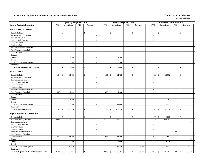### **Grants Campus**

15

|                                                 |                          | <b>Operating Budget 2017-2018</b> |                          |                                |                          |                               | Revised Budget 2017-2018                        |                    |                          |                          | Unaudited Actuals 2017-2018 |                          |                                   |
|-------------------------------------------------|--------------------------|-----------------------------------|--------------------------|--------------------------------|--------------------------|-------------------------------|-------------------------------------------------|--------------------|--------------------------|--------------------------|-----------------------------|--------------------------|-----------------------------------|
| <b>General Academic Instruction</b>             | <b>FTE</b>               | Unrestricted                      | <b>FTE</b>               | Restricted                     | <b>FTE</b>               | Unrestricted                  | FTE                                             |                    | Restricted               | <b>FTE</b>               | Unrestricted                | <b>FTE</b>               | Restricted                        |
| <b>Miscellaneous Off Campus</b>                 |                          |                                   |                          |                                |                          |                               |                                                 |                    |                          |                          |                             |                          |                                   |
| <b>Faculty Salaries</b>                         | $\overline{\phantom{a}}$ | $\mathcal{S}$                     | $\overline{\phantom{a}}$ | $\mathbf{s}$                   |                          | $\mathbb{S}$                  | $\overline{\phantom{a}}$                        | \$                 |                          | $\overline{\phantom{a}}$ | $\mathbb{S}$                | $\overline{\phantom{a}}$ | $\mathsf{\$}$                     |
| Part-time Faculty Salaries                      | $\omega$                 |                                   | $\blacksquare$           | $\sim$                         | $\mathbf{r}$             |                               | $\omega$                                        |                    | $\sim$                   | $\omega$                 | $\sim$                      | $\sim$                   | $\sim$                            |
| Professional Salaries                           | $\sim$                   |                                   | $\bar{a}$                | $\sim$                         | $\mathcal{L}$            |                               | $\sim$                                          |                    | $\mathbf{u}$             | $\mathbf{r}$             | $\sim$                      | $\sim$                   | $\sim$                            |
| <b>Support Staff Salaries</b>                   | $\sim$                   | $\blacksquare$                    | $\blacksquare$           | $\sim$                         | $\blacksquare$           |                               | $\sim$<br>$\overline{\phantom{a}}$              |                    | $\sim$                   | $\blacksquare$           | $\sim$                      | $\sim$                   | $\blacksquare$                    |
| GA/TA Salaries                                  | $\sim$                   | $\sim$                            | $\sim$                   | $\sim$                         | $\overline{\phantom{a}}$ |                               | $\sim$<br>$\overline{\phantom{a}}$              |                    | $\sim$                   | $\sim$                   | $\overline{\phantom{a}}$    | $\sim$                   | $\sim$                            |
| <b>Student Salaries</b>                         | $\sim$                   |                                   |                          | $\sim$                         | $\blacksquare$           |                               | $\bar{\phantom{a}}$<br>$\overline{\phantom{a}}$ |                    | $\overline{\phantom{a}}$ | $\sim$                   | $\overline{\phantom{a}}$    | $\sim$                   | $\blacksquare$                    |
| Federal Work-Study Salaries                     | $\sim$                   | $\sim$                            | $\sim$                   | $\sim$                         | $\mathcal{L}$            |                               | $\sim$<br>$\sim$                                |                    | $\sim$                   | $\mathbf{r}$             | $\sim$                      | $\sim$                   | $\sim$                            |
| <b>State Work-Study Salaries</b>                | $\sim$                   | $\sim$                            | $\bar{a}$                | $\sim$                         | $\sim$                   |                               | $\sim$                                          |                    | $\sim$                   | $\sim$                   | $\overline{\phantom{a}}$    | $\sim$                   | $\sim$                            |
| Other Salaries                                  | $\sim$                   | $\overline{a}$                    | $\sim$                   | $\sim$                         | $\sim$                   |                               | $\sim$<br>$\sim$                                |                    | $\sim$                   | $\sim$                   | $\sim$                      | $\sim$                   | $\omega$                          |
| Fringes                                         |                          |                                   |                          | $\sim$                         |                          |                               |                                                 |                    | $\sim$                   |                          | $\sim$                      |                          | $\sim$                            |
| Travel                                          |                          | 2,500                             |                          | $\sim$                         |                          |                               | 2,500                                           |                    | $\sim$                   |                          | $\sim$                      |                          | $\sim$                            |
| Utilities                                       |                          |                                   |                          | $\sim$                         |                          |                               |                                                 |                    | $\sim$                   |                          | $\sim$                      |                          | $\mathcal{L}_{\mathcal{A}}$       |
| Other Supplies and Expenses                     |                          | 500                               |                          | $\mathbb{Z}^2$                 |                          |                               | 500                                             |                    | $\sim$                   |                          | $\overline{\phantom{a}}$    |                          | $\sim$                            |
| Equipment                                       |                          |                                   |                          | $\sim$                         |                          |                               |                                                 |                    | $\sim$                   |                          | $\overline{\phantom{a}}$    |                          | $\sim$                            |
| <b>Total Miscellaneous Off Campus</b>           | $\blacksquare$           | $\mathbb{S}$<br>3,000             | $\overline{\phantom{a}}$ | \$<br>$\sim$                   | $\overline{\phantom{a}}$ | \$                            | 3,000<br>$\overline{\phantom{a}}$               | \$                 | $\sim$                   | $\overline{\phantom{a}}$ | \$<br>$\overline{a}$        | $\sim$                   | \$<br>$\mathcal{L}_{\mathcal{A}}$ |
| <b>Natural Sciences</b>                         |                          |                                   |                          |                                |                          |                               |                                                 |                    |                          |                          |                             |                          |                                   |
| <b>Faculty Salaries</b>                         | 1.74                     | $\mathcal{S}$<br>91,729           | $\bar{a}$                | $\mathbb{S}$                   | 1.81                     | \$<br>91,729                  | $\overline{a}$                                  | \$                 |                          | 1.38                     | \$<br>69,802                | $\sim$                   | \$                                |
| Part-time Faculty Salaries                      | $\sim$                   |                                   | $\overline{\phantom{a}}$ | $\sim$                         | $\overline{\phantom{a}}$ |                               | $\sim$                                          |                    | $\sim$                   | $\blacksquare$           | $\overline{\phantom{a}}$    | $\sim$                   | $\sim$                            |
| Professional Salaries                           | $\sim$                   |                                   | $\blacksquare$           | $\sim$                         | $\blacksquare$           |                               | $\blacksquare$<br>$\overline{\phantom{a}}$      |                    | $\sim$                   | $\blacksquare$           | $\sim$                      | $\sim$                   | $\sim$                            |
| <b>Support Staff Salaries</b>                   | $\sim$                   |                                   | $\sim$                   | $\sim$                         | $\sim$                   |                               | $\sim$<br>$\sim$                                |                    | $\sim$                   | $\sim$                   | $\sim$                      | $\sim$                   | $\sim$                            |
| GA/TA Salaries                                  | $\sim$                   |                                   | $\bar{a}$                | $\sim$                         | $\bar{a}$                |                               | $\sim$                                          |                    | $\sim$                   | $\sim$                   | $\sim$                      |                          | $\sim$                            |
| <b>Student Salaries</b>                         | $\sim$                   | $\sim$                            | $\sim$                   | $\sim$                         | $\sim$                   |                               | $\omega$<br>$\sim$                              |                    | $\sim$                   | $\sim$                   | $\overline{\phantom{a}}$    | $\sim$                   | $\overline{a}$                    |
| Federal Work-Study Salaries                     | $\sim$                   |                                   | $\sim$                   | $\mathcal{L}_{\mathcal{A}}$    | $\bar{a}$                |                               | $\sim$                                          |                    | $\sim$                   | 0.02                     | 322                         | $\sim$                   | $\sim$                            |
| State Work-Study Salaries                       | 0.09                     | 1,500                             | $\sim$                   | $\omega$                       | 0.09                     |                               | 1,500<br>$\sim$                                 |                    | $\sim$                   | $\sim$                   | $\overline{\phantom{a}}$    | $\sim$                   | $\omega$                          |
| Other Salaries                                  | $\sim$                   |                                   | $\sim$                   | $\sim$                         | $\sim$                   |                               | $\omega$<br>$\sim$                              |                    | $\overline{\phantom{a}}$ | $\blacksquare$           | $\sim$                      | $\sim$                   | $\sim$                            |
| Fringes                                         |                          |                                   |                          | $\omega$                       |                          |                               | $\overline{\phantom{a}}$                        |                    | $\sim$                   |                          | ÷.                          |                          | $\sim$                            |
| Travel                                          |                          | 1,500                             |                          | $\mathbb{L}$                   |                          |                               | $\sim$                                          |                    | $\mathbb{Z}^2$           |                          | 67                          |                          | $\sim$                            |
| Utilities                                       |                          |                                   |                          | $\sim$                         |                          |                               | $\sim$                                          |                    | $\sim$                   |                          |                             |                          | $\sim$                            |
| Other Supplies and Expenses                     |                          | 5,500                             |                          | $\sim$                         |                          | 12,000                        |                                                 |                    | $\sim$                   |                          | 9,937                       |                          | $\omega$                          |
| Equipment                                       |                          |                                   |                          | $\sim$                         |                          |                               |                                                 |                    | $\sim$                   |                          |                             |                          | $\sim$                            |
| <b>Total Natural Sciences</b>                   | 1.83                     | 100,229<br>$\mathbb{S}$           | $\bar{a}$                | $\mathbb{S}$<br>$\overline{a}$ | 1.90                     | 105,229<br>\$                 | $\sim$                                          | \$                 | $\sim$                   | 1.40                     | 80,128<br>\$                | $\sim$                   | \$<br>$\sim$                      |
| <b>Regular Academic Instruction Misc.</b>       |                          |                                   |                          |                                |                          |                               |                                                 |                    |                          |                          |                             |                          |                                   |
| <b>Faculty Salaries</b>                         |                          | $\mathbf{\hat{S}}$                |                          | $\mathbb{S}$                   |                          | $\mathbb{S}$                  |                                                 | $\mathbf{\hat{S}}$ |                          | 0.03                     | $\mathbf S$<br>1,500        |                          | \$                                |
| Part-time Faculty Salaries                      | 35.65                    | 226,314                           | $\sim$                   | $\mathcal{L}$                  | 32.27                    | 224,812                       | $\mathcal{L}$                                   |                    | $\sim$                   | 28.05                    | 195,382                     | $\sim$                   | $\mathcal{L}_{\mathcal{A}}$       |
| Professional Salaries                           | $\sim$                   |                                   | $\sim$                   | $\sim$                         | $\sim$                   |                               | $\omega$                                        |                    | $\sim$                   | $\sim$                   | $\sim$                      | $\sim$                   | 231                               |
| <b>Support Staff Salaries</b>                   | $\sim$                   |                                   | $\bar{a}$                | $\sim$                         | $\blacksquare$           |                               | $\blacksquare$                                  |                    | $\sim$                   | $\blacksquare$           | $\overline{\phantom{a}}$    | $\sim$                   | $\sim$                            |
| GA/TA Salaries                                  | $\sim$                   | $\sim$                            | $\overline{a}$           | $\omega$                       | $\mathcal{L}$            |                               | $\sim$<br>$\sim$                                |                    | $\sim$                   | $\sim$                   | $\sim$                      | $\sim$                   | $\sim$                            |
| <b>Student Salaries</b>                         | $\sim$                   |                                   | $\bar{a}$                | $\sim$                         | $\tilde{\phantom{a}}$    |                               | $\sim$                                          |                    |                          | $\sim$                   | $\overline{\phantom{a}}$    | $\sim$                   |                                   |
| Federal Work-Study Salaries                     | $\sim$                   | $\overline{a}$                    | $\overline{a}$           | $\omega$                       | $\sim$                   |                               | $\sim$<br>$\sim$                                |                    | $\mathbb{Z}^2$           | $\sim$                   | $\sim$                      | 0.01                     | 214                               |
| <b>State Work-Study Salaries</b>                |                          |                                   | $\blacksquare$           | $\sim$                         | $\overline{\phantom{a}}$ |                               | $\mathcal{L}$                                   |                    | $\sim$                   | $\overline{\phantom{a}}$ |                             | $\sim$                   | $\sim$                            |
| Other Salaries                                  | 0.43                     | 11,500                            | $\mathbf{r}$             | $\omega$                       | 0.41                     | 11,500                        | $\mathbb{Z}^+$                                  |                    | $\sim$                   | 0.20                     | 5,692                       | $\sim$                   | $\sim$                            |
| Fringes                                         |                          |                                   |                          | $\mathcal{L}$                  |                          |                               |                                                 |                    | $\sim$                   |                          |                             |                          | 49                                |
| Travel                                          |                          | 2,500                             |                          | $\mathcal{L}$                  |                          |                               | 5,000                                           |                    | $\sim$                   |                          | 4,218                       |                          | $\sim$                            |
| <b>Utilities</b>                                |                          |                                   |                          | $\sim$                         |                          |                               |                                                 |                    |                          |                          |                             |                          | $\sim$                            |
| Other Supplies and Expenses                     |                          | 17,650                            |                          | $\sim$                         |                          | 15,150                        |                                                 |                    | 15,000                   |                          | 9,511                       |                          | 5,341                             |
| Equipment                                       |                          |                                   |                          | $\sim$                         |                          |                               |                                                 |                    |                          |                          |                             |                          |                                   |
| <b>Total Regular Academic Instruction Misc.</b> | 36.08                    | 257,964<br>$\mathbf{\hat{S}}$     |                          | \$                             | 32.68                    | 256,462<br>$\mathbf{\hat{S}}$ | $\sim$                                          | \$                 | 15,000                   | $28.28$ \$               | 216,303                     | 0.01                     | 5,835<br>\$                       |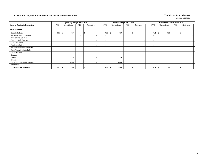|                                     |                          | <b>Operating Budget 2017-2018</b> |                          |            |                          | Revised Budget 2017-2018 |                          |                          |                          | <b>Unaudited Actuals 2017-2018</b> |                          |                          |  |
|-------------------------------------|--------------------------|-----------------------------------|--------------------------|------------|--------------------------|--------------------------|--------------------------|--------------------------|--------------------------|------------------------------------|--------------------------|--------------------------|--|
| <b>General Academic Instruction</b> | FTE                      | Unrestricted                      | FTE                      | Restricted | <b>FTE</b>               | Unrestricted             | <b>FTE</b>               | Restricted               | FTE                      | Unrestricted                       | <b>FTE</b>               | Restricted               |  |
| <b>Social Sciences</b>              |                          |                                   |                          |            |                          |                          |                          |                          |                          |                                    |                          |                          |  |
| <b>Faculty Salaries</b>             | 0.01                     | 750                               | ۰.                       |            | 0.01                     | 750<br><sup>\$</sup>     | $\overline{\phantom{a}}$ | ÷.<br>$\sim$             | 0.01                     | 750                                | $\overline{\phantom{a}}$ | J.                       |  |
| Part-time Faculty Salaries          | ۰                        |                                   | $\overline{\phantom{a}}$ |            | $\overline{\phantom{0}}$ | $\overline{\phantom{a}}$ | -                        | $\overline{\phantom{a}}$ | $\sim$                   |                                    | $\overline{\phantom{a}}$ |                          |  |
| Professional Salaries               | ۰.                       |                                   | $\overline{\phantom{a}}$ |            | $\overline{\phantom{a}}$ | <b>.</b>                 | $\overline{\phantom{a}}$ | $\sim$                   | $\overline{\phantom{0}}$ |                                    | $\overline{\phantom{a}}$ |                          |  |
| <b>Support Staff Salaries</b>       | $\overline{\phantom{a}}$ |                                   | ۰.                       |            | $\overline{\phantom{0}}$ |                          | $\overline{\phantom{a}}$ | $\overline{\phantom{a}}$ | $\overline{\phantom{0}}$ |                                    | $\overline{\phantom{a}}$ | $\overline{\phantom{0}}$ |  |
| GA/TA Salaries                      | $\overline{\phantom{0}}$ |                                   | $\overline{\phantom{a}}$ |            | $\overline{\phantom{0}}$ | <b>.</b>                 | $\overline{\phantom{a}}$ | $\overline{\phantom{a}}$ | $\sim$                   |                                    | $\overline{\phantom{a}}$ |                          |  |
| <b>Student Salaries</b>             | $\overline{\phantom{a}}$ | $\overline{\phantom{0}}$          | $\overline{\phantom{a}}$ |            | $\overline{\phantom{0}}$ | $\overline{\phantom{a}}$ | $\overline{\phantom{a}}$ | $\overline{\phantom{a}}$ | $\sim$                   |                                    | $\overline{\phantom{a}}$ |                          |  |
| Federal Work-Study Salaries         | $\sim$                   | $\overline{\phantom{a}}$          | $\overline{\phantom{a}}$ |            | $\overline{\phantom{0}}$ | $\overline{\phantom{a}}$ | $\overline{\phantom{a}}$ | $\overline{\phantom{a}}$ | $\overline{\phantom{0}}$ |                                    | $\overline{\phantom{a}}$ |                          |  |
| <b>State Work-Study Salaries</b>    | $\overline{\phantom{0}}$ |                                   | $\overline{\phantom{a}}$ |            | $\overline{\phantom{a}}$ |                          | $\overline{\phantom{a}}$ | $\overline{\phantom{a}}$ | $\sim$                   |                                    | $\overline{\phantom{a}}$ |                          |  |
| Other Salaries                      | $\overline{\phantom{0}}$ |                                   | $\overline{\phantom{a}}$ |            | $\overline{\phantom{0}}$ | <b>.</b>                 | $\overline{\phantom{a}}$ | $\overline{\phantom{a}}$ | $\overline{\phantom{a}}$ |                                    | ٠                        |                          |  |
| Fringes                             |                          |                                   |                          |            |                          |                          |                          | $\overline{\phantom{a}}$ |                          |                                    |                          |                          |  |
| Travel                              |                          | 750                               |                          |            |                          | 750                      |                          | $\overline{\phantom{a}}$ |                          |                                    |                          |                          |  |
| Utilities                           |                          |                                   |                          |            |                          | <u>. на п</u>            |                          | $\overline{\phantom{a}}$ |                          |                                    |                          |                          |  |
| Other Supplies and Expenses         |                          | 1,000                             |                          |            |                          | 1,000                    |                          | $\overline{\phantom{0}}$ |                          |                                    |                          |                          |  |
| Equipment                           |                          |                                   |                          |            |                          |                          |                          | $\overline{\phantom{0}}$ |                          |                                    |                          |                          |  |
| <b>Total Social Sciences</b>        | 0.01                     | 2,500<br>-8                       |                          |            | 0.01                     | 2,500<br>  \$            |                          |                          | 0.01                     | 750                                | $\overline{\phantom{a}}$ |                          |  |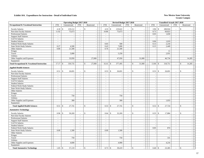|                                                        |                          | <b>Operating Budget 2017-2018</b> |                          |                          |                          | Revised Budget 2017-2018 |                          |                             |                          | Unaudited Actuals 2017-2018  |                          |              |                          |
|--------------------------------------------------------|--------------------------|-----------------------------------|--------------------------|--------------------------|--------------------------|--------------------------|--------------------------|-----------------------------|--------------------------|------------------------------|--------------------------|--------------|--------------------------|
| <b>Occupational &amp; Vocational Instruction</b>       | <b>FTE</b>               | Unrestricted                      | <b>FTE</b>               | Restricted               | <b>FTE</b>               | Unrestricted             | <b>FTE</b>               | Restricted                  | <b>FTE</b>               | Unrestricted                 | <b>FTE</b>               | Restricted   |                          |
| <b>Faculty Salaries</b>                                | 4.18                     | 219,112<br>$\mathbb{S}$           | $\sim$                   | <sup>\$</sup>            | 4.33<br>$\mathbb{S}$     | 219,622                  | $\blacksquare$           | \$                          | 3.96                     | \$<br>200,924                | $\blacksquare$           | \$           |                          |
| Part-time Faculty Salaries                             | 11.92                    | 75,673                            | $\sim$                   |                          | 10.86                    | 75,673                   | $\mathcal{L}$            | $\sim$                      | 8.73                     | 60,823                       | $\sim$                   |              |                          |
| <b>Professional Salaries</b>                           | $\overline{\phantom{a}}$ |                                   | $\overline{\phantom{a}}$ |                          |                          |                          | $\blacksquare$           | $\blacksquare$              | 0.03                     | 1,650                        | $\blacksquare$           |              |                          |
| <b>Support Staff Salaries</b>                          | $\sim$                   | $\sim$                            | $\sim$                   | $\sim$                   | $\sim$                   | $\overline{\phantom{a}}$ | $\sim$                   | $\sim$                      | $\sim$                   |                              | $\sim$                   |              | $\sim$                   |
| GA/TA Salaries                                         | $\sim$                   | $\sim$                            | $\overline{a}$           | $\sim$                   | $\sim$                   | $\sim$                   | $\mathbf{r}$             | $\sim$                      | $\sim$                   |                              | $\overline{a}$           |              | $\sim$                   |
| <b>Student Salaries</b>                                | $\sim$                   | $\sim$                            | $\bar{\phantom{a}}$      | $\sim$                   | $\sim$                   |                          | $\omega$                 | $\sim$                      | 0.06                     | 1,019                        | $\sim$                   |              |                          |
| Federal Work-Study Salaries                            | $\sim$                   | $\sim$                            | $\sim$                   | $\sim$                   | 0.03                     | 500                      | $\sim$                   | $\sim$                      | 0.13                     | 2,210                        | $\sim$                   |              | $\sim$                   |
| <b>State Work-Study Salaries</b>                       | 0.27                     | 4,500                             | $\omega$                 | $\sim$                   | 0.43                     | 7,000                    | $\sim$                   | $\sim$                      | 0.15                     | 2,449                        | $\omega$                 |              | $\overline{\phantom{a}}$ |
| Other Salaries                                         | 0.80                     | 21,500                            | $\overline{a}$           |                          | 0.76                     | 21,500                   | $\mathcal{L}$            | $\sim$                      |                          |                              | $\sim$                   |              | $\sim$                   |
| Fringes                                                |                          |                                   |                          |                          |                          |                          |                          | $\sim$                      |                          | 11                           |                          |              | $\sim$                   |
| Travel                                                 |                          | 5,000                             |                          | $\sim$                   |                          | 5,250                    |                          | $\sim$                      |                          | 2,931                        |                          |              | $\sim$                   |
| Utilities                                              |                          |                                   |                          | $\overline{a}$           |                          |                          |                          | $\sim$                      |                          |                              |                          |              |                          |
| Other Supplies and Expenses                            |                          | 33,950                            |                          | 27,000                   |                          | 47,950                   |                          | 31,000                      |                          | 46,734                       |                          | 14,285       |                          |
| Equipment                                              |                          |                                   |                          |                          |                          |                          |                          | $\sim$                      |                          |                              |                          |              |                          |
| <b>Total Occupational &amp; Vocational Instruction</b> | 17.17                    | 359,735<br>\$                     | $\mathbf{r}$             | $\mathbf{s}$<br>27,000   | 16.41<br>\$              | 377,495                  | $\overline{a}$           | 31,000<br>\$                | 13.06                    | $\mathbb{S}$<br>318,751      | $\sim$                   | 14,285<br>\$ |                          |
| <b>Applied Health Sciences</b>                         |                          |                                   |                          |                          |                          |                          |                          |                             |                          |                              |                          |              |                          |
| <b>Faculty Salaries</b>                                | 0.51                     | $\mathbb{S}$<br>26,691            | ÷,                       | $\mathbb{S}$             | 0.53<br>$\mathcal{S}$    | 26,691                   | $\bar{a}$                | $\mathbb{S}$<br>$\sim$      | 0.53                     | $\mathcal{S}$<br>26,691      | $\blacksquare$           | \$           |                          |
| Part-time Faculty Salaries                             | $\sim$                   | $\sim$                            | $\sim$                   | $\sim$                   | $\sim$                   | $\overline{\phantom{a}}$ | $\sim$                   | $\sim$                      | $\sim$                   |                              | $\sim$                   |              | $\sim$                   |
| <b>Professional Salaries</b>                           | $\sim$                   | $\sim$                            | $\overline{\phantom{a}}$ |                          | $\sim$                   |                          | $\blacksquare$           | $\omega$                    | $\overline{\phantom{a}}$ |                              | $\blacksquare$           |              |                          |
| <b>Support Staff Salaries</b>                          | $\sim$                   | $\omega$                          | $\bar{\phantom{a}}$      |                          | $\overline{\phantom{a}}$ | $\sim$                   | $\overline{\phantom{a}}$ | $\mathbb{Z}^2$              | $\sim$                   | $\sim$                       | $\overline{\phantom{a}}$ |              | $\sim$                   |
| GA/TA Salaries                                         | $\sim$                   | $\sim$                            | $\overline{a}$           | $\sim$                   | $\sim$                   | ÷,                       | $\sim$                   | $\sim$                      | $\sim$                   | $\sim$                       | $\sim$                   |              | $\sim$                   |
| <b>Student Salaries</b>                                | $\sim$                   | $\sim$                            | $\sim$                   | $\sim$                   | $\sim$                   | $\sim$                   | $\mathcal{L}$            | $\sim$                      | $\sim$                   | L,                           | $\overline{\phantom{a}}$ |              | $\sim$                   |
| Federal Work-Study Salaries                            | $\sim$                   | $\sim$                            | $\bar{\phantom{a}}$      | $\sim$                   | $\sim$                   |                          | $\omega$                 | $\sim$                      | $\sim$                   | $\overline{\phantom{a}}$     | $\sim$                   |              | $\sim$                   |
| <b>State Work-Study Salaries</b>                       | $\sim$                   | $\blacksquare$                    | ÷,                       | $\sim$                   | $\sim$                   | $\sim$                   | $\blacksquare$           | $\sim$                      | $\sim$                   | ÷,                           | $\sim$                   |              | $\sim$                   |
| Other Salaries                                         | $\sim$                   | $\omega$                          | $\overline{a}$           | $\sim$                   | $\sim$                   | $\sim$                   | $\sim$                   | $\sim$                      | $\sim$                   | $\overline{\phantom{a}}$     | $\sim$                   |              | $\sim$                   |
| Fringes                                                |                          | $\sim$                            |                          | $\sim$                   |                          |                          |                          | $\sim$                      |                          |                              |                          |              | $\sim$                   |
| Travel                                                 |                          | 750                               |                          | $\bar{a}$                |                          | 750                      |                          | $\sim$                      |                          |                              |                          |              | $\sim$                   |
| <b>Utilities</b>                                       |                          | $\sim$                            |                          | $\sim$                   |                          | ÷.                       |                          | $\sim$                      |                          |                              |                          |              | $\sim$                   |
| Other Supplies and Expenses                            |                          | 300                               |                          | $\sim$                   |                          | 300                      |                          | $\sim$                      |                          | 1,033                        |                          |              | $\sim$                   |
| Equipment                                              |                          | $\sim$                            |                          | $\sim$                   |                          |                          |                          | $\sim$                      |                          |                              |                          |              | $\overline{\phantom{a}}$ |
| <b>Total Applied Health Sciences</b>                   | 0.51                     | \$<br>27,741                      | $\bar{\phantom{a}}$      | $\mathbf{s}$             | 0.53<br>$\mathbb{S}$     | 27,741                   | $\sim$                   | \$<br>$\sim$                | 0.53                     | \$<br>27,724                 | $\sim$                   | \$           |                          |
| <b>Automotive Technology</b>                           |                          |                                   |                          |                          |                          |                          |                          |                             |                          |                              |                          |              |                          |
| <b>Faculty Salaries</b>                                | 0.96                     | $\mathbb{S}$<br>50,269            | $\overline{a}$           | $\mathbb{S}$             | $\mathbb{S}$<br>0.64     | 32,269                   | ÷,                       | $\mathbb{S}$                | 0.35                     | $\mathcal{S}$<br>17,884      | $\sim$                   | \$           |                          |
| Part-time Faculty Salaries                             | $\overline{\phantom{a}}$ | $\sim$                            | $\overline{\phantom{a}}$ | ÷,                       | $\sim$                   |                          | $\sim$                   | $\sim$                      | $\sim$                   |                              | $\sim$                   |              | $\sim$                   |
| Professional Salaries                                  | $\sim$                   | $\sim$                            | $\sim$                   | $\overline{\phantom{a}}$ | $\sim$                   | $\overline{\phantom{a}}$ | $\sim$                   | $\sim$                      | $\blacksquare$           | $\sim$                       | $\sim$                   |              | $\sim$                   |
| <b>Support Staff Salaries</b>                          | $\overline{\phantom{a}}$ | $\sim$                            | $\blacksquare$           |                          | $\sim$                   |                          | $\sim$                   | $\mathbb{Z}^2$              | $\sim$                   | $\sim$                       | $\blacksquare$           |              | $\sim$                   |
| GA/TA Salaries                                         | $\sim$                   | $\sim$                            | $\blacksquare$           |                          |                          |                          | $\overline{\phantom{a}}$ | $\mathcal{L}_{\mathcal{A}}$ | $\sim$                   | $\sim$                       | $\blacksquare$           |              | $\sim$                   |
| <b>Student Salaries</b>                                | $\sim$                   | $\sim$                            | $\bar{\phantom{a}}$      | $\sim$                   | $\overline{\phantom{a}}$ | $\overline{a}$           | $\omega$                 | $\sim$                      | $\overline{a}$           | $\overline{a}$               | $\sim$                   |              | $\sim$                   |
| Federal Work-Study Salaries                            | $\sim$                   | $\sim$                            | $\sim$                   | $\sim$                   | $\sim$                   |                          | $\sim$                   | $\sim$                      | 0.05                     | 874                          | $\sim$                   |              | $\sim$                   |
| <b>State Work-Study Salaries</b>                       | 0.09                     | 1,500                             | $\sim$                   | $\sim$                   | 0.09                     | 1,500                    | $\blacksquare$           | $\sim$                      | $\sim$                   | $\sim$                       | $\sim$                   |              | $\sim$                   |
| Other Salaries                                         | $\sim$                   | $\sim$                            | $\sim$                   | $\sim$                   | $\sim$                   | $\overline{a}$           | $\blacksquare$           | $\sim$                      | $\sim$                   | $\overline{\phantom{a}}$     | $\sim$                   |              | $\sim$                   |
| Fringes                                                |                          | $\sim$                            |                          | $\sim$                   |                          | $\sim$                   |                          | $\sim$                      |                          | $\sim$                       |                          |              | $\overline{\phantom{a}}$ |
| Travel                                                 |                          | 750                               |                          | $\overline{\phantom{a}}$ |                          | 750                      |                          | $\sim$                      |                          | 331                          |                          |              | $\sim$                   |
| <b>Utilities</b>                                       |                          | $\overline{a}$                    |                          | $\sim$                   |                          |                          |                          | $\Box$                      |                          |                              |                          |              |                          |
| Other Supplies and Expenses                            |                          | 4,600                             |                          | $\sim$                   |                          | 4,900                    |                          | $\mathcal{L}$               |                          | 4,216                        |                          |              | $\sim$                   |
| Equipment                                              |                          |                                   |                          | $\overline{a}$           |                          |                          |                          | $\sim$                      |                          |                              |                          |              | $\sim$                   |
| <b>Total Automotive Technology</b>                     | 1.05                     | $\mathbf{\hat{S}}$<br>57,119      |                          | \$                       | 0.73<br>$\mathbb{S}$     | 39,419                   |                          | \$                          | 0.40                     | $\mathbf{\hat{S}}$<br>23,305 |                          | $\mathbf{s}$ |                          |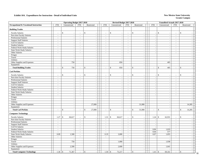|                                                  |                          | <b>Operating Budget 2017-2018</b> |                                    |                             |                | Revised Budget 2017-2018       |                |                    |                          |                             | <b>Unaudited Actuals 2017-2018</b> |                             |               |            |    |
|--------------------------------------------------|--------------------------|-----------------------------------|------------------------------------|-----------------------------|----------------|--------------------------------|----------------|--------------------|--------------------------|-----------------------------|------------------------------------|-----------------------------|---------------|------------|----|
| <b>Occupational &amp; Vocational Instruction</b> | <b>FTE</b>               | Unrestricted                      | FTE                                | Restricted                  | <b>FTE</b>     | Unrestricted                   | <b>FTE</b>     |                    | Restricted               | <b>FTE</b>                  | Unrestricted                       | <b>FTE</b>                  |               | Restricted |    |
| <b>Building Trades</b>                           |                          |                                   |                                    |                             |                |                                |                |                    |                          |                             |                                    |                             |               |            |    |
|                                                  |                          | $\mathbb{S}$                      |                                    | ${\mathbb S}$               |                | $\mathcal{S}$                  |                | $\mathbb{S}$       |                          |                             | $\mathbf{\hat{S}}$                 |                             | $\mathcal{S}$ |            |    |
| <b>Faculty Salaries</b>                          |                          |                                   | $\overline{\phantom{a}}$<br>$\sim$ | $\sim$                      | $\sim$         | $\sim$                         | $\sim$         |                    |                          |                             |                                    | $\sim$                      |               | $\sim$     |    |
| Part-time Faculty Salaries                       | $\overline{a}$           | $\sim$                            |                                    | $\sim$                      |                | ÷.                             |                |                    | $\sim$                   | $\overline{a}$              | $\sim$                             |                             |               |            |    |
| Professional Salaries                            | $\overline{a}$           | $\sim$                            | $\sim$                             | $\omega$                    | $\sim$         | $\overline{a}$                 | $\sim$         |                    | $\sim$                   | $\overline{a}$              | $\overline{\phantom{a}}$           | $\sim$                      |               | $\sim$     |    |
| <b>Support Staff Salaries</b>                    | $\overline{\phantom{a}}$ | $\sim$                            | $\sim$                             | $\mathcal{L}_{\mathcal{A}}$ | $\blacksquare$ | $\sim$                         | $\sim$         |                    | $\sim$                   | $\sim$                      | $\sim$                             | $\sim$                      |               | $\sim$     |    |
| GA/TA Salaries                                   | $\sim$                   | $\sim$                            | $\blacksquare$                     | $\overline{\phantom{a}}$    | $\blacksquare$ | $\sim$                         | $\sim$         |                    | $\overline{\phantom{a}}$ | $\overline{a}$              | $\sim$                             | $\equiv$                    |               |            |    |
| <b>Student Salaries</b>                          | $\overline{\phantom{a}}$ | $\sim$                            | $\blacksquare$                     | $\bar{\phantom{a}}$         | $\sim$         | $\overline{\phantom{a}}$       | $\sim$         |                    | $\overline{\phantom{a}}$ | $\overline{\phantom{a}}$    | $\overline{\phantom{a}}$           | $\blacksquare$              |               |            |    |
| Federal Work-Study Salaries                      | $\sim$                   | $\sim$                            | $\sim$                             | $\sim$                      | $\sim$         | ÷.                             | $\sim$         |                    | $\sim$                   | $\overline{a}$              | $\sim$                             | $\sim$                      |               | $\sim$     |    |
| <b>State Work-Study Salaries</b>                 | $\sim$                   | $\sim$                            | $\blacksquare$                     | $\sim$                      | $\sim$         | ÷.                             | $\sim$         |                    | $\sim$                   | $\sim$                      |                                    | $\sim$                      |               | $\sim$     |    |
| Other Salaries                                   | $\overline{\phantom{a}}$ | $\sim$                            | $\sim$                             | $\mathbb{Z}^2$              | $\sim$         | $\sim$                         | $\sim$         |                    | $\sim$                   | $\overline{\phantom{a}}$    | $\sim$                             | $\sim$                      |               | $\sim$     |    |
| Fringes                                          |                          | $\sim$                            |                                    | $\sim$                      |                |                                |                |                    |                          |                             |                                    |                             |               | $\sim$     |    |
| Travel                                           |                          | $\sim$                            |                                    | $\omega$                    |                | ÷.                             |                |                    | $\sim$                   |                             | $\sim$                             |                             |               | $\sim$     |    |
| Utilities                                        |                          | $\sim$                            |                                    | $\omega$                    |                | ÷.                             |                |                    | $\sim$                   |                             | $\sim$                             |                             |               | $\sim$     |    |
| Other Supplies and Expenses                      |                          | 750                               |                                    | $\sim$                      |                | 850                            |                |                    | $\sim$                   |                             | 405                                |                             |               |            |    |
| Equipment                                        |                          |                                   |                                    | $\sim$                      |                |                                |                |                    | $\sim$                   |                             |                                    |                             |               |            |    |
| <b>Total Building Trades</b>                     | ÷,                       | 750<br>$\mathbb{S}$               | $\sim$                             | \$<br>$\sim$                |                | \$<br>850                      | $\sim$         | \$                 | $\sim$                   | $\sim$                      | 405<br>$\mathcal{S}$               | $\sim$                      | $\mathcal{S}$ |            |    |
| <b>Carl Perkins</b>                              |                          |                                   |                                    |                             |                |                                |                |                    |                          |                             |                                    |                             |               |            |    |
| <b>Faculty Salaries</b>                          | ÷,                       | $\mathbb{S}$                      | L.                                 | \$<br>$\sim$                |                | $\mathcal{S}$                  |                | \$                 |                          |                             | $\mathbf{\hat{S}}$                 |                             | <sup>\$</sup> |            |    |
| Part-time Faculty Salaries                       | $\overline{\phantom{a}}$ | $\blacksquare$                    | $\mathcal{L}_{\mathcal{A}}$        | $\mathcal{L}_{\mathcal{A}}$ | $\sim$         | $\sim$                         | $\mathbb{Z}^2$ |                    | $\mathbb{Z}^2$           | $\overline{a}$              | $\sim$                             | $\mathcal{L}_{\mathcal{A}}$ |               | $\sim$     |    |
| <b>Professional Salaries</b>                     | $\sim$                   | $\overline{\phantom{a}}$          | $\sim$                             | $\omega$                    | $\sim$         | $\sim$                         | $\sim$         |                    | $\overline{\phantom{a}}$ | $\bar{a}$                   | $\overline{\phantom{a}}$           | $\sim$                      |               | $\sim$     |    |
| <b>Support Staff Salaries</b>                    | $\overline{\phantom{a}}$ | $\sim$                            | $\blacksquare$                     | $\overline{\phantom{a}}$    | $\blacksquare$ | $\overline{\phantom{a}}$       | $\blacksquare$ |                    | $\overline{\phantom{a}}$ | $\overline{\phantom{a}}$    | $\overline{\phantom{a}}$           | $\blacksquare$              |               |            |    |
| GA/TA Salaries                                   | $\sim$                   | $\sim$                            | $\sim$                             | $\sim$                      | $\sim$         | $\sim$                         | $\sim$         |                    | $\overline{\phantom{a}}$ | $\sim$                      | $\sim$                             | $\sim$                      |               | $\sim$     |    |
| <b>Student Salaries</b>                          | $\overline{\phantom{a}}$ |                                   | $\blacksquare$                     | $\sim$                      | $\sim$         |                                | $\blacksquare$ |                    |                          | $\overline{a}$              |                                    | $\blacksquare$              |               |            |    |
| Federal Work-Study Salaries                      | $\sim$                   | $\sim$                            | $\sim$                             | $\mathcal{L}_{\mathcal{A}}$ | $\sim$         | ÷.                             | $\sim$         |                    | $\sim$                   | $\sim$                      | $\sim$                             | $\sim$                      |               | $\sim$     |    |
| <b>State Work-Study Salaries</b>                 | $\overline{a}$           | $\overline{\phantom{a}}$          | $\blacksquare$                     | $\overline{\phantom{a}}$    | $\blacksquare$ | $\overline{\phantom{a}}$       | $\omega$       |                    | $\omega$                 | $\overline{a}$              | $\overline{\phantom{a}}$           | $\equiv$                    |               | $\sim$     |    |
| Other Salaries                                   | $\overline{a}$           | $\sim$                            | $\sim$                             | $\omega$                    | $\sim$         | $\sim$                         | $\sim$         |                    | $\sim$                   | $\overline{a}$              | $\sim$                             | $\sim$                      |               | $\sim$     |    |
| Fringes                                          |                          | $\sim$                            |                                    | $\mathbb{Z}^2$              |                | ÷.                             |                |                    | $\overline{\phantom{a}}$ |                             | $\overline{\phantom{a}}$           |                             |               |            |    |
| Travel                                           |                          | $\sim$                            |                                    | $\sim$                      |                | $\sim$                         |                |                    | $\sim$                   |                             | $\sim$                             |                             |               |            |    |
| Utilities                                        |                          |                                   |                                    | $\sim$                      |                |                                |                |                    |                          |                             |                                    |                             |               |            |    |
|                                                  |                          | $\overline{a}$                    |                                    | 27,000                      |                |                                |                |                    |                          |                             | $\sim$                             |                             |               |            |    |
| Other Supplies and Expenses                      |                          | $\mathcal{L}$                     |                                    | $\sim$                      |                | ÷.<br>$\overline{\phantom{a}}$ |                |                    | 31,000                   |                             | $\sim$                             |                             |               | 14,285     |    |
| Equipment                                        |                          |                                   |                                    |                             |                |                                |                |                    |                          |                             |                                    |                             |               |            |    |
| <b>Total Carl Perkins</b>                        | $\overline{\phantom{a}}$ | \$<br>$\sim$                      | $\blacksquare$                     | 27,000<br>\$                | $\sim$         | \$<br>÷,                       | $\sim$         | $\mathbb{S}$       | 31,000                   | $\mathcal{L}_{\mathcal{A}}$ | $\mathbf{\hat{S}}$<br>$\sim$       | $\blacksquare$              | $\mathbf{s}$  | 14,285     |    |
| <b>Computer Technology</b>                       |                          |                                   |                                    |                             |                |                                |                |                    |                          |                             |                                    |                             |               |            |    |
| <b>Faculty Salaries</b>                          | 1.27                     | $\sqrt$<br>66,617                 | $\sim$                             | \$<br>$\sim$                | 1.31           | $\mathbb{S}$<br>66,617         | $\sim$         | \$                 |                          | 1.24                        | $\mathbf{\hat{S}}$<br>62,931       | $\sim$                      | <sup>\$</sup> |            |    |
| Part-time Faculty Salaries                       | $\overline{a}$           |                                   | $\sim$                             | $\sim$                      |                |                                | $\sim$         |                    | $\sim$                   |                             |                                    | $\blacksquare$              |               |            |    |
| Professional Salaries                            | $\overline{a}$           | $\sim$                            | $\sim$                             | $\sim$                      | $\sim$         | $\overline{a}$                 | $\sim$         |                    | $\sim$                   |                             | $\sim$                             | $\sim$                      |               | $\sim$     |    |
| <b>Support Staff Salaries</b>                    | $\overline{a}$           | $\blacksquare$                    | $\equiv$                           | $\mathbb{Z}^2$              | $\blacksquare$ | $\overline{\phantom{a}}$       | $\mathbb{Z}^2$ |                    | $\blacksquare$           | $\sim$                      |                                    | $\equiv$                    |               | $\sim$     |    |
| GA/TA Salaries                                   | $\blacksquare$           | $\sim$                            | $\sim$                             | $\omega$                    | $\sim$         | $\sim$                         | $\sim$         |                    | $\sim$                   |                             | $\overline{\phantom{a}}$           | $\sim$                      |               | $\sim$     |    |
| <b>Student Salaries</b>                          | ÷,                       |                                   | $\sim$                             | $\sim$                      | $\sim$         |                                | $\sim$         |                    | $\overline{\phantom{a}}$ | 0.06                        | 1,019                              | $\blacksquare$              |               |            |    |
| Federal Work-Study Salaries                      | $\overline{a}$           | $\sim$                            | $\sim$                             | $\omega$                    | $\sim$         | $\overline{\phantom{a}}$       | $\sim$         |                    | $\overline{\phantom{a}}$ | 0.04                        | 577                                | $\sim$                      |               | $\sim$     |    |
| <b>State Work-Study Salaries</b>                 | 0.09                     | 1,500                             | $\sim$                             | $\omega$                    | 0.19           | 3,000                          | $\sim$         |                    | $\sim$                   | 0.07                        | 1,055                              | $\sim$                      |               | $\sim$     |    |
| Other Salaries                                   | $\overline{\phantom{a}}$ | $\sim$                            | $\blacksquare$                     | $\mathcal{L}_{\mathcal{A}}$ | $\sim$         | $\overline{\phantom{a}}$       | $\sim$         |                    | $\sim$                   |                             | $\overline{\phantom{a}}$           | $\mathbb{Z}^2$              |               | $\sim$     |    |
| Fringes                                          |                          | $\sim$                            |                                    | $\sim$                      |                |                                |                |                    | $\overline{\phantom{a}}$ |                             | $\overline{\phantom{a}}$           |                             |               |            |    |
| Travel                                           |                          | 750                               |                                    | $\sim$                      |                | 1,000                          |                |                    | $\sim$                   |                             | 1,938                              |                             |               | $\sim$     |    |
| Utilities                                        |                          |                                   |                                    | $\sim$                      |                |                                |                |                    | $\overline{\phantom{a}}$ |                             |                                    |                             |               | $\sim$     |    |
| Other Supplies and Expenses                      |                          | 2,500                             |                                    | $\omega$                    |                | 2,600                          |                |                    | $\sim$                   |                             | 1,641                              |                             |               | $\sim$     |    |
| Equipment                                        |                          | $\overline{\phantom{a}}$          |                                    | $\overline{\phantom{a}}$    |                |                                |                |                    | $\sim$                   |                             |                                    |                             |               | $\sim$     |    |
|                                                  |                          |                                   |                                    |                             |                |                                |                |                    |                          |                             |                                    |                             |               |            |    |
| <b>Total Computer Technology</b>                 | 1.36                     | 71,367<br>$\mathbf{\hat{S}}$      | $\bar{a}$                          | $\mathbf{s}$<br>$\sim$      | $1.50$ \$      | 73,217                         | $\sim$         | $\mathbf{\hat{S}}$ | $\sim$                   | 1.41                        | 69,161<br>$\mathbf{\hat{S}}$       | $\blacksquare$              | $\mathbb S$   | $\sim$     | 18 |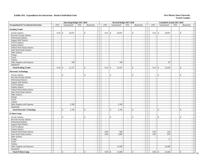|                                       |                          | <b>Operating Budget 2017-2018</b> |                             |                             |                | Revised Budget 2017-2018 |                |                              |                          | <b>Unaudited Actuals 2017-2018</b> |                             |                         |              |
|---------------------------------------|--------------------------|-----------------------------------|-----------------------------|-----------------------------|----------------|--------------------------|----------------|------------------------------|--------------------------|------------------------------------|-----------------------------|-------------------------|--------------|
| Occupational & Vocational Instruction | <b>FTE</b>               | Unrestricted                      | <b>FTE</b>                  | Restricted                  | <b>FTE</b>     | Unrestricted             | <b>FTE</b>     | Restricted                   | <b>FTE</b>               | Unrestricted                       | FTE                         | Restricted              |              |
| <b>Drafting Trades</b>                |                          |                                   |                             |                             |                |                          |                |                              |                          |                                    |                             |                         |              |
| <b>Faculty Salaries</b>               | 0.39                     | $\mathbb{S}$<br>20,437            | $\mathcal{L}_{\mathcal{A}}$ | $\mathbb S$<br>$\sim$       | 0.41           | $\mathbb{S}$<br>20,947   | $\sim$         | \$                           | 0.41                     | $\mathbb{S}$<br>20,947             | $\blacksquare$              | \$                      |              |
| Part-time Faculty Salaries            | $\sim$                   |                                   | $\overline{\phantom{a}}$    | $\overline{\phantom{a}}$    | $\sim$         |                          | $\sim$         | $\overline{\phantom{a}}$     |                          |                                    | $\mathcal{L}_{\mathcal{A}}$ | $\sim$                  |              |
| <b>Professional Salaries</b>          | $\sim$                   | $\overline{\phantom{a}}$          | $\mathcal{L}$               | $\sim$                      | $\sim$         | $\overline{\phantom{a}}$ | $\sim$         | $\mathcal{L}$                | $\overline{a}$           | $\overline{\phantom{a}}$           | $\mathcal{L}$               | $\sim$                  |              |
| <b>Support Staff Salaries</b>         | $\bar{\phantom{a}}$      | $\overline{\phantom{a}}$          | $\mathcal{L}_{\mathcal{A}}$ | $\sim$                      | $\mathbb{L}$   | $\sim$                   | $\mathbb{Z}^2$ | $\omega$                     | $\overline{\phantom{a}}$ |                                    | $\sim$                      | $\sim$                  |              |
| GA/TA Salaries                        | $\sim$                   | $\overline{\phantom{a}}$          | $\sim$                      | $\overline{\phantom{a}}$    | $\sim$         | $\sim$                   | $\sim$         | $\sim$                       | $\bar{a}$                | $\overline{\phantom{a}}$           | $\sim$                      | $\sim$                  |              |
| <b>Student Salaries</b>               | ÷,                       | $\overline{\phantom{a}}$          | $\blacksquare$              | $\sim$                      | $\sim$         | $\sim$                   | $\sim$         | $\blacksquare$               | $\bar{a}$                |                                    | $\blacksquare$              |                         |              |
| Federal Work-Study Salaries           | $\overline{a}$           | $\sim$                            | $\sim$                      | $\sim$                      | $\sim$         | $\sim$                   | $\sim$         | $\overline{a}$               | $\overline{a}$           | $\sim$                             | $\sim$                      | $\sim$                  |              |
| State Work-Study Salaries             | $\overline{\phantom{a}}$ | $\overline{\phantom{a}}$          | $\mathcal{L}_{\mathcal{A}}$ | $\mathcal{L}_{\mathcal{A}}$ | $\sim$         | $\sim$                   | $\sim$         | $\omega$                     | $\blacksquare$           |                                    | $\blacksquare$              | $\sim$                  |              |
| Other Salaries                        | $\overline{\phantom{a}}$ | $\sim$                            | $\sim$                      | $\omega$                    | $\sim$         | $\overline{\phantom{a}}$ | $\mathbf{u}$   | $\mathcal{L}$                | $\sim$                   | $\sim$                             | $\sim$                      |                         | $\sim$       |
| Fringes                               |                          |                                   |                             | $\sim$                      |                | $\sim$                   |                | $\sim$                       |                          |                                    |                             |                         |              |
| Travel                                |                          | $\sim$                            |                             | $\sim$                      |                | ÷.                       |                | $\sim$                       |                          | $\sim$                             |                             | $\sim$                  |              |
| Utilities                             |                          | $\overline{\phantom{a}}$          |                             | $\sim$                      |                | $\sim$                   |                | $\sim$                       |                          | $\sim$                             |                             |                         |              |
| Other Supplies and Expenses           |                          | 700                               |                             | $\omega$                    |                | 700                      |                | $\sim$                       |                          | 87                                 |                             |                         |              |
|                                       |                          |                                   |                             | $\sim$                      |                |                          |                |                              |                          |                                    |                             |                         |              |
| Equipment                             |                          |                                   |                             |                             |                |                          |                | $\blacksquare$               |                          |                                    |                             |                         |              |
| <b>Total Drafting Trades</b>          | 0.39                     | 21,137<br>$\sqrt{3}$              | $\sim$                      | \$<br>$\sim$                | 0.41           | \$<br>21,647             | $\sim$         | \$<br>$\overline{a}$         | 0.41                     | 21,034<br>$\mathbb{S}$             | $\sim$                      | \$                      |              |
| <b>Electronic Technology</b>          |                          |                                   |                             |                             |                |                          |                |                              |                          |                                    |                             |                         |              |
| <b>Faculty Salaries</b>               | $\overline{a}$           | $\mathbb{S}$                      | $\overline{a}$              | $\mathbb{S}$<br>$\sim$      |                | $\mathsf{\$}$            | $\sim$         | \$                           |                          | $\mathbf{\hat{S}}$                 | ÷                           | \$                      |              |
| Part-time Faculty Salaries            | $\sim$                   | $\sim$                            | $\sim$                      | $\mathcal{L}_{\mathcal{A}}$ | $\sim$         | $\overline{\phantom{a}}$ | $\sim$         | $\sim$                       | $\bar{a}$                | $\sim$                             | $\sim$                      | $\sim$                  |              |
| Professional Salaries                 | $\sim$                   | $\overline{\phantom{a}}$          | $\sim$                      | $\sim$                      | $\sim$         | $\sim$                   | $\sim$         | $\sim$                       | $\overline{a}$           | $\sim$                             | $\sim$                      | $\sim$                  |              |
| <b>Support Staff Salaries</b>         | $\bar{z}$                | $\overline{\phantom{a}}$          | $\mathcal{L}_{\mathcal{A}}$ | $\mathbb{Z}$                | $\mathbb{L}$   | $\overline{\phantom{a}}$ | $\sim$         | $\bar{\phantom{a}}$          | $\Box$                   |                                    | $\equiv$                    | $\sim$                  |              |
| GA/TA Salaries                        | $\overline{a}$           | $\sim$                            | $\sim$                      | $\omega$                    | $\overline{a}$ | $\overline{\phantom{a}}$ | $\sim$         | $\sim$                       | $\sim$                   | $\sim$                             | $\sim$                      |                         | $\sim$       |
| <b>Student Salaries</b>               | $\sim$                   | $\sim$                            | $\sim$                      | $\sim$                      | $\sim$         | $\sim$                   | $\sim$         | $\sim$                       | $\bar{a}$                |                                    | $\blacksquare$              |                         |              |
| Federal Work-Study Salaries           | $\sim$                   | $\sim$                            | $\sim$                      | $\sim$                      | $\sim$         | $\overline{\phantom{a}}$ | $\sim$         | $\sim$                       | $\sim$                   | $\sim$                             | $\sim$                      |                         | $\sim$       |
| <b>State Work-Study Salaries</b>      | $\sim$                   | $\sim$                            | $\omega$                    | $\mathcal{L}_{\mathcal{A}}$ | $\sim$         | $\sim$                   | $\sim$         | $\sim$                       | $\overline{a}$           | $\sim$                             | $\mathcal{L}$               |                         |              |
| Other Salaries                        | $\sim$                   | $\sim$                            | $\mathcal{L}$               | $\bar{\phantom{a}}$         | $\sim$         | $\sim$                   | $\sim$         | $\blacksquare$               | $\bar{a}$                | $\sim$                             | $\blacksquare$              | $\sim$                  |              |
| Fringes                               |                          | $\overline{\phantom{a}}$          |                             | $\sim$                      |                | ÷.                       |                | $\sim$                       |                          | $\sim$                             |                             | $\sim$                  |              |
| Travel                                |                          | $\overline{\phantom{a}}$          |                             | $\overline{\phantom{a}}$    |                | ÷.                       |                | $\sim$                       |                          | $\sim$                             |                             |                         |              |
| Utilities                             |                          | $\sim$                            |                             | $\overline{\phantom{a}}$    |                |                          |                | $\blacksquare$               |                          | $\overline{\phantom{a}}$           |                             |                         |              |
| Other Supplies and Expenses           |                          | 2,700                             |                             | $\mathcal{L}_{\mathcal{A}}$ |                | 2,700                    |                | $\sim$                       |                          | $\sim$                             |                             | $\sim$                  |              |
| Equipment                             |                          | $\overline{a}$                    |                             | $\sim$                      |                |                          |                | $\omega$                     |                          | $\sim$                             |                             | $\sim$                  |              |
| <b>Total Electronic Technology</b>    | $\sim$                   | 2,700<br>\$                       | $\omega_{\rm c}$            | $\mathbb{S}$<br>$\sim$      | $\sim$         | $\mathbb{S}$<br>2,700    | $\sim$         | \$<br>$\sim$                 | $\sim$                   | \$<br>$\sim$                       | $\blacksquare$              | $\mathcal{S}$<br>$\sim$ |              |
|                                       |                          |                                   |                             |                             |                |                          |                |                              |                          |                                    |                             |                         |              |
| <b>IT Boot Camp</b>                   |                          |                                   |                             |                             |                |                          |                |                              |                          |                                    |                             |                         |              |
| <b>Faculty Salaries</b>               |                          | \$                                | $\sim$                      | \$<br>$\sim$                |                | \$                       | $\sim$         | \$                           |                          | \$                                 |                             | \$                      |              |
| Part-time Faculty Salaries            | ÷,                       | $\overline{\phantom{a}}$          | $\sim$                      | $\sim$                      | $\sim$         | $\overline{\phantom{a}}$ | $\sim$         | $\blacksquare$               | $\sim$                   | $\overline{\phantom{a}}$           | $\blacksquare$              |                         |              |
| Professional Salaries                 | $\overline{a}$           | $\overline{\phantom{a}}$          | $\sim$                      | $\sim$                      | $\sim$         | $\overline{a}$           | $\sim$         | $\sim$                       | L,                       | $\sim$                             | $\sim$                      | $\sim$                  |              |
| <b>Support Staff Salaries</b>         | $\sim$                   | $\sim$                            | $\mathcal{L}_{\mathcal{A}}$ | $\mathcal{L}_{\mathcal{A}}$ | $\mathbb{L}$   | $\sim$                   | $\mathbb{Z}^2$ | $\mathcal{L}$                | $\overline{\phantom{a}}$ |                                    | $\mathcal{L}$               | $\sim$                  |              |
| GA/TA Salaries                        | $\sim$                   | $\sim$                            | $\sim$                      | $\mathcal{L}_{\mathcal{A}}$ | $\sim$         | $\overline{\phantom{a}}$ | $\sim$         | $\mathcal{L}_{\mathcal{A}}$  | $\tilde{\phantom{a}}$    | $\sim$                             | $\sim$                      |                         | $\sim$       |
| <b>Student Salaries</b>               | $\overline{\phantom{a}}$ | . —                               | $\sim$                      | $\mathbb{Z}$                | $\sim$         |                          | $\sim$         | $\overline{\phantom{a}}$     |                          |                                    | $\overline{\phantom{a}}$    |                         |              |
| Federal Work-Study Salaries           | $\sim$                   | $\sim$                            | $\sim$                      | $\sim$                      | 0.03           | 500                      | $\sim$         | $\overline{\phantom{a}}$     | 0.01                     | 210                                | $\omega$                    | $\sim$                  |              |
| <b>State Work-Study Salaries</b>      | $\sim$                   | $\overline{\phantom{a}}$          | $\omega$                    | $\sim$                      | 0.06           | 1,000                    | $\sim$         | $\sim$                       | 0.05                     | 879                                | $\sim$                      | $\sim$                  |              |
| Other Salaries                        | $\sim$                   | $\sim$                            | $\sim$                      | $\mathcal{L}_{\mathcal{A}}$ | $\sim$         | $\sim$                   | $\sim$         | $\sim$                       |                          | $\sim$                             | $\sim$                      | $\sim$                  |              |
| Fringes                               |                          | $\overline{\phantom{a}}$          |                             | $\sim$                      |                | - 1                      |                | $\overline{\phantom{a}}$     |                          | 11                                 |                             |                         |              |
| Travel                                |                          | $\sim$                            |                             | $\overline{\phantom{a}}$    |                | ÷,                       |                | $\sim$                       |                          | $\sim$                             |                             | $\sim$                  |              |
| Utilities                             |                          | $\sim$                            |                             | $\sim$                      |                |                          |                | $\sim$                       |                          |                                    |                             | $\sim$                  |              |
| Other Supplies and Expenses           |                          | $\sim$                            |                             | $\sim$                      |                | 13,500                   |                | $\sim$                       |                          | 23,404                             |                             |                         | $\sim$       |
| Equipment                             |                          | $\sim$                            |                             | $\mathcal{L}_{\mathcal{A}}$ |                |                          |                | $\mathcal{L}$                |                          |                                    |                             |                         | $\sim$       |
|                                       | $\sim$                   | $\mathsf{\$}$<br>$\sim$           | $\sim$                      | $\mathbb{S}$<br>$\sim$      | 0.09           | $\mathcal{S}$<br>15,000  |                | $\mathbf{\hat{s}}$<br>$\sim$ | 0.06                     | 24,504<br>$\mathbf{\hat{S}}$       | $\blacksquare$              | $\mathbb S$             |              |
| <b>Total IT Boot Camp</b>             |                          |                                   |                             |                             |                |                          | $\blacksquare$ |                              |                          |                                    |                             |                         | $\sim$<br>19 |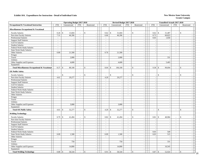|                                                          |                                  | <b>Operating Budget 2017-2018</b> |                             |                                         |                          | Revised Budget 2017-2018 |                        |                                      |                                            | <b>Unaudited Actuals 2017-2018</b>       |                             |               |                  |
|----------------------------------------------------------|----------------------------------|-----------------------------------|-----------------------------|-----------------------------------------|--------------------------|--------------------------|------------------------|--------------------------------------|--------------------------------------------|------------------------------------------|-----------------------------|---------------|------------------|
| Occupational & Vocational Instruction                    | <b>FTE</b>                       | Unrestricted                      | <b>FTE</b>                  | Restricted                              | <b>FTE</b>               | Unrestricted             | <b>FTE</b>             | Restricted                           | <b>FTE</b>                                 | Unrestricted                             | FTE                         | Restricted    |                  |
| Miscellaneous Occupational & Vocational                  |                                  |                                   |                             |                                         |                          |                          |                        |                                      |                                            |                                          |                             |               |                  |
| <b>Faculty Salaries</b>                                  | 0.26                             | \$<br>13,604                      | $\mathcal{L}_{\mathcal{A}}$ | $\mathbb{S}$<br>$\sim$                  | 0.62                     | $\$$<br>31,604           | $\blacksquare$         | \$                                   | 0.62                                       | $\mathbb{S}$<br>31,487                   | $\sim$                      | \$            |                  |
| Part-time Faculty Salaries                               | 7.31                             | 46,396                            | $\overline{\phantom{a}}$    | $\overline{\phantom{a}}$                | 6.66                     | 46,396                   | $\sim$                 | $\overline{\phantom{a}}$             | 8.73                                       | 60,823                                   | $\mathcal{L}_{\mathcal{A}}$ |               | $\sim$           |
| <b>Professional Salaries</b>                             | $\mathbf{r}$                     |                                   | $\mathbb{Z}^+$              | $\sim$                                  | $\sim$                   |                          | $\mathbf{r}$           | $\sim$                               | 0.03                                       | 1,650                                    | $\sim$                      |               | $\sim$           |
| <b>Support Staff Salaries</b>                            | $\blacksquare$                   | $\overline{\phantom{a}}$          | $\mathcal{L}_{\mathcal{A}}$ | $\sim$                                  | $\mathbb{L}$             | ÷,                       | $\mathbb{Z}^2$         | $\omega$                             | ÷,                                         | $\overline{\phantom{a}}$                 | $\sim$                      |               | $\sim$           |
| GA/TA Salaries                                           | $\sim$                           | $\overline{\phantom{a}}$          | $\sim$                      | $\sim$                                  | $\sim$                   | $\sim$                   | $\sim$                 | $\sim$                               | Ĭ.                                         | $\overline{\phantom{a}}$                 | $\sim$                      |               | $\sim$           |
| <b>Student Salaries</b>                                  | ÷,                               | $\overline{\phantom{a}}$          | $\sim$                      | $\sim$                                  | $\overline{\phantom{a}}$ | $\overline{\phantom{a}}$ | $\sim$                 | $\sim$                               |                                            |                                          | $\blacksquare$              |               |                  |
|                                                          | $\overline{a}$                   | $\sim$                            | $\sim$                      | $\sim$                                  | $\sim$                   | ÷.                       | $\sim$                 | $\overline{a}$                       | $\overline{a}$                             | $\sim$                                   | $\sim$                      |               | $\sim$           |
| Federal Work-Study Salaries<br>State Work-Study Salaries |                                  |                                   |                             |                                         |                          |                          |                        |                                      |                                            |                                          |                             |               |                  |
|                                                          | $\overline{\phantom{a}}$<br>0.80 | $\overline{\phantom{a}}$          | $\mathbb{L}$<br>$\sim$      | $\mathcal{L}_{\mathcal{A}}$<br>$\omega$ | $\sim$<br>0.76           | 21,500                   | $\sim$<br>$\mathbf{u}$ | $\blacksquare$<br>$\mathcal{L}$      | $\blacksquare$<br>$\overline{\phantom{a}}$ | $\sim$                                   | $\blacksquare$<br>$\sim$    |               | $\sim$<br>$\sim$ |
| Other Salaries                                           |                                  | 21,500                            |                             |                                         |                          |                          |                        |                                      |                                            |                                          |                             |               |                  |
| Fringes                                                  |                                  |                                   |                             | $\sim$                                  |                          |                          |                        | $\sim$                               |                                            |                                          |                             |               |                  |
| Travel                                                   |                                  | 2,000                             |                             | $\sim$                                  |                          | 2,000                    |                        | $\sim$                               |                                            | 331                                      |                             |               |                  |
| Utilities                                                |                                  |                                   |                             | $\sim$                                  |                          |                          |                        | $\sim$                               |                                            |                                          |                             |               |                  |
| Other Supplies and Expenses                              |                                  | 4,600                             |                             | $\overline{\phantom{a}}$                |                          | 4,600                    |                        | $\sim$                               |                                            | 5,403                                    |                             |               |                  |
| Equipment                                                |                                  |                                   |                             | $\sim$                                  |                          |                          |                        | $\overline{\phantom{a}}$             |                                            |                                          |                             |               |                  |
| <b>Total Miscellaneous Occupational &amp; Vocational</b> |                                  | 88,100                            | $\sim$                      | \$<br>$\sim$                            | 8.04                     | \$<br>106,100            | $\sim$                 | \$<br>$\overline{a}$                 | 9.38                                       | 99,694<br><sup>\$</sup>                  | $\sim$                      | \$            |                  |
| <b>OE Public Safety</b>                                  |                                  |                                   |                             |                                         |                          |                          |                        |                                      |                                            |                                          |                             |               |                  |
| <b>Faculty Salaries</b>                                  | $\overline{a}$                   | $\mathbb{S}$                      | $\overline{a}$              | $\mathbb{S}$<br>$\sim$                  |                          | $\sqrt{3}$               | $\sim$                 | \$                                   |                                            | $\mathbf{\hat{S}}$                       |                             | \$            |                  |
| Part-time Faculty Salaries                               | 4.61                             | 29,277                            | $\sim$                      | $\mathcal{L}_{\mathcal{A}}$             | 4.20                     | 29,277                   | $\sim$                 | $\sim$                               | $\sim$                                     | $\sim$                                   | $\blacksquare$              |               | $\sim$           |
| <b>Professional Salaries</b>                             | $\sim$                           | $\overline{\phantom{a}}$          | $\sim$                      | $\sim$                                  | $\sim$                   |                          | $\sim$                 | $\sim$                               | $\overline{a}$                             | $\sim$                                   | $\sim$                      |               | $\sim$           |
| <b>Support Staff Salaries</b>                            | $\bar{\phantom{a}}$              | $\overline{\phantom{a}}$          | $\mathcal{L}_{\mathcal{A}}$ | $\mathbb{Z}$                            | $\mathbb{L}$             | ÷,                       | $\sim$                 | $\overline{\phantom{a}}$             | $\blacksquare$                             |                                          | $\equiv$                    |               | $\sim$           |
| GA/TA Salaries                                           | $\overline{a}$                   | $\sim$                            | $\sim$                      | $\omega$                                | $\sim$                   | $\overline{\phantom{a}}$ | $\sim$                 | $\sim$                               | $\overline{\phantom{a}}$                   | $\sim$                                   | $\sim$                      |               | $\sim$           |
| <b>Student Salaries</b>                                  | $\sim$                           | $\sim$                            | $\sim$                      | $\sim$                                  | $\sim$                   | $\sim$                   | $\sim$                 | $\sim$                               | $\overline{\phantom{a}}$                   |                                          | $\blacksquare$              |               |                  |
| Federal Work-Study Salaries                              | $\sim$                           | $\sim$                            | $\sim$                      | $\sim$                                  | $\sim$                   | $\overline{\phantom{a}}$ | $\sim$                 | $\sim$                               | $\sim$                                     | $\sim$                                   | $\sim$                      |               | $\sim$           |
| <b>State Work-Study Salaries</b>                         | $\overline{a}$                   |                                   | $\mathcal{L}$               | $\sim$                                  | $\sim$                   | $\sim$                   | $\sim$                 | $\sim$                               | $\overline{\phantom{a}}$                   |                                          | $\blacksquare$              |               |                  |
| Other Salaries                                           | $\sim$                           | $\sim$                            | $\mathcal{L}$               | $\mathbb{Z}$                            | $\sim$                   | $\sim$                   | $\sim$                 | $\overline{\phantom{a}}$             | $\overline{\phantom{a}}$                   | $\sim$                                   | $\blacksquare$              |               |                  |
| Fringes                                                  |                                  | $\overline{\phantom{a}}$          |                             | $\sim$                                  |                          | ÷.                       |                        | $\sim$                               |                                            | $\sim$                                   |                             |               | $\sim$           |
| Travel                                                   |                                  | $\overline{a}$                    |                             | $\sim$                                  |                          | ÷.                       |                        | $\sim$                               |                                            | $\sim$                                   |                             |               |                  |
| Utilities                                                |                                  |                                   |                             | $\overline{\phantom{a}}$                |                          |                          |                        | $\overline{\phantom{a}}$             |                                            | $\overline{\phantom{a}}$                 |                             |               |                  |
| Other Supplies and Expenses                              |                                  | 3,000                             |                             | $\sim$                                  |                          | 3,000                    |                        | $\sim$                               |                                            | $\sim$                                   |                             |               | $\sim$           |
| Equipment                                                |                                  |                                   |                             | $\sim$                                  |                          |                          |                        | $\omega$                             |                                            | $\overline{a}$                           |                             |               | $\sim$           |
| <b>Total OE Public Safety</b>                            | 4.61                             | 32,277<br>$\mathbb{S}$            |                             | $\mathbb{S}$<br>$\sim$                  | 4.20                     | 32,277<br>-\$            | $\sim$                 | \$<br>$\sim$                         | $\sim$                                     | $\mathbf{s}$<br>$\overline{\phantom{a}}$ | $\blacksquare$              | $\mathcal{S}$ | $\sim$           |
|                                                          |                                  |                                   | $\omega_{\rm c}$            |                                         |                          |                          |                        |                                      |                                            |                                          |                             |               |                  |
| <b>Welding Technology</b>                                |                                  |                                   |                             |                                         |                          |                          |                        |                                      |                                            |                                          |                             |               |                  |
| <b>Faculty Salaries</b>                                  | 0.79                             | $\mathbb{S}$<br>41,494            | $\sim$                      | \$<br>$\sim$                            | 0.82                     | $\mathcal{S}$<br>41,494  | $\sim$                 | \$                                   | 0.81                                       | $\mathcal{S}$<br>40,984                  | $\sim$                      | <sup>\$</sup> |                  |
| Part-time Faculty Salaries                               | $\overline{\phantom{a}}$         |                                   | $\sim$                      | $\sim$                                  |                          |                          | $\sim$                 | $\sim$                               |                                            |                                          | $\sim$                      |               |                  |
| Professional Salaries                                    | $\overline{a}$                   | $\overline{a}$                    | $\sim$                      | $\sim$                                  | $\sim$                   | ÷.                       | $\sim$                 | $\sim$                               | L,                                         |                                          | $\sim$                      |               | $\sim$           |
| <b>Support Staff Salaries</b>                            | $\sim$                           | $\sim$                            | $\mathcal{L}_{\mathcal{A}}$ | $\sim$                                  | $\sim$                   | $\sim$                   | $\sim$                 | $\mathcal{L}$                        | $\overline{\phantom{a}}$                   |                                          | $\mathcal{L}$               |               | $\sim$           |
| GA/TA Salaries                                           | $\sim$                           | $\overline{\phantom{a}}$          | $\sim$                      | $\mathcal{L}_{\mathcal{A}}$             | $\sim$                   | $\overline{\phantom{a}}$ | $\sim$                 | $\mathcal{L}_{\mathcal{A}}$          | $\bar{a}$                                  | $\sim$                                   | $\sim$                      |               | $\sim$           |
| <b>Student Salaries</b>                                  | $\overline{\phantom{a}}$         |                                   | $\sim$                      | $\mathbb{Z}$                            | $\overline{\phantom{a}}$ |                          | $\sim$                 | $\overline{\phantom{a}}$             |                                            |                                          | $\overline{\phantom{a}}$    |               |                  |
| Federal Work-Study Salaries                              | $\overline{a}$                   | $\overline{a}$                    | $\sim$                      | $\sim$                                  | $\mathcal{L}$            |                          | $\sim$                 | $\overline{\phantom{a}}$             | 0.03                                       | 549                                      | $\sim$                      |               | $\sim$           |
| <b>State Work-Study Salaries</b>                         | 0.09                             | 1,500                             | $\omega$                    | $\sim$                                  | 0.09                     | 1,500                    | $\sim$                 | $\sim$                               | 0.03                                       | 515                                      | $\sim$                      |               | $\sim$           |
| Other Salaries                                           | $\sim$                           | $\overline{\phantom{a}}$          | $\sim$                      | $\mathcal{L}_{\mathcal{A}}$             | $\sim$                   | $\sim$                   | $\sim$                 | $\sim$                               |                                            | $\sim$                                   | $\blacksquare$              |               | $\sim$           |
| Fringes                                                  |                                  | $\sim$                            |                             | $\sim$                                  |                          |                          |                        | $\overline{\phantom{a}}$             |                                            | $\overline{\phantom{a}}$                 |                             |               |                  |
| Travel                                                   |                                  | 750                               |                             | $\overline{\phantom{a}}$                |                          | 750                      |                        | $\sim$                               |                                            | 331                                      |                             |               | $\sim$           |
| Utilities                                                |                                  |                                   |                             | $\sim$                                  |                          |                          |                        | $\sim$                               |                                            |                                          |                             |               | $\sim$           |
| Other Supplies and Expenses                              |                                  | 14,800                            |                             | $\sim$                                  |                          | 14,800                   |                        | $\blacksquare$                       |                                            | 10,545                                   |                             |               | $\sim$           |
|                                                          |                                  |                                   |                             | $\mathcal{L}_{\mathcal{A}}$             |                          |                          |                        | $\mathcal{L}$                        |                                            |                                          |                             |               | $\sim$           |
| Equipment                                                |                                  |                                   |                             |                                         |                          |                          |                        |                                      |                                            |                                          |                             |               |                  |
| <b>Total Welding Technology</b>                          | 0.88                             | 58,544<br>$\mathbf{\hat{S}}$      | $\overline{\phantom{a}}$    | $\mathbb{S}$<br>$\sim$                  | 0.91                     | 58,544<br>$\mathbb{S}$   | $\blacksquare$         | $\mathbf{\hat{s}}$<br>$\blacksquare$ | 0.87                                       | 52,924<br>$\mathbf{\hat{S}}$             | $\blacksquare$              | $\mathbb{S}$  | $\sim$<br>20     |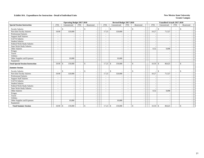|                                          |                          | <b>Operating Budget 2017-2018</b> |                          |               |            | Revised Budget 2017-2018 |                          |                                |            | <b>Unaudited Actuals 2017-2018</b>             |                          |             |  |
|------------------------------------------|--------------------------|-----------------------------------|--------------------------|---------------|------------|--------------------------|--------------------------|--------------------------------|------------|------------------------------------------------|--------------------------|-------------|--|
| <b>Special Session Instruction</b>       | <b>FTE</b>               | Unrestricted                      | <b>FTE</b>               | Restricted    | <b>FTE</b> | Unrestricted             | <b>FTE</b>               | Restricted                     | <b>FTE</b> | Unrestricted                                   | <b>FTE</b>               | Restricted  |  |
| <b>Faculty Salaries</b>                  | $\overline{\phantom{a}}$ | \$                                | $\overline{\phantom{a}}$ | $\mathbf{s}$  |            | \$                       | $\overline{\phantom{a}}$ | $\mathcal{S}$                  |            | $\mathbf{\hat{S}}$<br>$\overline{\phantom{a}}$ | $\overline{\phantom{a}}$ | $\mathbf S$ |  |
| Part-time Faculty Salaries               | 18.90                    | 120,000                           | $\overline{\phantom{a}}$ |               | 17.23      | 120,000                  | $\blacksquare$           |                                | 10.27      | 71,527                                         | $\blacksquare$           |             |  |
| <b>Professional Salaries</b>             | $\overline{\phantom{a}}$ |                                   | $\overline{\phantom{a}}$ |               | $\sim$     |                          | $\overline{\phantom{a}}$ | $\overline{\phantom{a}}$       |            |                                                | $\overline{\phantom{a}}$ |             |  |
| <b>Support Staff Salaries</b>            | $\sim$                   |                                   |                          |               |            |                          | $\overline{\phantom{a}}$ | $\sim$                         |            |                                                | $\overline{\phantom{a}}$ |             |  |
| <b>GA/TA Salaries</b>                    | $\sim$                   |                                   | $\overline{\phantom{0}}$ |               |            |                          | $\sim$                   |                                |            |                                                | ٠                        |             |  |
| <b>Student Salaries</b>                  | $\overline{\phantom{a}}$ |                                   | $\overline{\phantom{a}}$ |               |            | $\overline{\phantom{a}}$ | $\overline{\phantom{a}}$ | $\blacksquare$                 |            |                                                | $\overline{\phantom{a}}$ |             |  |
| Federal Work-Study Salaries              | $\sim$                   |                                   | $\overline{\phantom{a}}$ |               |            | $\overline{\phantom{a}}$ | $\sim$                   | $\sim$                         |            |                                                | $\sim$                   |             |  |
| State Work-Study Salaries                | $\overline{\phantom{a}}$ |                                   | $\overline{\phantom{a}}$ |               |            |                          | $\overline{\phantom{a}}$ | $\overline{\phantom{a}}$       |            |                                                | ٠                        |             |  |
| Other Salaries                           | $\overline{\phantom{a}}$ |                                   | $\overline{\phantom{a}}$ |               |            | $\overline{\phantom{a}}$ | $\overline{\phantom{a}}$ | $\blacksquare$                 | 0.32       | 9,098                                          | $\overline{\phantom{a}}$ |             |  |
| Fringes                                  |                          |                                   |                          |               |            |                          |                          |                                |            |                                                |                          |             |  |
| Travel                                   |                          |                                   |                          |               |            | $\overline{\phantom{a}}$ |                          | $\overline{\phantom{a}}$       |            |                                                |                          |             |  |
| Utilities                                |                          |                                   |                          |               |            |                          |                          | $\overline{\phantom{a}}$       |            |                                                |                          |             |  |
| Other Supplies and Expenses              |                          | 19,000                            |                          |               |            | 19,000                   |                          |                                |            |                                                |                          |             |  |
| Equipment                                |                          |                                   |                          |               |            |                          |                          | $\overline{\phantom{a}}$       |            |                                                |                          |             |  |
| <b>Total Special Session Instruction</b> | 18.90                    | 139,000<br>$\mathcal{S}$          | $\overline{\phantom{a}}$ | $\mathcal{S}$ | 17.23      | 139,000<br>\$            | $\overline{\phantom{a}}$ | \$<br>$\overline{\phantom{a}}$ | 10.59      | $\mathcal{S}$<br>80,625                        | $\overline{\phantom{a}}$ | $\mathbf S$ |  |
| <b>Summer Session</b>                    |                          |                                   |                          |               |            |                          |                          |                                |            |                                                |                          |             |  |
| <b>Faculty Salaries</b>                  | $\overline{\phantom{a}}$ | <sup>\$</sup>                     | $\overline{\phantom{a}}$ | \$            |            | \$                       | $\blacksquare$           | \$<br>$\overline{\phantom{a}}$ |            | $\mathbf{\hat{S}}$                             | $\overline{\phantom{a}}$ | \$          |  |
| Part-time Faculty Salaries               | 18.90                    | 120,000                           | $\overline{\phantom{a}}$ |               | 17.23      | 120,000                  | $\sim$                   | $\blacksquare$                 | 10.27      | 71,527                                         | $\overline{\phantom{a}}$ |             |  |
| <b>Professional Salaries</b>             | $\sim$                   |                                   | $\overline{\phantom{a}}$ |               |            |                          | $\sim$                   | $\sim$                         |            |                                                | $\sim$                   |             |  |
| <b>Support Staff Salaries</b>            | $\overline{\phantom{a}}$ |                                   | $\overline{\phantom{a}}$ |               |            |                          | $\overline{\phantom{a}}$ |                                |            |                                                | ٠                        |             |  |
| <b>GA/TA Salaries</b>                    | $\overline{\phantom{a}}$ |                                   | $\overline{\phantom{a}}$ |               |            |                          | $\overline{\phantom{a}}$ | $\overline{\phantom{a}}$       |            |                                                | $\overline{\phantom{a}}$ |             |  |
| <b>Student Salaries</b>                  | $\overline{\phantom{a}}$ |                                   | $\overline{\phantom{a}}$ |               |            | $\overline{\phantom{a}}$ | $\sim$                   | ٠                              |            |                                                | $\overline{\phantom{a}}$ |             |  |
| Federal Work-Study Salaries              | $\overline{\phantom{a}}$ |                                   | $\overline{\phantom{a}}$ |               |            | $\overline{\phantom{a}}$ | $\overline{\phantom{a}}$ | $\overline{\phantom{a}}$       |            | $\overline{\phantom{a}}$                       | $\overline{\phantom{a}}$ |             |  |
| <b>State Work-Study Salaries</b>         | $\overline{\phantom{a}}$ |                                   | $\overline{\phantom{a}}$ |               |            | $\overline{\phantom{a}}$ | $\sim$                   | $\blacksquare$                 |            |                                                | $\overline{\phantom{a}}$ |             |  |
| Other Salaries                           | $\overline{\phantom{a}}$ |                                   | $\overline{\phantom{a}}$ |               |            |                          | $\overline{\phantom{a}}$ | $\blacksquare$                 | 0.32       | 9,098                                          | $\sim$                   |             |  |
| Fringes                                  |                          |                                   |                          |               |            |                          |                          | $\overline{\phantom{a}}$       |            |                                                |                          |             |  |
| Travel                                   |                          |                                   |                          |               |            | $\overline{\phantom{a}}$ |                          | $\overline{\phantom{a}}$       |            |                                                |                          |             |  |
| <b>Utilities</b>                         |                          |                                   |                          |               |            |                          |                          |                                |            |                                                |                          |             |  |
| Other Supplies and Expenses              |                          | 19,000                            |                          |               |            | 19,000                   |                          |                                |            |                                                |                          |             |  |
| Equipment                                |                          |                                   |                          |               |            |                          |                          |                                |            |                                                |                          |             |  |
| <b>Total Summer Session</b>              | $18.90$ \$               | 139,000                           |                          | \$            | 17.23      | $\mathbb{S}$<br>139,000  |                          | \$<br>$\blacksquare$           | 10.59      | $\mathbb{S}$<br>80,625                         | $\blacksquare$           | \$          |  |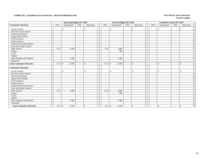|                                  |                          | <b>Operating Budget 2017-2018</b>         |                          |                    |                          | Revised Budget 2017-2018       |                          |               |                          |                          | <b>Unaudited Actuals 2017-2018</b> |                          |                          |  |
|----------------------------------|--------------------------|-------------------------------------------|--------------------------|--------------------|--------------------------|--------------------------------|--------------------------|---------------|--------------------------|--------------------------|------------------------------------|--------------------------|--------------------------|--|
| <b>Community Education</b>       | <b>FTE</b>               | Unrestricted                              | <b>FTE</b>               | Restricted         | <b>FTE</b>               | Unrestricted                   | <b>FTE</b>               | Restricted    |                          | <b>FTE</b>               | Unrestricted                       | <b>FTE</b>               | Restricted               |  |
| <b>Faculty Salaries</b>          | $\overline{\phantom{a}}$ | \$                                        | $\overline{\phantom{a}}$ | $\mathbf{\hat{S}}$ | $\overline{\phantom{a}}$ | \$                             | $\sim$                   | <sup>\$</sup> |                          | $\sim$                   | $\mathbf{\hat{S}}$                 | $\sim$                   | $\mathbf S$              |  |
| Part-time Faculty Salaries       | $\overline{\phantom{a}}$ |                                           | $\overline{\phantom{a}}$ |                    |                          |                                | $\overline{\phantom{a}}$ |               | $\overline{\phantom{a}}$ |                          |                                    | $\overline{\phantom{a}}$ |                          |  |
| <b>Professional Salaries</b>     | $\overline{\phantom{a}}$ |                                           | $\overline{\phantom{a}}$ |                    |                          | $\overline{\phantom{a}}$       |                          |               | $\overline{\phantom{a}}$ | $\overline{\phantom{a}}$ |                                    | $\overline{\phantom{a}}$ |                          |  |
| <b>Support Staff Salaries</b>    | $\overline{\phantom{a}}$ |                                           | $\overline{\phantom{a}}$ |                    |                          | $\overline{\phantom{a}}$       | $\overline{\phantom{a}}$ |               | $\overline{\phantom{a}}$ | $\overline{\phantom{a}}$ |                                    | $\overline{\phantom{0}}$ |                          |  |
| <b>GA/TA Salaries</b>            | $\overline{\phantom{a}}$ |                                           | $\overline{\phantom{a}}$ |                    |                          |                                | $\overline{a}$           |               | $\overline{\phantom{a}}$ |                          |                                    | $\overline{\phantom{a}}$ |                          |  |
| <b>Student Salaries</b>          | $\overline{\phantom{a}}$ |                                           | $\overline{\phantom{a}}$ |                    |                          | $\overline{\phantom{a}}$       | $\overline{\phantom{a}}$ |               | $\blacksquare$           |                          |                                    | $\sim$                   |                          |  |
| Federal Work-Study Salaries      | $\overline{\phantom{a}}$ |                                           | $\overline{\phantom{a}}$ |                    |                          | $\overline{\phantom{a}}$       | $\overline{\phantom{a}}$ |               | $\overline{\phantom{a}}$ |                          |                                    | $\overline{\phantom{a}}$ |                          |  |
| <b>State Work-Study Salaries</b> | $\sim$                   | $\overline{\phantom{a}}$                  | $\sim$                   |                    | $\sim$                   | $\overline{\phantom{a}}$       | $\sim$                   |               | $\blacksquare$           |                          |                                    | $\sim$                   |                          |  |
| Other Salaries                   | 0.15                     | 4,000                                     |                          |                    | 0.14                     | 4,000                          |                          |               | $\overline{\phantom{a}}$ |                          |                                    | ٠                        |                          |  |
| Fringes                          |                          |                                           |                          |                    |                          | 804                            |                          |               | $\overline{\phantom{a}}$ |                          |                                    |                          |                          |  |
| Travel                           |                          |                                           |                          |                    |                          | $\overline{\phantom{a}}$       |                          |               | $\overline{\phantom{a}}$ |                          |                                    |                          |                          |  |
| Utilities                        |                          |                                           |                          |                    |                          |                                |                          |               | $\sim$                   |                          |                                    |                          |                          |  |
| Other Supplies and Expenses      |                          | 7,000                                     |                          |                    |                          | 7,000                          |                          |               |                          |                          |                                    |                          |                          |  |
| Equipment                        |                          |                                           |                          |                    |                          |                                |                          |               | $\sim$                   |                          |                                    |                          |                          |  |
| <b>Total Community Education</b> | 0.15                     | 11,000<br>$\mathcal{S}$                   |                          | $\mathbf{\hat{S}}$ | 0.14                     | 11,804<br>$\mathbb{S}$         |                          | $\mathcal{S}$ | $\overline{\phantom{a}}$ | $\overline{\phantom{a}}$ | $\mathbf{\hat{S}}$                 | $\overline{\phantom{a}}$ | \$                       |  |
| <b>Community Education</b>       |                          |                                           |                          |                    |                          |                                |                          |               |                          |                          |                                    |                          |                          |  |
| <b>Faculty Salaries</b>          | $\overline{\phantom{a}}$ | <sup>\$</sup><br>$\overline{\phantom{a}}$ | $\overline{\phantom{a}}$ | $\mathbf{s}$       | $\overline{\phantom{a}}$ | \$<br>$\overline{\phantom{a}}$ | $\overline{\phantom{a}}$ | $\mathbf{s}$  | $\overline{\phantom{a}}$ | $\overline{\phantom{a}}$ | $\mathbf{\hat{S}}$                 | $\overline{\phantom{a}}$ | $\mathbf{s}$             |  |
| Part-time Faculty Salaries       | $\overline{\phantom{a}}$ |                                           | $\overline{\phantom{a}}$ |                    |                          | $\overline{\phantom{a}}$       | $\overline{\phantom{a}}$ |               | $\blacksquare$           |                          |                                    | $\overline{\phantom{a}}$ |                          |  |
| <b>Professional Salaries</b>     | $\sim$                   |                                           | $\sim$                   |                    |                          | $\overline{\phantom{a}}$       | $\sim$                   |               | $\overline{\phantom{a}}$ |                          |                                    | $\sim$                   |                          |  |
| <b>Support Staff Salaries</b>    | $\overline{\phantom{a}}$ |                                           | $\overline{\phantom{a}}$ |                    |                          |                                | $\sim$                   |               |                          |                          |                                    | ÷,                       |                          |  |
| <b>GA/TA Salaries</b>            | $\overline{\phantom{a}}$ |                                           | $\overline{\phantom{a}}$ |                    |                          | $\overline{\phantom{a}}$       | $\overline{\phantom{a}}$ |               | $\overline{\phantom{a}}$ |                          |                                    | ٠                        |                          |  |
| <b>Student Salaries</b>          | $\overline{\phantom{a}}$ |                                           | $\overline{\phantom{a}}$ |                    | $\overline{\phantom{a}}$ | $\overline{\phantom{a}}$       | $\overline{\phantom{a}}$ |               | $\overline{\phantom{a}}$ |                          |                                    | $\overline{\phantom{a}}$ |                          |  |
| Federal Work-Study Salaries      | $\overline{\phantom{a}}$ | $\sim$                                    | $\overline{\phantom{a}}$ |                    | $\overline{\phantom{a}}$ | $\overline{\phantom{a}}$       | $\overline{\phantom{a}}$ |               | $\overline{\phantom{a}}$ | $\overline{\phantom{a}}$ |                                    | $\overline{\phantom{a}}$ | $\overline{\phantom{a}}$ |  |
| <b>State Work-Study Salaries</b> | $\overline{\phantom{a}}$ |                                           | $\overline{\phantom{a}}$ |                    | $\sim$                   | $\overline{\phantom{a}}$       | $\sim$                   |               | $\overline{\phantom{a}}$ |                          |                                    | $\overline{\phantom{a}}$ |                          |  |
| Other Salaries                   | 0.15                     | 4,000                                     | $\overline{\phantom{0}}$ |                    | 0.14                     | 4,000                          | $\sim$                   |               | $\overline{\phantom{a}}$ |                          |                                    | $\overline{\phantom{a}}$ |                          |  |
| Fringes                          |                          |                                           |                          |                    |                          | 804                            |                          |               | $\overline{\phantom{a}}$ |                          |                                    |                          |                          |  |
| Travel                           |                          |                                           |                          |                    |                          |                                |                          |               | $\sim$                   |                          |                                    |                          |                          |  |
| <b>Utilities</b>                 |                          |                                           |                          |                    |                          |                                |                          |               |                          |                          |                                    |                          |                          |  |
| Other Supplies and Expenses      |                          | 7,000                                     |                          |                    |                          | 7,000                          |                          |               |                          |                          |                                    |                          |                          |  |
| Equipment                        |                          |                                           |                          |                    |                          |                                |                          |               |                          |                          |                                    |                          |                          |  |
| <b>Total Community Education</b> |                          | 11,000                                    |                          | \$                 | 0.14                     | $\sqrt{S}$<br>11,804           |                          | $\mathbb{S}$  | $\overline{\phantom{a}}$ |                          | $\mathbb{S}$                       | $\blacksquare$           | \$                       |  |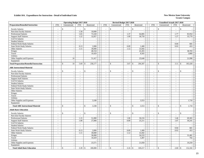|                                               |                          | <b>Operating Budget 2017-2018</b> |                          |                          |                          | Revised Budget 2017-2018                  |                          |                          |                          | <b>Unaudited Actuals 2017-2018</b> |                |                         |
|-----------------------------------------------|--------------------------|-----------------------------------|--------------------------|--------------------------|--------------------------|-------------------------------------------|--------------------------|--------------------------|--------------------------|------------------------------------|----------------|-------------------------|
| <b>Preparation/Remedial Instruction</b>       | <b>FTE</b>               | Unrestricted                      | <b>FTE</b>               | Restricted               | <b>FTE</b>               | Unrestricted                              | <b>FTE</b>               | Restricted               | <b>FTE</b>               | Unrestricted                       | <b>FTE</b>     | Restricted              |
| <b>Faculty Salaries</b>                       |                          | \$                                | $\overline{\phantom{a}}$ | $\mathbf{\hat{S}}$       | $\overline{\phantom{a}}$ | \$                                        | $\blacksquare$           | \$                       | $\overline{\phantom{a}}$ | \$                                 | $\sim$         | \$                      |
| Part-time Faculty Salaries                    | $\overline{\phantom{a}}$ |                                   | 1.58                     | 10,000                   | $\sim$                   |                                           |                          |                          | $\overline{\phantom{a}}$ |                                    | $\sim$         |                         |
| Professional Salaries                         | $\sim$                   | $\sim$                            | 1.65                     | 73,320                   | $\omega$                 | ÷,                                        | 1.37                     | 64,805                   | $\blacksquare$           | $\sim$                             | 1.77           | 83,954                  |
| <b>Support Staff Salaries</b>                 | $\sim$                   |                                   | 1.22                     | 32,857                   | $\overline{\phantom{a}}$ |                                           | 1.09                     | 30,750                   | $\sim$                   | ÷.                                 | 1.27           | 35,779                  |
| GA/TA Salaries                                | $\sim$                   | $\sim$                            | $\sim$                   |                          | $\sim$                   |                                           | $\sim$                   |                          | $\sim$                   | $\overline{a}$                     | $\sim$         |                         |
| <b>Student Salaries</b>                       | $\sim$                   | $\sim$                            | $\blacksquare$           | $\sim$                   | $\blacksquare$           | ÷,                                        | $\equiv$                 | $\overline{\phantom{a}}$ | $\blacksquare$           | ÷.                                 | $\omega$       |                         |
| Federal Work-Study Salaries                   | $\sim$                   | $\sim$                            | $\sim$                   | $\overline{\phantom{a}}$ | $\sim$                   | $\sim$                                    | $\sim$                   |                          | $\sim$                   | ÷.                                 | 0.04           | 681                     |
| <b>State Work-Study Salaries</b>              | $\omega$                 | $\sim$                            | 0.13                     | 2,000                    | $\overline{\phantom{a}}$ | $\sim$                                    | 0.09                     | 1,400                    | $\sim$                   | $\overline{a}$                     | 0.03           | 453                     |
| Other Salaries                                | $\sim$                   |                                   | 1.11                     | 30,000                   | $\bar{a}$                |                                           | 1.12                     | 31,692                   | $\overline{\phantom{a}}$ |                                    | $\sim$         |                         |
| Fringes                                       |                          | $\sim$                            |                          | 48,154                   |                          | ÷,                                        |                          | 41,455                   |                          | $\overline{\phantom{a}}$           |                | 38,703                  |
| Travel                                        |                          | $\omega$                          |                          | 10,429                   |                          | $\overline{\phantom{a}}$                  |                          | 8,565                    |                          | ÷.                                 |                | 3,860                   |
| Utilities                                     |                          |                                   |                          |                          |                          |                                           |                          |                          |                          |                                    |                |                         |
| Other Supplies and Expenses                   |                          | 10                                |                          | 51,417                   |                          | $\sim$                                    |                          | 25,640                   |                          | $\overline{a}$                     |                | 21,998                  |
| Equipment                                     |                          |                                   |                          |                          |                          | ÷.                                        |                          |                          |                          |                                    |                |                         |
| <b>Total Preparation/Remedial Instruction</b> | $\sim$                   | 10<br>$\mathcal{S}$               | 5.69                     | 258,177<br>\$            | $\overline{\phantom{a}}$ | $\mathbf S$                               | 3.67                     | 204,307<br>\$            | $\overline{a}$           | $\mathbf{\hat{S}}$                 | 3.11           | $\mathbb{S}$<br>185,428 |
| <b>ABE Instructional Material</b>             |                          |                                   |                          |                          |                          |                                           |                          |                          |                          |                                    |                |                         |
| <b>Faculty Salaries</b>                       |                          | $\mathbb{S}$                      |                          | \$                       |                          | $\mathbb{S}$                              |                          | \$                       | ÷,                       | $\mathbb{S}$                       | $\bar{a}$      | $\mathbb{S}$            |
| Part-time Faculty Salaries                    | $\sim$                   | $\sim$                            | $\sim$                   | $\sim$                   | $\sim$                   | $\sim$                                    | $\sim$                   | $\sim$                   | $\sim$                   | . —                                | $\sim$         |                         |
| <b>Professional Salaries</b>                  | $\sim$                   |                                   | $\mathcal{L}$            |                          | $\sim$                   |                                           | $\blacksquare$           | $\sim$                   | $\sim$                   |                                    | $\sim$         |                         |
| <b>Support Staff Salaries</b>                 | $\sim$                   | $\sim$                            | ÷,                       |                          | $\overline{\phantom{a}}$ | $\overline{\phantom{a}}$                  | $\overline{\phantom{a}}$ | $\sim$                   | $\overline{\phantom{a}}$ | ÷.                                 | $\mathcal{L}$  |                         |
| GA/TA Salaries                                | $\sim$                   | ÷.                                | in 1919.                 | $\sim$                   | $\sim$                   |                                           | $\sim$                   | $\sim$                   | $\sim$                   | ÷.                                 | $\mathbf{r}$   | $\sim$                  |
| <b>Student Salaries</b>                       | $\sim$                   | $\sim$                            | $\overline{a}$           | $\sim$                   | $\overline{\phantom{a}}$ | ÷,                                        | $\overline{\phantom{a}}$ | $\sim$                   | $\sim$                   | ÷.                                 | $\sim$         | $\sim$                  |
| Federal Work-Study Salaries                   | $\sim$                   | $\sim$                            | $\sim$                   | $\sim$                   | $\sim$                   |                                           | $\sim$                   | $\overline{\phantom{a}}$ | $\sim$                   |                                    | $\sim$         |                         |
| <b>State Work-Study Salaries</b>              | $\sim$                   | $\sim$                            | $\sim$                   | $\sim$                   | $\sim$                   | $\overline{\phantom{a}}$                  | $\sim$                   | $\sim$                   | $\sim$                   |                                    | $\sim$         | $\sim$                  |
| Other Salaries                                | $\sim$                   | $\sim$                            | $\sim$                   | $\sim$                   | $\sim$                   | $\sim$                                    | $\sim$                   | $\sim$                   | $\sim$                   | $\sim$                             | $\sim$         | $\sim$                  |
| Fringes                                       |                          |                                   |                          |                          |                          |                                           |                          |                          |                          |                                    |                |                         |
| Travel                                        |                          | $\sim$                            |                          | $\overline{\phantom{a}}$ |                          | $\overline{a}$                            |                          | $\overline{\phantom{a}}$ |                          | $\sim$                             |                | $\sim$                  |
| Utilities                                     |                          | $\sim$                            |                          | $\overline{\phantom{a}}$ |                          | $\overline{\phantom{a}}$                  |                          |                          |                          | ÷.                                 |                |                         |
| Other Supplies and Expenses                   |                          | $\sim$                            |                          | 3,100                    |                          | ÷,                                        |                          | 3,553                    |                          |                                    |                | 1,710                   |
| Equipment                                     |                          | $\sim$                            |                          |                          |                          | $\sim$                                    |                          |                          |                          | $\overline{\phantom{a}}$           |                |                         |
| <b>Total ABE Instructional Material</b>       |                          | $\mathbf{\hat{S}}$<br>$\sim$      | $\bar{a}$                | $\mathbb{S}$<br>3,100    | $\sim$                   | $\mathcal{S}$<br>$\overline{\phantom{a}}$ | $\sim$                   | 3,553<br>$\mathbf{s}$    | $\overline{\phantom{a}}$ | $\mathbf{s}$<br>$\sim$             | $\sim$         | \$<br>1,710             |
| <b>Adult Basic Education</b>                  |                          |                                   |                          |                          |                          |                                           |                          |                          |                          |                                    |                |                         |
| <b>Faculty Salaries</b>                       |                          | $\mathbb{S}$                      |                          | \$                       |                          | \$                                        |                          | \$                       | L.                       | \$                                 | $\sim$         | \$                      |
| Part-time Faculty Salaries                    | $\blacksquare$           | $\sim$                            | $\sim$                   |                          | $\blacksquare$           | $\overline{\phantom{a}}$                  | $\overline{\phantom{a}}$ |                          | $\overline{\phantom{a}}$ | $\overline{\phantom{a}}$           | $\sim$         |                         |
| <b>Professional Salaries</b>                  | $\sim$                   | $\sim$                            | 1.15                     | 51,000                   | $\sim$                   | $\sim$                                    | 1.06                     | 50,216                   | $\sim$                   | $\sim$                             | 1.46           | 69,365                  |
| <b>Support Staff Salaries</b>                 | $\sim$                   | $\overline{\phantom{a}}$          | 1.00                     | 27,000                   | $\sim$                   |                                           | 0.89                     | 25,211                   | $\sim$                   |                                    | 1.07           | 30,241                  |
| GA/TA Salaries                                | $\sim$                   | $\sim$                            | $\overline{a}$           |                          | $\sim$                   |                                           | ÷.                       |                          | $\overline{\phantom{a}}$ | ÷.                                 | $\omega$       |                         |
| <b>Student Salaries</b>                       | $\sim$                   | $\sim$                            | $\sim$                   | ÷,                       | $\overline{a}$           |                                           | $\mathcal{L}$            | $\sim$                   | $\sim$                   | ÷.                                 | $\mathcal{L}$  |                         |
| Federal Work-Study Salaries                   | $\sim$                   | $\sim$                            | $\sim$                   | $\sim$                   | $\overline{a}$           | ÷.                                        | $\sim$                   | $\sim$                   | $\sim$                   | ÷.                                 | 0.04           | 681                     |
| <b>State Work-Study Salaries</b>              | $\sim$                   | $\sim$                            | 0.13                     | 2,000                    | $\overline{\phantom{a}}$ | $\overline{\phantom{a}}$                  | 0.09                     | 1,400                    | $\sim$                   | $\overline{a}$                     | 0.03           | 453                     |
| Other Salaries                                | $\blacksquare$           | $\sim$                            | 1.11                     | 30,000                   | $\blacksquare$           | $\overline{\phantom{a}}$                  | 1.12                     | 31,692                   | $\overline{\phantom{a}}$ | $\overline{\phantom{a}}$           | $\sim$         |                         |
| Fringes                                       |                          | $\sim$                            |                          | 36,000                   |                          | $\sim$                                    |                          | 34,233                   |                          | $\overline{\phantom{a}}$           |                | 31,481                  |
| Travel                                        |                          | $\sim$                            |                          | 10,429                   |                          |                                           |                          | 5,407                    |                          |                                    |                | 702                     |
| <b>Utilities</b>                              |                          | $\overline{\phantom{a}}$          |                          |                          |                          | $\overline{\phantom{a}}$                  |                          |                          |                          |                                    |                |                         |
| Other Supplies and Expenses                   |                          | $\sim$                            |                          | 23,571                   |                          | ÷,                                        |                          | 21,058                   |                          | ÷.                                 |                | 19,259                  |
| Equipment                                     |                          | ÷.                                |                          |                          |                          | $\sim$                                    |                          |                          |                          |                                    |                |                         |
| <b>Total Adult Basic Education</b>            |                          | $\mathcal{S}$                     | 3.39                     | \$<br>180,000            |                          | $\mathcal{S}$<br>$\overline{a}$           | 3.16                     | 169,217<br>\$            |                          | $\mathcal{S}$                      | $2.60 \,$ \ \$ | 152,182                 |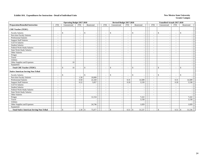|                                                 |                          | <b>Operating Budget 2017-2018</b> |                          |                    |                          | Revised Budget 2017-2018                 |                          |                                | <b>Unaudited Actuals 2017-2018</b>             |                          |              |  |
|-------------------------------------------------|--------------------------|-----------------------------------|--------------------------|--------------------|--------------------------|------------------------------------------|--------------------------|--------------------------------|------------------------------------------------|--------------------------|--------------|--|
| <b>Preparation/Remedial Instruction</b>         | <b>FTE</b>               | Unrestricted                      | FTE                      | Restricted         | <b>FTE</b>               | Unrestricted                             | <b>FTE</b>               | Restricted                     | <b>FTE</b><br>Unrestricted                     | <b>FTE</b>               | Restricted   |  |
| <b>CHE Teacher (TEDC)</b>                       |                          |                                   |                          |                    |                          |                                          |                          |                                |                                                |                          |              |  |
| <b>Faculty Salaries</b>                         | $\overline{\phantom{a}}$ | \$<br>$\overline{\phantom{a}}$    | $\overline{\phantom{a}}$ | $\mathbf{\$}$      | $\sim$                   | \$                                       | $\overline{\phantom{a}}$ | <sup>\$</sup>                  | $\mathbf{\hat{S}}$<br>$\sim$                   | $\overline{\phantom{a}}$ | \$           |  |
| Part-time Faculty Salaries                      | $\overline{\phantom{a}}$ | $\overline{\phantom{a}}$          | $\overline{\phantom{a}}$ |                    |                          | $\overline{\phantom{a}}$                 | $\overline{\phantom{a}}$ | $\blacksquare$                 | $\overline{\phantom{a}}$                       | $\overline{\phantom{a}}$ |              |  |
| <b>Professional Salaries</b>                    |                          |                                   | $\overline{\phantom{a}}$ |                    |                          |                                          | $\overline{\phantom{a}}$ | $\overline{\phantom{a}}$       | $\sim$                                         | $\overline{\phantom{a}}$ |              |  |
| <b>Support Staff Salaries</b>                   |                          |                                   | $\overline{\phantom{a}}$ |                    |                          |                                          | $\overline{a}$           | $\overline{\phantom{a}}$       | $\sim$                                         | $\overline{\phantom{a}}$ |              |  |
| GA/TA Salaries                                  | ٠                        |                                   | $\overline{\phantom{a}}$ |                    |                          |                                          | $\overline{a}$           | $\overline{\phantom{a}}$       | $\sim$                                         | $\overline{\phantom{a}}$ |              |  |
| <b>Student Salaries</b>                         | $\sim$                   |                                   | $\overline{\phantom{a}}$ |                    |                          |                                          | $\overline{a}$           | $\overline{\phantom{a}}$       | $\sim$                                         | $\overline{\phantom{a}}$ |              |  |
| Federal Work-Study Salaries                     |                          |                                   | $\overline{\phantom{a}}$ |                    |                          |                                          | $\overline{a}$           |                                | $\sim$                                         |                          |              |  |
| <b>State Work-Study Salaries</b>                | $\overline{\phantom{a}}$ |                                   | $\overline{\phantom{a}}$ |                    |                          | $\overline{\phantom{a}}$                 | $\overline{a}$           | $\overline{\phantom{a}}$       | $\sim$                                         | $\blacksquare$           |              |  |
| Other Salaries                                  |                          |                                   | $\overline{\phantom{a}}$ |                    |                          |                                          |                          | $\overline{\phantom{a}}$       | $\sim$                                         | ٠                        |              |  |
| Fringes                                         |                          |                                   |                          |                    |                          |                                          |                          | $\sim$                         |                                                |                          |              |  |
| Travel                                          |                          |                                   |                          |                    |                          |                                          |                          | $\blacksquare$                 |                                                |                          |              |  |
| Utilities                                       |                          |                                   |                          |                    |                          |                                          |                          | $\overline{\phantom{a}}$       |                                                |                          |              |  |
| Other Supplies and Expenses                     |                          | 10                                |                          |                    |                          |                                          |                          | $\overline{\phantom{a}}$       |                                                |                          |              |  |
| Equipment                                       |                          |                                   |                          |                    |                          |                                          |                          | $\overline{\phantom{a}}$       |                                                |                          |              |  |
| <b>Total CHE Teacher (TEDC)</b>                 |                          | \$<br>10                          |                          | $\mathbf{\hat{s}}$ |                          | $\mathbb{S}$                             |                          | \$<br>$\overline{a}$           | $\mathbf{\hat{S}}$<br>$\overline{\phantom{a}}$ | $\sim$                   | $\mathbf{s}$ |  |
| <b>Native American Serving Non-Tribal</b>       |                          |                                   |                          |                    |                          |                                          |                          |                                |                                                |                          |              |  |
| <b>Faculty Salaries</b>                         |                          | \$<br>$\sim$                      | $\overline{\phantom{a}}$ | $\mathbf{\$}$      | $\overline{\phantom{a}}$ | \$<br>$\overline{\phantom{a}}$           | $\overline{\phantom{a}}$ | \$<br>$\overline{\phantom{a}}$ | $\mathbb{S}$<br>$\sim$                         | $\overline{\phantom{a}}$ | \$           |  |
| Part-time Faculty Salaries                      | $\overline{\phantom{a}}$ | $\overline{\phantom{a}}$          | 1.58                     | 10,000             | $\sim$                   |                                          |                          |                                | $\sim$                                         | $\sim$                   |              |  |
| Professional Salaries                           | $\sim$                   |                                   | 0.50                     | 22,320             | $\sim$                   |                                          | 0.31                     | 14,589                         | $\sim$                                         | 0.31                     | 14,589       |  |
| <b>Support Staff Salaries</b>                   | $\overline{\phantom{a}}$ | $\overline{\phantom{a}}$          | 0.22                     | 5,857              | $\overline{\phantom{a}}$ |                                          | 0.20                     | 5,539                          | $\sim$                                         | 0.20                     | 5,538        |  |
| GA/TA Salaries                                  | ٠                        |                                   | $\overline{\phantom{a}}$ |                    |                          |                                          | $\overline{\phantom{a}}$ |                                | $\overline{\phantom{a}}$                       | $\overline{\phantom{a}}$ |              |  |
| <b>Student Salaries</b>                         | $\sim$                   |                                   | $\overline{\phantom{a}}$ |                    |                          |                                          | $\overline{\phantom{a}}$ |                                | $\overline{\phantom{a}}$                       | ٠                        |              |  |
| Federal Work-Study Salaries                     | $\overline{\phantom{0}}$ |                                   | $\overline{\phantom{a}}$ |                    |                          |                                          | $\overline{\phantom{a}}$ | $\overline{\phantom{a}}$       | $\overline{\phantom{a}}$                       | $\overline{\phantom{a}}$ |              |  |
| <b>State Work-Study Salaries</b>                | ٠                        |                                   | $\sim$                   |                    | $\sim$                   |                                          | $\sim$                   | $\overline{\phantom{a}}$       | $\sim$                                         | $\sim$                   |              |  |
| Other Salaries                                  |                          |                                   | $\overline{\phantom{a}}$ |                    |                          |                                          | $\overline{a}$           |                                | $\sim$                                         | ÷,                       |              |  |
| Fringes                                         |                          |                                   |                          | 12,154             |                          |                                          |                          | 7,222                          |                                                |                          | 7,222        |  |
| Travel                                          |                          |                                   |                          |                    |                          |                                          |                          | 3,158                          |                                                |                          | 3,158        |  |
| Utilities                                       |                          |                                   |                          |                    |                          |                                          |                          |                                |                                                |                          |              |  |
| Other Supplies and Expenses                     |                          |                                   |                          | 24,746             |                          |                                          |                          | 1,029                          |                                                |                          | 1,029        |  |
| Equipment                                       |                          |                                   |                          |                    |                          |                                          |                          |                                |                                                |                          |              |  |
| <b>Total Native American Serving Non-Tribal</b> |                          | $\mathbb{S}$                      | 2.30                     | 75,077<br>\$       |                          | $\mathbb{S}$<br>$\overline{\phantom{a}}$ | 0.51                     | 31,537<br>\$                   | $\mathbb{S}$<br>$\overline{\phantom{a}}$       | 0.51                     | 31,536<br>\$ |  |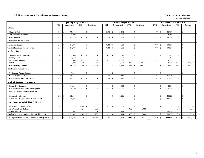#### **Exhibit 11. Summary of Expenditures for Academic Support** New Mexico State University

|                                                        |                          |                    |         | <b>Operating Budget 2017-2018</b> |               |            |                          |               | Revised Budget 2017-2018 |                          |                    |            |                          |              |         | <b>Unaudited Actuals 2017-2018</b> |                    |            |  |
|--------------------------------------------------------|--------------------------|--------------------|---------|-----------------------------------|---------------|------------|--------------------------|---------------|--------------------------|--------------------------|--------------------|------------|--------------------------|--------------|---------|------------------------------------|--------------------|------------|--|
|                                                        | <b>FTE</b>               | Unrestricted       |         | <b>FTE</b>                        |               | Restricted | <b>FTE</b>               |               | Unrestricted             | <b>FTE</b>               |                    | Restricted | <b>FTE</b>               | Unrestricted |         | <b>FTE</b>                         |                    | Restricted |  |
| <b>Libraries</b>                                       |                          |                    |         |                                   |               |            |                          |               |                          |                          |                    |            |                          |              |         |                                    |                    |            |  |
| Library (LRC)                                          | 2.41                     | -\$                | 97,110  | $\sim$                            | \$            |            | 2.24                     | $\mathcal{S}$ | 95,969                   | $\sim$                   | $\mathcal{S}$      |            | $1.83 \tImes$            |              | 84,323  | $\overline{\phantom{a}}$           | <sup>\$</sup>      |            |  |
| Library Materials/Acquisitions                         |                          |                    | 10,000  | $\sim$                            |               |            |                          |               | 10,000                   |                          |                    |            |                          |              | 9,386   | $\overline{\phantom{a}}$           |                    |            |  |
| <b>Total Libraries</b>                                 | 2.41                     | $\mathbf{s}$       | 107,110 | $\overline{a}$                    | \$            |            | 2.24                     | -\$           | 105,969                  | $\sim$                   | $\mathbf{\hat{S}}$ |            |                          |              | 93,709  | $\overline{a}$                     | <sup>\$</sup>      |            |  |
| <b>Educational Media Services</b>                      |                          |                    |         |                                   |               |            |                          |               |                          |                          |                    |            |                          |              |         |                                    |                    |            |  |
| Computer Support                                       | 0.47                     | -S                 | 94,900  | $\sim$                            | \$            |            | 0.44                     | -\$           | 94,900                   |                          | <sup>\$</sup>      |            | 0.44                     | \$           | 99,084  | $\overline{a}$                     | <sup>\$</sup>      |            |  |
| <b>Total Educational Media Services</b>                | 0.47                     | $\mathbf{s}$       | 94,900  | $\blacksquare$                    | $\mathbb{S}$  |            | 0.44                     | <sup>\$</sup> | 94,900                   | $\sim$                   | $\mathcal{S}$      |            |                          |              | 99,084  | $\sim$                             | $\mathcal{S}$      |            |  |
| <b>Ancillary Support</b>                               |                          |                    |         |                                   |               |            |                          |               |                          |                          |                    |            |                          |              |         |                                    |                    |            |  |
| Creative Media Technology                              | $\blacksquare$           | \$                 | 1,000   | $\sim$                            | \$            |            |                          | $\mathbf{s}$  | 1,023                    | $\sim$                   | $\mathbf{\hat{S}}$ |            | $\overline{\phantom{a}}$ | \$           | 983     | $\overline{\phantom{a}}$           | \$                 |            |  |
| Nursing - BSN                                          | $\blacksquare$           |                    | 1,750   | $\blacksquare$                    |               |            |                          |               | 1,750                    | $\sim$                   |                    |            | $\overline{\phantom{a}}$ |              | 1,362   | $\sim$                             |                    |            |  |
| <b>Technology Support</b>                              | $\sim$                   |                    | 53,000  | $\sim$                            |               |            | $\overline{\phantom{a}}$ |               | 50,000                   | $\sim$                   |                    |            | $\overline{\phantom{a}}$ |              | 9,589   | $\sim$                             |                    |            |  |
| Title V                                                | ÷.                       |                    | 3,000   | 17.23                             |               | 575,948    | $\sim$                   |               | 4,000                    | 12.46                    |                    | 574,122    | $\sim$                   |              | 3,016   | 13.44                              |                    | 551,349    |  |
| <b>Total Ancillary Support</b>                         |                          | $\mathbf{\hat{S}}$ | 58,750  | 17.23                             | $\mathcal{S}$ | 575,948    | $\overline{\phantom{a}}$ | -S            | 56,773                   | 12.46                    | - \$               | 574,122    | $\sim$                   | \$           | 14,950  | 13.44                              | \$                 | 551,349    |  |
| <b>Academic Administration</b>                         |                          |                    |         |                                   |               |            |                          |               |                          |                          |                    |            |                          |              |         |                                    |                    |            |  |
| Off Campus Admin/ Support                              |                          | $\mathbb{S}$       | 3,000   | $\sim$                            | \$            |            |                          | \$            |                          | $\sim$                   | $\mathbf{\hat{S}}$ |            |                          | \$           |         | $\overline{a}$                     | <sup>\$</sup>      |            |  |
| VP for Academic Affairs                                | 2.16                     |                    | 106,727 | $\overline{\phantom{a}}$          |               |            | 2.03                     |               | 106,727                  | $\sim$                   |                    |            | 1.94                     |              | 97,028  | $\sim$                             |                    |            |  |
| <b>Total Academic Administration</b>                   | 2.16                     | $\mathbf{s}$       | 109,727 | $\overline{a}$                    | \$            |            | 2.03                     | $\mathcal{S}$ | 106,727                  | $\sim$                   | $\mathbf{\hat{S}}$ |            | $1.94 \tS$               |              | 97,028  | $\overline{a}$                     | <sup>\$</sup>      |            |  |
| <b>Academic Personnel Development</b>                  |                          |                    |         |                                   |               |            |                          |               |                          |                          |                    |            |                          |              |         |                                    |                    |            |  |
| <b>Faculty Development</b>                             |                          | \$                 | 14,290  | $\overline{\phantom{a}}$          | \$            |            | $\overline{\phantom{a}}$ | <sup>\$</sup> | 10,000                   | $\overline{\phantom{a}}$ | \$                 |            | $\sim$                   | \$           | 3,214   | $\overline{\phantom{a}}$           | <sup>\$</sup>      |            |  |
| <b>Total Academic Personnel Development</b>            |                          | \$                 | 14,290  |                                   | $\mathbb{S}$  |            |                          | $\mathcal{L}$ | 10,000                   |                          | $\mathcal{S}$      |            |                          | \$           | 3,214   | $\overline{a}$                     | $\mathcal{S}$      |            |  |
| <b>Course &amp; Curriculum Development</b>             |                          |                    |         |                                   |               |            |                          |               |                          |                          |                    |            |                          |              |         |                                    |                    |            |  |
| Program Development                                    | 0.12                     | $\sqrt{3}$         | 78,396  | $\overline{\phantom{a}}$          | \$            |            | $\overline{\phantom{a}}$ | <sup>\$</sup> | 78,396                   | $\overline{\phantom{a}}$ | $\mathcal{S}$      |            | $\overline{\phantom{a}}$ | \$           | 34,000  |                                    | <sup>\$</sup>      |            |  |
| <b>Total Course &amp; Curriculum Development</b>       | 0.12                     | - \$               | 78,396  | $\sim$                            | $\mathbb{S}$  |            |                          | -\$           | 78,396                   |                          | $\mathbf{\hat{s}}$ |            |                          | $\mathbf{s}$ | 34,000  | $\overline{\phantom{a}}$           | $\mathcal{S}$      |            |  |
| Other Items Not Included in Exhibit 11A's              |                          |                    |         |                                   |               |            |                          |               |                          |                          |                    |            |                          |              |         |                                    |                    |            |  |
| Federal Work-Study Salaries                            | $\overline{\phantom{a}}$ | $\mathbb{S}$       |         | 0.21                              | \$            | 3,400      | $\overline{\phantom{a}}$ | <sup>\$</sup> |                          |                          | $\mathbf{\hat{S}}$ |            | $\sim$                   | \$           |         | 0.04                               | $\mathbf{\hat{S}}$ | 664        |  |
| <b>State Work-Study Salaries</b>                       |                          |                    |         | 0.27                              |               | 4,300      | $\sim$                   |               |                          | 0.35                     |                    | 5,600      | $\overline{a}$           |              |         | 0.20                               |                    | 3,278      |  |
| <b>Fringe Benefits</b>                                 |                          |                    | 71,307  |                                   |               |            |                          |               | 110.114                  |                          |                    |            |                          |              | 66,659  |                                    |                    |            |  |
| <b>Total Other Items Not Included in Exhibit 11A's</b> |                          | $\mathbf{s}$       | 71,307  | 0.48                              | $\mathcal{S}$ | 7,700      |                          | $\mathcal{S}$ | 110,114                  |                          |                    | 5,600      |                          | \$           | 66,659  | 0.24                               | -8                 | 3.942      |  |
| Net Expense for Academic Support in I&G (Exh 2)        |                          |                    | 534,480 | $17.71$ \\$                       |               | 583,648    | 4.71                     | -\$           | 562,879                  | $12.81 \t s$             |                    | 579,722    | $4.21 \t3$               |              | 408,644 | $13.68$ \$                         |                    | 555,291    |  |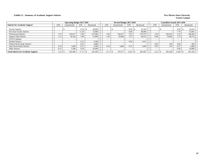#### **Exhibit 11. Summary of Academic Support Salaries New Mexico State University**

|                                            |            | <b>Operating Budget 2017-2018</b> |            |            |            | Revised Budget 2017-2018 |            |            |            | Unaudited Actuals 2017-2018 |                          |            |  |
|--------------------------------------------|------------|-----------------------------------|------------|------------|------------|--------------------------|------------|------------|------------|-----------------------------|--------------------------|------------|--|
| <b>Salaries for Academic Support</b>       | <b>FTE</b> | Unrestricted                      | <b>FTE</b> | Restricted | <b>FTE</b> | Unrestricted             | <b>FTE</b> | Restricted | <b>FTE</b> | Unrestricted                | <b>FTE</b>               | Restricted |  |
| <b>Faculty Salaries</b>                    |            |                                   | 0.34       | 18,000     |            |                          | 0.64       | 32,334     |            |                             | 0.38                     | 19,433     |  |
| Part-time Faculty Salaries                 |            |                                   | 11.34      | 72,000     |            |                          | 6.96       | 48.466     |            |                             | 7.74                     | 53,941     |  |
| <b>Professional Salaries</b>               | 3.73       | 165,677                           | 2.85       | 127,000    | 3.50       | 165,677                  | 3.23       | 153,573    | 3.50       | 165,676                     | 3.14                     | 149,282    |  |
| <b>Support Staff Salaries</b>              | 1.13       | 30,529                            | 1.89       | 51,000     | 1.03       | 29,000                   | 1.57       | 44,473     | 0.69       | 19,482                      | 1.73                     | 48,714     |  |
| <b>GA/TA Salaries</b>                      |            |                                   |            |            |            |                          |            |            |            |                             | $\overline{\phantom{a}}$ |            |  |
| <b>Student Salaries</b>                    |            |                                   | 0.22       | 3.500      |            |                          | 0.06       | 1.021      |            |                             | $\overline{\phantom{a}}$ |            |  |
| Federal Work-Study Salaries                |            |                                   | 0.21       | 3.400      |            |                          |            |            | 0.01       | 164                         | 0.04                     | 664        |  |
| <b>State Work-Study Salaries</b>           | 0.18       | 3.000                             | 0.27       | 4.300      | 0.18       | 3.000                    | 0.35       | 5,600      | 0.01       | 116                         | 0.27                     | 4,468      |  |
| Other Salaries                             | 0.12       | 3,200                             | 0.59       | 16,000     |            |                          |            |            |            |                             | 0.38                     | 10,600     |  |
| <b>Total Salaries for Academic Support</b> | 5.16       | 202,406                           | 17.71      | 295,200    | 4.71       | 197,677                  | 12.81      | 285,467    | 4.21       | 185,438                     | 13.68                    | 287,102    |  |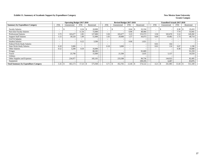#### **Exhibit 11. Summary of Academic Support by Expenditure Category New Mexico State University New Mexico State University**

|                                              |                          | <b>Operating Budget 2017-2018</b> |            |            |            | Revised Budget 2017-2018 |            |            |                          | <b>Unaudited Actuals 2017-2018</b> |            |            |
|----------------------------------------------|--------------------------|-----------------------------------|------------|------------|------------|--------------------------|------------|------------|--------------------------|------------------------------------|------------|------------|
| <b>Summary by Expenditure Category</b>       | <b>FTE</b>               | Unrestricted                      | <b>FTE</b> | Restricted | <b>FTE</b> | Unrestricted             | <b>FTE</b> | Restricted | <b>FTE</b>               | Unrestricted                       | <b>FTE</b> | Restricted |
| <b>Faculty Salaries</b>                      |                          |                                   | 0.34       | 18,000     |            |                          | 0.64       | 32,334     | -                        | $\overline{\phantom{a}}$           | 0.38       | 19,433     |
| Part-time Faculty Salaries                   | $\overline{\phantom{a}}$ |                                   | 11.34      | 72,000     |            |                          | 6.96       | 48,466     | $\overline{\phantom{a}}$ |                                    | 7.74       | 53,941     |
| <b>Professional Salaries</b>                 | 3.73                     | 165,677                           | 2.85       | 127,000    | 3.50       | 165,677                  | 3.23       | 153,573    | 3.50                     | 165,676                            | 3.14       | 149,282    |
| <b>Support Staff Salaries</b>                | 1.13                     | 30,529                            | 1.89       | 51,000     | 1.03       | 29,000                   | .57        | 44,473     | 0.69                     | 19,482                             | 1.73       | 48,714     |
| GA/TA Salaries                               | $\overline{\phantom{0}}$ |                                   |            |            |            |                          |            |            |                          |                                    |            |            |
| <b>Student Salaries</b>                      | $\overline{\phantom{0}}$ |                                   | 0.22       | 3,500      |            |                          | 0.06       | 1,021      |                          | $\overline{\phantom{a}}$           | ۰          |            |
| Federal Work-Study Salaries                  | $\overline{\phantom{0}}$ |                                   | -          |            |            |                          |            |            | 0.01                     | 164                                |            |            |
| <b>State Work-Study Salaries</b>             | 0.18                     | 3,000                             |            |            | 0.18       | 3,000                    |            |            | 0.01                     | 116                                | 0.07       | 1,190      |
| Other Salaries                               | 0.12                     | 3,200                             | 0.59       | 16,000     |            |                          |            |            |                          |                                    | 0.38       | 10,600     |
| Fringes                                      |                          |                                   |            | 88,283     |            |                          |            | 92,689     |                          |                                    |            | 91,259     |
| Travel                                       |                          | 25,790                            |            | 15,000     |            | 21,500                   |            | 1,635      |                          | 5,157                              |            | 10,559     |
| <b>Utilities</b>                             |                          |                                   |            |            |            |                          |            |            |                          |                                    |            |            |
| Other Supplies and Expenses                  |                          | 234,977                           |            | 185,165    |            | 233,588                  |            | 90,736     |                          | 144,923                            |            | 82,495     |
| Equipment                                    |                          |                                   |            |            |            |                          |            | 109,195    |                          | 6,467                              |            | 83,876     |
| <b>Total Summary by Expenditure Category</b> | 5.16                     | 463,173                           | 17.23      | 575,948    | 4.71       | 452,765                  | 12.46      | 574,122    | 4.21                     | 341,985                            | 13.44      | 551,349    |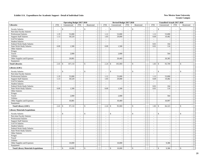|                                             |                             | <b>Operating Budget 2017-2018</b> |                             |                          |                          | Revised Budget 2017-2018 |                             |                                           |                          | <b>Unaudited Actuals 2017-2018</b> |                          |                          |  |
|---------------------------------------------|-----------------------------|-----------------------------------|-----------------------------|--------------------------|--------------------------|--------------------------|-----------------------------|-------------------------------------------|--------------------------|------------------------------------|--------------------------|--------------------------|--|
| Libraries                                   | <b>FTE</b>                  | Unrestricted                      | <b>FTE</b>                  | Restricted               | <b>FTE</b>               | Unrestricted             | <b>FTE</b>                  | Restricted                                | <b>FTE</b>               | Unrestricted                       | <b>FTE</b>               | Restricted               |  |
| <b>Faculty Salaries</b>                     | $\sim$                      | \$<br>$\sim$                      | $\sim$                      | \$                       | $\sim$                   | \$<br>$\sim$             | $\overline{a}$              | S                                         | $\sim$                   | $\mathcal{S}$                      | $\sim$                   | \$                       |  |
| Part-time Faculty Salaries                  |                             |                                   | $\sim$                      |                          |                          |                          | $\bar{\phantom{a}}$         | $\sim$                                    | $\sim$                   |                                    | $\bar{a}$                |                          |  |
| Professional Salaries                       | 1.19                        | 53,000                            | $\mathcal{L}_{\mathcal{A}}$ | ÷,                       | 1.12                     | 53,000                   | $\overline{\phantom{a}}$    | $\overline{\phantom{a}}$                  | 1.12                     | 53,000                             | $\overline{\phantom{a}}$ | $\sim$                   |  |
| <b>Support Staff Salaries</b>               | 1.13                        | 30,529                            | $\sim$                      | $\sim$                   | 1.03                     | 29,000                   | $\sim$                      | $\blacksquare$                            | 0.69                     | 19,482                             | $\sim$                   | $\sim$                   |  |
| GA/TA Salaries                              | $\sim$                      | $\sim$                            | $\sim$                      | $\sim$                   | $\mathcal{L}$            |                          | $\omega$                    | $\sim$                                    | $\sim$                   |                                    | $\overline{a}$           | $\sim$                   |  |
| <b>Student Salaries</b>                     | $\mathcal{L}_{\mathcal{A}}$ | $\sim$                            | $\sim$                      | $\blacksquare$           | $\mathbb{Z}^2$           | $\blacksquare$           | $\mathcal{L}_{\mathcal{A}}$ | $\sim$                                    | $\mathbb{Z}^2$           |                                    | $\blacksquare$           | $\sim$                   |  |
| Federal Work-Study Salaries                 | $\sim$                      | $\sim$                            | $\sim$                      | $\sim$                   | $\sim$                   | $\sim$                   | $\sim$                      | $\sim$                                    | 0.01                     | 164                                | $\sim$                   | $\overline{\phantom{a}}$ |  |
| <b>State Work-Study Salaries</b>            | 0.09                        | 1,500                             | $\sim$                      | $\sim$                   | 0.09                     | 1,500                    | $\sim$                      | $\omega$                                  | 0.01                     | 116                                | $\sim$                   | $\overline{a}$           |  |
| Other Salaries                              | $\sim$                      | $\overline{\phantom{a}}$          | $\sim$                      |                          | $\sim$                   | $\sim$                   | $\bar{a}$                   | $\overline{\phantom{a}}$                  | $\sim$                   | ÷.                                 |                          | $\sim$                   |  |
| Fringes                                     |                             | $\sim$                            |                             | ÷,                       |                          | $\sim$                   |                             | $\Box$                                    |                          |                                    |                          | $\sim$                   |  |
| Travel                                      |                             | 2,000                             |                             | $\sim$                   |                          | 2,000                    |                             | $\sim$                                    |                          | 564                                |                          | $\sim$                   |  |
| <b>Utilities</b>                            |                             |                                   |                             | $\overline{a}$           |                          |                          |                             | $\sim$                                    |                          |                                    |                          | $\sim$                   |  |
| Other Supplies and Expenses                 |                             | 20,081                            |                             | $\sim$                   |                          | 20,469                   |                             | $\sim$                                    |                          | 20,383                             |                          |                          |  |
| Equipment                                   |                             |                                   |                             | $\sim$                   |                          |                          |                             | $\sim$                                    |                          |                                    |                          | $\overline{\phantom{a}}$ |  |
| <b>Total Libraries</b>                      | 2.41                        | 107,110<br>\$                     | $\omega$                    | $\mathbf{\hat{S}}$       | 2.24                     | $\mathbb{S}$<br>105,969  | $\sim$                      | $\mathbf{\hat{S}}$<br>$\overline{a}$      | 1.83                     | 93,709<br>$\mathcal{S}$            | $\overline{a}$           | \$                       |  |
| Library (LRC)                               |                             |                                   |                             |                          |                          |                          |                             |                                           |                          |                                    |                          |                          |  |
| <b>Faculty Salaries</b>                     |                             | \$                                | $\sim$                      | $\mathbf{\hat{s}}$       | $\tilde{\phantom{a}}$    | $\mathbb{S}$             |                             | <sup>\$</sup>                             | $\sim$                   | $\mathbf{\hat{S}}$                 | $\overline{a}$           | \$                       |  |
| Part-time Faculty Salaries                  | $\sim$                      | $\sim$                            | $\sim$                      | $\overline{\phantom{a}}$ | $\sim$                   | $\blacksquare$           | $\blacksquare$              | $\blacksquare$                            | $\overline{\phantom{a}}$ |                                    | $\blacksquare$           | $\sim$                   |  |
| Professional Salaries                       | 1.19                        | 53,000                            | $\sim$                      | $\sim$                   | 1.12                     | 53,000                   | $\sim$                      | $\sim$                                    | 1.12                     | 53,000                             | $\sim$                   | $\overline{\phantom{a}}$ |  |
| <b>Support Staff Salaries</b>               | 1.13                        | 30,529                            | $\omega$                    | $\overline{a}$           | 1.03                     | 29,000                   | $\mathbb{Z}^+$              | $\omega$                                  | 0.69                     | 19,482                             | $\omega$                 | $\overline{\phantom{a}}$ |  |
| GA/TA Salaries                              | $\omega$                    |                                   | $\blacksquare$              |                          | $\blacksquare$           |                          | $\sim$                      | $\overline{\phantom{a}}$                  | $\mathbb{Z}^2$           |                                    | $\sim$                   | $\sim$                   |  |
| <b>Student Salaries</b>                     | $\mathbf{r}$                | $\sim$                            | $\sim$                      |                          | $\omega$                 | $\sim$                   | $\omega$                    | $\sim$                                    | $\mathcal{L}$            |                                    | $\overline{\phantom{a}}$ | $\sim$                   |  |
| Federal Work-Study Salaries                 | $\sim$                      | ÷.                                | $\sim$                      | $\sim$                   | $\omega$                 | $\overline{\phantom{a}}$ | $\mathbb{Z}^+$              | $\sim$                                    | 0.01                     | 164                                | $\mathbf{r}$             | $\sim$                   |  |
| <b>State Work-Study Salaries</b>            | 0.09                        | 1,500                             | $\sim$                      | $\sim$                   | 0.09                     | 1,500                    | $\sim$                      | $\sim$                                    | 0.01                     | 116                                | $\sim$                   | $\sim$                   |  |
| Other Salaries                              | $\sim$                      | $\sim$                            | $\sim$                      | $\sim$                   | $\mathbb{Z}^2$           | $\blacksquare$           | $\sim$                      | $\sim$                                    | $\mathbb{Z}^2$           | $\overline{\phantom{a}}$           | $\blacksquare$           | $\overline{\phantom{a}}$ |  |
| Fringes                                     |                             | $\overline{\phantom{a}}$          |                             | $\overline{a}$           |                          | $\overline{a}$           |                             | $\sim$                                    |                          |                                    |                          | $\overline{\phantom{a}}$ |  |
| Travel                                      |                             | 2,000                             |                             | $\sim$                   |                          | 2,000                    |                             | $\blacksquare$                            |                          | 564                                |                          | $\sim$                   |  |
| <b>Utilities</b>                            |                             |                                   |                             | ÷,                       |                          |                          |                             | $\overline{\phantom{a}}$                  |                          |                                    |                          |                          |  |
| Other Supplies and Expenses                 |                             | 10,081                            |                             | $\overline{a}$           |                          | 10,469                   |                             | $\sim$                                    |                          | 10,997                             |                          | $\sim$                   |  |
| Equipment                                   |                             |                                   |                             | $\sim$                   |                          |                          |                             | $\sim$                                    |                          |                                    |                          | $\sim$                   |  |
| <b>Total Library (LRC)</b>                  | 2.41                        | $\mathbf{\hat{S}}$<br>97,110      | $\sim$                      | $\mathbf{\hat{s}}$       | 2.24                     | $\mathbb{S}$<br>95,969   | $\bar{\phantom{a}}$         | $\mathcal{S}$<br>$\overline{\phantom{a}}$ | 1.83                     | 84,323<br>$\mathbf{\hat{S}}$       | $\overline{a}$           | $\mathbf{s}$<br>$\sim$   |  |
| <b>Library Materials/Acquisitions</b>       |                             |                                   |                             |                          |                          |                          |                             |                                           |                          |                                    |                          |                          |  |
| <b>Faculty Salaries</b>                     |                             | \$<br>$\sim$                      |                             | $\mathbf{\hat{S}}$       |                          | \$                       |                             | \$                                        |                          | $\mathbf S$                        | ÷,                       | \$                       |  |
| Part-time Faculty Salaries                  | $\sim$                      | $\omega$                          | $\sim$                      | $\sim$                   | $\sim$                   | $\overline{\phantom{a}}$ | $\sim$                      | $\overline{\phantom{a}}$                  | $\sim$                   | $\sim$                             | $\sim$                   | $\overline{\phantom{a}}$ |  |
| Professional Salaries                       | $\sim$                      | $\sim$                            | $\sim$                      | $\sim$                   | $\sim$                   | $\overline{a}$           | $\mathbb{Z}^+$              | $\sim$                                    | $\sim$                   | $\overline{a}$                     | $\sim$                   | $\sim$                   |  |
| <b>Support Staff Salaries</b>               | $\sim$                      | $\sim$                            | $\sim$                      | $\sim$                   | $\sim$                   | $\sim$                   | $\sim$                      | $\sim$                                    | $\sim$                   |                                    | $\bar{a}$                | $\sim$                   |  |
| GA/TA Salaries                              | $\sim$                      | $\sim$                            | $\sim$                      | $\sim$                   | $\sim$                   | $\sim$                   | $\sim$                      | $\sim$                                    | $\sim$                   | $\overline{\phantom{a}}$           | $\sim$                   | $\overline{\phantom{a}}$ |  |
| <b>Student Salaries</b>                     | $\sim$                      | $\sim$                            | $\sim$                      |                          | $\sim$                   | $\sim$                   | $\sim$                      | $\sim$                                    | $\sim$                   | ÷.                                 | $\overline{\phantom{a}}$ | $\sim$                   |  |
| Federal Work-Study Salaries                 | $\sim$                      | $\sim$                            | $\sim$                      | $\sim$                   | $\sim$                   | $\overline{\phantom{a}}$ | $\overline{\phantom{a}}$    | $\sim$                                    | $\sim$                   | $\overline{\phantom{a}}$           | $\sim$                   | $\sim$                   |  |
| State Work-Study Salaries                   | $\sim$                      | $\sim$                            | $\sim$                      |                          | $\overline{a}$           | $\sim$                   | $\overline{\phantom{a}}$    | $\blacksquare$                            | $\overline{\phantom{a}}$ |                                    | $\overline{a}$           |                          |  |
| Other Salaries                              | $\sim$                      | $\sim$                            | $\sim$                      | $\sim$                   | $\sim$                   | $\sim$                   | $\sim$                      | $\blacksquare$                            | $\sim$                   | $\sim$                             | $\sim$                   | $\sim$                   |  |
| Fringes                                     |                             | $\sim$                            |                             | $\sim$                   |                          | $\sim$                   |                             | $\sim$                                    |                          | $\overline{\phantom{a}}$           |                          | $\sim$                   |  |
| Travel                                      |                             | $\overline{\phantom{a}}$          |                             | $\sim$                   |                          | $\sim$                   |                             | $\sim$                                    |                          |                                    |                          |                          |  |
| Utilities                                   |                             | $\sim$                            |                             | $\sim$                   |                          | $\blacksquare$           |                             | $\sim$                                    |                          |                                    |                          | $\overline{\phantom{a}}$ |  |
| Other Supplies and Expenses                 |                             | 10,000                            |                             | $\sim$                   |                          | 10,000                   |                             | $\sim$                                    |                          | 9,386                              |                          | $\sim$                   |  |
| Equipment                                   |                             |                                   |                             |                          |                          |                          |                             | $\blacksquare$                            |                          |                                    |                          | $\sim$                   |  |
| <b>Total Library Materials/Acquisitions</b> |                             | $\mathbb{S}$<br>10,000            | $\sim$                      | \$<br>$\sim$             | $\overline{\phantom{a}}$ | $\mathbb{S}$<br>10,000   | $\blacksquare$              | $\mathbb S$<br>$\blacksquare$             | $\sim$                   | $\mathbf S$<br>9,386               | $\sim$                   | $\mathbb{S}$<br>$\sim$   |  |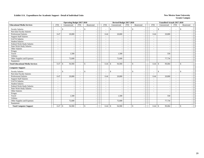|                                         |                          | <b>Operating Budget 2017-2018</b> |                          |              |                          | Revised Budget 2017-2018 |                          |                                |                          | <b>Unaudited Actuals 2017-2018</b> |                          |              |  |
|-----------------------------------------|--------------------------|-----------------------------------|--------------------------|--------------|--------------------------|--------------------------|--------------------------|--------------------------------|--------------------------|------------------------------------|--------------------------|--------------|--|
| <b>Educational Media Services</b>       | <b>FTE</b>               | Unrestricted                      | <b>FTE</b>               | Restricted   | <b>FTE</b>               | Unrestricted             | <b>FTE</b>               | Restricted                     | <b>FTE</b>               | Unrestricted                       | <b>FTE</b>               | Restricted   |  |
| <b>Faculty Salaries</b>                 | $\overline{\phantom{a}}$ | $\mathcal{S}$                     | $\overline{\phantom{a}}$ | $\mathbb{S}$ | $\overline{\phantom{a}}$ | \$                       | $\overline{\phantom{a}}$ | $\mathbb{S}$                   | $\overline{\phantom{a}}$ | $\mathbb{S}$                       | $\blacksquare$           | $\mathbf S$  |  |
| Part-time Faculty Salaries              | $\overline{\phantom{a}}$ |                                   |                          |              | $\overline{\phantom{a}}$ |                          | $\overline{\phantom{a}}$ |                                |                          |                                    | $\overline{\phantom{a}}$ |              |  |
| <b>Professional Salaries</b>            | 0.47                     | 20,800                            | $\sim$                   |              | 0.44                     | 20,800                   | $\overline{\phantom{a}}$ |                                | 0.44                     | 20,800                             | $\overline{\phantom{a}}$ |              |  |
| <b>Support Staff Salaries</b>           | ۰                        |                                   |                          |              | $\sim$                   |                          | $\overline{\phantom{a}}$ | $\overline{\phantom{a}}$       | $\overline{\phantom{a}}$ |                                    | $\overline{\phantom{a}}$ |              |  |
| <b>GA/TA Salaries</b>                   |                          |                                   |                          |              | $\overline{\phantom{a}}$ |                          |                          |                                |                          |                                    | $\overline{\phantom{a}}$ |              |  |
| <b>Student Salaries</b>                 | $\overline{\phantom{a}}$ |                                   |                          |              | $\sim$                   |                          | $\overline{\phantom{a}}$ | $\overline{\phantom{a}}$       | $\sim$                   |                                    | $\sim$                   |              |  |
| Federal Work-Study Salaries             | $\overline{\phantom{a}}$ |                                   |                          |              | $\overline{\phantom{a}}$ |                          | $\overline{\phantom{a}}$ | $\overline{\phantom{a}}$       | $\overline{\phantom{a}}$ |                                    | $\overline{\phantom{a}}$ |              |  |
| <b>State Work-Study Salaries</b>        | $\overline{\phantom{a}}$ |                                   |                          |              | $\overline{\phantom{a}}$ |                          | $\overline{\phantom{a}}$ | $\overline{\phantom{a}}$       | $\overline{\phantom{a}}$ |                                    | $\overline{\phantom{a}}$ |              |  |
| Other Salaries                          |                          |                                   |                          |              | $\overline{\phantom{a}}$ |                          |                          |                                |                          |                                    |                          |              |  |
| Fringes                                 |                          |                                   |                          |              |                          |                          |                          | $\sim$                         |                          |                                    |                          |              |  |
| Travel                                  |                          | 1,500                             |                          |              |                          | 1,500                    |                          | $\blacksquare$                 |                          | 550                                |                          |              |  |
| <b>Utilities</b>                        |                          |                                   |                          |              |                          |                          |                          | $\overline{\phantom{a}}$       |                          |                                    |                          |              |  |
| Other Supplies and Expenses             |                          | 72,600                            |                          |              |                          | 72,600                   |                          | $\blacksquare$                 |                          | 77,734                             |                          |              |  |
| Equipment                               |                          |                                   |                          |              |                          |                          |                          |                                |                          |                                    |                          |              |  |
| <b>Total Educational Media Services</b> | 0.47                     | 94,900<br>$\mathcal{S}$           |                          | $\mathbb{S}$ | 0.44                     | 94,900<br>\$             | $\overline{\phantom{a}}$ | $\mathbb{S}$                   | 0.44                     | 99,084<br>$\mathbb{S}$             | $\sim$                   | $\mathbf{s}$ |  |
| <b>Computer Support</b>                 |                          |                                   |                          |              |                          |                          |                          |                                |                          |                                    |                          |              |  |
| <b>Faculty Salaries</b>                 | ٠                        | <sup>\$</sup>                     |                          | $\mathbb{S}$ | $\sim$                   | \$                       | $\overline{\phantom{a}}$ | \$<br>$\overline{\phantom{a}}$ | $\sim$                   | $\mathbf{\hat{S}}$                 | $\overline{\phantom{a}}$ | \$           |  |
| Part-time Faculty Salaries              | $\overline{\phantom{a}}$ |                                   | $\overline{\phantom{a}}$ |              | $\sim$                   |                          | $\overline{\phantom{a}}$ | $\overline{\phantom{a}}$       | $\overline{\phantom{a}}$ |                                    | $\overline{\phantom{a}}$ |              |  |
| <b>Professional Salaries</b>            | 0.47                     | 20,800                            | $\sim$                   |              | 0.44                     | 20,800                   | $\sim$                   | $\sim$                         | 0.44                     | 20,800                             | $\sim$                   |              |  |
| <b>Support Staff Salaries</b>           | $\overline{a}$           |                                   |                          |              | $\sim$                   |                          |                          |                                |                          |                                    |                          |              |  |
| <b>GA/TA Salaries</b>                   | $\overline{\phantom{a}}$ |                                   | $\overline{\phantom{a}}$ |              | $\overline{\phantom{a}}$ |                          | $\overline{\phantom{a}}$ | ÷                              | $\sim$                   |                                    | $\sim$                   |              |  |
| <b>Student Salaries</b>                 | $\overline{\phantom{a}}$ | $\overline{\phantom{a}}$          |                          |              | $\overline{\phantom{a}}$ | $\overline{\phantom{a}}$ | $\overline{\phantom{a}}$ | $\blacksquare$                 | $\sim$                   | $\overline{\phantom{a}}$           | $\overline{\phantom{a}}$ |              |  |
| Federal Work-Study Salaries             | $\sim$                   |                                   |                          |              | $\sim$                   |                          | $\overline{\phantom{a}}$ | $\overline{\phantom{a}}$       | $\sim$                   |                                    | $\overline{\phantom{a}}$ |              |  |
| <b>State Work-Study Salaries</b>        | $\frac{1}{2}$            |                                   |                          |              | $\overline{\phantom{a}}$ |                          | $\overline{\phantom{a}}$ | $\blacksquare$                 | $\overline{\phantom{a}}$ |                                    | $\overline{\phantom{a}}$ |              |  |
| Other Salaries                          |                          |                                   |                          |              |                          |                          | $\sim$                   | $\overline{\phantom{a}}$       |                          |                                    |                          |              |  |
| Fringes                                 |                          |                                   |                          |              |                          |                          |                          | $\overline{\phantom{a}}$       |                          |                                    |                          |              |  |
| Travel                                  |                          | 1,500                             |                          |              |                          | 1,500                    |                          | $\overline{\phantom{a}}$       |                          | 550                                |                          |              |  |
| <b>Utilities</b>                        |                          |                                   |                          |              |                          |                          |                          | $\sim$                         |                          |                                    |                          |              |  |
| Other Supplies and Expenses             |                          | 72,600                            |                          |              |                          | 72,600                   |                          | $\blacksquare$                 |                          | 77,734                             |                          |              |  |
| Equipment                               |                          |                                   |                          |              |                          |                          |                          |                                |                          |                                    |                          |              |  |
| <b>Total Computer Support</b>           | 0.47                     | 94,900<br>\$                      |                          | $\mathbb{S}$ | 0.44                     | $\mathbb{S}$<br>94,900   |                          | \$<br>$\overline{\phantom{a}}$ | 0.44                     | $\mathcal{S}$<br>99,084            | $\overline{\phantom{a}}$ | \$           |  |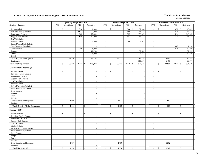|                                        |                          | <b>Operating Budget 2017-2018</b> |                          |                          |                          |               | Revised Budget 2017-2018 |                          |                                                   |                          | Unaudited Actuals 2017-2018 |                             |                          |
|----------------------------------------|--------------------------|-----------------------------------|--------------------------|--------------------------|--------------------------|---------------|--------------------------|--------------------------|---------------------------------------------------|--------------------------|-----------------------------|-----------------------------|--------------------------|
| <b>Ancillary Support</b>               | <b>FTE</b>               | Unrestricted                      | <b>FTE</b>               | Restricted               | <b>FTE</b>               |               | Unrestricted             | <b>FTE</b>               | Restricted                                        | <b>FTE</b>               | Unrestricted                | <b>FTE</b>                  | Restricted               |
| <b>Faculty Salaries</b>                | $\sim$                   | \$                                | 0.34                     | \$<br>18,000             | $\sim$                   | \$            | $\sim$                   | 0.64                     | $\mathbf{s}$<br>32,334                            | $\sim$                   | $\mathbb{S}$<br>÷.          |                             | 19,433                   |
| Part-time Faculty Salaries             | $\overline{\phantom{a}}$ | $\sim$                            | 11.34                    | 72,000                   | $\sim$                   |               | $\overline{\phantom{a}}$ | 6.96                     | 48,466                                            | $\sim$                   | ÷.                          | 7.74                        | 53,941                   |
| <b>Professional Salaries</b>           | $\sim$                   | $\overline{\phantom{a}}$          | 2.85                     | 127,000                  | $\blacksquare$           |               | ÷,                       | 3.23                     | 153,573                                           | $\sim$                   | ÷.                          | 3.14                        | 149,282                  |
| <b>Support Staff Salaries</b>          | $\sim$                   |                                   | 1.89                     | 51,000                   | $\Box$                   |               |                          | 1.57                     | 44,473                                            | $\omega$                 | $\overline{\phantom{a}}$    | 1.73                        | 48,714                   |
| GA/TA Salaries                         | $\sim$                   | $\sim$                            | $\mathbf{r}$             |                          | $\sim$                   |               | ÷,                       | $\mathcal{L}^{\pm}$      |                                                   | $\sim$                   | ÷.                          | $\sim$                      |                          |
| <b>Student Salaries</b>                | $\sim$                   | $\sim$                            | 0.22                     | 3,500                    | $\blacksquare$           |               | $\overline{a}$           | 0.06                     | 1,021                                             | $\omega$                 | ÷.                          | $\sim$                      |                          |
| Federal Work-Study Salaries            | $\sim$                   | $\sim$                            | $\sim$                   | $\overline{\phantom{a}}$ | $\blacksquare$           |               | $\overline{\phantom{a}}$ | $\sim$                   | $\sim$                                            | $\sim$                   | $\overline{\phantom{a}}$    | $\sim$                      |                          |
| <b>State Work-Study Salaries</b>       | $\sim$                   | $\overline{\phantom{a}}$          | $\sim$                   | $\overline{\phantom{a}}$ | $\sim$                   |               | $\overline{\phantom{a}}$ | $\sim$                   | $\overline{\phantom{a}}$                          | $\sim$                   | $\sim$                      | 0.07                        | 1,190                    |
| Other Salaries                         | $\sim$                   | $\sim$                            | 0.59                     | 16,000                   | $\overline{\phantom{a}}$ |               | $\overline{\phantom{a}}$ | $\sim$                   |                                                   | $\blacksquare$           | ÷.                          | 0.38                        | 10,600                   |
| Fringes                                |                          | $\sim$                            |                          | 88,283                   |                          |               | $\overline{\phantom{a}}$ |                          | 92,689                                            |                          | $\overline{\phantom{a}}$    |                             | 91,259                   |
| Travel                                 |                          | $\sim$                            |                          | 15,000                   |                          |               | ÷,                       |                          | 1,635                                             |                          | ÷.                          |                             | 10,559                   |
| Utilities                              |                          | $\sim$                            |                          |                          |                          |               | $\overline{a}$           |                          |                                                   |                          |                             |                             |                          |
| Other Supplies and Expenses            |                          | 58,750                            |                          | 185,165                  |                          |               | 56,773                   |                          | 90,736                                            |                          | 8,483                       |                             | 82,495                   |
| Equipment                              |                          |                                   |                          |                          |                          |               |                          |                          | 109,195                                           |                          | 6,467                       |                             | 83,876                   |
| <b>Total Ancillary Support</b>         | in 1919.                 | 58,750<br>$\mathbb{S}$            | 17.23                    | 575,948<br>\$            | $\overline{a}$           | $\mathbb{S}$  | 56,773                   | 12.46                    | 574,122<br>$\mathbf{\$}$                          | $\sim$                   | 14,950<br>\$                | 13.44                       | \$<br>551,349            |
| <b>Creative Media Technology</b>       |                          |                                   |                          |                          |                          |               |                          |                          |                                                   |                          |                             |                             |                          |
| <b>Faculty Salaries</b>                |                          | $\mathbf{\hat{S}}$                |                          | $\mathbb{S}$             |                          | $\mathbf S$   |                          |                          | $\mathbf{\hat{S}}$                                | ÷,                       | $\mathbb{S}$                | $\overline{\phantom{a}}$    | $\mathbb{S}$             |
| Part-time Faculty Salaries             | $\blacksquare$           | $\sim$                            | $\blacksquare$           | $\sim$                   | $\blacksquare$           |               | $\blacksquare$           | $\blacksquare$           | $\sim$                                            | $\sim$                   | ÷.                          | $\sim$                      | $\overline{\phantom{a}}$ |
| <b>Professional Salaries</b>           | $\sim$                   | $\sim$                            | $\sim$                   | $\sim$                   | $\sim$                   |               | $\sim$                   | $\blacksquare$           | $\sim$                                            | $\sim$                   | ÷.                          | $\sim$                      | $\overline{\phantom{a}}$ |
| <b>Support Staff Salaries</b>          | $\blacksquare$           | $\sim$                            | $\overline{\phantom{a}}$ | $\sim$                   | $\blacksquare$           |               | $\blacksquare$           | $\equiv$                 | $\sim$                                            | $\blacksquare$           | ÷.                          | $\mathcal{L}_{\mathcal{A}}$ | $\sim$                   |
| GA/TA Salaries                         | $\omega$                 | $\sim$                            | $\bar{\phantom{a}}$      | $\sim$                   | $\mathbf{r}$             |               |                          | $\mathcal{L}$            | $\sim$                                            | $\blacksquare$           | $\sim$                      | $\mathcal{L}_{\mathcal{A}}$ | $\sim$                   |
| <b>Student Salaries</b>                | $\sim$                   | $\sim$                            | $\overline{a}$           | $\sim$                   | $\overline{a}$           |               | $\sim$                   | $\sim$                   | $\mathcal{L}_{\mathcal{A}}$                       | $\sim$                   | $\overline{\phantom{a}}$    | $\sim$                      | $\sim$                   |
| Federal Work-Study Salaries            | $\omega$                 | $\sim$                            | $\sim$                   | $\sim$                   | $\blacksquare$           |               | $\overline{\phantom{a}}$ | $\sim$                   | $\sim$                                            | $\sim$                   | ÷.                          | $\sim$                      | $\sim$                   |
| <b>State Work-Study Salaries</b>       | $\sim$                   | $\sim$                            | $\bar{a}$                | $\sim$                   | $\sim$                   |               |                          | $\blacksquare$           | $\overline{\phantom{a}}$                          | $\sim$                   |                             | $\sim$                      |                          |
| Other Salaries                         | $\sim$                   | $\blacksquare$                    | $\blacksquare$           | $\mathbb{L}$             | $\sim$                   |               | $\sim$                   | $\sim$                   | $\sim$                                            | $\sim$                   | $\sim$                      | $\sim$                      | $\sim$                   |
| Fringes                                |                          | $\sim$                            |                          | $\sim$                   |                          |               | $\sim$                   |                          | $\sim$                                            |                          | - 11                        |                             | $\sim$                   |
| Travel                                 |                          | $\sim$                            |                          | $\sim$                   |                          |               | $\overline{\phantom{a}}$ |                          | $\sim$                                            |                          | ٠.                          |                             |                          |
| Utilities                              |                          | $\sim$                            |                          | $\sim$                   |                          |               | $\overline{a}$           |                          | $\mathcal{L}_{\mathcal{A}}$                       |                          | $\overline{a}$              |                             |                          |
| Other Supplies and Expenses            |                          | 1,000                             |                          | $\sim$                   |                          |               | 1,023                    |                          | $\sim$                                            |                          | 983                         |                             | $\sim$                   |
| Equipment                              |                          |                                   |                          | $\mathbb{Z}^2$           |                          |               |                          |                          | $\sim$                                            |                          |                             |                             | $\sim$                   |
| <b>Total Creative Media Technology</b> | $\sim$                   | 1,000<br>$\mathbf{\hat{S}}$       | $\sim$                   | \$<br>$\sim$             | $\sim$                   | $\mathbf S$   | 1,023                    | $\overline{\phantom{a}}$ | $\mathbf{\hat{S}}$<br>$\mathcal{L}_{\mathcal{A}}$ | $\overline{\phantom{a}}$ | 983<br>$\mathbb{S}$         | $\sim$                      | $\mathbb{S}$<br>$\sim$   |
| <b>Nursing - BSN</b>                   |                          |                                   |                          |                          |                          |               |                          |                          |                                                   |                          |                             |                             |                          |
| <b>Faculty Salaries</b>                |                          | $\mathbb{S}$                      | ÷,                       | \$                       | $\sim$                   | \$            |                          | $\sim$                   | \$<br>$\blacksquare$                              | $\overline{a}$           | \$                          | $\sim$                      | \$                       |
| Part-time Faculty Salaries             | $\sim$                   | $\blacksquare$                    | $\omega$                 | $\overline{a}$           | $\blacksquare$           |               | $\overline{a}$           | $\blacksquare$           | $\sim$                                            | $\blacksquare$           | $\sim$                      | $\sim$                      | $\overline{a}$           |
| <b>Professional Salaries</b>           | $\blacksquare$           | $\sim$                            | $\blacksquare$           | $\sim$                   | $\blacksquare$           |               | $\sim$                   | $\sim$                   | $\sim$                                            | $\sim$                   | $\sim$                      | $\sim$                      | $\overline{\phantom{a}}$ |
| <b>Support Staff Salaries</b>          | $\sim$                   | $\sim$                            | $\sim$                   | $\mathbb{Z}^2$           | $\sim$                   |               | $\sim$                   | $\sim$                   | $\sim$                                            | $\sim$                   | $\sim$                      | $\sim$                      | $\sim$                   |
| GA/TA Salaries                         | $\sim$                   | $\sim$                            | $\sim$                   | $\sim$                   | $\sim$                   |               | $\overline{\phantom{a}}$ | $\mathcal{L}$            | $\sim$                                            | $\sim$                   | ÷.                          | $\sim$                      | $\overline{\phantom{a}}$ |
| Student Salaries                       | $\sim$                   |                                   |                          |                          | $\sim$                   |               |                          | ÷,                       | $\sim$                                            | $\overline{\phantom{a}}$ |                             | $\overline{\phantom{a}}$    |                          |
| Federal Work-Study Salaries            | $\sim$                   | $\sim$                            | $\sim$                   | $\sim$                   | $\overline{\phantom{a}}$ |               | ÷,                       | $\mathcal{L}$            | $\mathcal{L}_{\mathcal{A}}$                       | $\sim$                   | $\overline{\phantom{a}}$    | $\sim$                      | $\sim$                   |
| State Work-Study Salaries              | $\sim$                   | $\sim$                            | $\sim$                   | $\sim$                   | $\omega$                 |               | $\overline{a}$           | $\mathbf{r}$             | $\sim$                                            | $\sim$                   | $\sim$                      | $\sim$                      | $\sim$                   |
| Other Salaries                         | $\sim$                   | $\sim$                            | $\sim$                   | $\sim$                   | $\sim$                   |               |                          | $\sim$                   | $\sim$                                            | $\overline{\phantom{a}}$ | ÷.                          | $\sim$                      |                          |
| Fringes                                |                          | $\sim$                            |                          | $\blacksquare$           |                          |               | $\sim$                   |                          | $\sim$                                            |                          | ÷.                          |                             | $\sim$                   |
| Travel                                 |                          | $\sim$                            |                          | $\sim$                   |                          |               | $\sim$                   |                          | $\sim$                                            |                          | $\sim$                      |                             | $\sim$                   |
| <b>Utilities</b>                       |                          | $\sim$                            |                          | $\sim$                   |                          |               | $\overline{\phantom{a}}$ |                          | $\sim$                                            |                          |                             |                             | $\overline{\phantom{a}}$ |
| Other Supplies and Expenses            |                          | 1,750                             |                          | $\sim$                   |                          |               | 1,750                    |                          | $\sim$                                            |                          | 1,362                       |                             |                          |
| Equipment                              |                          |                                   |                          | $\sim$                   |                          |               |                          |                          | $\sim$                                            |                          |                             |                             | $\sim$                   |
| <b>Total Nursing - BSN</b>             |                          | 1,750<br>$\mathbb{S}$             |                          | \$                       |                          | $\mathcal{S}$ | 1,750                    |                          | \$                                                |                          | $\mathcal{S}$<br>1,362      |                             | \$                       |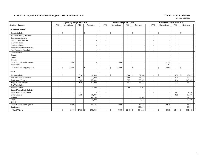|                                  |                          | <b>Operating Budget 2017-2018</b> |                          |                              |            | Revised Budget 2017-2018 |                                                      |                    |                          |                          |                    | <b>Unaudited Actuals 2017-2018</b> |                          |              |                          |
|----------------------------------|--------------------------|-----------------------------------|--------------------------|------------------------------|------------|--------------------------|------------------------------------------------------|--------------------|--------------------------|--------------------------|--------------------|------------------------------------|--------------------------|--------------|--------------------------|
| <b>Ancillary Support</b>         | <b>FTE</b>               | Unrestricted                      | <b>FTE</b>               | Restricted                   | <b>FTE</b> | Unrestricted             | <b>FTE</b>                                           |                    | Restricted               | <b>FTE</b>               |                    | Unrestricted                       | <b>FTE</b>               | Restricted   |                          |
| <b>Technology Support</b>        |                          |                                   |                          |                              |            |                          |                                                      |                    |                          |                          |                    |                                    |                          |              |                          |
| <b>Faculty Salaries</b>          | $\overline{\phantom{a}}$ | \$                                | $\overline{\phantom{a}}$ | $\mathbf{\hat{S}}$           | $\sim$     | \$                       | $\overline{\phantom{a}}$                             | $\mathbb{S}$       |                          | $\overline{\phantom{a}}$ | $\mathbb{S}$       |                                    | $\blacksquare$           | \$           |                          |
| Part-time Faculty Salaries       | $\sim$                   |                                   | $\sim$                   |                              |            |                          | $\sim$                                               |                    | $\overline{\phantom{a}}$ | $\sim$                   |                    |                                    | $\sim$                   |              |                          |
| <b>Professional Salaries</b>     | $\sim$                   |                                   | $\overline{\phantom{a}}$ |                              |            |                          | $\sim$<br>$\sim$                                     |                    | $\sim$                   | $\sim$                   |                    |                                    | $\overline{\phantom{a}}$ |              |                          |
| <b>Support Staff Salaries</b>    | $\sim$                   |                                   | $\overline{\phantom{a}}$ |                              |            |                          | $\sim$                                               |                    |                          | $\sim$                   |                    |                                    | $\overline{\phantom{a}}$ |              |                          |
| GA/TA Salaries                   | $\overline{\phantom{a}}$ |                                   | $\overline{\phantom{a}}$ |                              |            | $\overline{\phantom{a}}$ | $\sim$                                               |                    | $\overline{\phantom{a}}$ | $\overline{\phantom{a}}$ |                    |                                    | $\overline{\phantom{a}}$ |              |                          |
| <b>Student Salaries</b>          | $\overline{\phantom{a}}$ |                                   | $\overline{\phantom{a}}$ |                              |            |                          | $\overline{\phantom{a}}$<br>$\overline{\phantom{a}}$ |                    | $\overline{\phantom{a}}$ | $\sim$                   |                    |                                    | ٠                        |              |                          |
| Federal Work-Study Salaries      | $\overline{\phantom{a}}$ |                                   | $\overline{\phantom{a}}$ |                              |            |                          | $\blacksquare$                                       |                    |                          | $\overline{\phantom{a}}$ |                    |                                    | ٠                        |              |                          |
| <b>State Work-Study Salaries</b> | $\sim$                   |                                   | $\overline{\phantom{a}}$ |                              |            |                          | $\blacksquare$<br>$\overline{\phantom{a}}$           |                    | $\overline{\phantom{a}}$ | $\sim$                   |                    |                                    | $\sim$                   |              |                          |
| Other Salaries                   | $\overline{\phantom{a}}$ |                                   | $\overline{\phantom{a}}$ |                              |            |                          | $\overline{\phantom{a}}$<br>$\overline{\phantom{a}}$ |                    | $\overline{\phantom{a}}$ | $\overline{\phantom{a}}$ |                    |                                    | $\overline{\phantom{0}}$ |              |                          |
| Fringes                          |                          |                                   |                          |                              |            |                          |                                                      |                    | $\overline{\phantom{a}}$ |                          |                    |                                    |                          |              |                          |
| Travel                           |                          |                                   |                          |                              |            | $\overline{\phantom{a}}$ |                                                      |                    | $\overline{\phantom{a}}$ |                          |                    |                                    |                          |              | $\overline{\phantom{a}}$ |
| Utilities                        |                          |                                   |                          |                              |            | $\overline{\phantom{a}}$ |                                                      |                    | $\overline{\phantom{a}}$ |                          |                    |                                    |                          |              | $\sim$                   |
| Other Supplies and Expenses      |                          | 53,000                            |                          |                              |            | 50,000                   |                                                      |                    | $\overline{\phantom{a}}$ |                          |                    | 3,122                              |                          |              | $\sim$                   |
| Equipment                        |                          |                                   |                          |                              |            |                          |                                                      |                    | $\sim$                   |                          |                    | 6,467                              |                          |              | $\sim$                   |
| <b>Total Technology Support</b>  |                          | 53,000<br>\$                      |                          | $\mathcal{S}$                |            | \$<br>50,000             |                                                      | $\mathbf S$        | $\overline{\phantom{a}}$ |                          | $\mathbf{\hat{S}}$ | 9,589                              | $\overline{\phantom{0}}$ | $\mathbf S$  |                          |
| <b>Title V</b>                   |                          |                                   |                          |                              |            |                          |                                                      |                    |                          |                          |                    |                                    |                          |              |                          |
| <b>Faculty Salaries</b>          | $\overline{\phantom{a}}$ | \$                                | 0.34                     | 18,000<br>$\mathbf{\hat{s}}$ | $\sim$     | \$                       | 0.64                                                 | $\mathbf{\hat{S}}$ | 32,334                   | $\sim$                   | $\mathbf{\hat{S}}$ |                                    | 0.38                     | $\mathbb{S}$ | 19,433                   |
| Part-time Faculty Salaries       | $\tilde{\phantom{a}}$    |                                   | 11.34                    | 72,000                       | $\sim$     |                          | 6.96                                                 |                    | 48,466                   | $\overline{\phantom{a}}$ |                    |                                    | 7.74                     |              | 53,941                   |
| <b>Professional Salaries</b>     | $\overline{\phantom{a}}$ |                                   | 2.85                     | 127,000                      | $\sim$     |                          | 3.23                                                 |                    | 153,573                  | $\overline{\phantom{a}}$ |                    |                                    | 3.14                     |              | 149,282                  |
| <b>Support Staff Salaries</b>    | $\overline{\phantom{a}}$ |                                   | 1.89                     | 51,000                       |            |                          | 1.57                                                 |                    | 44,473                   | $\overline{\phantom{a}}$ |                    |                                    | 1.73                     |              | 48,714                   |
| GA/TA Salaries                   | $\overline{\phantom{a}}$ |                                   |                          |                              |            |                          |                                                      |                    |                          | $\overline{\phantom{a}}$ |                    |                                    | $\overline{\phantom{a}}$ |              |                          |
| <b>Student Salaries</b>          | $\overline{\phantom{a}}$ |                                   | 0.22                     | 3,500                        |            |                          | 0.06                                                 |                    | 1,021                    | $\overline{\phantom{a}}$ |                    |                                    | $\blacksquare$           |              |                          |
| Federal Work-Study Salaries      | $\overline{\phantom{a}}$ |                                   |                          |                              |            |                          | $\sim$                                               |                    |                          | $\sim$                   |                    |                                    | $\overline{\phantom{a}}$ |              |                          |
| <b>State Work-Study Salaries</b> | $\sim$                   |                                   |                          |                              |            |                          | $\sim$                                               |                    |                          | $\sim$                   |                    |                                    | 0.07                     |              | 1,190                    |
| Other Salaries                   | $\overline{\phantom{a}}$ |                                   | 0.59                     | 16,000                       |            |                          | $\overline{\phantom{a}}$<br>$\overline{\phantom{a}}$ |                    |                          | $\sim$                   |                    |                                    | 0.38                     |              | 10,600                   |
| Fringes                          |                          |                                   |                          | 88,283                       |            |                          |                                                      |                    | 92,689                   |                          |                    |                                    |                          |              | 91,259                   |
| Travel                           |                          |                                   |                          | 15,000                       |            |                          |                                                      |                    | 1,635                    |                          |                    |                                    |                          |              | 10,559                   |
| <b>Utilities</b>                 |                          |                                   |                          |                              |            | $\overline{\phantom{a}}$ |                                                      |                    |                          |                          |                    |                                    |                          |              |                          |
| Other Supplies and Expenses      |                          | 3,000                             |                          | 185,165                      |            | 4,000                    |                                                      |                    | 90,736                   |                          |                    | 3,016                              |                          |              | 88,557                   |
| Equipment                        |                          |                                   |                          |                              |            |                          |                                                      |                    | 109,195                  |                          |                    |                                    |                          |              | 77,814                   |
| <b>Total Title V</b>             |                          | \$<br>3,000                       | 17.23                    | 575,948<br>\$                |            | \$<br>4,000              | 12.46                                                | $\mathbb{S}$       | 574,122                  |                          | $\mathbb{S}$       | 3,016                              | 13.44                    | \$           | 551,349                  |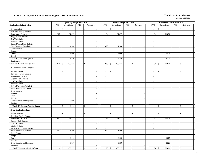|                                        |                          | <b>Operating Budget 2017-2018</b> |                             |                          |                          | Revised Budget 2017-2018 |                                            |                                          |                          | <b>Unaudited Actuals 2017-2018</b> |                             |                          |
|----------------------------------------|--------------------------|-----------------------------------|-----------------------------|--------------------------|--------------------------|--------------------------|--------------------------------------------|------------------------------------------|--------------------------|------------------------------------|-----------------------------|--------------------------|
| <b>Academic Administration</b>         | <b>FTE</b>               | Unrestricted                      | FTE                         | Restricted               | <b>FTE</b>               | Unrestricted             | FTE                                        | Restricted                               | <b>FTE</b>               | Unrestricted                       | <b>FTE</b>                  | Restricted               |
| <b>Faculty Salaries</b>                | $\overline{\phantom{a}}$ | \$<br>$\sim$                      | $\overline{\phantom{a}}$    | \$                       | $\sim$                   | \$                       | $\sim$<br>$\sim$                           | \$<br>$\overline{a}$                     | $\overline{\phantom{a}}$ | $\mathbb{S}$                       | $\sim$                      | \$                       |
| Part-time Faculty Salaries             |                          |                                   | $\blacksquare$              |                          |                          |                          | $\sim$                                     | $\overline{\phantom{a}}$                 |                          |                                    | $\sim$                      |                          |
| Professional Salaries                  | 2.07                     | 91,877                            | $\omega$                    | $\sim$                   | 1.94                     | 91,877                   | $\omega$                                   | $\sim$                                   | 1.94                     | 91,876                             | $\omega$                    |                          |
| <b>Support Staff Salaries</b>          | $\sim$                   |                                   | $\sim$                      | $\overline{a}$           | $\sim$                   |                          | $\sim$<br>$\sim$                           | $\mathcal{L}$                            | $\omega$                 | $\sim$                             | $\sim$                      |                          |
| GA/TA Salaries                         | $\sim$                   | $\sim$                            | $\sim$                      |                          | $\sim$                   |                          | $\mathcal{L}$<br>$\sim$                    | $\sim$                                   | $\omega$                 | $\sim$                             | $\sim$                      |                          |
| <b>Student Salaries</b>                | $\sim$                   | $\sim$                            | $\sim$                      | $\sim$                   | $\sim$                   |                          | $\overline{\phantom{a}}$<br>$\sim$         | $\sim$                                   | $\blacksquare$           | $\blacksquare$                     | $\sim$                      |                          |
| Federal Work-Study Salaries            | $\sim$                   | $\overline{\phantom{a}}$          | $\sim$                      | $\sim$                   | $\sim$                   |                          | $\sim$<br>$\sim$                           | $\mathbb{Z}^2$                           | $\sim$                   | $\sim$                             | $\sim$                      | $\sim$                   |
| State Work-Study Salaries              | 0.09                     | 1,500                             | $\sim$                      | $\overline{\phantom{a}}$ | 0.09                     | 1,500                    | $\sim$                                     | $\blacksquare$                           | $\sim$                   | $\sim$                             | $\sim$                      | $\overline{a}$           |
| Other Salaries                         | $\sim$                   | $\sim$                            | $\sim$                      |                          | $\sim$                   |                          | $\sim$<br>$\sim$                           | $\overline{\phantom{a}}$                 | $\sim$                   | $\sim$                             |                             |                          |
| Fringes                                |                          | $\sim$                            |                             | $\sim$                   |                          |                          | $\sim$                                     | $\overline{\phantom{a}}$                 |                          | $\sim$                             |                             | $\overline{a}$           |
| Travel                                 |                          | 8,000                             |                             | $\sim$                   |                          | 8,000                    |                                            | $\sim$                                   |                          | 1,829                              |                             | $\overline{\phantom{a}}$ |
| Utilities                              |                          |                                   |                             | $\overline{a}$           |                          |                          |                                            | $\sim$                                   |                          |                                    |                             |                          |
| Other Supplies and Expenses            |                          | 8,350                             |                             | $\blacksquare$           |                          | 5,350                    |                                            | $\blacksquare$                           |                          | 3,323                              |                             |                          |
| Equipment                              |                          |                                   |                             | $\overline{a}$           |                          |                          | $\overline{\phantom{a}}$                   | $\sim$                                   |                          |                                    |                             | $\sim$                   |
| <b>Total Academic Administration</b>   | 2.16                     | 109,727<br>\$.                    | $\omega$                    | $\mathbf{\hat{S}}$       | 2.03                     | 106,727<br>\$            | $\mathcal{L}$                              | $\mathbf{\hat{S}}$<br>$\sim$             | 1.94                     | 97,028<br>$\mathbb{S}$             | $\mathcal{L}$               | \$                       |
| <b>Off Campus Admin/ Support</b>       |                          |                                   |                             |                          |                          |                          |                                            |                                          |                          |                                    |                             |                          |
| <b>Faculty Salaries</b>                |                          | $\mathbb{S}$                      | $\sim$                      | $\mathbf{\hat{S}}$       |                          | \$                       |                                            | \$                                       |                          | $\mathcal{S}$                      | $\overline{a}$              | \$                       |
| Part-time Faculty Salaries             | $\sim$                   | $\mathcal{L}_{\mathcal{A}}$       | $\sim$                      | $\sim$                   | $\sim$                   |                          | $\mathbb{L}$<br>$\sim$                     | $\omega$                                 | $\blacksquare$           | $\blacksquare$                     | $\blacksquare$              | $\sim$                   |
| Professional Salaries                  | $\sim$                   | $\sim$                            | $\sim$                      |                          | $\sim$                   |                          | $\sim$<br>$\sim$                           | $\sim$                                   | $\sim$                   | $\overline{a}$                     | $\sim$                      |                          |
| <b>Support Staff Salaries</b>          | $\sim$                   | $\sim$                            | $\blacksquare$              | $\sim$                   | $\sim$                   |                          | $\overline{\phantom{a}}$<br>$\blacksquare$ | $\sim$                                   | $\blacksquare$           | $\sim$                             | $\sim$                      |                          |
| GA/TA Salaries                         | $\mathcal{L}$            | $\sim$                            | $\mathcal{L}_{\mathcal{A}}$ | $\overline{\phantom{a}}$ | $\omega$                 |                          | $\sim$<br>$\sim$                           | $\sim$                                   | $\mathcal{L}$            | $\sim$                             | $\mathbb{Z}^+$              | $\overline{a}$           |
| <b>Student Salaries</b>                | $\sim$                   | $\omega$                          | $\sim$                      | $\overline{a}$           | $\sim$                   |                          | $\sim$<br>$\overline{\phantom{a}}$         | $\overline{\phantom{a}}$                 | $\sim$                   | $\sim$                             | $\sim$                      | $\sim$                   |
| Federal Work-Study Salaries            | $\sim$                   | $\sim$                            | $\sim$                      | $\sim$                   | $\omega$                 |                          | $\sim$<br>$\sim$                           | $\sim$                                   | $\omega$                 | $\sim$                             | $\omega$                    |                          |
| State Work-Study Salaries              | $\sim$                   | $\sim$                            | $\sim$                      | $\overline{\phantom{a}}$ | $\sim$                   |                          | $\sim$<br>$\blacksquare$                   | $\sim$                                   | $\sim$                   | $\sim$                             | $\sim$                      |                          |
| Other Salaries                         | $\sim$                   | $\mathcal{L}_{\mathcal{A}}$       | $\sim$                      | $\sim$                   | $\sim$                   |                          | $\overline{\phantom{a}}$<br>$\sim$         | $\omega$                                 | $\sim$                   | $\blacksquare$                     | $\sim$                      | $\overline{\phantom{a}}$ |
| Fringes                                |                          | $\sim$                            |                             | $\overline{a}$           |                          |                          | $\sim$                                     | $\sim$                                   |                          | $\overline{a}$                     |                             | $\overline{\phantom{a}}$ |
| Travel                                 |                          | $\sim$                            |                             | $\overline{\phantom{a}}$ |                          |                          | $\overline{\phantom{a}}$                   | $\blacksquare$                           |                          | $\sim$                             |                             |                          |
| Utilities                              |                          | $\sim$                            |                             | $\sim$                   |                          |                          | $\sim$                                     | $\blacksquare$                           |                          | $\sim$                             |                             |                          |
| Other Supplies and Expenses            |                          | 3,000                             |                             | $\overline{a}$           |                          |                          | $\overline{a}$                             | $\bar{\phantom{a}}$                      |                          | $\sim$                             |                             |                          |
| Equipment                              |                          |                                   |                             | $\sim$                   |                          |                          | $\sim$                                     | $\sim$                                   |                          | $\sim$                             |                             |                          |
| <b>Total Off Campus Admin/ Support</b> |                          | $\mathsf{\$}$<br>3,000            | $\sim$                      | $\mathbf S$              |                          | \$                       | $\sim$<br>$\overline{\phantom{a}}$         | $\mathbf{s}$<br>$\sim$                   |                          | $\mathcal{S}$                      | ÷,                          | $\hat{\mathbf{S}}$       |
| <b>VP</b> for Academic Affairs         |                          |                                   |                             |                          |                          |                          |                                            |                                          |                          |                                    |                             |                          |
| <b>Faculty Salaries</b>                |                          | \$                                | $\sim$                      | $\mathbf{\hat{S}}$       | $\sim$                   | \$                       | $\sim$                                     | $\mathbf{s}$<br>$\overline{\phantom{a}}$ |                          | $\mathbf{s}$                       | $\sim$                      | \$                       |
| Part-time Faculty Salaries             | $\sim$                   | $\sim$                            | $\sim$                      | $\sim$                   | $\sim$                   |                          | $\sim$<br>$\sim$                           | $\mathbb{Z}^2$                           | $\sim$                   | $\sim$                             | $\mathcal{L}$               | $\overline{\phantom{a}}$ |
| <b>Professional Salaries</b>           | 2.07                     | 91,877                            | $\sim$                      | $\sim$                   | 1.94                     | 91,877                   | $\sim$                                     | $\mathcal{L}$                            | 1.94                     | 91,876                             | $\omega$                    |                          |
| <b>Support Staff Salaries</b>          | $\sim$                   | $\sim$                            | $\blacksquare$              | $\sim$                   | $\sim$                   |                          | $\blacksquare$<br>$\overline{a}$           | $\overline{\phantom{a}}$                 | $\sim$                   | $\sim$                             | $\sim$                      |                          |
| GA/TA Salaries                         | $\sim$                   | $\sim$                            | $\sim$                      | $\sim$                   | $\sim$                   |                          | $\sim$<br>$\sim$                           | $\sim$                                   | $\sim$                   | $\sim$                             | $\sim$                      | $\sim$                   |
| <b>Student Salaries</b>                | $\sim$                   | $\sim$                            | $\sim$                      |                          | $\omega$                 |                          | $\mathcal{L}$<br>$\sim$                    | $\sim$                                   | $\sim$                   | $\sim$                             | $\mathcal{L}$               |                          |
| Federal Work-Study Salaries            | $\sim$                   | $\sim$                            | $\omega$                    | $\overline{a}$           | $\overline{\phantom{a}}$ |                          | $\equiv$<br>$\overline{\phantom{a}}$       | $\blacksquare$                           | $\blacksquare$           | $\sim$                             | $\sim$                      |                          |
| State Work-Study Salaries              | 0.09                     | 1,500                             | $\sim$                      |                          | 0.09                     | 1,500                    | $\mathcal{L}$                              | $\sim$                                   | $\sim$                   | $\sim$                             | $\mathcal{L}^{\mathcal{A}}$ | $\overline{a}$           |
| Other Salaries                         | $\mathbb{Z}^2$           | $\sim$                            | $\sim$                      | $\overline{\phantom{a}}$ | $\sim$                   |                          | $\mathbf{r}$                               | $\sim$                                   | $\mathcal{L}$            | $\sim$                             | $\mathbb{Z}^+$              |                          |
| Fringes                                |                          | $\overline{\phantom{a}}$          |                             | $\sim$                   |                          |                          | $\sim$                                     | $\sim$                                   |                          |                                    |                             |                          |
| Travel                                 |                          | 8,000                             |                             | $\overline{a}$           |                          | 8,000                    |                                            | $\overline{\phantom{a}}$                 |                          | 1,829                              |                             |                          |
| Utilities                              |                          | $\sim$                            |                             | $\sim$                   |                          |                          | $\overline{\phantom{a}}$                   | $\sim$                                   |                          |                                    |                             | $\sim$                   |
| Other Supplies and Expenses            |                          | 5,350                             |                             | $\sim$                   |                          | 5,350                    |                                            | $\sim$                                   |                          | 3,323                              |                             |                          |
| Equipment                              |                          |                                   |                             |                          |                          |                          |                                            | $\blacksquare$                           |                          |                                    |                             |                          |
| <b>Total VP for Academic Affairs</b>   |                          | 106,727                           |                             | $\mathbb{S}$             | 2.03                     | \$<br>106,727            |                                            | \$                                       | 1.94                     | 97,028<br>\$                       | $\overline{a}$              | $\mathbf S$              |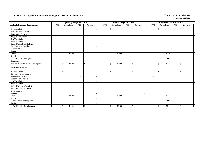|                                             |                          | <b>Operating Budget 2017-2018</b>         |                          |                                           |                          | Revised Budget 2017-2018       |                          |                                        |                          | <b>Unaudited Actuals 2017-2018</b> |                          |               |
|---------------------------------------------|--------------------------|-------------------------------------------|--------------------------|-------------------------------------------|--------------------------|--------------------------------|--------------------------|----------------------------------------|--------------------------|------------------------------------|--------------------------|---------------|
| <b>Academic Personnel Development</b>       | <b>FTE</b>               | Unrestricted                              | <b>FTE</b>               | Restricted                                | <b>FTE</b>               | Unrestricted                   | <b>FTE</b>               | Restricted                             | <b>FTE</b>               | Unrestricted                       | <b>FTE</b>               | Restricted    |
| <b>Faculty Salaries</b>                     | $\overline{\phantom{a}}$ | <sup>\$</sup><br>$\overline{\phantom{a}}$ | $\overline{\phantom{a}}$ | $\mathcal{S}$                             | $\overline{\phantom{a}}$ | \$                             | $\blacksquare$           | \$                                     | $\overline{\phantom{a}}$ | $\mathbb{S}$                       | $\overline{\phantom{a}}$ | <sup>\$</sup> |
| Part-time Faculty Salaries                  | $\overline{\phantom{a}}$ |                                           |                          |                                           | $\overline{\phantom{a}}$ | $\overline{\phantom{a}}$       | $\overline{\phantom{a}}$ |                                        | $\sim$                   |                                    | $\overline{\phantom{a}}$ |               |
| <b>Professional Salaries</b>                | $\sim$                   |                                           | $\overline{\phantom{a}}$ |                                           |                          | $\overline{\phantom{a}}$       | $\overline{\phantom{a}}$ | $\overline{\phantom{a}}$               | $\sim$                   |                                    | $\overline{\phantom{a}}$ |               |
| <b>Support Staff Salaries</b>               | $\overline{\phantom{a}}$ |                                           |                          |                                           | ۰                        | $\overline{\phantom{a}}$       | $\sim$                   | $\sim$                                 | $\overline{\phantom{a}}$ |                                    | $\overline{\phantom{a}}$ |               |
| GA/TA Salaries                              | $\overline{a}$           |                                           |                          |                                           |                          |                                | $\sim$                   |                                        | $\overline{\phantom{a}}$ |                                    |                          |               |
| <b>Student Salaries</b>                     | $\sim$                   |                                           | $\overline{\phantom{a}}$ |                                           | $\overline{\phantom{0}}$ | $\overline{\phantom{a}}$       | $\sim$                   | $\overline{\phantom{a}}$               | $\sim$                   |                                    | $\sim$                   |               |
| Federal Work-Study Salaries                 | $\overline{\phantom{a}}$ |                                           | $\overline{\phantom{a}}$ |                                           |                          | $\overline{\phantom{a}}$       | $\overline{\phantom{a}}$ | $\overline{\phantom{a}}$               | $\overline{\phantom{a}}$ |                                    | $\overline{\phantom{a}}$ |               |
| State Work-Study Salaries                   | $\overline{\phantom{a}}$ |                                           |                          |                                           | $\sim$                   | $\overline{\phantom{a}}$       | $\overline{\phantom{a}}$ | $\overline{\phantom{a}}$               | $\overline{\phantom{a}}$ |                                    | $\overline{\phantom{a}}$ |               |
| Other Salaries                              | $\overline{\phantom{a}}$ |                                           |                          |                                           |                          | $\sim$                         | $\overline{\phantom{a}}$ | $\overline{\phantom{a}}$               |                          |                                    |                          |               |
| Fringes                                     |                          |                                           |                          |                                           |                          |                                |                          |                                        |                          |                                    |                          |               |
| Travel                                      |                          | 14,290                                    |                          | $\overline{\phantom{a}}$                  |                          | 10,000                         |                          | $\overline{\phantom{a}}$               |                          | 2,214                              |                          |               |
| Utilities                                   |                          |                                           |                          |                                           |                          |                                |                          | $\overline{\phantom{a}}$               |                          |                                    |                          |               |
| Other Supplies and Expenses                 |                          |                                           |                          |                                           |                          |                                |                          | $\sim$                                 |                          | 1,000                              |                          |               |
| Equipment                                   |                          |                                           |                          |                                           |                          |                                |                          |                                        |                          |                                    |                          |               |
| <b>Total Academic Personnel Development</b> | $\overline{\phantom{a}}$ | 14,290<br><sup>\$</sup>                   |                          | $\mathbf{s}$                              |                          | \$<br>10,000                   |                          | $\mathbf{s}$                           | $\overline{\phantom{0}}$ | 3,214<br>$\mathbf{\hat{S}}$        | $\overline{\phantom{a}}$ | \$            |
| <b>Faculty Development</b>                  |                          |                                           |                          |                                           |                          |                                |                          |                                        |                          |                                    |                          |               |
| <b>Faculty Salaries</b>                     | $\overline{\phantom{a}}$ | \$<br>$\overline{\phantom{a}}$            | $\overline{\phantom{a}}$ | $\mathcal{S}$                             | $\overline{\phantom{a}}$ | \$<br>$\overline{\phantom{a}}$ | $\overline{\phantom{a}}$ | \$<br>$\overline{\phantom{a}}$         | $\sim$                   | $\mathbb{S}$                       | $\overline{\phantom{a}}$ | <sup>\$</sup> |
| Part-time Faculty Salaries                  | $\overline{\phantom{a}}$ | $\overline{\phantom{a}}$                  | $\overline{\phantom{0}}$ |                                           | $\overline{\phantom{a}}$ | $\sim$                         | $\sim$                   | $\blacksquare$                         | $\overline{\phantom{a}}$ |                                    | $\overline{\phantom{a}}$ |               |
| Professional Salaries                       | $\overline{\phantom{a}}$ |                                           |                          |                                           | $\sim$                   | $\overline{\phantom{a}}$       | $\overline{\phantom{a}}$ | $\overline{\phantom{a}}$               | $\overline{\phantom{a}}$ |                                    | $\overline{\phantom{a}}$ |               |
| <b>Support Staff Salaries</b>               | $\overline{\phantom{a}}$ |                                           | $\overline{\phantom{0}}$ |                                           |                          | $\sim$                         | $\blacksquare$           | $\overline{\phantom{a}}$               | $\overline{\phantom{a}}$ |                                    | $\overline{a}$           |               |
| <b>GA/TA Salaries</b>                       | $\overline{\phantom{a}}$ |                                           |                          |                                           |                          | $\overline{\phantom{a}}$       | $\sim$                   |                                        | $\sim$                   |                                    | $\overline{\phantom{a}}$ |               |
| <b>Student Salaries</b>                     | $\overline{\phantom{a}}$ | $\overline{\phantom{a}}$                  | $\overline{\phantom{0}}$ | $\overline{\phantom{a}}$                  | $\overline{\phantom{a}}$ | $\overline{\phantom{a}}$       | $\overline{\phantom{a}}$ | $\overline{\phantom{a}}$               | $\sim$                   | <b>1</b>                           | $\sim$                   |               |
| Federal Work-Study Salaries                 | $\overline{\phantom{a}}$ |                                           |                          |                                           |                          | $\overline{\phantom{a}}$       | $\sim$                   | $\sim$                                 | $\overline{\phantom{a}}$ |                                    | $\overline{\phantom{a}}$ |               |
| <b>State Work-Study Salaries</b>            | $\overline{\phantom{a}}$ |                                           | $\overline{\phantom{a}}$ |                                           |                          | $\overline{\phantom{a}}$       | $\overline{\phantom{a}}$ | $\overline{\phantom{a}}$               | $\overline{\phantom{a}}$ |                                    | $\overline{\phantom{a}}$ |               |
| <b>Other Salaries</b>                       | $\sim$                   |                                           |                          |                                           |                          | $\overline{\phantom{a}}$       | $\sim$                   | $\overline{\phantom{a}}$               | $\sim$                   |                                    | $\sim$                   |               |
| Fringes                                     |                          |                                           |                          |                                           |                          | $\sim$                         |                          | $\overline{\phantom{a}}$               |                          |                                    |                          |               |
| Travel                                      |                          | 14,290                                    |                          |                                           |                          | 10,000                         |                          | $\sim$                                 |                          | 2,214                              |                          |               |
| <b>Utilities</b>                            |                          |                                           |                          |                                           |                          |                                |                          | $\overline{\phantom{a}}$               |                          |                                    |                          |               |
| Other Supplies and Expenses                 |                          |                                           |                          |                                           |                          |                                |                          |                                        |                          | 1,000                              |                          |               |
| Equipment                                   |                          | $\overline{\phantom{a}}$                  |                          | $\overline{\phantom{a}}$                  |                          | . —                            |                          | $\overline{\phantom{a}}$               |                          |                                    |                          |               |
| <b>Total Faculty Development</b>            | $\overline{\phantom{a}}$ | 14,290<br><sup>\$</sup>                   | $\overline{\phantom{a}}$ | $\mathcal{S}$<br>$\overline{\phantom{a}}$ | $\sim$                   | \$<br>10,000                   | $\overline{\phantom{a}}$ | $\sqrt{2}$<br>$\overline{\phantom{a}}$ | $\overline{\phantom{a}}$ | $\mathbb{S}$<br>3,214              | $\overline{\phantom{a}}$ | <sup>\$</sup> |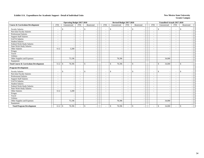|                                                  |                          | <b>Operating Budget 2017-2018</b> |                          |                          |                          | Revised Budget 2017-2018 |                          |                                          |                          | <b>Unaudited Actuals 2017-2018</b> |                          |               |
|--------------------------------------------------|--------------------------|-----------------------------------|--------------------------|--------------------------|--------------------------|--------------------------|--------------------------|------------------------------------------|--------------------------|------------------------------------|--------------------------|---------------|
| <b>Course &amp; Curriculum Development</b>       | <b>FTE</b>               | Unrestricted                      | <b>FTE</b>               | Restricted               | FTE                      | Unrestricted             | <b>FTE</b>               | Restricted                               | <b>FTE</b>               | Unrestricted                       | <b>FTE</b>               | Restricted    |
| <b>Faculty Salaries</b>                          | ٠                        | \$<br>$\overline{\phantom{a}}$    |                          | <sup>\$</sup>            | $\overline{\phantom{a}}$ | \$                       | $\overline{\phantom{a}}$ | \$                                       | $\overline{\phantom{0}}$ | $\mathcal{S}$                      | $\overline{\phantom{a}}$ | \$            |
| Part-time Faculty Salaries                       | $\sim$                   | $\overline{\phantom{a}}$          | $\overline{\phantom{a}}$ |                          | $\overline{\phantom{a}}$ | $\overline{\phantom{a}}$ | $\sim$                   |                                          | $\overline{\phantom{a}}$ |                                    | $\overline{\phantom{a}}$ |               |
| <b>Professional Salaries</b>                     | ٠                        | $\overline{\phantom{a}}$          | $\overline{\phantom{a}}$ |                          | $\overline{\phantom{a}}$ | $\overline{\phantom{a}}$ | $\sim$                   | $\blacksquare$                           | $\sim$                   | $\overline{\phantom{a}}$           | $\overline{\phantom{a}}$ |               |
| <b>Support Staff Salaries</b>                    | $\overline{a}$           | $\overline{\phantom{a}}$          |                          |                          | $\overline{\phantom{a}}$ |                          | $\overline{\phantom{a}}$ | $\overline{\phantom{a}}$                 | $\overline{\phantom{a}}$ |                                    | $\overline{\phantom{a}}$ |               |
| GA/TA Salaries                                   | ٠                        |                                   |                          |                          |                          |                          | $\sim$                   | $\overline{\phantom{a}}$                 | $\sim$                   |                                    |                          |               |
| <b>Student Salaries</b>                          | $\overline{\phantom{a}}$ |                                   |                          |                          | $\overline{\phantom{a}}$ |                          | $\overline{\phantom{a}}$ | $\overline{\phantom{a}}$                 | $\sim$                   |                                    | $\overline{\phantom{a}}$ |               |
| <b>Federal Work-Study Salaries</b>               | $\sim$                   | $\overline{\phantom{a}}$          |                          |                          | $\sim$                   | $\overline{\phantom{a}}$ | $\sim$                   | $\overline{\phantom{a}}$                 | $\overline{\phantom{a}}$ |                                    | $\sim$                   |               |
| <b>State Work-Study Salaries</b>                 | $\overline{\phantom{a}}$ |                                   |                          |                          | $\overline{\phantom{a}}$ |                          | $\sim$                   | $\overline{\phantom{a}}$                 | $\overline{\phantom{a}}$ |                                    | $\overline{\phantom{a}}$ |               |
| Other Salaries                                   | 0.12                     | 3,200                             |                          |                          | $\overline{\phantom{a}}$ |                          | $\overline{\phantom{a}}$ | $\overline{\phantom{a}}$                 | $\overline{\phantom{a}}$ |                                    |                          |               |
| Fringes                                          |                          |                                   |                          |                          |                          |                          |                          | $\overline{\phantom{a}}$                 |                          |                                    |                          |               |
| Travel                                           |                          |                                   |                          |                          |                          | $\sim$                   |                          | $\overline{\phantom{a}}$                 |                          |                                    |                          |               |
| Utilities                                        |                          | $\sim$                            |                          |                          |                          |                          |                          | $\overline{\phantom{a}}$                 |                          |                                    |                          |               |
| Other Supplies and Expenses                      |                          | 75,196                            |                          |                          |                          | 78,396                   |                          | $\overline{a}$                           |                          | 34,000                             |                          |               |
| Equipment                                        |                          |                                   |                          |                          |                          |                          |                          |                                          |                          |                                    |                          |               |
| <b>Total Course &amp; Curriculum Development</b> | 0.12                     | 78,396<br>-\$                     |                          | $\mathbf{s}$             | $\overline{\phantom{a}}$ | 78,396<br>\$             |                          | $\mathbf{s}$                             |                          | $\mathbf{\hat{S}}$<br>34,000       |                          | \$            |
| <b>Program Development</b>                       |                          |                                   |                          |                          |                          |                          |                          |                                          |                          |                                    |                          |               |
| <b>Faculty Salaries</b>                          | $\overline{\phantom{a}}$ | \$<br>$\overline{\phantom{a}}$    |                          | \$                       | $\overline{\phantom{a}}$ | \$                       | $\overline{\phantom{a}}$ | $\mathbb{S}$<br>$\overline{\phantom{a}}$ | $\overline{\phantom{a}}$ | \$                                 | $\overline{\phantom{a}}$ | <sup>\$</sup> |
| Part-time Faculty Salaries                       | $\sim$                   | $\overline{\phantom{a}}$          | $\overline{\phantom{a}}$ |                          | $\overline{\phantom{a}}$ |                          | $\sim$                   | $\overline{\phantom{a}}$                 | $\overline{\phantom{a}}$ |                                    | $\overline{\phantom{a}}$ |               |
| <b>Professional Salaries</b>                     | ٠                        | $\overline{\phantom{a}}$          |                          |                          | $\sim$                   |                          | $\overline{\phantom{a}}$ | $\overline{\phantom{a}}$                 | $\overline{\phantom{a}}$ |                                    | $\overline{\phantom{a}}$ |               |
| <b>Support Staff Salaries</b>                    | $\sim$                   |                                   |                          |                          |                          |                          | $\overline{\phantom{a}}$ |                                          | $\sim$                   |                                    |                          |               |
| <b>GA/TA Salaries</b>                            | $\sim$                   |                                   | $\overline{\phantom{a}}$ |                          | $\sim$                   | $\overline{\phantom{a}}$ | $\sim$                   | $\overline{a}$                           | $\sim$                   |                                    | $\sim$                   |               |
| <b>Student Salaries</b>                          | $\overline{\phantom{a}}$ | $\overline{\phantom{a}}$          |                          |                          | $\overline{\phantom{a}}$ | $\overline{\phantom{a}}$ | $\sim$                   | $\overline{\phantom{a}}$                 | $\sim$                   |                                    | $\overline{\phantom{a}}$ |               |
| Federal Work-Study Salaries                      | $\overline{a}$           | $\overline{\phantom{a}}$          |                          |                          | $\overline{\phantom{a}}$ | $\overline{\phantom{a}}$ | $\overline{\phantom{a}}$ | $\blacksquare$                           | $\sim$                   |                                    | $\overline{\phantom{a}}$ |               |
| <b>State Work-Study Salaries</b>                 | ٠                        |                                   |                          |                          | $\blacksquare$           |                          | $\sim$                   | $\overline{\phantom{a}}$                 | $\overline{\phantom{a}}$ |                                    | $\overline{a}$           |               |
| Other Salaries                                   | 0.12                     | 3,200                             |                          |                          | $\overline{\phantom{a}}$ |                          | $\sim$                   | $\overline{\phantom{a}}$                 | $\sim$                   |                                    |                          |               |
| Fringes                                          |                          |                                   |                          | $\overline{\phantom{a}}$ |                          |                          |                          | $\overline{\phantom{a}}$                 |                          |                                    |                          |               |
| Travel                                           |                          | $\overline{\phantom{a}}$          |                          |                          |                          |                          |                          | $\sim$                                   |                          |                                    |                          |               |
| Utilities                                        |                          |                                   |                          |                          |                          |                          |                          | $\overline{\phantom{a}}$                 |                          |                                    |                          |               |
| Other Supplies and Expenses                      |                          | 75,196                            |                          |                          |                          | 78,396                   |                          | $\overline{\phantom{a}}$                 |                          | 34,000                             |                          |               |
| Equipment                                        |                          |                                   |                          |                          |                          |                          |                          |                                          |                          |                                    |                          |               |
| <b>Total Program Development</b>                 |                          | 78,396                            |                          | $\mathbf{\hat{S}}$       | $\overline{\phantom{a}}$ | \$<br>78,396             |                          | \$                                       |                          | 34,000<br>$\mathbb{S}$             | $\overline{\phantom{a}}$ | \$            |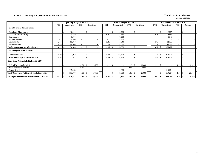### **Exhibit 12. Summary of Expenditures for Student Services New Mexico State University New Mexico State University**

|                                                        |                          | <b>Operating Budget 2017-2018</b> |                          |             |        |            | Revised Budget 2017-2018 |            |                    |                          | <b>Unaudited Actuals 2017-2018</b> |                          |    |            |
|--------------------------------------------------------|--------------------------|-----------------------------------|--------------------------|-------------|--------|------------|--------------------------|------------|--------------------|--------------------------|------------------------------------|--------------------------|----|------------|
|                                                        | <b>FTE</b>               | Unrestricted                      | <b>FTE</b>               | Restricted  |        | <b>FTE</b> | Unrestricted             | <b>FTE</b> | Restricted         | <b>FTE</b>               | Unrestricted                       | <b>FTE</b>               |    | Restricted |
| <b>Student Services Administration</b>                 |                          |                                   |                          |             |        |            |                          |            |                    |                          |                                    |                          |    |            |
| <b>Enrollment Management</b>                           |                          | 16,000<br>S.                      | $\overline{\phantom{a}}$ | \$.         |        |            | 16,000                   |            | $\mathbf{\hat{S}}$ |                          | 12,605<br>\$                       | $\overline{\phantom{a}}$ | D. |            |
| GED Services & Testing                                 | 0.43                     | 13,550                            | $\overline{\phantom{a}}$ |             |        | 0.41       | 13,550                   |            |                    | 0.21                     | 9,996                              | $\overline{\phantom{a}}$ |    |            |
| Recruitment                                            | $\overline{\phantom{0}}$ | 7,900                             | $\overline{\phantom{a}}$ |             |        |            | 7,900                    |            |                    |                          | 6,343                              | $\overline{\phantom{a}}$ |    |            |
| <b>Staff Development</b>                               | $\overline{\phantom{0}}$ | 4,500                             | $\overline{\phantom{a}}$ |             |        |            | 4,500                    |            |                    |                          |                                    | $\overline{\phantom{a}}$ |    |            |
| Student Labs                                           | 2.58                     | 85,940                            | $\overline{\phantom{a}}$ |             |        | 2.45       | 85,940                   |            |                    | 2.45                     | 82,179                             | $\overline{\phantom{a}}$ |    |            |
| <b>Tutoring Center</b>                                 | 1.26                     | 48,600                            | $\overline{\phantom{a}}$ |             |        | 1.10       | 47,099                   |            |                    | 1.01                     | 45,299                             | $\overline{\phantom{a}}$ |    |            |
| <b>Total Student Services Administration</b>           | 4.27                     | 176,490                           | $\overline{\phantom{a}}$ | \$          |        | 3.96       | 174,989                  |            | $\mathbf{s}$       | 3.67                     | 156,422                            | $\sim$                   | ÷. |            |
| <b>Counseling &amp; Career Guidance</b>                |                          |                                   |                          |             |        |            |                          |            |                    |                          |                                    |                          |    |            |
| Counselor's Office                                     | 6.00                     | 222,012<br>-8                     | $\overline{\phantom{a}}$ | S.          |        | 5.79       | 226,602                  |            | -S                 | 5.75                     | 219,075<br><sup>\$</sup>           | $\overline{\phantom{a}}$ | 'N |            |
| <b>Total Counseling &amp; Career Guidance</b>          | 6.00                     | 222,012                           |                          | \$          |        | 5.79       | 226,602                  |            | $\mathcal{S}$      | 5.75                     | 219,075<br>-S                      | $\overline{\phantom{a}}$ | -S |            |
| Other Items Not Included in Exhibit 12A's              |                          |                                   |                          |             |        |            |                          |            |                    |                          |                                    |                          |    |            |
| Federal Work-Study Salaries                            | $\overline{\phantom{0}}$ | \$                                | 0.61                     | -\$         | 9,700  |            |                          | 1.19       | 19,000<br>- \$     | $\overline{\phantom{a}}$ | £.<br>$\overline{\phantom{a}}$     | 1.02                     |    | 16,309     |
| <b>State Work-Study Salaries</b>                       |                          |                                   | 0.69                     |             | 11,000 |            |                          | 0.44       | 7,000              |                          |                                    | 0.24                     |    | 3,771      |
| Fringe Benefits                                        |                          | 117,963                           |                          |             |        |            | 159,600                  |            |                    |                          | 119,204                            |                          |    |            |
| <b>Total Other Items Not Included in Exhibit 12A's</b> | $\overline{\phantom{0}}$ | 117,963<br>-S                     | $1.30 \,$ \ \$           | 20,700      |        |            | 159,600                  | 1.63       | 26,000<br>- \$     |                          | 119,204<br>\$                      | 1.26                     |    | 20,080     |
| Net Expense for Student Services in I&G (Exh 2)        | 10.27                    | 516,465<br>- 36                   | 1.30                     | 20,700<br>S |        | 9.75       | 561,191                  | 1.63       | 26,000<br>- \$     | $9.42 \, \text{S}$       | 494,701                            | 1.26                     |    | 20,080     |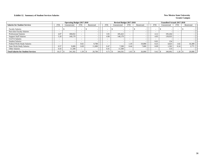### **Exhibit 12. Summary of Student Services Salaries New Mexico State University**

|                                            |                          | <b>Operating Budget 2017-2018</b> |            |            |            | Revised Budget 2017-2018 |                          |            |            | <b>Unaudited Actuals 2017-2018</b> |                          |            |  |
|--------------------------------------------|--------------------------|-----------------------------------|------------|------------|------------|--------------------------|--------------------------|------------|------------|------------------------------------|--------------------------|------------|--|
| <b>Salaries for Student Services</b>       | <b>FTE</b>               | Unrestricted                      | <b>FTE</b> | Restricted | <b>FTE</b> | Unrestricted             | <b>FTE</b>               | Restricted | <b>FTE</b> | Unrestricted                       | <b>FTE</b>               | Restricted |  |
| <b>Faculty Salaries</b>                    | $\overline{\phantom{0}}$ |                                   | <b>.</b>   |            |            |                          | $\overline{\phantom{a}}$ |            |            |                                    | $\overline{\phantom{a}}$ |            |  |
| Part-time Faculty Salaries                 | -                        |                                   |            |            |            |                          |                          |            |            |                                    | $\overline{\phantom{a}}$ |            |  |
| <b>Professional Salaries</b>               | 4.07                     | 180.832                           |            |            | 3.91       | 185.422                  |                          |            | 4.12       | 195.264                            | $\overline{\phantom{a}}$ |            |  |
| <b>Support Staff Salaries</b>              | 5.20                     | 140,170                           |            |            | 4.96       | 140,170                  |                          |            | 4.95       | 139,935                            | $\overline{\phantom{0}}$ |            |  |
| <b>GA/TA Salaries</b>                      |                          |                                   |            |            |            |                          |                          |            |            |                                    | $\overline{\phantom{a}}$ |            |  |
| <b>Student Salaries</b>                    | -                        |                                   |            |            |            |                          |                          |            | 0.01       | 154                                | $\sim$                   |            |  |
| <b>Federal Work-Study Salaries</b>         | $\overline{\phantom{a}}$ |                                   | 0.61       | 9.700      |            |                          | 1.19                     | 19,000     | 0.25       | 4,023                              | 1.02                     | 16,309     |  |
| <b>State Work-Study Salaries</b>           | 0.57                     | 9.000                             | 0.69       | 11.000     | 0.47       | 7.500                    | 0.44                     | 7.000      | 0.09       | 1,502                              | 0.24                     | 3,771      |  |
| <b>Other Salaries</b>                      | 0.43                     | 1,500                             |            |            | 0.41       | 11.500                   |                          |            |            | 114                                | $\overline{\phantom{0}}$ |            |  |
| <b>Total Salaries for Student Services</b> | 10.27                    | 341,502                           | $.30^{-}$  | 20,700     | 9.75       | 344,592                  | . 63                     | 26,000     | 9.42       | 340,992                            | 1.26                     | 20,080     |  |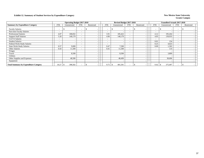### **Exhibit 12. Summary of Student Services by Expenditure Category New Mexico State University**

|                                              |                          | <b>Operating Budget 2017-2018</b> |                          |                          |                          | Revised Budget 2017-2018       |                          |            |                          | <b>Unaudited Actuals 2017-2018</b> |                          |            |  |
|----------------------------------------------|--------------------------|-----------------------------------|--------------------------|--------------------------|--------------------------|--------------------------------|--------------------------|------------|--------------------------|------------------------------------|--------------------------|------------|--|
| <b>Summary by Expenditure Category</b>       | <b>FTE</b>               | Unrestricted                      | <b>FTE</b>               | Restricted               | <b>FTE</b>               | Unrestricted                   | <b>FTE</b>               | Restricted | <b>FTE</b>               | Unrestricted                       | <b>FTE</b>               | Restricted |  |
| <b>Faculty Salaries</b>                      |                          |                                   | $\overline{\phantom{a}}$ |                          | $\overline{\phantom{0}}$ | S.<br>$\overline{\phantom{a}}$ | $\sim$                   |            | $\overline{\phantom{a}}$ | $\overline{\phantom{0}}$           | $\sim$                   |            |  |
| Part-time Faculty Salaries                   |                          |                                   |                          |                          | -                        |                                | $\overline{\phantom{a}}$ |            |                          |                                    | $\overline{\phantom{a}}$ |            |  |
| <b>Professional Salaries</b>                 | 4.07                     | 180,832                           |                          |                          | 3.91                     | 185,422                        | $\overline{\phantom{a}}$ |            | 4.12                     | 195,264                            | $\overline{\phantom{0}}$ |            |  |
| <b>Support Staff Salaries</b>                | 5.20                     | 140,170                           | $\overline{\phantom{a}}$ | $\overline{\phantom{0}}$ | 4.96                     | 140,170                        | $\overline{\phantom{a}}$ |            | 4.95                     | 139,935                            | $\overline{\phantom{0}}$ |            |  |
| GA/TA Salaries                               | $\overline{\phantom{a}}$ |                                   | <b>.</b>                 | $\overline{\phantom{a}}$ | $\overline{\phantom{a}}$ |                                | $\overline{\phantom{a}}$ |            | <b>.</b>                 | $\overline{\phantom{0}}$           | $\overline{\phantom{a}}$ |            |  |
| <b>Student Salaries</b>                      | $\overline{\phantom{a}}$ |                                   |                          | $\overline{\phantom{0}}$ | $\overline{\phantom{a}}$ |                                | $\overline{\phantom{a}}$ |            | 0.01                     | 154                                | $\overline{\phantom{0}}$ |            |  |
| Federal Work-Study Salaries                  | $\overline{\phantom{a}}$ |                                   |                          | $\overline{\phantom{a}}$ |                          |                                | $\overline{\phantom{a}}$ |            | 0.25                     | 4,023                              | $\overline{\phantom{a}}$ |            |  |
| <b>State Work-Study Salaries</b>             | 0.57                     | 9,000                             |                          | $\overline{\phantom{0}}$ | 0.47                     | 7,500                          | $\overline{\phantom{0}}$ |            | 0.09                     | 1,502                              | $\overline{\phantom{0}}$ |            |  |
| Other Salaries                               | 0.43                     | 11,500                            |                          | $\overline{\phantom{a}}$ | 0.41                     | 11,500                         | $\overline{\phantom{a}}$ |            | $\overline{\phantom{a}}$ | 114                                | $\overline{\phantom{0}}$ |            |  |
| Fringes                                      |                          |                                   |                          | $\overline{\phantom{0}}$ |                          |                                |                          |            |                          |                                    |                          |            |  |
| Travel                                       |                          | 8,500                             |                          | $\overline{\phantom{0}}$ |                          | 8,500                          |                          |            |                          | 3,809                              |                          |            |  |
| Utilities                                    |                          |                                   |                          | $\overline{\phantom{0}}$ |                          |                                |                          |            |                          |                                    |                          |            |  |
| Other Supplies and Expenses                  |                          | 48,500                            |                          | $\overline{\phantom{a}}$ |                          | 48.499                         |                          |            |                          | 30,696                             |                          |            |  |
| Equipment                                    |                          |                                   |                          | $\overline{\phantom{a}}$ |                          |                                |                          |            |                          |                                    |                          |            |  |
| <b>Total Summary by Expenditure Category</b> | 10.27                    | 398,502<br><b>S</b>               |                          |                          |                          | 401,591                        |                          |            | 9.42                     | 375,497                            | $\sim$                   |            |  |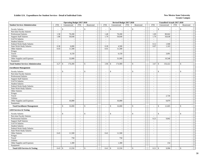|                                                 |            | <b>Operating Budget 2017-2018</b> |                |                                    |                | Revised Budget 2017-2018                 |                          |                                |                             | <b>Unaudited Actuals 2017-2018</b> |                |                          |
|-------------------------------------------------|------------|-----------------------------------|----------------|------------------------------------|----------------|------------------------------------------|--------------------------|--------------------------------|-----------------------------|------------------------------------|----------------|--------------------------|
| <b>Student Services Administration</b>          | <b>FTE</b> | Unrestricted                      | <b>FTE</b>     | Restricted                         | <b>FTE</b>     | Unrestricted                             | <b>FTE</b>               | Restricted                     | <b>FTE</b>                  | Unrestricted                       | <b>FTE</b>     | Restricted               |
| <b>Faculty Salaries</b>                         | $\sim$     | \$<br>$\sim$                      | $\sim$         | \$                                 | $\sim$         | $\mathbb{S}$<br>$\overline{\phantom{a}}$ | $\sim$                   | \$<br>$\overline{\phantom{a}}$ | $\sim$                      | \$                                 | $\sim$         | \$                       |
| Part-time Faculty Salaries                      | $\sim$     |                                   | $\sim$         | $\sim$                             | $\sim$         |                                          | $\mathbf{r}$             | $\sim$                         | $\sim$                      |                                    | $\sim$         |                          |
| Professional Salaries                           | 1.58       | 70,200                            | $\blacksquare$ | $\overline{\phantom{a}}$           | 1.48           | 70,200                                   | $\blacksquare$           | $\sim$                         | 1.69                        | 80,042                             | $\sim$         |                          |
| <b>Support Staff Salaries</b>                   | 1.88       | 50,640                            | $\blacksquare$ | $\overline{a}$                     | 1.79           | 50,640                                   | $\omega_{\rm c}$         | $\sim$                         | 1.79                        | 50,638                             | $\sim$         |                          |
| GA/TA Salaries                                  | $\sim$     | $\overline{a}$                    | $\overline{a}$ | $\overline{a}$                     | $\mathcal{L}$  |                                          | $\overline{a}$           | $\sim$                         | $\mathcal{L}^{\mathcal{A}}$ |                                    | $\sim$         | $\sim$                   |
| <b>Student Salaries</b>                         | $\sim$     | $\sim$                            | $\mathcal{L}$  | $\overline{a}$                     | $\omega$       | $\tilde{\phantom{a}}$                    | $\omega$                 | $\sim$                         | $\sim$                      |                                    | $\sim$         |                          |
| Federal Work-Study Salaries                     | $\sim$     | $\sim$                            | $\sim$         | $\overline{a}$                     | $\sim$         | $\overline{\phantom{a}}$                 | $\sim$                   | $\sim$                         | 0.12                        | 1,940                              | $\sim$         | $\sim$                   |
| <b>State Work-Study Salaries</b>                | 0.38       | 6,000                             | $\sim$         | $\overline{\phantom{a}}$           | 0.28           | 4,500                                    | $\sim$                   | $\sim$                         | 0.07                        | 1,163                              | $\sim$         | $\sim$                   |
| Other Salaries                                  | 0.43       | 11,500                            | $\sim$         | $\sim$                             | 0.41           | 11,500                                   | $\mathcal{L}$            | $\sim$                         | $\sim$                      |                                    | $\sim$         | $\sim$                   |
| Fringes                                         |            | $\sim$                            |                | $\overline{\phantom{a}}$           |                |                                          |                          | $\mathbb{Z}^2$                 |                             |                                    |                |                          |
| Travel                                          |            | 6,150                             |                | $\sim$                             |                | 6,150                                    |                          | $\sim$                         |                             | 3,091                              |                |                          |
| Utilities                                       |            |                                   |                | $\overline{a}$                     |                |                                          |                          | $\sim$                         |                             |                                    |                | $\sim$                   |
| Other Supplies and Expenses                     |            | 32,000                            |                | $\overline{\phantom{a}}$           |                | 31,999                                   |                          | $\sim$                         |                             | 19,548                             |                |                          |
| Equipment                                       |            |                                   |                | $\sim$                             |                |                                          |                          | $\sim$                         |                             |                                    |                | $\sim$                   |
| <b>Total Student Services Administration</b>    | 4.27       | 176,490<br>\$                     | $\sim$         | $\mathbf S$                        | 3.96           | 174,989<br>$\mathbb{S}$                  | $\overline{a}$           | $\mathbf{s}$<br>$\sim$         | 3.67                        | $\mathbf{\hat{S}}$<br>156,422      | $\mathcal{L}$  | $\mathbb{S}$             |
| <b>Enrollment Management</b>                    |            |                                   |                |                                    |                |                                          |                          |                                |                             |                                    |                |                          |
| <b>Faculty Salaries</b>                         |            | $\mathbf{\hat{S}}$<br>$\sim$      | $\sim$         | $\mathbb{S}$                       |                | $\mathbb{S}$                             | $\overline{a}$           | $\mathbb{S}$                   | $\overline{\phantom{a}}$    | $\mathbf{\hat{S}}$                 | $\sim$         | $\mathbb{S}$             |
| Part-time Faculty Salaries                      | $\sim$     | $\sim$                            | $\sim$         | $\sim$                             | $\omega$       | $\sim$                                   | $\mathcal{L}$            | $\sim$                         | $\sim$                      | $\overline{\phantom{a}}$           | $\sim$         |                          |
| Professional Salaries                           | $\sim$     | $\sim$                            | $\sim$         | $\overline{\phantom{a}}$           | $\sim$         | $\sim$                                   | $\sim$                   | $\sim$                         | $\sim$                      | ÷.                                 | $\sim$         | $\sim$                   |
| <b>Support Staff Salaries</b>                   | $\sim$     | $\mathcal{L}_{\mathcal{A}}$       | $\sim$         | $\sim$                             | $\sim$         | $\overline{\phantom{a}}$                 | $\sim$                   | $\sim$                         | $\sim$                      | $\overline{\phantom{a}}$           | $\sim$         | $\sim$                   |
| GA/TA Salaries                                  | $\sim$     | $\sim$                            | $\blacksquare$ |                                    |                |                                          | $\blacksquare$           | $\sim$                         | $\sim$                      |                                    | $\sim$         |                          |
| <b>Student Salaries</b>                         | $\sim$     | $\blacksquare$                    | $\sim$         | J.                                 | $\sim$         | $\overline{\phantom{a}}$                 | $\sim$                   | $\sim$                         | $\blacksquare$              | $\overline{\phantom{a}}$           | $\blacksquare$ | $\sim$                   |
| Federal Work-Study Salaries                     | $\sim$     | $\sim$                            | $\sim$         | $\overline{a}$                     | $\sim$         | $\overline{\phantom{a}}$                 | $\omega$                 | $\sim$                         | $\sim$                      | $\sim$                             | $\sim$         | $\sim$                   |
| <b>State Work-Study Salaries</b>                | $\sim$     | $\overline{\phantom{a}}$          | $\overline{a}$ | $\overline{a}$                     | $\sim$         |                                          | $\overline{a}$           | $\sim$                         | $\blacksquare$              | $\overline{a}$                     | $\sim$         | $\sim$                   |
| Other Salaries                                  | $\sim$     | $\sim$                            | $\blacksquare$ | $\blacksquare$                     | $\blacksquare$ | $\overline{\phantom{a}}$                 | $\blacksquare$           | $\sim$                         | $\blacksquare$              | ÷,                                 | $\sim$         |                          |
| Fringes<br>Travel                               |            | $\sim$                            |                | $\sim$                             |                | $\sim$                                   |                          | $\sim$                         |                             |                                    |                | $\overline{\phantom{a}}$ |
| <b>Utilities</b>                                |            | $\sim$<br>$\sim$                  |                | $\overline{\phantom{a}}$<br>$\sim$ |                | $\sim$<br>L.                             |                          | $\sim$<br>$\sim$               |                             | 2,726                              |                | $\overline{\phantom{a}}$ |
| Other Supplies and Expenses                     |            | 16,000                            |                | $\sim$                             |                | 16,000                                   |                          | $\omega$                       |                             | 9,879                              |                |                          |
| Equipment                                       |            |                                   |                | $\sim$                             |                |                                          |                          | $\sim$                         |                             |                                    |                | $\sim$                   |
|                                                 |            | $\mathbb{S}$                      |                | $\mathbf{\hat{S}}$                 |                | $\mathbb{S}$                             |                          | $\mathbb{S}$                   |                             | $\mathcal{S}$                      |                | $\mathbf{s}$             |
| <b>Total Enrollment Management</b>              | $\sim$     | 16,000                            | $\sim$         | $\overline{a}$                     | $\sim$         | 16,000                                   | $\overline{\phantom{a}}$ | $\sim$                         | $\tilde{\phantom{a}}$       | 12,605                             | $\sim$         | $\sim$                   |
| <b>GED Services &amp; Testing</b>               |            |                                   |                |                                    |                |                                          |                          |                                |                             |                                    |                |                          |
| <b>Faculty Salaries</b>                         |            | \$                                |                | \$                                 |                | $\mathbb{S}$                             |                          | $\mathbf{\hat{S}}$             |                             | \$                                 |                | \$                       |
| Part-time Faculty Salaries                      | $\sim$     | $\blacksquare$                    | $\blacksquare$ | $\overline{\phantom{a}}$           | $\sim$         | $\overline{\phantom{a}}$                 | $\mathcal{L}$            | $\omega$                       | $\sim$                      |                                    | $\sim$         | $\sim$                   |
| Professional Salaries                           | $\sim$     | $\sim$                            | $\sim$         | $\sim$                             | $\omega$       | $\sim$                                   | $\sim$                   | $\sim$                         | 0.21                        | 9,842                              | $\sim$         | $\sim$                   |
| <b>Support Staff Salaries</b>                   | $\sim$     | $\sim$                            | $\blacksquare$ | $\sim$                             | $\sim$         |                                          | $\blacksquare$           | $\sim$                         | $\sim$                      |                                    | $\sim$         |                          |
| GA/TA Salaries                                  | $\sim$     | $\sim$                            | $\sim$         | $\sim$                             | $\sim$         | $\sim$                                   | $\sim$                   | $\sim$                         | $\sim$                      | $\overline{\phantom{a}}$           | $\sim$         | $\sim$                   |
| <b>Student Salaries</b>                         | $\sim$     | $\sim$                            | $\sim$         | $\overline{\phantom{a}}$           | $\sim$         | ÷                                        | $\sim$                   | $\sim$                         | $\sim$                      | - 11                               | $\sim$         | $\overline{\phantom{a}}$ |
| Federal Work-Study Salaries                     | $\sim$     | $\overline{\phantom{a}}$          | $\blacksquare$ | $\sim$                             | $\sim$         | $\overline{\phantom{a}}$                 | $\omega$                 | $\sim$                         | $\blacksquare$              | ÷.                                 | $\blacksquare$ | $\sim$                   |
| State Work-Study Salaries                       | $\sim$     |                                   | $\mathcal{L}$  | $\overline{a}$                     | $\sim$         |                                          | $\omega$                 | $\mathcal{L}_{\mathcal{A}}$    | $\overline{\phantom{a}}$    |                                    | $\mathcal{L}$  | $\sim$                   |
| Other Salaries                                  | 0.43       | 11,500                            | $\blacksquare$ | $\sim$                             | 0.41           | 11,500                                   | $\omega$                 | $\sim$                         | $\sim$                      | $\overline{\phantom{a}}$           | $\sim$         | $\sim$                   |
| Fringes                                         |            | $\overline{a}$                    |                | $\sim$                             |                |                                          |                          | $\sim$                         |                             | $\overline{\phantom{a}}$           |                | $\sim$                   |
| Travel                                          |            | 750                               |                | $\sim$                             |                | 750                                      |                          | $\sim$                         |                             | $\sim$                             |                |                          |
| <b>Utilities</b><br>Other Supplies and Expenses |            | $\overline{a}$                    |                | $\blacksquare$<br>$\sim$           |                | 1,300                                    |                          | $\sim$                         |                             | ÷.                                 |                | $\sim$<br>$\sim$         |
| Equipment                                       |            | 1,300                             |                |                                    |                |                                          |                          | $\sim$<br>$\blacksquare$       |                             | 154                                |                |                          |
|                                                 |            |                                   |                |                                    |                |                                          |                          |                                |                             |                                    |                |                          |
| <b>Total GED Services &amp; Testing</b>         | 0.43       | $\mathcal{S}$<br>13,550           | $\sim$         | $\mathcal{S}$<br>$\sim$            | $0.41 \,$ \$   | 13,550                                   | $\sim$                   | $\mathbb{S}$<br>$\sim$         | 0.21                        | $\mathcal{S}$<br>9,996             | $\sim$         | $\mathbb{S}$<br>$\sim$   |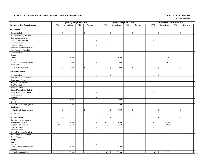|                                        |                          | <b>Operating Budget 2017-2018</b> |                             |                                |                | Revised Budget 2017-2018                 |                             |                             |                          | <b>Unaudited Actuals 2017-2018</b>       |                             |                          |    |
|----------------------------------------|--------------------------|-----------------------------------|-----------------------------|--------------------------------|----------------|------------------------------------------|-----------------------------|-----------------------------|--------------------------|------------------------------------------|-----------------------------|--------------------------|----|
| <b>Student Services Administration</b> | <b>FTE</b>               | Unrestricted                      | FTE                         | Restricted                     | <b>FTE</b>     | Unrestricted                             | <b>FTE</b>                  | Restricted                  | <b>FTE</b>               | Unrestricted                             | FTE                         | Restricted               |    |
| Recruitment                            |                          |                                   |                             |                                |                |                                          |                             |                             |                          |                                          |                             |                          |    |
| <b>Faculty Salaries</b>                | ÷,                       | $\mathbb{S}$                      | $\overline{\phantom{a}}$    | $\mathbb{S}$<br>$\sim$         |                | $\mathbb{S}$<br>$\overline{\phantom{a}}$ | $\overline{\phantom{a}}$    | \$                          | $\overline{\phantom{a}}$ | $\mathbb{S}$                             |                             | \$                       |    |
| Part-time Faculty Salaries             | $\overline{a}$           | $\sim$                            | $\sim$                      | $\sim$                         | $\sim$         | $\overline{\phantom{a}}$                 | $\mathcal{L}$               | $\sim$                      | $\sim$                   | $\sim$                                   | $\mathbb{Z}^2$              | $\sim$                   |    |
| <b>Professional Salaries</b>           | $\sim$                   | $\sim$                            | $\sim$                      | $\sim$                         | $\sim$         | $\sim$                                   | $\sim$                      | $\sim$                      | $\sim$                   |                                          | $\blacksquare$              |                          |    |
| <b>Support Staff Salaries</b>          | $\sim$                   | $\sim$                            | $\sim$                      | $\omega$                       | $\sim$         | $\overline{\phantom{a}}$                 | $\sim$                      | $\mathcal{L}_{\mathcal{A}}$ | $\sim$                   | $\sim$                                   | $\sim$                      | $\sim$                   |    |
| GA/TA Salaries                         | $\sim$                   | $\sim$                            | $\mathcal{L}_{\mathcal{A}}$ | $\sim$                         | $\sim$         | - 11                                     | $\sim$                      | $\sim$                      | $\sim$                   | $\sim$                                   | $\blacksquare$              | $\sim$                   |    |
| <b>Student Salaries</b>                | $\bar{\phantom{a}}$      | $\blacksquare$                    | $\omega$                    | $\overline{\phantom{a}}$       | $\mathbb{L}$   | $\overline{\phantom{a}}$                 | $\mathbb{Z}^2$              | $\overline{\phantom{a}}$    | $\sim$                   | $\sim$                                   | $\sim$                      | $\sim$                   |    |
| Federal Work-Study Salaries            | $\bar{z}$                | $\overline{\phantom{a}}$          | $\sim$                      | $\sim$                         | $\mathbb{L}$   | $\overline{\phantom{a}}$                 | $\omega$                    | $\blacksquare$              | $\blacksquare$           | $\sim$                                   | $\sim$                      | $\sim$                   |    |
| State Work-Study Salaries              | $\overline{\phantom{a}}$ | $\sim$                            | $\mathbb{L}$                | $\mathcal{L}_{\mathcal{A}}$    | $\sim$         | $\sim$                                   | $\sim$                      | $\blacksquare$              | $\sim$                   | $\sim$                                   | $\sim$                      | $\sim$                   |    |
| Other Salaries                         | $\sim$                   | $\overline{\phantom{a}}$          | $\sim$                      | $\overline{\phantom{a}}$       | $\sim$         | $\sim$                                   | $\sim$                      | $\sim$                      | $\sim$                   | $\overline{\phantom{a}}$                 | $\sim$                      | $\sim$                   |    |
| Fringes                                |                          |                                   |                             | $\overline{\phantom{a}}$       |                |                                          |                             | $\blacksquare$              |                          |                                          |                             | $\sim$                   |    |
| Travel                                 |                          | 1,100                             |                             | $\sim$                         |                | 1,100                                    |                             | $\sim$                      |                          | 292                                      |                             | $\sim$                   |    |
| Utilities                              |                          |                                   |                             | $\mathcal{L}_{\mathcal{A}}$    |                |                                          |                             | $\mathcal{L}$               |                          |                                          |                             |                          |    |
| Other Supplies and Expenses            |                          | 6,800                             |                             | $\overline{\phantom{a}}$       |                | 6,800                                    |                             | $\sim$                      |                          | 6,051                                    |                             | $\sim$                   |    |
| Equipment                              |                          |                                   |                             | $\mathbb{Z}$                   |                |                                          |                             | $\blacksquare$              |                          |                                          |                             |                          |    |
| <b>Total Recruitment</b>               | $\overline{a}$           | 7,900<br>\$                       | $\sim$                      | \$<br>$\sim$                   | ÷.             | $\mathbb{S}$<br>7,900                    | $\sim$                      | \$<br>$\overline{a}$        | $\overline{\phantom{a}}$ | 6,343<br>$\mathbf{s}$                    | $\sim$                      | \$                       |    |
| <b>Staff Development</b>               |                          |                                   |                             |                                |                |                                          |                             |                             |                          |                                          |                             |                          |    |
| <b>Faculty Salaries</b>                | $\overline{a}$           | \$                                | $\overline{a}$              | \$<br>$\sim$                   |                | $\mathbf S$                              | $\sim$                      | \$                          | $\overline{\phantom{a}}$ | $\mathbb{S}$                             |                             | \$                       |    |
| Part-time Faculty Salaries             | $\sim$                   | $\overline{\phantom{a}}$          | $\omega$                    | $\sim$                         | $\sim$         | $\overline{\phantom{a}}$                 | $\sim$                      | $\sim$                      | $\sim$                   | $\sim$                                   | $\sim$                      | $\sim$                   |    |
| Professional Salaries                  | $\sim$                   | $\overline{\phantom{a}}$          | $\sim$                      | $\sim$                         | $\sim$         | $\overline{\phantom{a}}$                 | $\sim$                      | $\sim$                      | $\sim$                   |                                          | $\blacksquare$              | $\sim$                   |    |
| <b>Support Staff Salaries</b>          | $\bar{a}$                | $\overline{\phantom{a}}$          | $\mathcal{L}_{\mathcal{A}}$ | $\overline{\phantom{a}}$       | $\sim$         | ÷.                                       | $\mathcal{L}_{\mathcal{A}}$ | $\sim$                      | $\sim$                   | $\overline{\phantom{a}}$                 | $\sim$                      | $\sim$                   |    |
| GA/TA Salaries                         | $\overline{\phantom{a}}$ | $\sim$                            | $\omega$                    | $\mathbb{Z}$                   | $\omega$       | $\overline{\phantom{a}}$                 | $\sim$                      | $\bar{\phantom{a}}$         | $\omega$                 |                                          | $\mathcal{L}_{\mathcal{A}}$ | $\mathbb{Z}^2$           |    |
| <b>Student Salaries</b>                | $\blacksquare$           | $\sim$                            | $\sim$                      | $\sim$                         | $\mathbb{L}$   | $\overline{\phantom{a}}$                 | $\mathbb{Z}^2$              | $\mathbb{Z}^2$              | $\blacksquare$           | $\sim$                                   | $\sim$                      | $\sim$                   |    |
| Federal Work-Study Salaries            | $\bar{z}$                | $\overline{\phantom{a}}$          | $\mathcal{L}_{\mathcal{A}}$ | $\mathcal{L}_{\mathcal{A}}$    | $\mathbb{L}$   | $\overline{\phantom{a}}$                 | $\mathbb{Z}^2$              | $\omega$                    | $\blacksquare$           | $\overline{\phantom{a}}$                 | $\mathcal{L}_{\mathcal{A}}$ | $\overline{\phantom{a}}$ |    |
| <b>State Work-Study Salaries</b>       | $\sim$                   | $\overline{\phantom{a}}$          | $\sim$                      | $\sim$                         | $\sim$         |                                          | $\sim$                      | $\sim$                      | $\sim$                   | $\overline{\phantom{a}}$                 | $\sim$                      | $\sim$                   |    |
| Other Salaries                         | $\overline{\phantom{a}}$ | $\overline{\phantom{a}}$          | $\sim$                      | $\sim$                         | $\blacksquare$ | ÷,                                       | $\sim$                      | $\blacksquare$              | $\blacksquare$           | $\overline{\phantom{a}}$                 | $\blacksquare$              |                          |    |
| Fringes                                |                          | $\overline{\phantom{a}}$          |                             | $\sim$                         |                |                                          |                             | $\overline{\phantom{a}}$    |                          | $\sim$                                   |                             | $\sim$                   |    |
| Travel                                 |                          | 4,000                             |                             | $\sim$                         |                | 4,000                                    |                             |                             |                          |                                          |                             |                          |    |
| Utilities                              |                          | $\sim$                            |                             | $\overline{\phantom{a}}$       |                |                                          |                             | $\sim$                      |                          | $\overline{a}$                           |                             |                          |    |
| Other Supplies and Expenses            |                          | 500                               |                             | $\overline{\phantom{a}}$       |                | 500                                      |                             | $\omega$                    |                          | $\sim$                                   |                             | $\sim$                   |    |
| Equipment                              |                          |                                   |                             | $\mathbf{r}$                   |                |                                          |                             | $\mathcal{L}$               |                          | $\sim$                                   |                             |                          |    |
| <b>Total Staff Development</b>         | $\sim$                   | \$<br>4,500                       | $\mathcal{L}_{\mathcal{A}}$ | \$<br>$\sim$                   | $\mathbb{L}$   | $\mathbb{S}$<br>4,500                    | $\sim$                      | \$<br>$\sim$                | $\blacksquare$           | $\mathbb{S}$<br>$\overline{\phantom{a}}$ | $\sim$                      | $\mathcal{S}$            |    |
| <b>Student Labs</b>                    |                          |                                   |                             |                                |                |                                          |                             |                             |                          |                                          |                             |                          |    |
| <b>Faculty Salaries</b>                |                          | $\mathbb{S}$                      | $\overline{a}$              | $\mathbb{S}$                   |                | $\mathbf S$                              |                             | \$                          | $\sim$                   | $\mathbb{S}$                             |                             | <sup>\$</sup>            |    |
| Part-time Faculty Salaries             | $\sim$                   | $\overline{\phantom{a}}$          | $\sim$                      | $\mathcal{L}_{\mathcal{A}}$    | $\sim$         | ÷,                                       | $\sim$                      | $\omega$                    | $\sim$                   | $\sim$                                   | $\sim$                      | $\sim$                   |    |
| Professional Salaries                  | 0.70                     | 31,200                            | $\mathcal{L}_{\mathcal{A}}$ | $\mathcal{L}_{\mathcal{A}}$    | 0.66           | 31,200                                   | $\sim$                      | $\sim$                      | 0.66                     | 31,200                                   | $\blacksquare$              | $\sim$                   |    |
| <b>Support Staff Salaries</b>          | 1.88                     | 50,640                            | $\mathcal{L}_{\mathcal{A}}$ | $\bar{\phantom{a}}$            | 1.79           | 50,640                                   | $\sim$                      | $\overline{\phantom{a}}$    | 1.79                     | 50,638                                   | $\omega$                    | $\sim$                   |    |
| GA/TA Salaries                         | $\mathbf{r}$             | $\sim$                            | $\sim$                      | $\sim$                         | $\sim$         |                                          | $\mathbf{u}$                | $\sim$                      | $\sim$                   | $\sim$                                   | $\sim$                      | $\sim$                   |    |
| <b>Student Salaries</b>                | $\bar{\phantom{a}}$      | $\sim$                            | $\mathcal{L}_{\mathcal{A}}$ | $\sim$                         | $\mathbb{L}$   |                                          | $\sim$                      | $\blacksquare$              | $\blacksquare$           |                                          | $\equiv$                    |                          |    |
| Federal Work-Study Salaries            | $\sim$                   | $\sim$                            | $\sim$                      | $\mathcal{L}_{\mathcal{A}}$    | $\sim$         | $\sim$                                   | $\sim$                      | $\sim$                      | $\sim$                   | $\overline{\phantom{a}}$                 | $\sim$                      | $\sim$                   |    |
| State Work-Study Salaries              | $\overline{a}$           |                                   | $\blacksquare$              | $\mathbb{Z}$                   | $\blacksquare$ | $\sim$                                   | $\sim$                      | $\blacksquare$              | $\blacksquare$           |                                          | $\blacksquare$              | $\sim$                   |    |
| Other Salaries                         | $\overline{a}$           | $\sim$                            | $\mathcal{L}^{\mathcal{A}}$ | $\sim$                         | $\sim$         | $\overline{\phantom{a}}$                 | $\sim$                      | $\sim$                      | $\sim$                   | $\sim$                                   | $\sim$                      | $\sim$                   |    |
| Fringes                                |                          | $\sim$                            |                             | $\mathcal{L}_{\mathcal{A}}$    |                | $\sim$                                   |                             | $\sim$                      |                          | $\sim$                                   |                             | $\sim$                   |    |
| Travel                                 |                          | $\sim$                            |                             | $\mathcal{L}_{\mathcal{A}}$    |                | ÷.                                       |                             | $\sim$                      |                          | $\sim$                                   |                             | $\sim$                   |    |
| Utilities                              |                          | $\sim$                            |                             | $\mathbb{Z}$                   |                |                                          |                             | $\blacksquare$              |                          |                                          |                             |                          |    |
| Other Supplies and Expenses            |                          | 4,100                             |                             | $\sim$                         |                | 4,100                                    |                             | $\sim$                      |                          | 341                                      |                             | $\sim$                   |    |
| Equipment                              |                          |                                   |                             | $\sim$                         |                |                                          |                             | $\sim$                      |                          | $\overline{\phantom{a}}$                 |                             | $\sim$                   |    |
|                                        |                          |                                   | $\sim$                      | $\mathbb{S}$<br>$\overline{a}$ |                | \$                                       | $\sim$                      | \$<br>$\overline{a}$        |                          | 82,179<br>$\mathbb{S}$                   | $\sim$                      | \$                       |    |
| <b>Total Student Labs</b>              |                          | 85,940                            |                             |                                | 2.45           | 85,940                                   |                             |                             | 2.45                     |                                          |                             | $\sim$                   | 39 |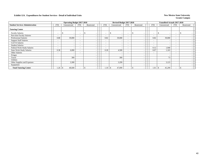|                                        |                          | <b>Operating Budget 2017-2018</b> |                          |            |                          | Revised Budget 2017-2018 |                          |                          |                          | <b>Unaudited Actuals 2017-2018</b> |                          |            |  |
|----------------------------------------|--------------------------|-----------------------------------|--------------------------|------------|--------------------------|--------------------------|--------------------------|--------------------------|--------------------------|------------------------------------|--------------------------|------------|--|
| <b>Student Services Administration</b> | <b>FTE</b>               | Unrestricted                      | FTE                      | Restricted | FTE                      | Unrestricted             | <b>FTE</b>               | Restricted               | <b>FTE</b>               | Unrestricted                       | FTE                      | Restricted |  |
| <b>Tutoring Center</b>                 |                          |                                   |                          |            |                          |                          |                          |                          |                          |                                    |                          |            |  |
| <b>Faculty Salaries</b>                |                          | $\overline{\phantom{a}}$          |                          | -S         | $\overline{\phantom{a}}$ |                          | $\overline{\phantom{0}}$ | $\overline{\phantom{a}}$ | $\overline{\phantom{a}}$ | s                                  | $\overline{\phantom{a}}$ |            |  |
| Part-time Faculty Salaries             | -                        | -                                 |                          |            | $\overline{\phantom{0}}$ |                          | $\overline{\phantom{0}}$ | $\overline{\phantom{a}}$ | $\sim$                   |                                    | $\overline{\phantom{a}}$ |            |  |
| <b>Professional Salaries</b>           | 0.88                     | 39,000                            | $\overline{\phantom{0}}$ |            | 0.82                     | 39,000                   | $\overline{\phantom{0}}$ | $\overline{\phantom{a}}$ | 0.82                     | 39,000                             | $\overline{\phantom{a}}$ |            |  |
| <b>Support Staff Salaries</b>          | $\overline{\phantom{a}}$ | $\overline{\phantom{a}}$          | $\sim$                   |            | $\overline{\phantom{a}}$ |                          | $\overline{\phantom{a}}$ | $\overline{\phantom{a}}$ | $\overline{\phantom{a}}$ |                                    | $\overline{\phantom{a}}$ |            |  |
| GA/TA Salaries                         | $\overline{\phantom{a}}$ | $\overline{\phantom{a}}$          | $\sim$                   |            | $\overline{\phantom{a}}$ |                          | $\overline{\phantom{a}}$ | $\overline{\phantom{a}}$ | $\overline{\phantom{0}}$ |                                    | $\overline{\phantom{a}}$ |            |  |
| <b>Student Salaries</b>                | $\overline{\phantom{a}}$ | $\overline{\phantom{a}}$          | $\overline{\phantom{0}}$ |            | $\overline{\phantom{0}}$ |                          | $\overline{\phantom{0}}$ | $\overline{\phantom{a}}$ | $\overline{\phantom{a}}$ |                                    | $\overline{\phantom{0}}$ |            |  |
| Federal Work-Study Salaries            | $\overline{\phantom{a}}$ | $\overline{\phantom{0}}$          | $\overline{\phantom{0}}$ |            | $\overline{\phantom{a}}$ | - -                      | $\overline{\phantom{0}}$ | $\overline{\phantom{a}}$ | 0.12                     | 1,940                              | $\sim$                   |            |  |
| <b>State Work-Study Salaries</b>       | 0.38                     | 6,000                             |                          |            | 0.28                     | 4,500                    | $\overline{\phantom{0}}$ | $\overline{\phantom{a}}$ | 0.07                     | 1,163                              | $\overline{\phantom{a}}$ |            |  |
| Other Salaries                         | $\overline{\phantom{a}}$ | $\overline{\phantom{a}}$          |                          |            | $\overline{\phantom{a}}$ |                          | $\overline{\phantom{0}}$ | $\overline{\phantom{a}}$ | $\overline{\phantom{a}}$ |                                    | $\overline{\phantom{a}}$ |            |  |
| Fringes                                |                          |                                   |                          |            |                          |                          |                          | $\overline{\phantom{a}}$ |                          |                                    |                          |            |  |
| Travel                                 |                          | 300                               |                          |            |                          | 300                      |                          | $\overline{\phantom{a}}$ |                          | 73                                 |                          |            |  |
| <b>Utilities</b>                       |                          | $\overline{\phantom{a}}$          |                          |            |                          |                          |                          | $\overline{\phantom{a}}$ |                          |                                    |                          |            |  |
| Other Supplies and Expenses            |                          | 3,300                             |                          |            |                          | 3,299                    |                          | $\overline{\phantom{a}}$ |                          | 3,123                              |                          |            |  |
| Equipment                              |                          | $\overline{\phantom{a}}$          |                          |            |                          |                          |                          | $\overline{\phantom{a}}$ |                          |                                    |                          |            |  |
| <b>Total Tutoring Center</b>           | 1.26                     | 48,600                            |                          |            | 1.10                     | 47,099<br>\$             |                          | $\overline{\phantom{a}}$ | 1.01                     | 45,299<br>- 75                     |                          |            |  |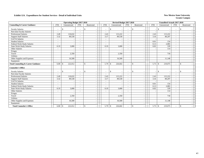|                                               |                          | <b>Operating Budget 2017-2018</b> |                          |               |                          | Revised Budget 2017-2018                 |                          |                                           |                                 | <b>Unaudited Actuals 2017-2018</b> |                          |            |  |
|-----------------------------------------------|--------------------------|-----------------------------------|--------------------------|---------------|--------------------------|------------------------------------------|--------------------------|-------------------------------------------|---------------------------------|------------------------------------|--------------------------|------------|--|
| <b>Counseling &amp; Career Guidance</b>       | <b>FTE</b>               | Unrestricted                      | <b>FTE</b>               | Restricted    | <b>FTE</b>               | Unrestricted                             | <b>FTE</b>               | Restricted                                | <b>FTE</b>                      | Unrestricted                       | <b>FTE</b>               | Restricted |  |
| <b>Faculty Salaries</b>                       | $\overline{\phantom{a}}$ | \$<br>$\overline{\phantom{a}}$    | $\overline{\phantom{a}}$ | <sup>\$</sup> | $\overline{\phantom{a}}$ | $\mathbb{S}$<br>$\overline{\phantom{a}}$ | $\overline{\phantom{a}}$ | - \$<br>$\overline{\phantom{a}}$          | -\$<br>$\overline{\phantom{a}}$ |                                    | $\overline{\phantom{a}}$ | \$.        |  |
| Part-time Faculty Salaries                    | $\overline{\phantom{a}}$ |                                   |                          |               |                          |                                          |                          | $\overline{\phantom{a}}$                  |                                 |                                    | $\blacksquare$           |            |  |
| <b>Professional Salaries</b>                  | 2.49                     | 110.632                           | $\overline{\phantom{a}}$ |               | 2.43                     | 115.222                                  | $\sim$                   | $\overline{\phantom{a}}$                  | 2.43                            | 115.222                            | $\blacksquare$           |            |  |
| <b>Support Staff Salaries</b>                 | 3.32                     | 89,530                            | $\overline{\phantom{a}}$ |               | 3.17                     | 89,530                                   | $\sim$                   | $\blacksquare$                            | 3.16                            | 89,297                             | ÷                        |            |  |
| <b>GA/TA Salaries</b>                         | $\overline{\phantom{a}}$ |                                   |                          |               |                          |                                          | $\overline{\phantom{a}}$ |                                           |                                 |                                    | $\overline{\phantom{a}}$ |            |  |
| <b>Student Salaries</b>                       | $\overline{\phantom{a}}$ |                                   | $\overline{\phantom{a}}$ |               | $\sim$                   | $\overline{\phantom{a}}$                 | $\blacksquare$           | $\overline{\phantom{a}}$                  | 0.01                            | 154                                | $\overline{\phantom{a}}$ |            |  |
| Federal Work-Study Salaries                   | $\sim$                   |                                   | $\sim$                   |               | $\sim$                   | $\sim$                                   | $\sim$                   | $\sim$                                    | 0.13                            | 2,083                              | ٠                        |            |  |
| <b>State Work-Study Salaries</b>              | 0.19                     | 3,000                             |                          |               | 0.19                     | 3,000                                    | $\sim$                   |                                           | 0.02                            | 339                                | $\overline{\phantom{a}}$ |            |  |
| Other Salaries                                | $\overline{\phantom{a}}$ |                                   |                          |               |                          |                                          | $\overline{\phantom{a}}$ | $\overline{\phantom{a}}$                  |                                 | 114                                | $\overline{\phantom{0}}$ |            |  |
| Fringes                                       |                          |                                   |                          |               |                          |                                          |                          |                                           |                                 |                                    |                          |            |  |
| Travel                                        |                          | 2,350                             |                          |               |                          | 2,350                                    |                          | $\overline{\phantom{a}}$                  |                                 | 718                                |                          |            |  |
| Utilities                                     |                          |                                   |                          |               |                          |                                          |                          |                                           |                                 |                                    |                          |            |  |
| Other Supplies and Expenses                   |                          | 16,500                            |                          |               |                          | 16,500                                   |                          |                                           |                                 | 11,148                             |                          |            |  |
| Equipment                                     |                          |                                   |                          |               |                          |                                          |                          |                                           |                                 |                                    |                          |            |  |
| <b>Total Counseling &amp; Career Guidance</b> | 6.00                     | 222,012<br><sup>\$</sup>          |                          | <sup>\$</sup> | 5.79                     | 226,602<br>\$                            |                          | $\mathcal{S}$                             | 5.75<br>$\mathcal{S}$           | 219,075                            | $\overline{\phantom{a}}$ | \$         |  |
| <b>Counselor's Office</b>                     |                          |                                   |                          |               |                          |                                          |                          |                                           |                                 |                                    |                          |            |  |
| <b>Faculty Salaries</b>                       | $\overline{\phantom{a}}$ | \$                                | $\overline{\phantom{a}}$ | <sup>\$</sup> |                          | \$                                       |                          | <sup>\$</sup><br>$\overline{\phantom{a}}$ | $\mathbb{S}$                    |                                    | $\overline{\phantom{a}}$ | \$         |  |
| Part-time Faculty Salaries                    | $\overline{\phantom{a}}$ |                                   |                          |               | $\sim$                   |                                          |                          | $\overline{\phantom{a}}$                  |                                 |                                    | $\overline{\phantom{a}}$ |            |  |
| <b>Professional Salaries</b>                  | 2.49                     | 110,632                           |                          |               | 2.43                     | 115,222                                  |                          |                                           | 2.43                            | 115,222                            | $\blacksquare$           |            |  |
| <b>Support Staff Salaries</b>                 | 3.32                     | 89,530                            | $\overline{\phantom{a}}$ |               | 3.17                     | 89,530                                   | $\sim$                   |                                           | 3.16                            | 89,297                             | $\overline{\phantom{a}}$ |            |  |
| GA/TA Salaries                                | $\sim$                   |                                   | $\overline{\phantom{a}}$ |               | $\sim$                   |                                          | $\overline{\phantom{a}}$ | $\overline{\phantom{a}}$                  |                                 |                                    | $\overline{\phantom{a}}$ |            |  |
| <b>Student Salaries</b>                       | $\overline{\phantom{a}}$ |                                   | $\overline{\phantom{a}}$ |               |                          | $\overline{\phantom{a}}$                 | $\overline{\phantom{a}}$ | $\overline{\phantom{a}}$                  | 0.01                            | 154                                | $\overline{\phantom{a}}$ |            |  |
| Federal Work-Study Salaries                   | $\sim$                   |                                   |                          |               | $\overline{\phantom{a}}$ |                                          |                          | $\overline{\phantom{a}}$                  | 0.13                            | 2,083                              | $\sim$                   |            |  |
| <b>State Work-Study Salaries</b>              | 0.19                     | 3,000                             |                          |               | 0.19                     | 3,000                                    | $\sim$                   | $\sim$                                    | 0.02                            | 339                                | ÷                        |            |  |
| Other Salaries                                |                          |                                   |                          |               |                          |                                          |                          |                                           |                                 | 114                                | $\overline{\phantom{a}}$ |            |  |
| Fringes                                       |                          |                                   |                          |               |                          |                                          |                          | $\blacksquare$                            |                                 |                                    |                          |            |  |
| Travel                                        |                          | 2,350                             |                          |               |                          | 2,350                                    |                          | $\sim$                                    |                                 | 718                                |                          |            |  |
| <b>Utilities</b>                              |                          |                                   |                          |               |                          |                                          |                          | $\overline{\phantom{a}}$                  |                                 |                                    |                          |            |  |
| Other Supplies and Expenses                   |                          | 16,500                            |                          |               |                          | 16,500                                   |                          | $\overline{\phantom{a}}$                  |                                 | 11,148                             |                          |            |  |
| Equipment                                     |                          |                                   |                          |               |                          |                                          |                          |                                           |                                 |                                    |                          |            |  |
| <b>Total Counselor's Office</b>               | $6.00$ \ \ \$            | 222,012                           |                          | $\mathbb{S}$  | 5.79                     | \$<br>226,602                            |                          | \$                                        | 5.75<br>$\mathbb{S}$            | 219,075                            | $\blacksquare$           | \$         |  |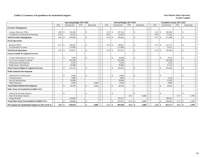### **Exhibit 13. Summary of Expenditures for Institutional Support** New Mexico State University

|                                                        |            | <b>Operating Budget 2017-2018</b> |                          |               |            |                          |                    | Revised Budget 2017-2018 |                          |               |       |                          | <b>Unaudited Actuals 2017-2018</b> |                              |               |            |  |
|--------------------------------------------------------|------------|-----------------------------------|--------------------------|---------------|------------|--------------------------|--------------------|--------------------------|--------------------------|---------------|-------|--------------------------|------------------------------------|------------------------------|---------------|------------|--|
|                                                        | <b>FTE</b> | Unrestricted                      | <b>FTE</b>               |               | Restricted | <b>FTE</b>               |                    | Unrestricted             | <b>FTE</b>               | Restricted    |       | <b>FTE</b>               | Unrestricted                       | <b>FTE</b>                   |               | Restricted |  |
| <b>Executive Management</b>                            |            |                                   |                          |               |            |                          |                    |                          |                          |               |       |                          |                                    |                              |               |            |  |
| Campus Director's Office                               | 3.90       | 192,369<br>$\mathcal{S}$          | $\sim$                   | $\mathbb{S}$  |            | 3.55                     | $\mathcal{S}$      | 187,334                  | $\overline{\phantom{a}}$ | -\$           |       | 3.55                     | 185,036<br><b>S</b>                | $\overline{\phantom{a}}$     | \$            |            |  |
| Coordinator for Research & Planning                    | 0.53       | 26,516                            |                          |               |            | 0.63                     |                    | 32,692                   |                          |               |       | 0.58                     | 27,462                             |                              |               |            |  |
| <b>Total Executive Management</b>                      | 4.43       | 218.885<br>- \$                   |                          | \$            |            | 4.18                     | -\$                | 220,026                  | $\overline{\phantom{a}}$ | $\mathbb{S}$  |       | $4.13 \t S$              | 212,498                            | $\qquad \qquad \blacksquare$ | <sup>\$</sup> |            |  |
| <b>Fiscal Operations</b>                               |            |                                   |                          |               |            |                          |                    |                          |                          |               |       |                          |                                    |                              |               |            |  |
| <b>Business Office</b>                                 | 3.51       | 136,027<br>$\mathbf{s}$           | $\overline{\phantom{a}}$ | \$            |            | 3.33                     | $\mathcal{S}$      | 136,027                  | $\overline{\phantom{a}}$ | <sup>\$</sup> |       |                          | 117,371                            | ٠                            | \$            |            |  |
| <b>Uncollectible Accounts</b>                          |            | 115,000                           | $\overline{\phantom{a}}$ |               |            |                          |                    | 115,000                  |                          |               |       |                          | 74,511                             | ٠                            |               |            |  |
| <b>Total Fiscal Operations</b>                         | 3.51       | 251,027<br>-\$                    | $\overline{\phantom{a}}$ | \$            |            | 3.33                     | -\$                | 251,027                  | $\overline{\phantom{a}}$ | $\mathcal{S}$ |       |                          | 191,882                            | $\overline{\phantom{a}}$     | \$            |            |  |
| <b>General Admin &amp; Logistical Services</b>         |            |                                   |                          |               |            |                          |                    |                          |                          |               |       |                          |                                    |                              |               |            |  |
| County Administrative Tax Levy                         |            | 7,000<br>\$                       | $\sim$                   | \$            |            |                          | $\mathbf{\hat{S}}$ | 10,000                   |                          | <sup>\$</sup> |       | ÷,                       | \$<br>8,874                        | $\overline{\phantom{a}}$     | $\mathbb{S}$  |            |  |
| Las Cruces Campus Overhead                             | $\sim$     | 281,000                           | $\sim$                   |               |            | $\overline{\phantom{a}}$ |                    | 265,400                  | $\sim$                   |               |       | $\sim$                   | 265,400                            | $\sim$                       |               |            |  |
| Professional Development                               |            | 8,544                             | $\overline{\phantom{a}}$ |               |            |                          |                    | 8,544                    | $\overline{\phantom{a}}$ |               |       | ۰                        | 2.120                              | $\sim$                       |               |            |  |
| Publications/ Advertising                              |            | 35,000                            |                          |               |            |                          |                    | 35,000                   | $\overline{\phantom{a}}$ |               |       | ÷                        | 17,110                             | ٠                            |               |            |  |
| <b>Total General Admin &amp; Logistical Services</b>   |            | 331,544<br><sup>\$</sup>          | $\sim$                   | \$            |            |                          |                    | 318,944                  | $\sim$                   | $\mathcal{S}$ |       |                          | 293,504<br>\$                      | ٠                            | <sup>\$</sup> |            |  |
| <b>Public Relations/Development</b>                    |            |                                   |                          |               |            |                          |                    |                          |                          |               |       |                          |                                    |                              |               |            |  |
| <b>Administrative Publications</b>                     |            | 9,000<br>$\mathbf{\hat{S}}$       | $\sim$                   | $\mathbb{S}$  |            |                          | $\mathcal{S}$      | 9,000                    | $\sim$                   | <sup>\$</sup> |       | $\overline{\phantom{a}}$ | \$                                 | $\qquad \qquad \blacksquare$ | <sup>\$</sup> |            |  |
| Commencement                                           |            | 3,000                             |                          |               |            |                          |                    | 3,000                    |                          |               |       |                          | 2,156                              |                              |               |            |  |
| Dues & Memberships                                     |            | 20,000                            | $\overline{\phantom{a}}$ |               |            |                          |                    | 20,000                   | $\overline{\phantom{a}}$ |               |       | $\overline{\phantom{a}}$ | 13,970                             | $\overline{\phantom{a}}$     |               |            |  |
| <b>Public Relations</b>                                |            | 4,500                             | $\sim$                   |               | 1,000      | $\overline{\phantom{a}}$ |                    | 4,500                    | $\overline{\phantom{a}}$ |               |       | $\overline{\phantom{a}}$ | 2,800                              | ٠                            |               |            |  |
| <b>Total Public Relations/Development</b>              |            | 36,500<br>-\$                     | $\overline{\phantom{a}}$ | $\mathbb{S}$  | 1,000      | $\overline{\phantom{a}}$ | $\mathcal{S}$      | 36,500                   | $\sim$                   | $\mathcal{S}$ |       | $\overline{\phantom{a}}$ | \$<br>18,926                       | $\overline{\phantom{a}}$     | $\mathcal{S}$ |            |  |
| Other Items Not Included in Exhibit 13A's              |            |                                   |                          |               |            |                          |                    |                          |                          |               |       |                          |                                    |                              |               |            |  |
| Federal Work-Study Salaries                            |            | \$                                | $\overline{\phantom{a}}$ | \$            |            | $\overline{\phantom{a}}$ | <sup>\$</sup>      |                          | $\overline{\phantom{a}}$ | -\$           |       | $\overline{\phantom{a}}$ | \$                                 | ٠                            | \$            |            |  |
| State Work-Study Salaries                              |            |                                   |                          |               |            |                          |                    |                          | 0.31                     |               | 4,900 |                          |                                    | 0.17                         |               | 2,709      |  |
| <b>Fringe Benefits</b>                                 |            | 118,860                           |                          |               |            |                          |                    | 167.871                  |                          |               |       |                          | 108.367                            |                              |               |            |  |
| <b>Total Other Items Not Included in Exhibit 13A's</b> |            | 118,860<br>-\$                    |                          | \$            |            |                          | -\$                | 167,871                  | 0.31                     | -\$           | 4,900 |                          | \$<br>108,367                      | 0.17                         |               | 2,709      |  |
| Net Expense for Institutional Support in I&G (Exh 2)   | 7.94       | -\$<br>956,816                    |                          | $\mathbf{\$}$ | 1.000      | 7.51                     | \$                 | 994,368                  | 0.31                     | -\$           | 4,900 | $7.26 \pm \$$            | 825,177                            | 0.17                         | -\$           | 2,709      |  |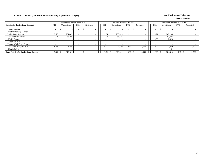### **Exhibit 13. Summary of Institutional Support by Expenditure Category New Mexico State University New Mexico State University**

|                                                 |            | <b>Operating Budget 2017-2018</b> |                          |            |                          | Revised Budget 2017-2018 |                          |            |                          | <b>Unaudited Actuals 2017-2018</b> |                          |            |
|-------------------------------------------------|------------|-----------------------------------|--------------------------|------------|--------------------------|--------------------------|--------------------------|------------|--------------------------|------------------------------------|--------------------------|------------|
| <b>Salaries for Institutional Support</b>       | <b>FTE</b> | Unrestricted                      | <b>FTE</b>               | Restricted | <b>FTE</b>               | Unrestricted             | <b>FTE</b>               | Restricted | <b>FTE</b>               | Unrestricted                       | <b>FTE</b>               | Restricted |
| <b>Faculty Salaries</b>                         | -          |                                   | - -                      |            |                          | $\sim$                   | $\sim$                   |            | $\overline{\phantom{0}}$ |                                    | $\overline{\phantom{a}}$ |            |
| Part-time Faculty Salaries                      |            |                                   |                          |            |                          |                          | $\overline{\phantom{0}}$ |            | $\overline{\phantom{a}}$ |                                    |                          |            |
| <b>Professional Salaries</b>                    | 5.67       | 251.885                           |                          |            | 5.34                     | 253,026                  |                          |            | 5.21                     | 247.106                            |                          |            |
| <b>Support Staff Salaries</b>                   | 2.18       | 58,796                            |                          |            | 2.08                     | 58,796                   |                          |            | 1.90                     | 53,724                             | $\overline{\phantom{0}}$ |            |
| <b>GA/TA Salaries</b>                           |            |                                   | $\overline{\phantom{0}}$ |            | $\overline{\phantom{0}}$ |                          | $\overline{\phantom{0}}$ |            | 0.08                     | 2,828                              | $\overline{\phantom{0}}$ |            |
| <b>Student Salaries</b>                         |            |                                   |                          |            |                          |                          |                          |            | $\overline{\phantom{0}}$ |                                    |                          |            |
| Federal Work-Study Salaries                     |            |                                   | -                        |            |                          |                          | $\overline{\phantom{0}}$ |            | $\overline{\phantom{a}}$ |                                    | $\overline{\phantom{a}}$ |            |
| <b>State Work-Study Salaries</b>                | 0.09       | 1.500                             |                          |            | 0.09                     | 1,500                    | 0.31                     | 4.900      | 0.07                     | 1.079                              | 0.17                     | 2,709      |
| <b>Other Salaries</b>                           |            |                                   |                          |            |                          |                          |                          |            | $\overline{\phantom{a}}$ | 81                                 |                          |            |
| <b>Total Salaries for Institutional Support</b> | 7.94       | 312,181                           |                          |            | 7.51                     | 313,322                  | 0.31                     | 4.900      | 7.26                     | 304,818                            | 0.17                     | 2,709      |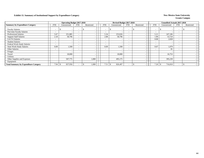### **Exhibit 13. Summary of Institutional Support by Expenditure Category New Mexico State University New Mexico State University**

|                                              |                          | <b>Operating Budget 2017-2018</b> |                          |            |                          | Revised Budget 2017-2018 |                          |                          |                          | <b>Unaudited Actuals 2017-2018</b> |                          |            |
|----------------------------------------------|--------------------------|-----------------------------------|--------------------------|------------|--------------------------|--------------------------|--------------------------|--------------------------|--------------------------|------------------------------------|--------------------------|------------|
| <b>Summary by Expenditure Category</b>       | <b>FTE</b>               | Unrestricted                      | <b>FTE</b>               | Restricted | <b>FTE</b>               | Unrestricted             | <b>FTE</b>               | Restricted               | <b>FTE</b>               | Unrestricted                       | <b>FTE</b>               | Restricted |
| <b>Faculty Salaries</b>                      | $\overline{\phantom{a}}$ |                                   | $\overline{\phantom{a}}$ |            |                          | $\overline{\phantom{a}}$ | $\overline{\phantom{a}}$ |                          | $\overline{\phantom{a}}$ |                                    | $\overline{\phantom{a}}$ |            |
| Part-time Faculty Salaries                   | $\overline{\phantom{0}}$ |                                   | $\overline{\phantom{0}}$ |            | $\sim$                   | $\overline{\phantom{0}}$ | $\overline{\phantom{0}}$ |                          | $\overline{\phantom{a}}$ |                                    | $\overline{\phantom{a}}$ |            |
| <b>Professional Salaries</b>                 | 5.67                     | 251,885                           | $\overline{\phantom{a}}$ |            | 5.34                     | 253,026                  | $\overline{\phantom{0}}$ |                          | 5.21                     | 247,106                            | $\overline{\phantom{a}}$ |            |
| <b>Support Staff Salaries</b>                | 2.18                     | 58,796                            | $\overline{\phantom{a}}$ |            | 2.08                     | 58,796                   | $\overline{\phantom{0}}$ | $\overline{\phantom{0}}$ | 1.90                     | 53,724                             | $\overline{\phantom{a}}$ |            |
| <b>GA/TA Salaries</b>                        | $\overline{\phantom{0}}$ |                                   | $\overline{\phantom{0}}$ |            | $\overline{\phantom{0}}$ |                          | $\overline{\phantom{0}}$ |                          | 0.08                     | 2,828                              | $\overline{\phantom{a}}$ |            |
| <b>Student Salaries</b>                      | <b>-</b>                 |                                   | $\overline{\phantom{0}}$ |            | $\overline{\phantom{0}}$ | $\overline{\phantom{a}}$ | $\overline{\phantom{0}}$ |                          | $\overline{\phantom{a}}$ |                                    | $\overline{\phantom{a}}$ |            |
| Federal Work-Study Salaries                  |                          |                                   | $\overline{\phantom{0}}$ |            |                          | $\overline{\phantom{0}}$ | $\overline{\phantom{0}}$ |                          | $\overline{\phantom{a}}$ |                                    | $\overline{\phantom{a}}$ |            |
| <b>State Work-Study Salaries</b>             | 0.09                     | 1,500                             |                          |            | 0.09                     | 1,500                    | $\overline{\phantom{0}}$ |                          | 0.07                     | 1,079                              | $\overline{\phantom{a}}$ |            |
| <b>Other Salaries</b>                        | $\overline{\phantom{0}}$ |                                   | $\overline{\phantom{a}}$ |            | $\sim$                   |                          | $\overline{\phantom{a}}$ |                          | $\overline{\phantom{a}}$ | 81                                 | $\overline{\phantom{a}}$ |            |
| Fringes                                      |                          |                                   |                          |            |                          |                          |                          |                          |                          |                                    |                          |            |
| Travel                                       |                          | 18,000                            |                          |            |                          | 18,000                   |                          | $\overline{\phantom{a}}$ |                          | 16,753                             |                          |            |
| <b>Utilities</b>                             |                          |                                   |                          |            |                          |                          |                          | $\overline{\phantom{a}}$ |                          |                                    |                          |            |
| Other Supplies and Expenses                  |                          | 507,775                           |                          | 1,000      |                          | 495,175                  |                          | $\overline{\phantom{0}}$ |                          | 395,239                            |                          |            |
| Equipment                                    |                          |                                   |                          |            |                          |                          |                          |                          |                          |                                    |                          |            |
| <b>Total Summary by Expenditure Category</b> | 7.94                     | 837,956                           |                          | 1,000      | 7.51                     | 826,497<br>- 35          |                          |                          | 7.26                     | 716,810<br>ъ                       | $\overline{\phantom{a}}$ |            |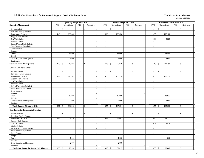|                                                      |                | <b>Operating Budget 2017-2018</b> |                             |                          |                | Revised Budget 2017-2018 |                             |                                           | <b>Unaudited Actuals 2017-2018</b>                   |                          |                          |
|------------------------------------------------------|----------------|-----------------------------------|-----------------------------|--------------------------|----------------|--------------------------|-----------------------------|-------------------------------------------|------------------------------------------------------|--------------------------|--------------------------|
| <b>Executive Management</b>                          | <b>FTE</b>     | Unrestricted                      | <b>FTE</b>                  | Restricted               | <b>FTE</b>     | Unrestricted             | <b>FTE</b>                  | Restricted                                | <b>FTE</b><br>Unrestricted                           | <b>FTE</b>               | Restricted               |
| <b>Faculty Salaries</b>                              | $\sim$         | \$<br>$\overline{\phantom{a}}$    | $\sim$                      | \$                       | $\sim$         | \$<br>$\sim$             | $\sim$                      | <sup>\$</sup><br>$\overline{\phantom{a}}$ | $\mathcal{S}$<br>$\sim$                              | $\blacksquare$           | \$                       |
| Part-time Faculty Salaries                           | $\sim$         |                                   | $\sim$                      |                          | $\sim$         |                          | $\sim$                      | $\bar{a}$                                 | $\overline{a}$                                       | $\overline{a}$           |                          |
| Professional Salaries                                | 4.43           | 196,885                           | $\blacksquare$              | $\sim$                   | 4.18           | 198,026                  | $\sim$                      | $\overline{\phantom{a}}$                  | 192,106<br>4.05                                      | $\blacksquare$           |                          |
| <b>Support Staff Salaries</b>                        | $\mathcal{L}$  |                                   | $\sim$                      | $\sim$                   | $\sim$         |                          | $\sim$                      | $\mathcal{L}_{\mathcal{A}}$               | $\sim$                                               | $\sim$                   |                          |
| GA/TA Salaries                                       | $\sim$         | $\overline{\phantom{a}}$          | $\sim$                      |                          | $\sim$         | $\sim$                   | $\sim$                      | $\sim$                                    | 2,828<br>0.08                                        | $\sim$                   | $\sim$                   |
| <b>Student Salaries</b>                              | $\sim$         | $\overline{\phantom{a}}$          | $\sim$                      | $\sim$                   | $\sim$         | $\sim$                   | $\omega$                    | $\sim$                                    | $\sim$                                               | $\mathcal{L}$            |                          |
| Federal Work-Study Salaries                          | $\sim$         | $\sim$                            | $\sim$                      | $\sim$                   | $\sim$         | $\sim$                   | $\sim$                      | $\sim$                                    | $\sim$<br>$\overline{\phantom{a}}$                   | $\sim$                   | $\overline{\phantom{a}}$ |
| <b>State Work-Study Salaries</b>                     | $\sim$         | $\sim$                            | $\sim$                      | $\sim$                   | $\sim$         | $\sim$                   | $\sim$                      | $\sim$                                    | $\sim$<br>$\overline{\phantom{a}}$                   | $\sim$                   | $\sim$                   |
| Other Salaries                                       | $\sim$         | $\sim$                            | $\overline{\phantom{a}}$    |                          |                | $\overline{\phantom{a}}$ | $\overline{a}$              | $\overline{\phantom{a}}$                  | $\overline{\phantom{a}}$                             | $\sim$                   | $\sim$                   |
| Fringes                                              |                | $\overline{\phantom{a}}$          |                             | ÷,                       |                | $\sim$                   |                             | $\overline{\phantom{a}}$                  |                                                      |                          | $\sim$                   |
| Travel                                               |                | 13,000                            |                             | $\sim$                   |                | 13,000                   |                             | $\mathcal{L}_{\mathcal{A}}$               | 13,884                                               |                          | $\sim$                   |
| Utilities                                            |                |                                   |                             | $\sim$                   |                |                          |                             | $\sim$                                    |                                                      |                          | $\sim$                   |
| Other Supplies and Expenses                          |                | 9,000                             |                             | $\sim$                   |                | 9,000                    |                             | $\sim$                                    | 3,680                                                |                          |                          |
| Equipment                                            |                |                                   |                             | $\sim$                   |                |                          |                             | $\blacksquare$                            |                                                      |                          | $\overline{\phantom{a}}$ |
| <b>Total Executive Management</b>                    | 4.43           | 218,885<br>\$                     | $\sim$                      | $\mathbf{\hat{S}}$       | 4.18           | $\mathbb{S}$<br>220,026  | $\sim$                      | \$<br>$\sim$                              | 4.13<br>$\mathcal{S}$<br>212,498                     | $\overline{a}$           | $\mathbb{S}$             |
| <b>Campus Director's Office</b>                      |                |                                   |                             |                          |                |                          |                             |                                           |                                                      |                          |                          |
| <b>Faculty Salaries</b>                              |                | $\mathbb{S}$<br>$\sim$            | J.                          | $\mathbf{\hat{s}}$       | $\sim$         | $\mathbb{S}$             |                             | $\mathbf{\hat{S}}$                        | $\mathbf S$<br>$\sim$                                | $\bar{a}$                | \$                       |
| Part-time Faculty Salaries                           | $\sim$         | $\sim$                            | $\sim$                      | $\overline{\phantom{a}}$ | $\blacksquare$ | $\overline{\phantom{a}}$ | $\blacksquare$              | $\sim$                                    | $\blacksquare$                                       | $\blacksquare$           | $\sim$                   |
| Professional Salaries                                | 3.90           | 173,369                           | $\sim$                      | $\sim$                   | 3.55           | 168,334                  | $\sim$                      | $\sim$                                    | 168,334<br>3.55                                      | $\sim$                   | $\sim$                   |
| <b>Support Staff Salaries</b>                        | $\sim$         |                                   | $\blacksquare$              | $\sim$                   | $\sim$         | $\overline{\phantom{a}}$ | $\overline{\phantom{a}}$    | $\blacksquare$                            | $\sim$                                               | $\blacksquare$           | $\sim$                   |
| GA/TA Salaries                                       | $\mathbb{Z}^2$ | $\overline{\phantom{a}}$          | $\omega$                    | $\sim$                   | $\omega$       | $\sim$                   | $\mathbb{Z}^+$              | $\sim$                                    | $\omega$<br>$\overline{\phantom{a}}$                 | $\equiv$                 | $\sim$                   |
| <b>Student Salaries</b>                              | $\sim$         | $\omega$                          | $\sim$                      | $\overline{a}$           | $\sim$         | $\sim$                   | $\sim$                      | $\blacksquare$                            | $\sim$<br>$\overline{\phantom{a}}$                   | $\sim$                   | $\sim$                   |
| Federal Work-Study Salaries                          | $\sim$         | $\sim$                            | $\omega$                    | $\sim$                   | $\sim$         | $\sim$                   | $\omega$                    | $\sim$                                    | $\sim$<br>$\overline{\phantom{a}}$                   | $\omega$                 | $\sim$                   |
| State Work-Study Salaries                            | $\sim$         | $\overline{\phantom{a}}$          | $\sim$                      | $\sim$                   | $\sim$         | $\sim$                   | $\bar{a}$                   | $\sim$                                    | $\sim$                                               | $\sim$                   |                          |
| Other Salaries                                       | $\sim$         | $\overline{\phantom{a}}$          | $\sim$                      | $\sim$                   | $\sim$         | $\blacksquare$           | $\sim$                      | $\sim$                                    | $\overline{\phantom{a}}$<br>$\sim$                   | $\blacksquare$           | $\sim$                   |
| Fringes                                              |                | $\sim$                            |                             | $\overline{\phantom{a}}$ |                | $\sim$                   |                             | $\overline{\phantom{a}}$                  |                                                      |                          | $\sim$                   |
| Travel                                               |                | 12,000                            |                             | $\overline{\phantom{a}}$ |                | 12,000                   |                             | $\sim$                                    | 13,022                                               |                          | $\sim$                   |
| Utilities                                            |                |                                   |                             | $\sim$                   |                |                          |                             | $\mathcal{L}_{\mathcal{A}}$               |                                                      |                          | $\sim$                   |
| Other Supplies and Expenses                          |                | 7,000                             |                             | $\sim$                   |                | 7,000                    |                             | $\sim$                                    | 3,680                                                |                          |                          |
| Equipment                                            |                |                                   |                             | $\overline{a}$           |                |                          |                             | $\sim$                                    |                                                      |                          | $\sim$                   |
| <b>Total Campus Director's Office</b>                | 3.90           | 192,369<br>\$                     | $\sim$                      | $\mathcal{S}$            |                | 187,334                  | $\bar{\phantom{a}}$         | $\mathcal{S}$<br>$\bar{a}$                | 3.55<br>$\mathbf{\hat{s}}$<br>185,036                | $\bar{a}$                | $\mathbf{s}$             |
| <b>Coordinator for Research &amp; Planning</b>       |                |                                   |                             |                          |                |                          |                             |                                           |                                                      |                          |                          |
| <b>Faculty Salaries</b>                              |                | \$<br>$\sim$                      | $\sim$                      | \$                       | $\sim$         | $\mathbb{S}$             | $\overline{a}$              | \$<br>$\blacksquare$                      | $\mathbb{S}$<br>$\sim$                               | $\blacksquare$           | \$                       |
| Part-time Faculty Salaries                           | $\sim$         | $\sim$                            | $\sim$                      | $\sim$                   | $\sim$         | $\overline{\phantom{a}}$ | $\sim$                      | $\sim$                                    | $\sim$                                               | $\sim$                   | $\sim$                   |
| Professional Salaries                                | 0.53           | 23,516                            | $\mathcal{L}_{\mathcal{A}}$ | $\blacksquare$           | 0.63           | 29,692                   | $\mathcal{L}_{\mathcal{A}}$ | $\mathcal{L}_{\mathcal{A}}$               | 23,772<br>0.50                                       | $\sim$                   | $\sim$                   |
| <b>Support Staff Salaries</b>                        | $\sim$         | $\overline{a}$                    | $\sim$                      | $\sim$                   | $\sim$         | $\overline{a}$           | $\sim$                      | $\bar{a}$                                 | $\sim$                                               | $\sim$                   | $\sim$                   |
| GA/TA Salaries                                       | $\sim$         | $\sim$                            | $\sim$                      |                          | $\sim$         | $\sim$                   | $\sim$                      | $\sim$                                    | 2,828<br>0.08                                        | $\overline{\phantom{a}}$ | $\overline{\phantom{a}}$ |
| <b>Student Salaries</b>                              | $\sim$         | $\sim$                            | $\sim$                      |                          | $\sim$         | $\sim$                   | $\bar{a}$                   | $\sim$                                    | $\blacksquare$                                       | $\sim$                   | $\sim$                   |
| Federal Work-Study Salaries                          | $\mathcal{L}$  | $\sim$                            | $\mathcal{L}$               | ÷,                       | $\sim$         | $\overline{\phantom{a}}$ | $\omega$                    | $\sim$                                    | $\omega$<br>÷,                                       | $\overline{\phantom{a}}$ | $\sim$                   |
| <b>State Work-Study Salaries</b>                     | $\sim$         | $\sim$                            | $\sim$                      | $\sim$                   | $\sim$         | $\sim$                   | $\omega$                    | $\sim$                                    | $\sim$<br>$\overline{a}$                             | $\sim$                   | $\sim$                   |
| Other Salaries                                       | $\sim$         | $\sim$                            | $\mathcal{L}$               | $\overline{a}$           | $\overline{a}$ | $\sim$                   | $\sim$                      | $\sim$                                    | $\overline{\phantom{a}}$<br>$\overline{\phantom{a}}$ | $\overline{a}$           | $\sim$                   |
| Fringes                                              |                | $\sim$                            |                             | $\blacksquare$           |                | $\overline{\phantom{a}}$ |                             | $\sim$                                    | $\overline{\phantom{a}}$                             |                          | $\sim$                   |
| Travel                                               |                | 1,000                             |                             | $\sim$                   |                | 1,000                    |                             | $\sim$                                    | 862                                                  |                          | $\sim$                   |
| Utilities                                            |                | $\overline{a}$                    |                             | $\overline{\phantom{a}}$ |                |                          |                             | $\sim$                                    | $\sim$                                               |                          | $\overline{\phantom{a}}$ |
| Other Supplies and Expenses                          |                | 2,000                             |                             | $\sim$                   |                | 2,000                    |                             | $\sim$                                    |                                                      |                          | $\sim$                   |
| Equipment                                            |                |                                   |                             | $\overline{a}$           |                |                          |                             | $\overline{\phantom{a}}$                  |                                                      |                          | $\sim$                   |
| <b>Total Coordinator for Research &amp; Planning</b> | 0.53           | \$<br>26,516                      | $\sim$                      | \$                       |                | 32,692                   |                             | $\mathcal{S}$<br>$\mathbb{Z}^2$           | $\mathcal{S}$<br>27,462<br>0.58                      | $\sim$                   | $\mathbf S$<br>$\sim$    |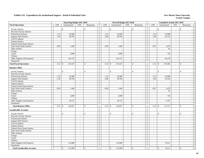|                                     | <b>Operating Budget 2017-2018</b> |                                |                             |                          |                    | Revised Budget 2017-2018 |                             |                                           |                            | Unaudited Actuals 2017-2018 |                          |                          |  |
|-------------------------------------|-----------------------------------|--------------------------------|-----------------------------|--------------------------|--------------------|--------------------------|-----------------------------|-------------------------------------------|----------------------------|-----------------------------|--------------------------|--------------------------|--|
| <b>Fiscal Operations</b>            | <b>FTE</b>                        | Unrestricted                   | <b>FTE</b>                  | Restricted               | <b>FTE</b>         | Unrestricted             | <b>FTE</b>                  | Restricted                                | <b>FTE</b>                 | Unrestricted                | <b>FTE</b>               | Restricted               |  |
| <b>Faculty Salaries</b>             | $\overline{\phantom{a}}$          | \$<br>$\overline{\phantom{a}}$ | $\sim$                      | \$                       | $\sim$             | \$<br>$\sim$             | $\sim$                      | <sup>\$</sup><br>$\overline{\phantom{a}}$ | $\mathcal{S}$<br>$\sim$    |                             | $\blacksquare$           | \$                       |  |
| Part-time Faculty Salaries          | $\sim$                            |                                | $\sim$                      |                          | $\sim$             |                          | $\sim$                      | $\sim$                                    | $\overline{\phantom{a}}$   |                             | $\sim$                   |                          |  |
| Professional Salaries               | 1.24                              | 55,000                         | $\blacksquare$              | ÷,                       | 1.16               | 55,000                   | $\sim$                      | $\overline{\phantom{a}}$                  | 1.16                       | 55,000                      | $\blacksquare$           |                          |  |
| <b>Support Staff Salaries</b>       | 2.18                              | 58,796                         | $\omega$                    | $\overline{a}$           | 2.08               | 58,796                   | $\mathbb{Z}^+$              | $\blacksquare$                            | 1.90                       | 53,724                      | $\mathbf{r}$             | $\sim$                   |  |
| GA/TA Salaries                      | $\sim$                            | $\overline{\phantom{a}}$       | $\mathcal{L}$               |                          | $\sim$             |                          | $\sim$                      | $\sim$                                    | $\sim$                     |                             | $\overline{a}$           | $\sim$                   |  |
| <b>Student Salaries</b>             | $\sim$                            | $\sim$                         | $\mathcal{L}$               | $\sim$                   | $\sim$             | $\overline{\phantom{a}}$ | $\omega$                    | $\sim$                                    | $\sim$                     | $\sim$                      | $\omega$                 |                          |  |
| Federal Work-Study Salaries         | $\sim$                            | $\sim$                         | $\sim$                      | $\sim$                   | $\sim$             | $\overline{\phantom{a}}$ | $\sim$                      | $\sim$                                    | $\sim$                     |                             | $\sim$                   | $\overline{\phantom{a}}$ |  |
| State Work-Study Salaries           | 0.09                              | 1,500                          | $\sim$                      | $\overline{\phantom{a}}$ | 0.09               | 1,500                    | $\sim$                      | $\sim$                                    | 0.07                       | 1,079                       | $\sim$                   | $\sim$                   |  |
| Other Salaries                      | $\sim$                            | $\sim$                         | $\sim$                      |                          | $\sim$             | $\overline{\phantom{a}}$ | $\overline{a}$              | $\overline{\phantom{a}}$                  | $\overline{\phantom{a}}$   | 81                          | $\sim$                   | $\sim$                   |  |
| Fringes                             |                                   | $\sim$                         |                             | ÷,                       |                    | $\sim$                   |                             | $\overline{\phantom{a}}$                  |                            |                             |                          | $\sim$                   |  |
| Travel                              |                                   | 2,000                          |                             | $\sim$                   |                    | 2,000                    |                             | $\mathcal{L}_{\mathcal{A}}$               |                            | 720                         |                          | $\sim$                   |  |
| Utilities                           |                                   |                                |                             | $\sim$                   |                    |                          |                             | $\mathcal{L}_{\mathcal{A}}$               |                            |                             |                          | $\sim$                   |  |
| Other Supplies and Expenses         |                                   | 133,731                        |                             | $\sim$                   |                    | 133,731                  |                             | $\sim$                                    |                            | 81,278                      |                          |                          |  |
| Equipment                           |                                   |                                |                             | $\sim$                   |                    |                          |                             | $\sim$                                    |                            |                             |                          | $\overline{\phantom{a}}$ |  |
|                                     |                                   |                                |                             |                          |                    |                          |                             | $\mathbf{\hat{S}}$                        |                            |                             |                          |                          |  |
| <b>Total Fiscal Operations</b>      | 3.51                              | 251,027<br>$\mathbf{\hat{S}}$  | $\mathcal{L}$               | $\mathbf{\hat{S}}$       | 3.33               | $\mathbb{S}$<br>251,027  | $\sim$                      | $\sim$                                    | 3.13<br>$\mathcal{S}$      | 191,882                     | $\overline{a}$           | $\mathbb{S}$             |  |
| <b>Business Office</b>              |                                   |                                |                             |                          |                    |                          |                             |                                           |                            |                             |                          |                          |  |
| <b>Faculty Salaries</b>             |                                   | $\mathbb{S}$<br>$\sim$         | J.                          | $\mathbf{\hat{s}}$       | $\sim$             | $\mathbb{S}$             |                             | $\mathbf{\hat{S}}$                        | $\mathbf S$<br>$\sim$      |                             | $\bar{a}$                | $\mathbf{\hat{S}}$       |  |
| Part-time Faculty Salaries          | $\sim$                            | $\overline{\phantom{a}}$       | $\sim$                      | $\overline{\phantom{a}}$ | $\mathbb{Z}^2$     | $\blacksquare$           | $\sim$                      | $\blacksquare$                            | $\blacksquare$             |                             | $\blacksquare$           | $\sim$                   |  |
| Professional Salaries               | 1.24                              | 55,000                         | $\sim$                      | $\sim$                   | 1.16               | 55,000                   | $\sim$                      | $\sim$                                    | 1.16                       | 55,000                      | $\sim$                   | $\sim$                   |  |
| <b>Support Staff Salaries</b>       | 2.18                              | 58,796                         | $\sim$                      | $\overline{\phantom{a}}$ | 2.08               | 58,796                   | $\omega$                    | $\blacksquare$                            | 1.90                       | 53,724                      | $\blacksquare$           | $\overline{\phantom{a}}$ |  |
| GA/TA Salaries                      | $\omega$                          |                                | $\omega$                    | $\sim$                   | $\omega$           |                          | $\mathbb{Z}^+$              | $\sim$                                    | $\omega$                   |                             | $\mathbf{r}$             | $\sim$                   |  |
| <b>Student Salaries</b>             | $\sim$                            | $\sim$                         | $\sim$                      | $\overline{a}$           | $\mathcal{L}$      | $\sim$                   | $\sim$                      | $\overline{\phantom{a}}$                  | $\sim$                     |                             | $\sim$                   | $\sim$                   |  |
| Federal Work-Study Salaries         | $\sim$                            | $\overline{\phantom{a}}$       | $\omega$                    | $\sim$                   | $\sim$             | $\sim$                   | $\omega$                    | $\sim$                                    | $\sim$                     |                             | $\omega$                 | $\sim$                   |  |
| <b>State Work-Study Salaries</b>    | 0.09                              | 1,500                          | $\sim$                      | $\sim$                   | 0.09               | 1,500                    | $\mathcal{L}_{\mathcal{A}}$ | $\sim$                                    | 0.07                       | 1,079                       | $\sim$                   | $\sim$                   |  |
| Other Salaries                      | $\sim$                            | $\sim$                         | $\sim$                      | $\sim$                   | $\omega$           | $\overline{\phantom{a}}$ | $\sim$                      | $\blacksquare$                            | $\sim$                     | 81                          | $\blacksquare$           | $\sim$                   |  |
| Fringes                             |                                   | $\overline{\phantom{a}}$       |                             | $\overline{\phantom{a}}$ |                    | $\overline{\phantom{a}}$ |                             | $\sim$                                    |                            |                             |                          | $\sim$                   |  |
| Travel                              |                                   | 2,000                          |                             | $\sim$                   |                    | 2,000                    |                             | $\blacksquare$                            |                            | 720                         |                          | $\sim$                   |  |
| Utilities                           |                                   |                                |                             | $\sim$                   |                    |                          |                             | $\mathcal{L}_{\mathcal{A}}$               |                            |                             |                          | $\sim$                   |  |
| Other Supplies and Expenses         |                                   | 18,731                         |                             | $\sim$                   |                    | 18,731                   |                             | $\sim$                                    |                            | 6,767                       |                          | $\sim$                   |  |
| Equipment                           |                                   |                                |                             | $\sim$                   |                    |                          |                             | $\sim$                                    |                            |                             |                          | $\sim$                   |  |
| <b>Total Business Office</b>        | 3.51                              | 136,027<br>$\mathbf{\hat{S}}$  | $\sim$                      | $\mathbf{\hat{s}}$       | $3.33 \, \text{S}$ | 136,027                  | $\bar{\phantom{a}}$         | $\mathbf{\hat{S}}$<br>$\overline{a}$      | 3.13<br>$\mathbf{\hat{s}}$ | 117,371                     | $\bar{a}$                | $\mathbf{s}$<br>$\sim$   |  |
| <b>Uncollectible Accounts</b>       |                                   |                                |                             |                          |                    |                          |                             |                                           |                            |                             |                          |                          |  |
| <b>Faculty Salaries</b>             | $\sim$                            | \$<br>$\sim$                   | in 1919.                    | \$                       | $\sim$             | \$                       | $\overline{a}$              | \$<br>$\blacksquare$                      | $\mathbb{S}$<br>÷.         |                             | $\sim$                   | \$                       |  |
| Part-time Faculty Salaries          | $\sim$                            | $\sim$                         | $\sim$                      | $\sim$                   | $\sim$             | $\overline{\phantom{a}}$ | $\sim$                      | $\sim$                                    | $\sim$                     | $\sim$                      | $\sim$                   | $\sim$                   |  |
| Professional Salaries               | $\mathbb{Z}^2$                    | $\sim$                         | $\mathcal{L}_{\mathcal{A}}$ | $\blacksquare$           | $\mathbb{Z}^2$     | $\sim$                   | $\mathcal{L}_{\mathcal{A}}$ | $\mathcal{L}_{\mathcal{A}}$               | $\mathbb{Z}^2$             | $\overline{\phantom{a}}$    | $\mathbb{Z}^2$           | $\sim$                   |  |
| <b>Support Staff Salaries</b>       | $\sim$                            | $\overline{\phantom{a}}$       | $\sim$                      | ÷,                       | $\sim$             | $\sim$                   | $\sim$                      | $\sim$                                    | $\sim$                     | ÷.                          | $\sim$                   | $\sim$                   |  |
| GA/TA Salaries                      | $\sim$                            | $\sim$                         | $\sim$                      |                          | $\sim$             | $\overline{\phantom{a}}$ | $\sim$                      | $\sim$                                    | $\sim$                     | $\overline{\phantom{a}}$    | $\sim$                   | $\overline{\phantom{a}}$ |  |
| <b>Student Salaries</b>             | $\sim$                            | $\overline{\phantom{a}}$       | $\sim$                      |                          |                    |                          | $\bar{a}$                   | $\sim$                                    | $\blacksquare$             |                             | $\bar{a}$                | $\sim$                   |  |
| Federal Work-Study Salaries         | $\mathbf{r}$                      | $\sim$                         | $\mathcal{L}$               | $\overline{a}$           | $\sim$             | $\overline{\phantom{a}}$ | $\mathbb{Z}^+$              | $\sim$                                    | $\sim$                     | $\sim$                      | $\overline{\phantom{a}}$ | $\sim$                   |  |
| <b>State Work-Study Salaries</b>    | $\sim$                            | $\sim$                         | $\sim$                      | $\sim$                   | $\sim$             | $\sim$                   | $\omega$                    | $\sim$                                    | $\sim$                     | $\overline{a}$              | $\sim$                   | $\sim$                   |  |
| Other Salaries                      | $\sim$                            | $\sim$                         | $\sim$                      | $\sim$                   | $\overline{a}$     | $\sim$                   | $\sim$                      | $\sim$                                    | $\overline{\phantom{a}}$   | $\sim$                      | $\overline{a}$           | $\sim$                   |  |
| Fringes                             |                                   | $\sim$                         |                             | $\blacksquare$           |                    | $\sim$                   |                             | $\sim$                                    |                            | $\overline{\phantom{a}}$    |                          | $\sim$                   |  |
| Travel                              |                                   | $\overline{\phantom{a}}$       |                             | $\sim$                   |                    | $\sim$                   |                             | $\sim$                                    |                            | ÷.                          |                          | $\sim$                   |  |
| Utilities                           |                                   | $\sim$                         |                             | $\sim$                   |                    | $\sim$                   |                             | $\sim$                                    |                            |                             |                          | $\overline{\phantom{a}}$ |  |
| Other Supplies and Expenses         |                                   | 115,000                        |                             | $\sim$                   |                    | 115,000                  |                             | $\overline{\phantom{a}}$                  |                            | 74,511                      |                          | $\sim$                   |  |
| Equipment                           |                                   |                                |                             | $\sim$                   |                    |                          |                             | $\Box$                                    |                            |                             |                          | $\sim$                   |  |
|                                     |                                   |                                |                             |                          |                    |                          |                             |                                           |                            |                             |                          |                          |  |
| <b>Total Uncollectible Accounts</b> |                                   | \$<br>115,000                  | $\sim$                      | \$                       |                    | \$<br>115,000            |                             | $\mathbf{\hat{S}}$<br>$\sim$              | $\mathcal{S}$<br>$\sim$    | 74,511                      | $\sim$                   | \$<br>$\sim$             |  |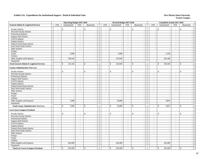|                                                      |                             | <b>Operating Budget 2017-2018</b> |                |                                      |                          |              |                          | Revised Budget 2017-2018    |                                           |                          | Unaudited Actuals 2017-2018   |                          |                          |  |
|------------------------------------------------------|-----------------------------|-----------------------------------|----------------|--------------------------------------|--------------------------|--------------|--------------------------|-----------------------------|-------------------------------------------|--------------------------|-------------------------------|--------------------------|--------------------------|--|
| <b>General Admin &amp; Logistical Services</b>       | <b>FTE</b>                  | Unrestricted                      | FTE            | Restricted                           | <b>FTE</b>               | Unrestricted |                          | <b>FTE</b>                  | Restricted                                | <b>FTE</b>               | Unrestricted                  | <b>FTE</b>               | Restricted               |  |
| <b>Faculty Salaries</b>                              |                             | \$<br>$\sim$                      | $\sim$         | \$                                   | $\overline{\phantom{a}}$ | \$           | $\sim$                   | $\overline{a}$              | <sup>\$</sup><br>$\blacksquare$           | $\sim$                   | $\mathcal{S}$                 | $\sim$                   | \$                       |  |
| Part-time Faculty Salaries                           | $\sim$                      |                                   | $\blacksquare$ |                                      | $\tilde{\phantom{a}}$    |              | $\sim$                   | $\bar{\phantom{a}}$         | $\sim$                                    | $\sim$                   |                               | $\bar{a}$                |                          |  |
| Professional Salaries                                | $\mathcal{L}_{\mathcal{A}}$ | $\overline{\phantom{a}}$          | $\sim$         |                                      | $\blacksquare$           |              | $\overline{\phantom{a}}$ | $\mathcal{L}_{\mathcal{A}}$ | $\blacksquare$                            | $\blacksquare$           | ÷,                            | $\Box$                   | $\overline{a}$           |  |
| <b>Support Staff Salaries</b>                        | $\sim$                      | $\sim$                            | $\sim$         | $\sim$                               | $\sim$                   |              | $\sim$                   | $\sim$                      | $\sim$                                    | $\sim$                   | $\overline{a}$                | $\sim$                   | $\sim$                   |  |
| GA/TA Salaries                                       | $\sim$                      | $\overline{\phantom{a}}$          | $\sim$         | $\sim$                               | $\sim$                   |              | $\sim$                   | $\sim$                      | $\sim$                                    | $\sim$                   |                               | $\sim$                   |                          |  |
| <b>Student Salaries</b>                              | $\sim$                      | $\sim$                            | $\blacksquare$ | $\overline{\phantom{a}}$             | $\sim$                   |              | $\blacksquare$           | $\sim$                      | $\sim$                                    | $\mathbb{Z}^2$           | $\sim$                        | $\blacksquare$           | $\sim$                   |  |
| Federal Work-Study Salaries                          | $\sim$                      | $\sim$                            | $\sim$         | $\sim$                               | $\sim$                   |              | $\sim$                   | $\sim$                      | $\sim$                                    | $\sim$                   | ÷.                            | $\sim$                   | $\overline{a}$           |  |
| <b>State Work-Study Salaries</b>                     | $\sim$                      | $\sim$                            | $\sim$         | $\sim$                               | $\sim$                   |              | $\blacksquare$           | $\sim$                      | $\sim$                                    | $\sim$                   | $\sim$                        | $\sim$                   | $\overline{\phantom{a}}$ |  |
| Other Salaries                                       |                             | $\sim$                            | $\sim$         |                                      |                          |              |                          | $\bar{\phantom{a}}$         | $\overline{\phantom{a}}$                  |                          |                               |                          |                          |  |
| Fringes                                              |                             | $\sim$                            |                | $\overline{a}$                       |                          |              | $\overline{a}$           |                             | $\overline{\phantom{a}}$                  |                          |                               |                          | $\sim$                   |  |
| Travel                                               |                             | 3,000                             |                | $\sim$                               |                          |              | 3,000                    |                             | $\sim$                                    |                          | 2,120                         |                          | $\sim$                   |  |
| Utilities                                            |                             |                                   |                | $\sim$                               |                          |              |                          |                             | $\sim$                                    |                          |                               |                          | $\sim$                   |  |
| Other Supplies and Expenses                          |                             | 328,544                           |                | $\blacksquare$                       |                          |              | 315,944                  |                             | $\sim$                                    |                          | 291,384                       |                          |                          |  |
| Equipment                                            |                             |                                   |                | $\sim$                               |                          |              |                          |                             | $\sim$                                    |                          |                               |                          | $\overline{\phantom{a}}$ |  |
| <b>Total General Admin &amp; Logistical Services</b> | $\sim$                      | 331,544<br>\$                     | $\omega$       | $\mathbf{\hat{s}}$<br>$\overline{a}$ | $\omega$                 | $\mathbb{S}$ | 318,944                  | $\mathbb{Z}^+$              | <sup>\$</sup><br>$\sim$                   | $\omega$                 | 293,504<br>$\mathbf{\hat{S}}$ | $\bar{\phantom{a}}$      | $\mathbf{s}$             |  |
| <b>County Administrative Tax Levy</b>                |                             |                                   |                |                                      |                          |              |                          |                             |                                           |                          |                               |                          |                          |  |
| <b>Faculty Salaries</b>                              |                             | \$<br>$\overline{\phantom{a}}$    |                | \$                                   |                          | \$           |                          |                             | \$                                        | $\sim$                   | $\mathcal{S}$                 | L,                       | \$                       |  |
| Part-time Faculty Salaries                           | $\sim$                      | $\sim$                            | $\sim$         | $\sim$                               | $\sim$                   |              | $\sim$                   | $\sim$                      | $\blacksquare$                            | $\sim$                   | $\overline{\phantom{a}}$      | $\bar{a}$                | $\sim$                   |  |
| Professional Salaries                                | $\sim$                      | $\sim$                            | $\sim$         |                                      | $\sim$                   |              | $\sim$                   | $\sim$                      | $\sim$                                    | $\sim$                   | $\overline{a}$                | $\sim$                   | $\sim$                   |  |
| <b>Support Staff Salaries</b>                        | $\sim$                      | $\sim$                            | $\blacksquare$ | $\sim$                               | $\sim$                   |              | $\overline{\phantom{a}}$ | $\omega$                    | $\sim$                                    | $\blacksquare$           | $\overline{\phantom{a}}$      | $\blacksquare$           | $\sim$                   |  |
| GA/TA Salaries                                       | $\sim$                      | $\sim$                            | $\sim$         | $\overline{a}$                       | $\sim$                   |              | $\sim$                   | $\omega$                    | $\sim$                                    | $\overline{\phantom{a}}$ |                               | $\overline{\phantom{a}}$ | $\sim$                   |  |
| <b>Student Salaries</b>                              | $\sim$                      | $\omega$                          | $\sim$         | $\sim$                               | $\sim$                   |              | $\sim$                   | $\sim$                      | $\blacksquare$                            | $\sim$                   | $\sim$                        | $\sim$                   | $\overline{\phantom{a}}$ |  |
| Federal Work-Study Salaries                          | $\sim$                      | $\overline{\phantom{a}}$          | $\sim$         |                                      | $\sim$                   |              | $\sim$                   | $\omega$                    | $\sim$                                    | $\omega$                 |                               | $\sim$                   | $\overline{\phantom{a}}$ |  |
| State Work-Study Salaries                            | $\sim$                      | $\overline{\phantom{a}}$          | $\sim$         | $\sim$                               | $\tilde{\phantom{a}}$    |              | $\sim$                   | $\bar{a}$                   | $\sim$                                    | $\sim$                   | $\overline{\phantom{a}}$      | $\bar{a}$                | $\sim$                   |  |
| Other Salaries                                       | $\sim$                      | $\sim$                            | $\sim$         | $\sim$                               | $\sim$                   |              | $\sim$                   | $\sim$                      | $\blacksquare$                            | $\sim$                   | $\overline{\phantom{a}}$      | $\sim$                   | $\sim$                   |  |
| Fringes                                              |                             | $\sim$                            |                | $\overline{a}$                       |                          |              | $\sim$                   |                             | $\sim$                                    |                          | $\overline{\phantom{a}}$      |                          | $\overline{\phantom{a}}$ |  |
| Travel                                               |                             | $\sim$                            |                | $\sim$                               |                          |              | $\overline{\phantom{a}}$ |                             | $\sim$                                    |                          | $\sim$                        |                          | $\overline{\phantom{a}}$ |  |
| Utilities                                            |                             | $\sim$                            |                | ÷,                                   |                          |              | $\sim$                   |                             | $\overline{\phantom{a}}$                  |                          |                               |                          | $\sim$                   |  |
| Other Supplies and Expenses                          |                             | 7,000                             |                | in 1919.                             |                          |              | 10,000                   |                             | $\sim$                                    |                          | 8,874                         |                          | $\sim$                   |  |
| Equipment                                            |                             | $\sim$                            |                | $\sim$                               |                          |              | $\overline{\phantom{a}}$ |                             | $\sim$                                    |                          |                               |                          | $\overline{\phantom{a}}$ |  |
| <b>Total County Administrative Tax Levy</b>          |                             | 7,000<br>\$                       | $\sim$         | $\mathbf{\hat{S}}$                   |                          | $\mathbb{S}$ | 10,000                   | $\bar{\phantom{a}}$         | \$<br>$\blacksquare$                      | $\sim$                   | $\mathbf S$<br>8,874          | $\bar{a}$                | ${\mathbb S}$            |  |
| <b>Las Cruces Campus Overhead</b>                    |                             |                                   |                |                                      |                          |              |                          |                             |                                           |                          |                               |                          |                          |  |
| <b>Faculty Salaries</b>                              |                             | \$<br>$\sim$                      | $\sim$         | $\mathbf{\hat{s}}$                   | $\sim$                   | \$           |                          | $\overline{a}$              | <sup>\$</sup><br>$\overline{\phantom{a}}$ | $\sim$                   | $\mathbf{\hat{S}}$            | $\sim$                   | \$                       |  |
| Part-time Faculty Salaries                           | $\sim$                      | $\sim$                            | $\sim$         | $\sim$                               | $\sim$                   |              | $\sim$                   | $\sim$                      | $\sim$                                    | $\sim$                   | $\sim$                        | $\sim$                   | $\sim$                   |  |
| Professional Salaries                                | $\sim$                      | $\sim$                            | $\mathcal{L}$  | $\sim$                               | $\sim$                   |              | $\sim$                   | $\omega$                    | $\mathcal{L}_{\mathcal{A}}$               | $\omega$                 | $\sim$                        | $\omega$                 |                          |  |
| <b>Support Staff Salaries</b>                        | $\sim$                      | $\sim$                            | $\sim$         | $\overline{\phantom{a}}$             | $\sim$                   |              | $\blacksquare$           | $\sim$                      | $\sim$                                    | $\blacksquare$           | $\overline{\phantom{a}}$      | $\blacksquare$           | $\sim$                   |  |
| GA/TA Salaries                                       | $\sim$                      | $\sim$                            | $\sim$         | $\sim$                               | $\sim$                   |              | $\sim$                   | $\sim$                      | $\sim$                                    | $\sim$                   | $\overline{\phantom{a}}$      | $\sim$                   | $\overline{\phantom{a}}$ |  |
| <b>Student Salaries</b>                              | $\sim$                      | $\overline{\phantom{a}}$          | $\sim$         |                                      | $\sim$                   |              | $\sim$                   | $\omega$                    | $\sim$                                    | $\sim$                   |                               | $\sim$                   | $\sim$                   |  |
| Federal Work-Study Salaries                          | $\blacksquare$              | $\sim$                            | $\blacksquare$ |                                      | $\sim$                   |              | $\overline{\phantom{a}}$ | $\sim$                      | $\overline{\phantom{a}}$                  | $\blacksquare$           |                               | $\blacksquare$           | $\sim$                   |  |
| State Work-Study Salaries                            | $\overline{a}$              | $\sim$                            | $\sim$         | $\overline{a}$                       | $\sim$                   |              | $\overline{a}$           | $\mathcal{L}^{\mathcal{A}}$ | $\sim$                                    | $\overline{a}$           | $\overline{a}$                | $\overline{a}$           | $\sim$                   |  |
| Other Salaries                                       | $\sim$                      | $\omega$                          | $\sim$         | $\sim$                               | $\sim$                   |              | $\sim$                   | $\mathbb{Z}^+$              | $\blacksquare$                            | $\sim$                   | $\sim$                        | $\bar{\phantom{a}}$      | $\sim$                   |  |
| Fringes                                              |                             | $\sim$                            |                | $\sim$                               |                          |              | $\sim$                   |                             | $\sim$                                    |                          |                               |                          | $\sim$                   |  |
| Travel                                               |                             | $\sim$                            |                | $\sim$                               |                          |              | $\sim$                   |                             | $\sim$                                    |                          |                               |                          |                          |  |
| Utilities                                            |                             | $\sim$                            |                | $\sim$                               |                          |              | $\sim$                   |                             | $\sim$                                    |                          |                               |                          | $\overline{\phantom{a}}$ |  |
| Other Supplies and Expenses                          |                             | 281,000                           |                | $\sim$                               |                          |              | 265,400                  |                             | $\sim$                                    |                          | 265,400                       |                          | $\sim$                   |  |
| Equipment                                            |                             |                                   |                | $\overline{\phantom{a}}$             |                          |              |                          |                             | $\overline{\phantom{a}}$                  |                          |                               |                          | $\overline{\phantom{a}}$ |  |
| <b>Total Las Cruces Campus Overhead</b>              |                             | 281,000<br>\$                     | $\sim$         | \$                                   |                          | \$           | 265,400                  |                             | \$                                        |                          | $\mathcal{S}$<br>265,400      | $\sim$                   | \$<br>$\sim$             |  |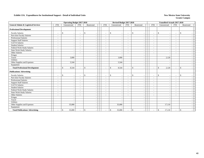|                                                |                          | <b>Operating Budget 2017-2018</b> |                          |                          |                          | Revised Budget 2017-2018       |                          |                                |                          | <b>Unaudited Actuals 2017-2018</b>       |                          |               |  |
|------------------------------------------------|--------------------------|-----------------------------------|--------------------------|--------------------------|--------------------------|--------------------------------|--------------------------|--------------------------------|--------------------------|------------------------------------------|--------------------------|---------------|--|
| <b>General Admin &amp; Logistical Services</b> | <b>FTE</b>               | Unrestricted                      | <b>FTE</b>               | Restricted               | <b>FTE</b>               | Unrestricted                   | <b>FTE</b>               | Restricted                     | <b>FTE</b>               | Unrestricted                             | <b>FTE</b>               | Restricted    |  |
| <b>Professional Development</b>                |                          |                                   |                          |                          |                          |                                |                          |                                |                          |                                          |                          |               |  |
| <b>Faculty Salaries</b>                        | $\overline{\phantom{a}}$ | \$<br>$\sim$                      | $\overline{\phantom{a}}$ | $\mathbb{S}$             | $\overline{\phantom{a}}$ | \$<br>$\overline{\phantom{a}}$ | $\sim$                   | \$<br>$\overline{\phantom{a}}$ | $\sim$                   | $\mathbb{S}$<br>$\overline{\phantom{a}}$ | $\sim$                   | <sup>\$</sup> |  |
| Part-time Faculty Salaries                     | $\sim$                   |                                   | $\overline{\phantom{a}}$ |                          | $\sim$                   | $\overline{\phantom{a}}$       | $\overline{\phantom{a}}$ | $\overline{a}$                 | $\overline{\phantom{a}}$ |                                          | $\sim$                   |               |  |
| <b>Professional Salaries</b>                   | $\overline{\phantom{a}}$ |                                   | $\overline{\phantom{a}}$ |                          | $\overline{\phantom{a}}$ | $\overline{\phantom{a}}$       | $\overline{\phantom{a}}$ | $\overline{a}$                 | $\sim$                   |                                          | $\overline{\phantom{a}}$ |               |  |
| <b>Support Staff Salaries</b>                  | $\overline{\phantom{a}}$ |                                   |                          |                          | $\sim$                   | $\overline{\phantom{a}}$       | $\overline{\phantom{a}}$ | $\blacksquare$                 | $\overline{\phantom{a}}$ |                                          | $\sim$                   |               |  |
| GA/TA Salaries                                 | $\overline{\phantom{a}}$ |                                   |                          |                          |                          | $\overline{\phantom{a}}$       | $\blacksquare$           | $\overline{\phantom{a}}$       | $\overline{\phantom{a}}$ |                                          | $\overline{a}$           |               |  |
| <b>Student Salaries</b>                        | $\overline{\phantom{a}}$ |                                   |                          |                          |                          |                                | $\overline{\phantom{a}}$ |                                | $\overline{\phantom{a}}$ |                                          | $\overline{\phantom{a}}$ |               |  |
| Federal Work-Study Salaries                    | $\overline{\phantom{a}}$ |                                   | $\sim$                   |                          |                          | $\overline{\phantom{a}}$       | $\overline{\phantom{a}}$ | $\overline{\phantom{a}}$       | $\sim$                   |                                          | $\overline{a}$           |               |  |
| State Work-Study Salaries                      | $\sim$                   |                                   |                          |                          |                          | $\overline{\phantom{a}}$       | $\sim$                   |                                | $\sim$                   |                                          | $\overline{a}$           |               |  |
| Other Salaries                                 | $\sim$                   |                                   | $\overline{\phantom{a}}$ |                          |                          | $\overline{\phantom{a}}$       | $\overline{\phantom{a}}$ | $\sim$                         | $\sim$                   |                                          | $\sim$                   |               |  |
| Fringes                                        |                          |                                   |                          |                          |                          | . —                            |                          | $\blacksquare$                 |                          |                                          |                          |               |  |
| Travel                                         |                          | 3,000                             |                          |                          |                          | 3,000                          |                          |                                |                          | 2,120                                    |                          |               |  |
| <b>Utilities</b>                               |                          |                                   |                          |                          |                          |                                |                          |                                |                          |                                          |                          |               |  |
| Other Supplies and Expenses                    |                          | 5,544                             |                          |                          |                          | 5,544                          |                          | $\overline{\phantom{a}}$       |                          |                                          |                          |               |  |
| Equipment                                      |                          |                                   |                          |                          |                          |                                |                          |                                |                          |                                          |                          |               |  |
| <b>Total Professional Development</b>          | $\overline{\phantom{a}}$ | 8,544<br>\$                       |                          | $\mathbf{s}$             |                          | 8,544<br>\$                    |                          | $\mathbb{S}$<br>$\sim$         | $\sim$                   | $\mathbf{\hat{S}}$<br>2,120              | $\overline{a}$           | \$            |  |
| <b>Publications/Advertising</b>                |                          |                                   |                          |                          |                          |                                |                          |                                |                          |                                          |                          |               |  |
| <b>Faculty Salaries</b>                        | $\overline{\phantom{a}}$ | \$<br>$\sim$                      | $\overline{\phantom{a}}$ | $\mathbb{S}$             | $\overline{\phantom{a}}$ | \$<br>$\overline{\phantom{a}}$ | $\overline{\phantom{a}}$ | \$<br>$\overline{\phantom{a}}$ | $\overline{\phantom{a}}$ | $\mathbb{S}$<br><b>.</b>                 | $\overline{\phantom{a}}$ | \$            |  |
| Part-time Faculty Salaries                     | $\overline{\phantom{a}}$ | $\overline{\phantom{a}}$          | $\overline{\phantom{a}}$ |                          | $\overline{\phantom{0}}$ | $\overline{\phantom{a}}$       | $\overline{\phantom{a}}$ | $\blacksquare$                 | $\overline{\phantom{a}}$ |                                          | $\overline{\phantom{a}}$ |               |  |
| Professional Salaries                          | $\overline{\phantom{a}}$ |                                   |                          |                          | $\sim$                   |                                | $\overline{\phantom{a}}$ | $\overline{\phantom{a}}$       | $\overline{\phantom{a}}$ |                                          | $\overline{a}$           |               |  |
| <b>Support Staff Salaries</b>                  | ٠                        |                                   |                          |                          |                          |                                | $\sim$                   |                                |                          |                                          |                          |               |  |
| <b>GA/TA Salaries</b>                          | $\overline{\phantom{a}}$ |                                   | $\sim$                   |                          | $\sim$                   | $\overline{\phantom{a}}$       | $\overline{\phantom{a}}$ | $\overline{\phantom{a}}$       | $\sim$                   |                                          | $\sim$                   |               |  |
| <b>Student Salaries</b>                        | $\overline{\phantom{a}}$ |                                   |                          |                          |                          | $\overline{\phantom{a}}$       | $\blacksquare$           |                                | $\sim$                   |                                          |                          |               |  |
| Federal Work-Study Salaries                    | $\overline{\phantom{a}}$ |                                   | $\overline{\phantom{a}}$ |                          | $\sim$                   | $\overline{\phantom{a}}$       | $\sim$                   | $\overline{\phantom{a}}$       | $\sim$                   |                                          | $\sim$                   |               |  |
| <b>State Work-Study Salaries</b>               | $\overline{\phantom{a}}$ |                                   | $\overline{\phantom{a}}$ |                          | $\sim$                   | $\overline{\phantom{a}}$       | $\overline{\phantom{a}}$ | $\overline{\phantom{a}}$       | $\sim$                   |                                          | $\sim$                   |               |  |
| <b>Other Salaries</b>                          | $\overline{\phantom{a}}$ |                                   |                          |                          |                          | $\overline{\phantom{a}}$       | $\overline{\phantom{a}}$ |                                | $\overline{\phantom{a}}$ |                                          | $\sim$                   |               |  |
| Fringes                                        |                          |                                   |                          |                          |                          | $\overline{\phantom{a}}$       |                          | $\overline{\phantom{a}}$       |                          |                                          |                          |               |  |
| Travel                                         |                          |                                   |                          |                          |                          | $\overline{\phantom{a}}$       |                          | $\overline{\phantom{a}}$       |                          |                                          |                          |               |  |
| Utilities                                      |                          |                                   |                          | $\overline{\phantom{a}}$ |                          | $\overline{\phantom{a}}$       |                          | $\overline{\phantom{a}}$       |                          |                                          |                          |               |  |
| Other Supplies and Expenses                    |                          | 35,000                            |                          | $\overline{\phantom{a}}$ |                          | 35,000                         |                          | $\overline{\phantom{a}}$       |                          | 17,110                                   |                          |               |  |
| Equipment                                      |                          |                                   |                          | $\overline{\phantom{a}}$ |                          |                                |                          | $\overline{\phantom{a}}$       |                          |                                          |                          |               |  |
| <b>Total Publications/ Advertising</b>         |                          | 35,000<br>\$                      |                          | $\mathbb{S}$             |                          | \$<br>35,000                   |                          | \$                             |                          | $\mathbb{S}$<br>17,110                   | $\overline{a}$           | \$            |  |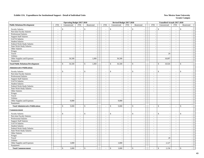|                                           |                          | <b>Operating Budget 2017-2018</b> |                          |                              | Revised Budget 2017-2018 |                             |                                |                             |                                 |                          | Unaudited Actuals 2017-2018    |                             |                    |                          |
|-------------------------------------------|--------------------------|-----------------------------------|--------------------------|------------------------------|--------------------------|-----------------------------|--------------------------------|-----------------------------|---------------------------------|--------------------------|--------------------------------|-----------------------------|--------------------|--------------------------|
| <b>Public Relations/Development</b>       | <b>FTE</b>               | Unrestricted                      | <b>FTE</b>               | Restricted                   |                          | <b>FTE</b>                  | Unrestricted                   | <b>FTE</b>                  | Restricted                      | <b>FTE</b>               | Unrestricted                   | <b>FTE</b>                  | Restricted         |                          |
| <b>Faculty Salaries</b>                   | $\overline{\phantom{a}}$ | \$<br>$\overline{\phantom{a}}$    | $\sim$                   | $\mathbf{\hat{S}}$           |                          | $\sim$                      | \$<br>$\overline{\phantom{a}}$ | $\sim$                      | $\mathbb{S}$<br>$\blacksquare$  |                          | \$<br>$\sim$                   | $\sim$                      | \$                 |                          |
| Part-time Faculty Salaries                | $\sim$                   | $\sim$                            | $\sim$                   | $\sim$                       |                          | $\sim$                      | $\sim$                         | $\mathcal{L}$               | $\bar{\phantom{a}}$             |                          | $\sim$                         | $\sim$                      |                    |                          |
| Professional Salaries                     | $\blacksquare$           | $\overline{\phantom{a}}$          | $\blacksquare$           | $\blacksquare$               |                          | $\blacksquare$              | $\overline{\phantom{a}}$       | $\blacksquare$              | $\blacksquare$                  | $\overline{\phantom{a}}$ | $\overline{\phantom{a}}$       | $\blacksquare$              |                    |                          |
| <b>Support Staff Salaries</b>             | $\overline{a}$           | $\sim$                            | $\sim$                   | $\omega$                     |                          | $\sim$                      | $\sim$                         | $\sim$                      | $\sim$                          | $\sim$                   | $\sim$                         | $\sim$                      |                    |                          |
| GA/TA Salaries                            | $\sim$                   | $\sim$                            | $\sim$                   | $\sim$                       |                          | $\sim$                      | $\sim$                         | $\sim$                      | $\sim$                          | $\overline{\phantom{a}}$ | $\sim$                         | $\sim$                      |                    |                          |
| <b>Student Salaries</b>                   | $\sim$                   | $\sim$                            | $\sim$                   | $\sim$                       |                          | $\sim$                      | $\sim$                         | $\omega$                    | $\mathcal{L}$                   | $\sim$                   | $\sim$                         | $\sim$                      |                    | $\overline{a}$           |
| Federal Work-Study Salaries               | $\sim$                   | $\sim$                            | $\sim$                   | $\sim$                       |                          | $\sim$                      | $\overline{\phantom{a}}$       | $\sim$                      | $\sim$                          | $\sim$                   | $\sim$                         | $\sim$                      |                    | $\overline{\phantom{a}}$ |
| State Work-Study Salaries                 | $\sim$                   | $\sim$                            | $\sim$                   | $\mathcal{L}_{\mathcal{A}}$  |                          | $\sim$                      | $\sim$                         | $\sim$                      | $\sim$                          | $\sim$                   | $\sim$                         | $\sim$                      |                    | $\sim$                   |
| Other Salaries                            | $\sim$                   |                                   | $\overline{\phantom{a}}$ | $\blacksquare$               |                          | $\mathcal{L}_{\mathcal{A}}$ | $\overline{\phantom{a}}$       | $\sim$                      | $\overline{\phantom{a}}$        |                          | $\overline{\phantom{a}}$       | $\sim$                      |                    |                          |
| Fringes                                   |                          | $\sim$                            |                          | $\sim$                       |                          |                             | $\sim$                         |                             | $\blacksquare$                  |                          | $\sim$                         |                             |                    | $\sim$                   |
| Travel                                    |                          | $\sim$                            |                          | $\mathcal{L}$                |                          |                             | $\overline{a}$                 |                             | $\sim$                          |                          | 29                             |                             |                    | $\sim$                   |
| Utilities                                 |                          | $\sim$                            |                          | $\sim$                       |                          |                             | $\overline{\phantom{a}}$       |                             | $\sim$                          |                          | $\sim$                         |                             |                    |                          |
| Other Supplies and Expenses               |                          | 36,500                            |                          | 1,000                        |                          |                             | 36,500                         |                             | $\mathcal{L}$                   |                          | 18,897                         |                             |                    |                          |
| Equipment                                 |                          | $\sim$                            |                          | $\sim$                       |                          |                             | $\overline{\phantom{a}}$       |                             | $\mathcal{L}_{\mathcal{A}}$     |                          |                                |                             |                    | $\overline{\phantom{a}}$ |
| <b>Total Public Relations/Development</b> | $\sim$                   | 36,500<br>\$                      | $\sim$                   | 1,000<br>\$                  |                          | $\mathbb{Z}^2$              | 36,500<br>\$                   | $\omega$                    | $\mathbf S$<br>$\overline{a}$   | $\omega$                 | $\mathbb{S}$<br>18,926         | $\overline{\phantom{a}}$    | $\mathbf{\hat{S}}$ |                          |
| <b>Administrative Publications</b>        |                          |                                   |                          |                              |                          |                             |                                |                             |                                 |                          |                                |                             |                    |                          |
| <b>Faculty Salaries</b>                   |                          | $\mathbf S$                       |                          | $\mathbf{\hat{S}}$           |                          | $\sim$                      | \$                             | $\sim$                      | $\mathbf{s}$                    |                          | $\mathbf S$                    | ÷,                          | $\mathbf{s}$       |                          |
| Part-time Faculty Salaries                | $\sim$                   | $\mathcal{L}_{\mathcal{A}}$       | $\blacksquare$           | $\sim$                       |                          | $\sim$                      | $\sim$                         | $\sim$                      | $\mathcal{L}_{\mathcal{A}}$     | $\sim$                   | $\sim$                         | $\sim$                      |                    |                          |
| Professional Salaries                     | $\sim$                   | $\sim$                            | $\sim$                   | $\sim$                       |                          | $\sim$                      | $\sim$                         | $\sim$                      | $\sim$                          | $\sim$                   | $\sim$                         | $\sim$                      |                    | $\sim$                   |
| <b>Support Staff Salaries</b>             | $\omega$                 | $\sim$                            | $\blacksquare$           | $\omega$                     |                          | $\omega$                    | $\overline{\phantom{a}}$       | $\omega$                    | $\sim$                          | $\sim$                   | $\omega$                       | $\omega$                    |                    |                          |
| GA/TA Salaries                            | $\overline{\phantom{a}}$ | $\sim$                            | $\sim$                   | $\mathbb{L}$                 |                          | $\sim$                      | $\overline{\phantom{a}}$       | $\sim$                      | $\blacksquare$                  | $\omega$                 | $\overline{\phantom{a}}$       | $\mathcal{L}_{\mathcal{A}}$ |                    | $\overline{a}$           |
| <b>Student Salaries</b>                   | $\omega$                 | $\sim$                            | $\sim$                   | $\blacksquare$               |                          | $\sim$                      | $\overline{a}$                 | $\sim$                      | $\sim$                          | $\sim$                   | $\sim$                         | $\sim$                      |                    | $\overline{\phantom{a}}$ |
| Federal Work-Study Salaries               | $\sim$                   | $\sim$                            | $\sim$                   | $\omega$                     |                          | $\sim$                      | $\overline{a}$                 | $\sim$                      | $\sim$                          | $\omega$                 | $\sim$                         | $\sim$                      |                    |                          |
| State Work-Study Salaries                 | $\tilde{\phantom{a}}$    | $\sim$                            | $\sim$                   | $\mathcal{L}_{\mathcal{A}}$  |                          | $\sim$                      | $\sim$                         | $\sim$                      | $\mathcal{L}$                   | $\sim$                   | $\sim$                         | $\blacksquare$              |                    | $\sim$                   |
| Other Salaries                            | $\sim$                   | $\sim$                            | $\sim$                   | $\sim$                       |                          | $\sim$                      | $\overline{\phantom{a}}$       | $\sim$                      | $\blacksquare$                  | $\sim$                   | $\sim$                         | $\sim$                      |                    | $\sim$                   |
| Fringes                                   |                          | $\sim$                            |                          | $\sim$                       |                          |                             | $\overline{\phantom{a}}$       |                             | $\sim$                          |                          | $\overline{\phantom{a}}$       |                             |                    |                          |
| Travel                                    |                          | $\sim$                            |                          | $\sim$                       |                          |                             | $\sim$                         |                             | $\overline{\phantom{a}}$        |                          | $\sim$                         |                             |                    |                          |
| Utilities                                 |                          | $\overline{\phantom{a}}$          |                          | $\overline{\phantom{a}}$     |                          |                             | $\sim$                         |                             | $\sim$                          |                          | $\sim$                         |                             |                    |                          |
| Other Supplies and Expenses               |                          | 9,000                             |                          | $\sim$                       |                          |                             | 9,000                          |                             | $\sim$                          |                          | $\sim$                         |                             |                    |                          |
| Equipment                                 |                          |                                   |                          | $\sim$                       |                          |                             | $\sim$                         |                             | $\sim$                          |                          | $\sim$                         |                             |                    |                          |
| <b>Total Administrative Publications</b>  |                          | $\mathbb{S}$<br>9,000             | $\sim$                   | $\mathbf{\hat{S}}$<br>$\sim$ |                          | $\sim$                      | \$<br>9,000                    | $\sim$                      | $\mathcal{S}$<br>$\overline{a}$ | $\sim$                   | $\mathbf{s}$<br>$\sim$         | $\sim$                      | $\mathbf{s}$       |                          |
| Commencement                              |                          |                                   |                          |                              |                          |                             |                                |                             |                                 |                          |                                |                             |                    |                          |
| <b>Faculty Salaries</b>                   | $\blacksquare$           | \$<br>$\sim$                      | $\sim$                   | $\mathcal{S}$                |                          | $\sim$                      | \$<br>$\overline{\phantom{a}}$ | $\sim$                      | $\mathbb{S}$<br>÷,              | $\sim$                   | \$<br>$\overline{\phantom{a}}$ | $\blacksquare$              | \$                 |                          |
| Part-time Faculty Salaries                | $\sim$                   | $\sim$                            | $\sim$                   | $\omega$                     |                          | $\sim$                      | $\sim$                         | $\omega$                    | $\sim$                          | $\omega$                 | $\sim$                         | $\sim$                      |                    |                          |
| Professional Salaries                     | $\sim$                   | $\overline{\phantom{a}}$          | $\sim$                   | $\sim$                       |                          | $\mathbb{Z}^2$              | $\sim$                         | $\mathcal{L}_{\mathcal{A}}$ | $\sim$                          | $\blacksquare$           | $\overline{\phantom{a}}$       | $\mathcal{L}_{\mathcal{A}}$ |                    |                          |
| <b>Support Staff Salaries</b>             | $\sim$                   | $\sim$                            | $\sim$                   | $\sim$                       |                          | $\sim$                      | $\sim$                         | $\sim$                      | $\sim$                          | $\sim$                   | $\sim$                         | $\sim$                      |                    |                          |
| GA/TA Salaries                            | $\sim$                   | $\overline{\phantom{a}}$          | $\sim$                   | $\sim$                       |                          | $\sim$                      | $\sim$                         | $\sim$                      | $\blacksquare$                  | $\sim$                   | $\sim$                         | $\sim$                      |                    | <b>.</b>                 |
| <b>Student Salaries</b>                   | $\overline{\phantom{a}}$ |                                   | $\sim$                   | $\blacksquare$               |                          | $\sim$                      | $\sim$                         | $\sim$                      | $\sim$                          | $\sim$                   | $\overline{\phantom{a}}$       | $\blacksquare$              |                    |                          |
| Federal Work-Study Salaries               | $\mathbf{r}$             | $\sim$                            | $\sim$                   | $\mathcal{L}$                |                          | $\sim$                      | $\sim$                         | $\sim$                      | $\sim$                          | $\sim$                   | $\sim$                         | $\overline{a}$              |                    | $\sim$                   |
| <b>State Work-Study Salaries</b>          | $\sim$                   | $\sim$                            | $\sim$                   | $\sim$                       |                          | $\sim$                      | $\sim$                         | $\sim$                      | $\sim$                          | $\sim$                   | $\overline{a}$                 | $\sim$                      |                    | $\overline{\phantom{a}}$ |
| Other Salaries                            | $\sim$                   | $\sim$                            | $\sim$                   | $\sim$                       |                          | $\sim$                      | $\sim$                         | $\sim$                      | $\sim$                          | $\sim$                   | $\sim$                         | $\sim$                      |                    | $\overline{a}$           |
| Fringes                                   |                          | $\overline{\phantom{a}}$          |                          | $\sim$                       |                          |                             | $\sim$                         |                             | $\blacksquare$                  |                          | $\overline{\phantom{a}}$       |                             |                    | $\overline{\phantom{a}}$ |
| Travel                                    |                          | $\sim$                            |                          | $\sim$                       |                          |                             | $\sim$                         |                             | $\sim$                          |                          | 29                             |                             |                    | $\overline{a}$           |
| Utilities                                 |                          | $\sim$                            |                          | $\sim$                       |                          |                             | $\sim$                         |                             | $\sim$                          |                          | $\sim$                         |                             |                    | $\overline{\phantom{a}}$ |
| Other Supplies and Expenses               |                          | 3,000                             |                          | $\mathbb{L}$                 |                          |                             | 3,000                          |                             | $\overline{\phantom{a}}$        |                          | 2,127                          |                             |                    |                          |
| Equipment                                 |                          |                                   |                          | $\sim$                       |                          |                             |                                |                             | $\blacksquare$                  |                          |                                |                             |                    | $\overline{a}$           |
| <b>Total Commencement</b>                 |                          | \$<br>3,000                       | $\sim$                   | \$<br>$\overline{a}$         |                          | $\sim$                      | \$<br>3,000                    | $\sim$                      | $\mathbb{S}$                    |                          | \$<br>2,156                    | $\sim$                      | $\mathbb{S}$       |                          |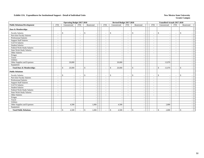|                                     |                          | <b>Operating Budget 2017-2018</b> |                          |                       |                          | Revised Budget 2017-2018                 |                          |                                          |            |                              | <b>Unaudited Actuals 2017-2018</b> |                          |                          |  |
|-------------------------------------|--------------------------|-----------------------------------|--------------------------|-----------------------|--------------------------|------------------------------------------|--------------------------|------------------------------------------|------------|------------------------------|------------------------------------|--------------------------|--------------------------|--|
| <b>Public Relations/Development</b> | <b>FTE</b>               | Unrestricted                      | <b>FTE</b>               | Restricted            | <b>FTE</b>               | Unrestricted                             | <b>FTE</b>               | Restricted                               | <b>FTE</b> |                              | Unrestricted                       | <b>FTE</b>               | Restricted               |  |
| Dues & Memberships                  |                          |                                   |                          |                       |                          |                                          |                          |                                          |            |                              |                                    |                          |                          |  |
| <b>Faculty Salaries</b>             | $\overline{\phantom{a}}$ | \$<br>$\sim$                      | $\sim$                   | $\mathbf{s}$          | $\sim$                   | \$<br>$\overline{\phantom{a}}$           | $\blacksquare$           | $\mathbb{S}$<br>$\overline{\phantom{a}}$ |            | $\mathcal{S}$<br>$\sim$      |                                    | $\overline{\phantom{a}}$ | \$.                      |  |
| Part-time Faculty Salaries          | $\sim$                   |                                   | $\overline{\phantom{a}}$ |                       | $\sim$                   | $\sim$                                   | $\overline{\phantom{a}}$ | $\overline{\phantom{a}}$                 |            | $\overline{\phantom{a}}$     |                                    | $\sim$                   |                          |  |
| <b>Professional Salaries</b>        | $\sim$                   |                                   | $\overline{\phantom{a}}$ |                       |                          | $\overline{\phantom{a}}$                 | $\overline{\phantom{a}}$ | $\sim$                                   |            | $\sim$                       |                                    | $\overline{\phantom{a}}$ |                          |  |
| <b>Support Staff Salaries</b>       | $\overline{\phantom{a}}$ |                                   | $\overline{\phantom{a}}$ |                       |                          | $\sim$                                   | $\overline{\phantom{a}}$ | $\blacksquare$                           |            | $\overline{\phantom{a}}$     |                                    | $\overline{\phantom{a}}$ |                          |  |
| GA/TA Salaries                      | $\overline{\phantom{a}}$ |                                   | $\overline{\phantom{a}}$ |                       |                          |                                          | $\overline{\phantom{a}}$ | $\overline{\phantom{a}}$                 |            | $\overline{\phantom{a}}$     |                                    | $\overline{\phantom{a}}$ |                          |  |
| <b>Student Salaries</b>             | $\overline{\phantom{a}}$ |                                   | $\overline{\phantom{a}}$ |                       |                          |                                          | $\overline{\phantom{a}}$ |                                          |            | $\overline{\phantom{a}}$     |                                    | $\overline{\phantom{0}}$ |                          |  |
| Federal Work-Study Salaries         | $\overline{\phantom{a}}$ |                                   | $\sim$                   |                       |                          | $\sim$                                   | $\sim$                   | $\overline{\phantom{a}}$                 |            | $\overline{\phantom{a}}$     |                                    | $\sim$                   |                          |  |
| State Work-Study Salaries           | $\sim$                   |                                   | $\overline{\phantom{a}}$ |                       |                          |                                          | $\sim$                   |                                          |            | $\sim$                       |                                    | $\overline{\phantom{a}}$ |                          |  |
| Other Salaries                      | $\sim$                   |                                   | $\overline{\phantom{a}}$ |                       |                          | $\overline{\phantom{a}}$                 | $\sim$                   | $\blacksquare$                           |            | $\sim$                       |                                    | $\sim$                   |                          |  |
| Fringes                             |                          |                                   |                          |                       |                          |                                          |                          | $\blacksquare$                           |            |                              |                                    |                          |                          |  |
| Travel                              |                          |                                   |                          |                       |                          |                                          |                          | $\overline{\phantom{a}}$                 |            |                              |                                    |                          |                          |  |
| Utilities                           |                          |                                   |                          |                       |                          |                                          |                          | $\blacksquare$                           |            |                              |                                    |                          |                          |  |
| Other Supplies and Expenses         |                          | 20,000                            |                          |                       |                          | 20,000                                   |                          | $\overline{\phantom{a}}$                 |            |                              | 13,970                             |                          |                          |  |
| Equipment                           |                          |                                   |                          |                       |                          |                                          |                          |                                          |            |                              |                                    |                          |                          |  |
| <b>Total Dues &amp; Memberships</b> | $\sim$                   | $\mathbb{S}$<br>20,000            |                          | $\mathbf{\hat{S}}$    |                          | $\mathbb{S}$<br>20,000                   |                          | $\mathbf{s}$<br>$\overline{a}$           |            | $\mathbf{\hat{S}}$<br>$\sim$ | 13,970                             | $\sim$                   | $\mathbb{S}$             |  |
| <b>Public Relations</b>             |                          |                                   |                          |                       |                          |                                          |                          |                                          |            |                              |                                    |                          |                          |  |
| <b>Faculty Salaries</b>             | $\overline{\phantom{a}}$ | \$<br>$\overline{\phantom{a}}$    | $\overline{\phantom{a}}$ | $\mathbf{s}$          | $\overline{\phantom{0}}$ | $\mathbb{S}$<br>$\overline{\phantom{a}}$ | $\overline{\phantom{a}}$ | \$<br>$\overline{\phantom{a}}$           |            | $\mathbf{\hat{S}}$<br>$\sim$ |                                    | $\overline{\phantom{a}}$ | $\mathbf{s}$             |  |
| Part-time Faculty Salaries          | $\overline{\phantom{a}}$ | $\overline{\phantom{a}}$          | $\overline{\phantom{a}}$ |                       | $\sim$                   |                                          | $\overline{\phantom{a}}$ | $\blacksquare$                           |            | $\overline{\phantom{a}}$     |                                    | $\overline{\phantom{a}}$ |                          |  |
| <b>Professional Salaries</b>        | $\overline{\phantom{a}}$ |                                   | $\overline{\phantom{a}}$ |                       |                          |                                          | $\overline{\phantom{a}}$ | $\overline{\phantom{a}}$                 |            | $\overline{\phantom{a}}$     |                                    | $\sim$                   |                          |  |
| <b>Support Staff Salaries</b>       | $\overline{\phantom{a}}$ |                                   | $\overline{\phantom{a}}$ |                       |                          |                                          |                          |                                          |            | $\sim$                       |                                    |                          |                          |  |
| <b>GA/TA Salaries</b>               | $\overline{\phantom{a}}$ |                                   | $\overline{\phantom{a}}$ |                       | $\sim$                   | $\overline{\phantom{a}}$                 | $\sim$                   | $\blacksquare$                           |            | $\overline{\phantom{a}}$     |                                    | $\blacksquare$           |                          |  |
| <b>Student Salaries</b>             | $\overline{\phantom{a}}$ |                                   | $\overline{\phantom{a}}$ |                       |                          | $\overline{\phantom{a}}$                 | $\sim$                   | $\overline{\phantom{a}}$                 |            | $\overline{\phantom{a}}$     |                                    | $\overline{\phantom{a}}$ |                          |  |
| Federal Work-Study Salaries         | $\overline{\phantom{a}}$ |                                   | $\overline{\phantom{a}}$ |                       |                          | $\overline{\phantom{a}}$                 | $\sim$                   | $\blacksquare$                           |            | $\overline{\phantom{a}}$     |                                    | $\sim$                   |                          |  |
| <b>State Work-Study Salaries</b>    | $\overline{\phantom{a}}$ |                                   | $\overline{\phantom{a}}$ |                       | $\sim$                   | $\overline{\phantom{a}}$                 | $\sim$                   | $\overline{\phantom{a}}$                 |            | $\sim$                       |                                    | $\blacksquare$           |                          |  |
| <b>Other Salaries</b>               | $\overline{\phantom{a}}$ |                                   | $\overline{\phantom{a}}$ |                       |                          | $\overline{\phantom{a}}$                 | $\sim$                   | $\overline{\phantom{a}}$                 |            | $\overline{\phantom{a}}$     |                                    | $\overline{\phantom{a}}$ |                          |  |
| Fringes                             |                          |                                   |                          |                       |                          | $\overline{\phantom{a}}$                 |                          | $\overline{\phantom{a}}$                 |            |                              |                                    |                          |                          |  |
| Travel                              |                          |                                   |                          |                       |                          | $\overline{\phantom{a}}$                 |                          | $\sim$                                   |            |                              |                                    |                          |                          |  |
| Utilities                           |                          |                                   |                          |                       |                          | $\overline{\phantom{a}}$                 |                          | $\overline{\phantom{a}}$                 |            |                              |                                    |                          | $\overline{\phantom{a}}$ |  |
| Other Supplies and Expenses         |                          | 4,500                             |                          | 1,000                 |                          | 4,500                                    |                          | $\overline{\phantom{a}}$                 |            |                              | 2,800                              |                          | $\overline{\phantom{a}}$ |  |
| Equipment                           |                          |                                   |                          |                       |                          |                                          |                          | $\overline{\phantom{a}}$                 |            |                              |                                    |                          | $\sim$                   |  |
| <b>Total Public Relations</b>       | $\sim$                   | \$<br>4,500                       |                          | $\mathbb{S}$<br>1,000 |                          | \$<br>4,500                              |                          | \$                                       |            | $\mathbb{S}$                 | 2,800                              | $\blacksquare$           | \$                       |  |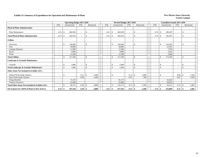### **Exhibit 14. Summary of Expenditures for Operation and Maintenance of Plant New Mexico State University New Mexico State University**

|                                                        | <b>Operating Budget 2017-2018</b> |    |              |                          |    |            |  |            |               | Revised Budget 2017-2018 |                          |                        |     |                          |     | <b>Unaudited Actuals 2017-2018</b> |                          |              |            |  |
|--------------------------------------------------------|-----------------------------------|----|--------------|--------------------------|----|------------|--|------------|---------------|--------------------------|--------------------------|------------------------|-----|--------------------------|-----|------------------------------------|--------------------------|--------------|------------|--|
|                                                        | <b>FTE</b>                        |    | Unrestricted | <b>FTE</b>               |    | Restricted |  | <b>FTE</b> |               | Unrestricted             | <b>FTE</b>               | Restricted             |     | <b>FTE</b>               |     | Unrestricted                       | <b>FTE</b>               |              | Restricted |  |
| <b>Physical Plant Administration</b>                   |                                   |    |              |                          |    |            |  |            |               |                          |                          |                        |     |                          |     |                                    |                          |              |            |  |
| Plant Maintenance                                      | 4.74                              | -S | 282,918      | $\overline{\phantom{a}}$ | \$ |            |  | 4.51       | -\$           | 282,918                  | $\overline{\phantom{a}}$ | \$                     |     | 3.74                     | -\$ | 185,387                            | $\overline{\phantom{a}}$ | \$           |            |  |
| <b>Total Physical Plant Administration</b>             |                                   |    | 282,918      |                          | \$ |            |  | 4.51       | -8            | 282,918                  | $\sim$                   | $\mathbb{S}$           |     | 3.74                     | \$. | 185,387                            | $\overline{\phantom{a}}$ | \$           |            |  |
| <b>Utilities</b>                                       |                                   |    |              |                          |    |            |  |            |               |                          |                          |                        |     |                          |     |                                    |                          |              |            |  |
| Electricity                                            | $\sim$                            | \$ | 136,000      |                          | \$ |            |  |            | $\mathcal{L}$ | 136,000                  |                          | $\mathbf{\hat{S}}$     |     | $\overline{\phantom{a}}$ | \$  | 134,504                            | $\sim$                   | \$.          |            |  |
| Fuel                                                   | $\sim$                            |    | 50,000       | $\overline{\phantom{a}}$ |    |            |  |            |               | 50,000                   |                          |                        |     | $\overline{\phantom{a}}$ |     | 21,955                             | $\overline{\phantom{a}}$ |              |            |  |
| Garbage Disposal                                       |                                   |    | 11,000       |                          |    |            |  |            |               | 11,000                   |                          |                        |     |                          |     | 7,978                              | $\overline{\phantom{a}}$ |              |            |  |
| Sewer                                                  | $\overline{\phantom{a}}$          |    | 9,000        |                          |    |            |  |            |               | 9,000                    |                          |                        |     |                          |     | 2,924                              |                          |              |            |  |
| Water                                                  |                                   |    | 11,500       |                          |    |            |  |            |               | 11,500                   |                          |                        |     |                          |     | 5,948                              |                          |              |            |  |
| <b>Total Utilities</b>                                 | $\overline{\phantom{a}}$          | £. | 217,500      |                          | \$ |            |  |            | -\$           | 217,500                  |                          | $\mathbf{\hat{S}}$     |     | $\overline{a}$           | S   | 173,309                            | $\overline{\phantom{a}}$ | \$           |            |  |
| Landscape & Grounds Maintenance                        |                                   |    |              |                          |    |            |  |            |               |                          |                          |                        |     |                          |     |                                    |                          |              |            |  |
| Grounds                                                | $\overline{\phantom{a}}$          | \$ | 1,000        | ٠                        | \$ |            |  |            | $\mathcal{S}$ | 1,000                    | $\overline{\phantom{a}}$ | $\mathbb{S}$           |     | $\overline{a}$           | \$  |                                    | $\overline{\phantom{a}}$ | $\mathbb{S}$ |            |  |
| <b>Total Landscape &amp; Grounds Maintenance</b>       | $\overline{\phantom{a}}$          | \$ | 1,000        | ٠                        | \$ |            |  |            | $\mathcal{S}$ | 1,000                    |                          | $\mathbf{\hat{S}}$     |     | $\overline{\phantom{a}}$ | \$. |                                    | $\sim$                   | \$           |            |  |
| Other Items Not Included in Exhibit 14A's              |                                   |    |              |                          |    |            |  |            |               |                          |                          |                        |     |                          |     |                                    |                          |              |            |  |
| Federal Work-Study Salaries                            | $\sim$                            | \$ |              | 0.21                     | \$ | 3,400      |  |            | $\mathcal{S}$ |                          | 0.12                     | 1,900<br>$\mathcal{S}$ |     | $\overline{\phantom{a}}$ | S.  |                                    | 0.08                     |              | 1,344      |  |
| <b>State Work-Study Salaries</b>                       | $\sim$                            |    |              | 0.09                     |    | 1,400      |  |            |               |                          | 0.01                     |                        | 200 | $\overline{\phantom{a}}$ |     |                                    | 0.07                     |              | 1,059      |  |
| Fringe Benefits                                        |                                   |    | 71,176       |                          |    |            |  |            |               | 91,175                   |                          |                        |     |                          |     | 43,434                             |                          |              |            |  |
| Property Insurance                                     |                                   |    | 25,000       |                          |    |            |  |            |               | 25,000                   |                          |                        |     |                          |     | 20,879                             |                          |              |            |  |
| <b>Total Other Items Not Included in Exhibit 14A's</b> |                                   | \$ | 96,176       | 0.30                     | \$ | 4,800      |  |            | -\$           | 116,175                  |                          | 2,100                  |     | $\overline{\phantom{a}}$ | \$  | 64,313                             | 0.15                     | -\$          | 2,403      |  |
| Net Expense for O&M of Plant in I&G (Exh 2)            | $4.74 \pm$                        |    | 597,594      | 0.30                     | \$ | 4,800      |  | 4.51       |               | 617.593                  | $0.13 \pm$ \$            | 2,100                  |     | 3.74                     | \$  | 423,009                            | $0.15$ \$                |              | 2,403      |  |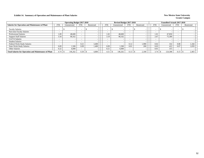### **Exhibit 14. Summary of Operation and Maintenance of Plant Salaries New Mexico State University New Mexico State University**

|                                                              |                | <b>Operating Budget 2017-2018</b> |            |            |            | Revised Budget 2017-2018 |                          |            |            | <b>Unaudited Actuals 2017-2018</b> |                          |            |  |
|--------------------------------------------------------------|----------------|-----------------------------------|------------|------------|------------|--------------------------|--------------------------|------------|------------|------------------------------------|--------------------------|------------|--|
| <b>Salaries for Operation and Maintenance of Plant</b>       | <b>FTE</b>     | Unrestricted                      | <b>FTE</b> | Restricted | <b>FTE</b> | Unrestricted             | <b>FTE</b>               | Restricted | <b>FTE</b> | Unrestricted                       | <b>FTE</b>               | Restricted |  |
| <b>Faculty Salaries</b>                                      |                |                                   | -          |            |            |                          | $\overline{\phantom{a}}$ |            |            |                                    | $\overline{\phantom{a}}$ |            |  |
| Part-time Faculty Salaries                                   |                |                                   |            |            |            |                          |                          |            |            |                                    |                          |            |  |
| <b>Professional Salaries</b>                                 | 1.09           | 48,600                            |            |            | 1.02       | 48,600                   |                          |            | 1.01       | 47,850                             |                          |            |  |
| <b>Support Staff Salaries</b>                                | 3.34           | 90,162                            |            |            | 3.19       | 90,162                   |                          |            | 2.67       | 75,389                             |                          |            |  |
| GA/TA Salaries                                               |                |                                   |            |            |            |                          |                          |            |            |                                    | -                        |            |  |
| <b>Student Salaries</b>                                      |                |                                   |            |            |            |                          |                          |            |            |                                    |                          |            |  |
| Federal Work-Study Salaries                                  | -              |                                   | 0.21       | 3.400      |            |                          | 0.12                     | 1.900      | 0.02       | 332                                | 0.08                     | 1,344      |  |
| <b>State Work-Study Salaries</b>                             | 0.09           | 1.500                             | 0.09       | 1.400      | 0.09       | 1.500                    | 0.01                     | 200        | 0.03       | 422                                | 0.07                     | 1,059      |  |
| Other Salaries                                               | 0.22           | 6,000                             |            |            | 0.21       | 6.000                    |                          |            | 0.01       | 315                                | $\overline{\phantom{a}}$ |            |  |
| <b>Total Salaries for Operation and Maintenance of Plant</b> | $4.74 \,$ \ \$ | 146,262                           | 0.30       | 4,800      | 4.51       | 146.262                  | 0.13                     | 2,100      | 3.74       | 124,308                            | 0.15                     | 2,403      |  |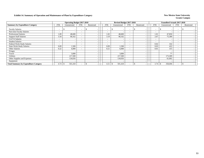### **Exhibit 14. Summary of Operation and Maintenance of Plant by Expenditure Category** New Mexico State University

|                                              |                          | <b>Operating Budget 2017-2018</b> |                          |                          |                          | Revised Budget 2017-2018 |                          |            |            | <b>Unaudited Actuals 2017-2018</b> |                          |            |  |
|----------------------------------------------|--------------------------|-----------------------------------|--------------------------|--------------------------|--------------------------|--------------------------|--------------------------|------------|------------|------------------------------------|--------------------------|------------|--|
| <b>Summary by Expenditure Category</b>       | <b>FTE</b>               | Unrestricted                      | <b>FTE</b>               | Restricted               | <b>FTE</b>               | Unrestricted             | <b>FTE</b>               | Restricted | <b>FTE</b> | Unrestricted                       | <b>FTE</b>               | Restricted |  |
| <b>Faculty Salaries</b>                      | -                        |                                   | $\overline{\phantom{a}}$ | $\overline{\phantom{0}}$ | -                        | $\overline{\phantom{a}}$ | $\overline{\phantom{a}}$ |            |            |                                    | $\overline{\phantom{0}}$ |            |  |
| Part-time Faculty Salaries                   | $\overline{\phantom{0}}$ |                                   |                          | $\overline{\phantom{a}}$ | -                        |                          | $\overline{\phantom{a}}$ |            |            |                                    | -                        |            |  |
| <b>Professional Salaries</b>                 | 1.09                     | 48,600                            | $\overline{\phantom{a}}$ | $\overline{\phantom{a}}$ | 1.02                     | 48,600                   | $\overline{\phantom{a}}$ |            | 1.01       | 47,850                             | $\overline{\phantom{0}}$ |            |  |
| <b>Support Staff Salaries</b>                | 3.34                     | 90,162                            | $\overline{\phantom{0}}$ |                          | 3.19                     | 90,162                   | $\overline{\phantom{a}}$ |            | 2.67       | 75,389                             | $\overline{\phantom{0}}$ |            |  |
| GA/TA Salaries                               | $\overline{\phantom{0}}$ |                                   |                          |                          | -                        |                          | $\overline{\phantom{0}}$ |            |            |                                    | $\overline{\phantom{a}}$ |            |  |
| <b>Student Salaries</b>                      | $\overline{\phantom{a}}$ |                                   | $\overline{\phantom{a}}$ | $\overline{\phantom{a}}$ | $\overline{\phantom{a}}$ | $\overline{\phantom{0}}$ | $\overline{\phantom{a}}$ |            |            |                                    | $\overline{\phantom{a}}$ |            |  |
| Federal Work-Study Salaries                  | $\overline{\phantom{0}}$ |                                   | <b>.</b>                 | $\overline{\phantom{0}}$ | $\overline{\phantom{a}}$ |                          | $\overline{\phantom{a}}$ |            | 0.02       | 332                                | $\overline{\phantom{0}}$ |            |  |
| <b>State Work-Study Salaries</b>             | 0.09                     | 1,500                             |                          | $\overline{\phantom{0}}$ | 0.09                     | 1,500                    |                          |            | 0.03       | 422                                | $\overline{\phantom{a}}$ |            |  |
| Other Salaries                               | 0.22                     | 6,000                             |                          |                          | 0.21                     | 6,000                    |                          |            | 0.01       | 315                                |                          |            |  |
| Fringes                                      |                          |                                   |                          | $\overline{\phantom{a}}$ |                          |                          |                          |            |            |                                    |                          |            |  |
| Travel                                       |                          | 3,000                             |                          | $\overline{\phantom{0}}$ |                          | 3,000                    |                          |            |            | 77                                 |                          |            |  |
| Utilities                                    |                          | 217,500                           |                          | $\overline{\phantom{0}}$ |                          | 217,500                  |                          |            |            | 173,309                            |                          |            |  |
| Other Supplies and Expenses                  |                          | 134,656                           |                          | $\overline{\phantom{a}}$ |                          | 134,656                  |                          |            |            | 61,002                             |                          |            |  |
| Equipment                                    |                          |                                   |                          | $\overline{\phantom{0}}$ |                          |                          |                          |            |            |                                    |                          |            |  |
| <b>Total Summary by Expenditure Category</b> | 4.74                     | 501,418<br>-S                     |                          |                          | 4.51                     | 501,418                  |                          |            | 3.74       | 358,696                            | $\overline{\phantom{0}}$ |            |  |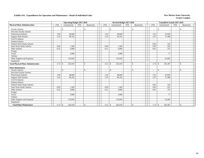|                                            |                          | <b>Operating Budget 2017-2018</b> |            |                                 |                          | Revised Budget 2017-2018 |                          |                                          |                          | <b>Unaudited Actuals 2017-2018</b> |                          |              |  |
|--------------------------------------------|--------------------------|-----------------------------------|------------|---------------------------------|--------------------------|--------------------------|--------------------------|------------------------------------------|--------------------------|------------------------------------|--------------------------|--------------|--|
| <b>Physical Plant Administration</b>       | <b>FTE</b>               | Unrestricted                      | <b>FTE</b> | Restricted                      | <b>FTE</b>               | Unrestricted             | <b>FTE</b>               | Restricted                               | <b>FTE</b>               | Unrestricted                       | <b>FTE</b>               | Restricted   |  |
| <b>Faculty Salaries</b>                    |                          | -\$<br>$\overline{\phantom{a}}$   | $\sim$     | \$                              | $\sim$                   | \$.                      | $\sim$                   | $\mathbf{s}$                             | $\overline{\phantom{a}}$ | -S                                 | $\sim$                   | \$           |  |
| Part-time Faculty Salaries                 | $\overline{\phantom{a}}$ |                                   |            |                                 | $\blacksquare$           |                          | $\overline{\phantom{a}}$ | $\sim$                                   | $\overline{\phantom{a}}$ |                                    | $\overline{\phantom{a}}$ |              |  |
| <b>Professional Salaries</b>               | 1.09                     | 48.600                            |            |                                 | 1.02                     | 48,600                   | $\sim$                   | $\overline{\phantom{a}}$                 | 1.01                     | 47,850                             | $\sim$                   |              |  |
| <b>Support Staff Salaries</b>              | 3.34                     | 90,162                            |            |                                 | 3.19                     | 90,162                   | $\sim$                   | $\overline{\phantom{a}}$                 | 2.67                     | 75,389                             | $\overline{\phantom{a}}$ |              |  |
| GA/TA Salaries                             | $\sim$                   |                                   |            |                                 | $\overline{\phantom{a}}$ |                          | $\sim$                   | $\sim$                                   | $\blacksquare$           |                                    | $\overline{\phantom{a}}$ |              |  |
| <b>Student Salaries</b>                    |                          |                                   |            |                                 |                          |                          |                          |                                          |                          |                                    |                          |              |  |
| Federal Work-Study Salaries                | $\overline{\phantom{a}}$ |                                   |            |                                 | -                        |                          | $\sim$                   | $\overline{\phantom{a}}$                 | 0.02                     | 332                                | $\overline{\phantom{a}}$ |              |  |
| <b>State Work-Study Salaries</b>           | 0.09                     | 1.500                             |            |                                 | 0.09                     | 1.500                    | $\sim$                   | $\overline{\phantom{a}}$                 | 0.03                     | 422                                | $\overline{\phantom{a}}$ |              |  |
| <b>Other Salaries</b>                      | 0.22                     | 6.000                             |            |                                 | 0.21                     | 6,000                    |                          |                                          | 0.01                     | 315                                | $\sim$                   |              |  |
| Fringes                                    |                          |                                   |            |                                 |                          |                          |                          | $\sim$                                   |                          |                                    |                          |              |  |
| Travel                                     |                          | 3.000                             |            |                                 |                          | 3,000                    |                          | $\overline{\phantom{a}}$                 |                          | 77                                 |                          |              |  |
| Utilities                                  |                          |                                   |            |                                 |                          |                          |                          | $\overline{\phantom{a}}$                 |                          |                                    |                          |              |  |
| Other Supplies and Expenses                |                          | 133,656                           |            |                                 |                          | 133,656                  |                          | $\sim$                                   |                          | 61,002                             |                          |              |  |
| Equipment                                  |                          |                                   |            |                                 |                          |                          |                          |                                          |                          |                                    |                          |              |  |
| <b>Total Physical Plant Administration</b> | 4.74                     | 282,918<br>-\$                    |            | \$                              | 4.51                     | 282,918<br>$\mathbb{S}$  | $\sim$                   | $\mathbb{S}$<br>$\sim$                   | 3.74                     | 185,387<br>$\mathcal{S}$           | $\sim$                   | $\mathbf{s}$ |  |
| <b>Plant Maintenance</b>                   |                          |                                   |            |                                 |                          |                          |                          |                                          |                          |                                    |                          |              |  |
| <b>Faculty Salaries</b>                    |                          | $\mathcal{S}$<br>$\sim$           |            | $\mathbf{s}$                    | $\blacksquare$           | $\mathcal{S}$<br>$\sim$  | $\sim$                   | $\mathbf{s}$<br>$\overline{\phantom{a}}$ | $\sim$                   | $\mathbb{S}$                       | $\overline{\phantom{a}}$ | \$           |  |
| Part-time Faculty Salaries                 |                          |                                   |            |                                 | $\frac{1}{2}$            |                          |                          | $\overline{\phantom{a}}$                 | $\blacksquare$           |                                    | $\overline{\phantom{a}}$ |              |  |
| <b>Professional Salaries</b>               | 1.09                     | 48.600                            |            |                                 | 1.02                     | 48,600                   | $\sim$                   | $\sim$                                   | 1.01                     | 47.850                             | $\sim$                   |              |  |
| <b>Support Staff Salaries</b>              | 3.34                     | 90,162                            |            |                                 | 3.19                     | 90,162                   | $\sim$                   | $\overline{\phantom{a}}$                 | 2.67                     | 75,389                             | $\sim$                   |              |  |
| GA/TA Salaries                             | $\sim$                   |                                   |            |                                 | ۰                        |                          | $\overline{\phantom{a}}$ | $\sim$                                   | $\sim$                   |                                    | $\overline{\phantom{a}}$ |              |  |
| <b>Student Salaries</b>                    | $\overline{\phantom{a}}$ | $\sim$                            |            |                                 | ۰                        |                          | $\overline{\phantom{a}}$ | $\overline{\phantom{a}}$                 |                          |                                    | $\overline{\phantom{a}}$ |              |  |
| Federal Work-Study Salaries                | $\overline{\phantom{a}}$ |                                   |            |                                 | -                        |                          | $\overline{\phantom{a}}$ |                                          | 0.02                     | 332                                | $\overline{\phantom{a}}$ |              |  |
| <b>State Work-Study Salaries</b>           | 0.09                     | 1,500                             |            |                                 | 0.09                     | 1,500                    | $\sim$                   | $\overline{\phantom{a}}$                 | 0.03                     | 422                                | $\overline{\phantom{a}}$ |              |  |
| Other Salaries                             | 0.22                     | 6,000                             |            |                                 | 0.21                     | 6,000                    | $\sim$                   | $\overline{\phantom{a}}$                 | 0.01                     | 315                                | $\sim$                   |              |  |
| Fringes                                    |                          |                                   |            |                                 |                          |                          |                          |                                          |                          |                                    |                          |              |  |
| Travel                                     |                          | 3,000                             |            | $\overline{\phantom{a}}$        |                          | 3,000                    |                          | $\sim$                                   |                          | 77                                 |                          |              |  |
| Utilities                                  |                          |                                   |            |                                 |                          |                          |                          | $\overline{\phantom{a}}$                 |                          |                                    |                          |              |  |
| Other Supplies and Expenses                |                          | 133,656                           |            |                                 |                          | 133,656                  |                          |                                          |                          | 61,002                             |                          |              |  |
| Equipment                                  |                          |                                   |            | $\overline{\phantom{a}}$        |                          |                          |                          | $\overline{\phantom{a}}$                 |                          |                                    |                          |              |  |
| <b>Total Plant Maintenance</b>             | 4.74                     | 282,918<br>-\$                    |            | $\mathcal{S}$<br>$\overline{a}$ | 4.51                     | \$<br>282,918            |                          | $\mathbb{S}$<br>$\overline{\phantom{a}}$ | 3.74                     | \$<br>185,387                      | $\sim$                   | $\mathbf{s}$ |  |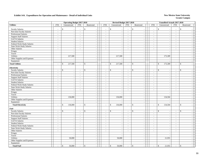|                                  |                          | <b>Operating Budget 2017-2018</b> |                             |                              |                | Revised Budget 2017-2018       |                          |                                          |                          | <b>Unaudited Actuals 2017-2018</b> |                                       |                    |                          |
|----------------------------------|--------------------------|-----------------------------------|-----------------------------|------------------------------|----------------|--------------------------------|--------------------------|------------------------------------------|--------------------------|------------------------------------|---------------------------------------|--------------------|--------------------------|
| <b>Utilities</b>                 | <b>FTE</b>               | Unrestricted                      | <b>FTE</b>                  | Restricted                   | <b>FTE</b>     | Unrestricted                   | <b>FTE</b>               | Restricted                               | <b>FTE</b>               | Unrestricted                       | FTE                                   | Restricted         |                          |
| <b>Faculty Salaries</b>          | $\overline{a}$           | \$<br>$\overline{\phantom{a}}$    | $\sim$                      | $\mathbb{S}$                 | $\sim$         | \$<br>$\overline{\phantom{a}}$ | $\sim$                   | \$<br>÷                                  | $\sim$                   | \$                                 | $\overline{\phantom{a}}$<br>$\sim$    | \$                 |                          |
| Part-time Faculty Salaries       | $\sim$                   | $\sim$                            | $\sim$                      | $\sim$                       | $\sim$         | $\overline{\phantom{a}}$       | $\sim$                   | $\sim$                                   | $\sim$                   |                                    | $\sim$<br>$\overline{\phantom{a}}$    |                    |                          |
| <b>Professional Salaries</b>     | $\omega$                 | $\sim$                            | $\sim$                      | $\sim$                       | $\sim$         | $\sim$                         | $\omega$                 | $\sim$                                   | $\omega$                 |                                    | $\sim$<br>$\sim$                      |                    |                          |
| <b>Support Staff Salaries</b>    | $\overline{\phantom{a}}$ |                                   | $\sim$                      | $\sim$                       | $\sim$         |                                | $\overline{\phantom{a}}$ | $\blacksquare$                           | $\sim$                   |                                    | $\sim$<br>$\sim$                      |                    |                          |
| GA/TA Salaries                   | $\overline{\phantom{a}}$ | $\overline{\phantom{a}}$          | $\sim$                      | $\sim$                       | $\blacksquare$ |                                | $\sim$                   | $\blacksquare$                           | $\overline{\phantom{a}}$ |                                    | $\equiv$<br>$\overline{\phantom{a}}$  |                    |                          |
| <b>Student Salaries</b>          | $\sim$                   | $\sim$                            | $\mathbf{r}$                | $\sim$                       | $\sim$         | $\overline{\phantom{a}}$       | $\sim$                   | $\sim$                                   | $\sim$                   |                                    | $\sim$<br>$\sim$                      |                    |                          |
| Federal Work-Study Salaries      | $\sim$                   | $\sim$                            | $\sim$                      | $\sim$                       | $\sim$         | $\sim$                         | $\sim$                   | $\sim$                                   | $\sim$                   |                                    | $\sim$<br>$\sim$                      |                    |                          |
| <b>State Work-Study Salaries</b> | $\sim$                   | $\overline{a}$                    | $\sim$                      | $\sim$                       | $\sim$         | $\overline{a}$                 | $\sim$                   | $\sim$                                   | $\sim$                   |                                    | $\sim$<br>$\sim$                      |                    |                          |
| Other Salaries                   | $\sim$                   | $\overline{\phantom{a}}$          | $\sim$                      | $\omega$                     | $\sim$         | $\overline{\phantom{a}}$       | $\sim$                   | $\sim$                                   | $\sim$                   |                                    | $\sim$<br>$\sim$                      |                    |                          |
| Fringes                          |                          | $\sim$                            |                             | $\sim$                       |                | $\overline{\phantom{a}}$       |                          | $\mathcal{L}_{\mathcal{A}}$              |                          |                                    | $\sim$                                |                    |                          |
| Travel                           |                          |                                   |                             | $\sim$                       |                | $\overline{\phantom{a}}$       |                          | $\mathcal{L}$                            |                          |                                    | $\sim$                                |                    | $\sim$                   |
| Utilities                        |                          | 217,500                           |                             | $\sim$                       |                | 217,500                        |                          | $\sim$                                   |                          | 173,309                            |                                       |                    | $\overline{a}$           |
| Other Supplies and Expenses      |                          | $\overline{\phantom{a}}$          |                             | $\sim$                       |                | - 11                           |                          | $\sim$                                   |                          |                                    | $\overline{\phantom{a}}$              |                    | $\overline{\phantom{a}}$ |
| Equipment                        |                          |                                   |                             | $\sim$                       |                | $\overline{\phantom{a}}$       |                          | $\blacksquare$                           |                          |                                    | $\overline{\phantom{a}}$              |                    | $\overline{\phantom{a}}$ |
| <b>Total Utilities</b>           | $\bar{a}$                | \$<br>217,500                     | $\sim$                      | $\mathbb{S}$<br>$\sim$       | $\sim$         | \$<br>217,500                  | $\sim$                   | $\mathbf{s}$<br>$\overline{\phantom{a}}$ | $\sim$                   | $\mathbb{S}$<br>173,309            | $\sim$                                | $\mathbf{\hat{S}}$ |                          |
| Electricity                      |                          |                                   |                             |                              |                |                                |                          |                                          |                          |                                    |                                       |                    |                          |
| <b>Faculty Salaries</b>          | $\blacksquare$           | \$<br>$\overline{\phantom{a}}$    | $\sim$                      | $\mathbb{S}$<br>$\sim$       | $\sim$         | \$<br>$\overline{\phantom{a}}$ | $\blacksquare$           | \$<br>$\sim$                             | $\blacksquare$           | \$                                 | $\sim$<br>$\sim$                      | $\mathbb{S}$       |                          |
| Part-time Faculty Salaries       | ÷,                       | $\blacksquare$                    | $\mathcal{L}_{\mathcal{A}}$ | $\omega$                     | $\blacksquare$ | $\sim$                         | $\blacksquare$           | $\overline{\phantom{a}}$                 | $\blacksquare$           |                                    | $\equiv$<br>$\blacksquare$            |                    |                          |
| Professional Salaries            | $\overline{\phantom{a}}$ | $\overline{\phantom{a}}$          | $\sim$                      | $\sim$                       | $\blacksquare$ | $\sim$                         | $\sim$                   | $\sim$                                   | $\blacksquare$           |                                    | $\blacksquare$<br>$\sim$              |                    | $\overline{\phantom{a}}$ |
| <b>Support Staff Salaries</b>    | $\sim$                   | $\overline{\phantom{a}}$          | $\sim$                      | $\sim$                       | $\sim$         | $\sim$                         | $\sim$                   | $\sim$                                   | $\sim$                   |                                    | $\sim$<br>$\sim$                      |                    | $\sim$                   |
| GA/TA Salaries                   | $\sim$                   | $\sim$                            | $\sim$                      | $\sim$                       | $\sim$         | $\sim$                         | $\sim$                   | $\sim$                                   | $\sim$                   |                                    | $\sim$<br>$\sim$                      |                    |                          |
| <b>Student Salaries</b>          | $\sim$                   | $\sim$                            | $\sim$                      | $\sim$                       | $\sim$         | $\overline{\phantom{a}}$       | $\sim$                   | $\sim$                                   | $\sim$                   |                                    | $\sim$<br>$\sim$                      |                    |                          |
| Federal Work-Study Salaries      | $\mathbb{L}$             | $\sim$                            | $\sim$                      | $\sim$                       | $\sim$         | $\overline{\phantom{a}}$       | $\sim$                   | $\mathcal{L}_{\mathcal{A}}$              | $\omega$                 |                                    | $\mathcal{L}_{\mathcal{A}}$<br>$\sim$ |                    |                          |
| <b>State Work-Study Salaries</b> | $\blacksquare$           | $\sim$                            | $\sim$                      | $\sim$                       | $\sim$         | $\overline{\phantom{a}}$       | $\sim$                   | $\sim$                                   | $\blacksquare$           |                                    | $\blacksquare$<br>$\sim$              |                    |                          |
| Other Salaries                   | $\sim$                   | $\overline{\phantom{a}}$          | $\sim$                      | $\sim$                       | $\sim$         | $\sim$                         | $\sim$                   | $\blacksquare$                           | $\sim$                   |                                    | $\blacksquare$<br>$\sim$              |                    | $\overline{\phantom{a}}$ |
| Fringes                          |                          | $\overline{\phantom{a}}$          |                             | $\sim$                       |                | $\overline{\phantom{a}}$       |                          | $\sim$                                   |                          |                                    | $\sim$                                |                    |                          |
| Travel                           |                          |                                   |                             | $\sim$                       |                | $\overline{\phantom{a}}$       |                          | $\sim$                                   |                          |                                    | $\overline{\phantom{a}}$              |                    |                          |
| Utilities                        |                          | 136,000                           |                             | $\sim$                       |                | 136,000                        |                          | $\sim$                                   |                          | 134,504                            |                                       |                    |                          |
| Other Supplies and Expenses      |                          |                                   |                             | $\sim$                       |                |                                |                          | $\blacksquare$                           |                          |                                    |                                       |                    |                          |
| Equipment                        |                          |                                   |                             | $\omega$                     |                | $\overline{\phantom{a}}$       |                          | $\sim$                                   |                          |                                    |                                       |                    | $\overline{a}$           |
| <b>Total Electricity</b>         | $\overline{\phantom{a}}$ | \$<br>136,000                     | $\sim$                      | $\mathbb{S}$<br>$\sim$       | $\sim$         | \$<br>136,000                  | $\sim$                   | $\mathcal{S}$<br>$\sim$                  | $\sim$                   | $\mathbf{\hat{S}}$<br>134,504      | $\mathcal{L}_{\mathcal{A}}$           | $\mathbf{s}$       | $\sim$                   |
| <b>Fuel</b>                      |                          |                                   |                             |                              |                |                                |                          |                                          |                          |                                    |                                       |                    |                          |
| <b>Faculty Salaries</b>          | $\overline{\phantom{a}}$ | $\mathbb{S}$<br>$\sim$            | $\sim$                      | $\mathbf{\hat{S}}$<br>$\sim$ | $\sim$         | \$<br>$\overline{\phantom{a}}$ | $\sim$                   | $\mathbf{\hat{S}}$<br>$\blacksquare$     | $\sim$                   | $\mathbb{S}$                       | $\sim$<br>$\sim$                      | $\mathbf{s}$       |                          |
| Part-time Faculty Salaries       | $\sim$                   | $\overline{\phantom{a}}$          | $\sim$                      | $\sim$                       | $\sim$         | $\overline{\phantom{a}}$       | $\sim$                   | $\sim$                                   | $\mathbf{r}$             |                                    | $\sim$<br>$\overline{\phantom{a}}$    |                    |                          |
| <b>Professional Salaries</b>     | $\sim$                   | $\overline{\phantom{a}}$          | $\sim$                      | $\sim$                       | $\sim$         | $\overline{\phantom{a}}$       | $\sim$                   | $\sim$                                   | $\omega$                 |                                    | $\sim$<br>$\sim$                      |                    |                          |
| <b>Support Staff Salaries</b>    | $\sim$                   |                                   | $\sim$                      | $\sim$                       | $\sim$         | $\overline{\phantom{a}}$       | $\omega$                 | $\mathcal{L}_{\mathcal{A}}$              | $\omega$                 |                                    | $\sim$<br>$\sim$                      |                    |                          |
| GA/TA Salaries                   | $\overline{\phantom{a}}$ |                                   | $\sim$                      | $\sim$                       | $\sim$         | $\overline{\phantom{a}}$       | $\sim$                   | $\overline{\phantom{a}}$                 | $\omega$                 |                                    | $\sim$<br>$\sim$                      |                    |                          |
| <b>Student Salaries</b>          | $\sim$                   | $\overline{\phantom{a}}$          | $\sim$                      | $\sim$                       | $\sim$         | $\sim$                         | $\sim$                   | $\mathcal{L}_{\mathcal{A}}$              | $\sim$                   |                                    | $\sim$<br>$\sim$                      |                    | $\overline{\phantom{a}}$ |
| Federal Work-Study Salaries      | $\sim$                   | $\overline{\phantom{a}}$          | $\sim$                      | $\sim$                       | $\sim$         | $\sim$                         | $\sim$                   | $\sim$                                   | $\sim$                   |                                    | $\sim$<br>$\sim$                      |                    | $\overline{\phantom{a}}$ |
| <b>State Work-Study Salaries</b> | $\overline{\phantom{a}}$ | $\overline{\phantom{a}}$          | $\sim$                      | $\sim$                       | $\sim$         | $\sim$                         | $\omega$                 | $\mathcal{L}_{\mathcal{A}}$              | $\omega$                 |                                    | $\sim$<br>$\sim$                      |                    | $\overline{\phantom{a}}$ |
| Other Salaries                   | $\overline{\phantom{a}}$ | $\overline{\phantom{a}}$          | $\sim$                      | $\sim$                       | $\sim$         | $\overline{\phantom{a}}$       | $\overline{\phantom{a}}$ | $\sim$                                   | $\sim$                   |                                    | $\blacksquare$<br>$\sim$              |                    |                          |
| Fringes                          |                          | $\overline{\phantom{a}}$          |                             | $\blacksquare$               |                | $\sim$                         |                          | $\blacksquare$                           |                          |                                    | $\blacksquare$                        |                    |                          |
| Travel                           |                          |                                   |                             | $\mathbb{Z}^+$               |                | $\overline{\phantom{a}}$       |                          | $\blacksquare$                           |                          |                                    | ÷.                                    |                    | $\overline{a}$           |
| <b>Utilities</b>                 |                          | 50,000                            |                             | $\sim$                       |                | 50,000                         |                          | $\sim$                                   |                          | 21,955                             |                                       |                    |                          |
| Other Supplies and Expenses      |                          |                                   |                             | $\sim$                       |                |                                |                          | $\sim$                                   |                          |                                    |                                       |                    |                          |
| Equipment                        |                          |                                   |                             | $\sim$                       |                | $\sim$                         |                          | $\mathbf{r}$                             |                          |                                    | $\sim$                                |                    | $\sim$                   |
| <b>Total Fuel</b>                |                          | \$<br>50,000                      |                             | $\mathbb{S}$                 | $\sim$         | \$<br>50,000                   |                          | $\mathbf{\hat{S}}$                       |                          | 21,955<br>\$                       | $\sim$                                | $\mathbb{S}$       |                          |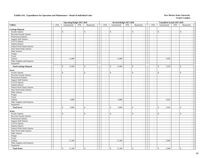| <b>FTE</b><br>Unrestricted<br>FTE<br><b>FTE</b><br>Unrestricted<br><b>FTE</b><br><b>FTE</b><br>Unrestricted<br>FTE<br>Restricted<br>Restricted<br>Restricted<br><b>Garbage Disposal</b><br><b>Faculty Salaries</b><br>\$<br>$\mathbb{S}$<br>\$<br>$\mathbb{S}$<br>$\mathbb{S}$<br>$\mathbb{S}$<br>$\overline{\phantom{a}}$<br>$\sim$<br>$\blacksquare$<br>$\sim$<br>$\blacksquare$<br>$\overline{\phantom{a}}$<br>$\sim$<br>$\sim$<br>$\blacksquare$<br>$\sim$<br>$\sim$<br>Part-time Faculty Salaries<br>$\blacksquare$<br>$\mathbb{L}$<br>$\blacksquare$<br>$\mathbb{L}$<br>$\blacksquare$<br>$\sim$<br>$\omega$<br>$\Box$<br>$\blacksquare$<br>$\mathbb{L}$<br>$\mathcal{L}_{\mathcal{A}}$<br>Professional Salaries<br>$\sim$<br>$\sim$<br>$\sim$<br>$\sim$<br>$\sim$<br>$\sim$<br>$\sim$<br>$\overline{\phantom{a}}$<br>$\sim$<br>$\overline{a}$<br>$\sim$<br>$\overline{\phantom{a}}$<br><b>Support Staff Salaries</b><br>$\mathbf{r}$<br>$\sim$<br>$\sim$<br>$\omega$<br>$\sim$<br>$\sim$<br>$\sim$<br>$\omega$<br>$\sim$<br>$\sim$<br>$\overline{a}$<br>$\sim$<br>GA/TA Salaries<br>$\sim$<br>$\sim$<br>$\blacksquare$<br>$\sim$<br>$\sim$<br>$\sim$<br>$\sim$<br>$\sim$<br>$\blacksquare$<br>$\sim$<br>$\sim$<br>$\sim$<br><b>Student Salaries</b><br>$\sim$<br>$\sim$<br>$\sim$<br>$\sim$<br>$\sim$<br>$\sim$<br>$\sim$<br>$\bar{a}$<br>$\sim$<br>$\sim$<br>$\sim$<br>$\overline{\phantom{a}}$<br>Federal Work-Study Salaries<br>$\sim$<br>$\mathcal{L}_{\mathcal{A}}$<br>$\sim$<br>$\blacksquare$<br>$\sim$<br>$\sim$<br>$\sim$<br>$\sim$<br>$\sim$<br>$\sim$<br>$\sim$<br><b>.</b><br><b>State Work-Study Salaries</b><br>$\overline{\phantom{a}}$<br>$\blacksquare$<br>$\sim$<br>$\overline{\phantom{a}}$<br>$\sim$<br>$\sim$<br>$\overline{\phantom{a}}$<br>$\blacksquare$<br>$\sim$<br>$\sim$<br>$\overline{\phantom{a}}$<br>$\overline{\phantom{a}}$<br>Other Salaries<br>$\mathbf{r}$<br>$\sim$<br>$\sim$<br>$\sim$<br>$\blacksquare$<br>$\overline{\phantom{a}}$<br>$\sim$<br>$\mathcal{L}$<br>$\omega$<br>$\blacksquare$<br>$\mathcal{L}$<br>Fringes<br>$\sim$<br>$\sim$<br>$\sim$<br>$\sim$<br>$\overline{\phantom{a}}$<br>$\sim$<br>Travel<br>$\sim$<br>$\omega$<br>$\sim$<br>$\sim$<br>$\sim$<br>$\overline{\phantom{a}}$<br>Utilities<br>11,000<br>11,000<br>7,978<br>$\sim$<br>$\mathcal{L}_{\mathcal{A}}$<br>$\overline{\phantom{a}}$<br>Other Supplies and Expenses<br>$\sim$<br>$\sim$<br>$\sim$<br>$\sim$<br>$\overline{a}$<br>$\sim$<br>Equipment<br>$\sim$<br>$\overline{a}$<br>$\sim$<br>- 1<br>$\sim$<br>$\mathbb{S}$<br>11,000<br>$\mathsf{\$}$<br>\$<br>11,000<br>$\mathbf{s}$<br>$\mathbb{S}$<br>7,978<br>$\mathbf S$<br><b>Total Garbage Disposal</b><br>$\bar{a}$<br>$\overline{\phantom{a}}$<br>$\sim$<br>$\sim$<br>$\sim$<br>$\omega$<br>$\sim$<br>$\mathcal{L}$<br><b>Sewer</b><br><b>Faculty Salaries</b><br>\$<br>\$<br>\$<br>\$<br>\$<br>\$<br>$\overline{\phantom{a}}$<br>$\sim$<br>$\sim$<br>$\sim$<br>$\sim$<br>$\mathcal{L}$<br>$\sim$<br>$\sim$<br>$\mathcal{L}_{\mathcal{A}}$<br>$\sim$<br>$\sim$<br>Part-time Faculty Salaries<br>$\sim$<br>$\blacksquare$<br>$\sim$<br>$\sim$<br>$\overline{\phantom{a}}$<br>$\sim$<br>$\sim$<br>$\sim$<br>$\sim$<br>$\sim$<br>$\sim$<br>$\sim$<br>Professional Salaries<br>$\sim$<br>$\sim$<br>$\sim$<br>$\sim$<br>$\sim$<br>$\sim$<br>$\sim$<br>$\sim$<br>$\sim$<br>$\sim$<br>$\overline{a}$<br>$\sim$<br><b>Support Staff Salaries</b><br>$\sim$<br>$\sim$<br>$\sim$<br>$\sim$<br>$\sim$<br>$\overline{\phantom{a}}$<br>$\sim$<br>$\sim$<br>$\overline{\phantom{a}}$<br>$\sim$<br>$\overline{\phantom{a}}$<br>$\sim$<br>GA/TA Salaries<br>$\sim$<br>$\sim$<br>$\sim$<br>$\sim$<br>$\sim$<br>$\overline{\phantom{a}}$<br>$\sim$<br>$\sim$<br>$\sim$<br>$\sim$<br>$\sim$<br>$\overline{\phantom{a}}$<br><b>Student Salaries</b><br>$\sim$<br>$\sim$<br>$\sim$<br>$\sim$<br>$\sim$<br>$\sim$<br>$\sim$<br>$\sim$<br>$\sim$<br>$\sim$<br>$\sim$<br>$\sim$<br>Federal Work-Study Salaries<br>$\mathbb{Z}^2$<br>$\mathbb{L}$<br>$\sim$<br>$\mathcal{L}_{\mathcal{A}}$<br>$\mathbb{L}$<br>$\sim$<br>$\blacksquare$<br>$\blacksquare$<br>$\sim$<br>$\blacksquare$<br>$\sim$<br>$\overline{\phantom{a}}$<br>State Work-Study Salaries<br>$\sim$<br>$\sim$<br>$\sim$<br>$\sim$<br>$\omega$<br>$\mathcal{L}$<br>$\sim$<br>$\sim$<br>$\blacksquare$<br>$\sim$<br>Other Salaries<br>$\omega$<br>$\mathcal{L}_{\mathcal{A}}$<br>$\sim$<br>$\mathbb{Z}^2$<br>$\sim$<br>$\mathcal{L}_{\mathcal{A}}$<br>$\overline{\phantom{a}}$<br>$\sim$<br>$\mathbb{L}$<br>$\sim$<br>$\overline{a}$<br>$\sim$<br>Fringes<br>$\sim$<br>$\sim$<br>$\sim$<br>$\sim$<br>$\sim$<br>$\overline{a}$<br>Travel<br>$\overline{\phantom{a}}$<br>$\sim$<br>$\sim$<br>$\sim$<br>$\overline{\phantom{a}}$<br>$\overline{\phantom{a}}$<br>Utilities<br>9,000<br>9,000<br>2,924<br>$\blacksquare$<br>$\sim$<br>$\sim$<br>Other Supplies and Expenses<br>$\sim$<br>$\sim$<br>$\sim$<br>$\overline{\phantom{a}}$<br>$\sim$<br>$\sim$<br>Equipment<br>$\omega$<br>$\mathbb{L}$<br>$\sim$<br>$\overline{\phantom{a}}$<br>$\sim$<br>$\mathbb{S}$<br>9,000<br>\$<br>\$<br>9,000<br>$\mathbb{S}$<br>$\mathbb{S}$<br>2,924<br>$\mathbb{S}$<br><b>Total Sewer</b><br>$\mathcal{L}$<br>$\sim$<br>$\sim$<br>$\sim$<br>$\sim$<br>$\sim$<br>$\sim$<br>$\overline{a}$<br>Water<br><b>Faculty Salaries</b><br>\$<br>$\mathbb{S}$<br>\$<br>\$<br>\$<br>\$<br>$\omega$<br>$\omega$<br>$\omega$<br>$\bar{\phantom{a}}$<br>$\sim$<br>$\omega$<br>$\blacksquare$<br>$\mathcal{L}_{\mathcal{A}}$<br>$\overline{\phantom{a}}$<br>$\mathcal{L}_{\mathcal{A}}$<br>$\overline{\phantom{a}}$<br>$\overline{\phantom{a}}$<br>Part-time Faculty Salaries<br>$\sim$<br>$\sim$<br>$\sim$<br>$\sim$<br>$\sim$<br>$\sim$<br>$\sim$<br>$\omega$<br>$\sim$<br>$\sim$<br>$\sim$<br>$\overline{a}$<br>Professional Salaries<br>$\sim$<br>$\sim$<br>$\sim$<br>$\sim$<br>$\sim$<br>$\omega$<br>$\sim$<br>$\omega$<br>$\sim$<br>$\sim$<br>$\sim$<br><b>Support Staff Salaries</b><br>$\sim$<br>$\sim$<br>$\sim$<br>$\blacksquare$<br>$\sim$<br>$\sim$<br>$\sim$<br>$\sim$<br>$\blacksquare$<br>$\sim$<br>$\sim$<br>$\overline{\phantom{a}}$<br>GA/TA Salaries<br>$\mathcal{L}_{\mathcal{A}}$<br>$\sim$<br>$\sim$<br>$\sim$<br>$\sim$<br>$\overline{\phantom{a}}$<br>$\sim$<br>$\sim$<br>$\sim$<br>$\sim$<br>$\sim$<br>$\sim$<br><b>Student Salaries</b><br>$\sim$<br>$\blacksquare$<br>$\mathbb{L}$<br>$\blacksquare$<br>$\blacksquare$<br>$\mathcal{L}_{\mathcal{A}}$<br>$\sim$<br>$\overline{\phantom{a}}$<br>$\sim$<br>$\overline{\phantom{a}}$<br>$\sim$<br>$\overline{\phantom{a}}$<br>Federal Work-Study Salaries<br>$\sim$<br>$\blacksquare$<br>$\sim$<br>$\blacksquare$<br>$\blacksquare$<br>$\sim$<br>$\sim$<br>$\blacksquare$<br>$\sim$<br>$\blacksquare$<br>$\sim$<br>$\sim$<br><b>State Work-Study Salaries</b><br>$\sim$<br>$\sim$<br>$\mathcal{L}$<br>$\mathbf{r}$<br>$\mathbf{r}$<br>$\sim$<br>$\omega$<br>$\sim$<br>$\overline{\phantom{a}}$<br>$\sim$<br>$\sim$<br>$\sim$<br>Other Salaries<br>$\sim$<br>$\mathcal{L}_{\mathcal{A}}$<br>$\sim$<br>$\sim$<br>$\sim$<br>$\sim$<br>$\mathcal{L}_{\mathcal{A}}$<br>$\omega$<br>$\sim$<br>$\sim$<br>$\sim$<br>$\sim$<br>Fringes<br>$\sim$<br>$\sim$<br>$\sim$<br>$\sim$<br>$\sim$<br>$\overline{\phantom{a}}$<br>Travel<br>$\sim$<br>$\sim$<br>$\overline{a}$<br>$\sim$<br>$\overline{\phantom{a}}$<br><b>Utilities</b><br>11,500<br>11,500<br>5,948<br>$\sim$<br>$\mathcal{L}_{\mathcal{A}}$<br>$\overline{\phantom{a}}$<br>Other Supplies and Expenses<br>$\mathcal{L}_{\mathcal{A}}$<br>$\sim$<br>$\overline{\phantom{a}}$<br>$\overline{\phantom{a}}$<br>$\overline{\phantom{a}}$<br>Equipment<br>$\blacksquare$<br>$\sim$<br>$\blacksquare$<br>$\sim$<br>$\mathbf{\hat{S}}$<br>$\mathbb{S}$<br>$\$$<br>$\mathbb{S}$<br>11,500<br>\$<br>11,500<br>5,948<br>$\mathbb{S}$<br><b>Total Water</b><br>$\sim$<br>$\sim$<br>$\sim$<br>$\blacksquare$<br>$\sim$<br>$\sim$<br>$\sim$<br>$\sim$ |                  |  | <b>Operating Budget 2017-2018</b> |  | Revised Budget 2017-2018 |  |  | Unaudited Actuals 2017-2018 |  |  |
|--------------------------------------------------------------------------------------------------------------------------------------------------------------------------------------------------------------------------------------------------------------------------------------------------------------------------------------------------------------------------------------------------------------------------------------------------------------------------------------------------------------------------------------------------------------------------------------------------------------------------------------------------------------------------------------------------------------------------------------------------------------------------------------------------------------------------------------------------------------------------------------------------------------------------------------------------------------------------------------------------------------------------------------------------------------------------------------------------------------------------------------------------------------------------------------------------------------------------------------------------------------------------------------------------------------------------------------------------------------------------------------------------------------------------------------------------------------------------------------------------------------------------------------------------------------------------------------------------------------------------------------------------------------------------------------------------------------------------------------------------------------------------------------------------------------------------------------------------------------------------------------------------------------------------------------------------------------------------------------------------------------------------------------------------------------------------------------------------------------------------------------------------------------------------------------------------------------------------------------------------------------------------------------------------------------------------------------------------------------------------------------------------------------------------------------------------------------------------------------------------------------------------------------------------------------------------------------------------------------------------------------------------------------------------------------------------------------------------------------------------------------------------------------------------------------------------------------------------------------------------------------------------------------------------------------------------------------------------------------------------------------------------------------------------------------------------------------------------------------------------------------------------------------------------------------------------------------------------------------------------------------------------------------------------------------------------------------------------------------------------------------------------------------------------------------------------------------------------------------------------------------------------------------------------------------------------------------------------------------------------------------------------------------------------------------------------------------------------------------------------------------------------------------------------------------------------------------------------------------------------------------------------------------------------------------------------------------------------------------------------------------------------------------------------------------------------------------------------------------------------------------------------------------------------------------------------------------------------------------------------------------------------------------------------------------------------------------------------------------------------------------------------------------------------------------------------------------------------------------------------------------------------------------------------------------------------------------------------------------------------------------------------------------------------------------------------------------------------------------------------------------------------------------------------------------------------------------------------------------------------------------------------------------------------------------------------------------------------------------------------------------------------------------------------------------------------------------------------------------------------------------------------------------------------------------------------------------------------------------------------------------------------------------------------------------------------------------------------------------------------------------------------------------------------------------------------------------------------------------------------------------------------------------------------------------------------------------------------------------------------------------------------------------------------------------------------------------------------------------------------------------------------------------------------------------------------------------------------------------------------------------------------------------------------------------------------------------------------------------------------------------------------------------------------------------------------------------------------------------------------------------------------------------------------------------------------------------------------------------------------------------------------------------------------------------------------------------------------------------------------------------------------------------------------------------------------------------------------------------------------------------------------------------------------------------------------------------------------------------------------------------------------------------------------------------------------------------------------------------------------------------------------------------------------------------------------------------------------------------------------------------------------------------------------------------------------------------------------------------------------------------------------------------------------------------------------------------------------------------------------------------------------------------------------------------------------------------------------------------------------------------------------------------------------------------------------------------------------------------------------------------------------------------------------------------------------------------------------------------------------------------------------------------------------------------------------------------------------------------------------------------------------------------------------------------------------------------------------------------------------------------------------------------------------------------------------------------------------------------------------------------------------------------------------------------------------------|------------------|--|-----------------------------------|--|--------------------------|--|--|-----------------------------|--|--|
|                                                                                                                                                                                                                                                                                                                                                                                                                                                                                                                                                                                                                                                                                                                                                                                                                                                                                                                                                                                                                                                                                                                                                                                                                                                                                                                                                                                                                                                                                                                                                                                                                                                                                                                                                                                                                                                                                                                                                                                                                                                                                                                                                                                                                                                                                                                                                                                                                                                                                                                                                                                                                                                                                                                                                                                                                                                                                                                                                                                                                                                                                                                                                                                                                                                                                                                                                                                                                                                                                                                                                                                                                                                                                                                                                                                                                                                                                                                                                                                                                                                                                                                                                                                                                                                                                                                                                                                                                                                                                                                                                                                                                                                                                                                                                                                                                                                                                                                                                                                                                                                                                                                                                                                                                                                                                                                                                                                                                                                                                                                                                                                                                                                                                                                                                                                                                                                                                                                                                                                                                                                                                                                                                                                                                                                                                                                                                                                                                                                                                                                                                                                                                                                                                                                                                                                                                                                                                                                                                                                                                                                                                                                                                                                                                                                                                                                                                                                                                                                                                                                                                                                                                                                                                                                                                                                                                                                                                                                                                        | <b>Utilities</b> |  |                                   |  |                          |  |  |                             |  |  |
|                                                                                                                                                                                                                                                                                                                                                                                                                                                                                                                                                                                                                                                                                                                                                                                                                                                                                                                                                                                                                                                                                                                                                                                                                                                                                                                                                                                                                                                                                                                                                                                                                                                                                                                                                                                                                                                                                                                                                                                                                                                                                                                                                                                                                                                                                                                                                                                                                                                                                                                                                                                                                                                                                                                                                                                                                                                                                                                                                                                                                                                                                                                                                                                                                                                                                                                                                                                                                                                                                                                                                                                                                                                                                                                                                                                                                                                                                                                                                                                                                                                                                                                                                                                                                                                                                                                                                                                                                                                                                                                                                                                                                                                                                                                                                                                                                                                                                                                                                                                                                                                                                                                                                                                                                                                                                                                                                                                                                                                                                                                                                                                                                                                                                                                                                                                                                                                                                                                                                                                                                                                                                                                                                                                                                                                                                                                                                                                                                                                                                                                                                                                                                                                                                                                                                                                                                                                                                                                                                                                                                                                                                                                                                                                                                                                                                                                                                                                                                                                                                                                                                                                                                                                                                                                                                                                                                                                                                                                                                        |                  |  |                                   |  |                          |  |  |                             |  |  |
|                                                                                                                                                                                                                                                                                                                                                                                                                                                                                                                                                                                                                                                                                                                                                                                                                                                                                                                                                                                                                                                                                                                                                                                                                                                                                                                                                                                                                                                                                                                                                                                                                                                                                                                                                                                                                                                                                                                                                                                                                                                                                                                                                                                                                                                                                                                                                                                                                                                                                                                                                                                                                                                                                                                                                                                                                                                                                                                                                                                                                                                                                                                                                                                                                                                                                                                                                                                                                                                                                                                                                                                                                                                                                                                                                                                                                                                                                                                                                                                                                                                                                                                                                                                                                                                                                                                                                                                                                                                                                                                                                                                                                                                                                                                                                                                                                                                                                                                                                                                                                                                                                                                                                                                                                                                                                                                                                                                                                                                                                                                                                                                                                                                                                                                                                                                                                                                                                                                                                                                                                                                                                                                                                                                                                                                                                                                                                                                                                                                                                                                                                                                                                                                                                                                                                                                                                                                                                                                                                                                                                                                                                                                                                                                                                                                                                                                                                                                                                                                                                                                                                                                                                                                                                                                                                                                                                                                                                                                                                        |                  |  |                                   |  |                          |  |  |                             |  |  |
|                                                                                                                                                                                                                                                                                                                                                                                                                                                                                                                                                                                                                                                                                                                                                                                                                                                                                                                                                                                                                                                                                                                                                                                                                                                                                                                                                                                                                                                                                                                                                                                                                                                                                                                                                                                                                                                                                                                                                                                                                                                                                                                                                                                                                                                                                                                                                                                                                                                                                                                                                                                                                                                                                                                                                                                                                                                                                                                                                                                                                                                                                                                                                                                                                                                                                                                                                                                                                                                                                                                                                                                                                                                                                                                                                                                                                                                                                                                                                                                                                                                                                                                                                                                                                                                                                                                                                                                                                                                                                                                                                                                                                                                                                                                                                                                                                                                                                                                                                                                                                                                                                                                                                                                                                                                                                                                                                                                                                                                                                                                                                                                                                                                                                                                                                                                                                                                                                                                                                                                                                                                                                                                                                                                                                                                                                                                                                                                                                                                                                                                                                                                                                                                                                                                                                                                                                                                                                                                                                                                                                                                                                                                                                                                                                                                                                                                                                                                                                                                                                                                                                                                                                                                                                                                                                                                                                                                                                                                                                        |                  |  |                                   |  |                          |  |  |                             |  |  |
|                                                                                                                                                                                                                                                                                                                                                                                                                                                                                                                                                                                                                                                                                                                                                                                                                                                                                                                                                                                                                                                                                                                                                                                                                                                                                                                                                                                                                                                                                                                                                                                                                                                                                                                                                                                                                                                                                                                                                                                                                                                                                                                                                                                                                                                                                                                                                                                                                                                                                                                                                                                                                                                                                                                                                                                                                                                                                                                                                                                                                                                                                                                                                                                                                                                                                                                                                                                                                                                                                                                                                                                                                                                                                                                                                                                                                                                                                                                                                                                                                                                                                                                                                                                                                                                                                                                                                                                                                                                                                                                                                                                                                                                                                                                                                                                                                                                                                                                                                                                                                                                                                                                                                                                                                                                                                                                                                                                                                                                                                                                                                                                                                                                                                                                                                                                                                                                                                                                                                                                                                                                                                                                                                                                                                                                                                                                                                                                                                                                                                                                                                                                                                                                                                                                                                                                                                                                                                                                                                                                                                                                                                                                                                                                                                                                                                                                                                                                                                                                                                                                                                                                                                                                                                                                                                                                                                                                                                                                                                        |                  |  |                                   |  |                          |  |  |                             |  |  |
|                                                                                                                                                                                                                                                                                                                                                                                                                                                                                                                                                                                                                                                                                                                                                                                                                                                                                                                                                                                                                                                                                                                                                                                                                                                                                                                                                                                                                                                                                                                                                                                                                                                                                                                                                                                                                                                                                                                                                                                                                                                                                                                                                                                                                                                                                                                                                                                                                                                                                                                                                                                                                                                                                                                                                                                                                                                                                                                                                                                                                                                                                                                                                                                                                                                                                                                                                                                                                                                                                                                                                                                                                                                                                                                                                                                                                                                                                                                                                                                                                                                                                                                                                                                                                                                                                                                                                                                                                                                                                                                                                                                                                                                                                                                                                                                                                                                                                                                                                                                                                                                                                                                                                                                                                                                                                                                                                                                                                                                                                                                                                                                                                                                                                                                                                                                                                                                                                                                                                                                                                                                                                                                                                                                                                                                                                                                                                                                                                                                                                                                                                                                                                                                                                                                                                                                                                                                                                                                                                                                                                                                                                                                                                                                                                                                                                                                                                                                                                                                                                                                                                                                                                                                                                                                                                                                                                                                                                                                                                        |                  |  |                                   |  |                          |  |  |                             |  |  |
|                                                                                                                                                                                                                                                                                                                                                                                                                                                                                                                                                                                                                                                                                                                                                                                                                                                                                                                                                                                                                                                                                                                                                                                                                                                                                                                                                                                                                                                                                                                                                                                                                                                                                                                                                                                                                                                                                                                                                                                                                                                                                                                                                                                                                                                                                                                                                                                                                                                                                                                                                                                                                                                                                                                                                                                                                                                                                                                                                                                                                                                                                                                                                                                                                                                                                                                                                                                                                                                                                                                                                                                                                                                                                                                                                                                                                                                                                                                                                                                                                                                                                                                                                                                                                                                                                                                                                                                                                                                                                                                                                                                                                                                                                                                                                                                                                                                                                                                                                                                                                                                                                                                                                                                                                                                                                                                                                                                                                                                                                                                                                                                                                                                                                                                                                                                                                                                                                                                                                                                                                                                                                                                                                                                                                                                                                                                                                                                                                                                                                                                                                                                                                                                                                                                                                                                                                                                                                                                                                                                                                                                                                                                                                                                                                                                                                                                                                                                                                                                                                                                                                                                                                                                                                                                                                                                                                                                                                                                                                        |                  |  |                                   |  |                          |  |  |                             |  |  |
|                                                                                                                                                                                                                                                                                                                                                                                                                                                                                                                                                                                                                                                                                                                                                                                                                                                                                                                                                                                                                                                                                                                                                                                                                                                                                                                                                                                                                                                                                                                                                                                                                                                                                                                                                                                                                                                                                                                                                                                                                                                                                                                                                                                                                                                                                                                                                                                                                                                                                                                                                                                                                                                                                                                                                                                                                                                                                                                                                                                                                                                                                                                                                                                                                                                                                                                                                                                                                                                                                                                                                                                                                                                                                                                                                                                                                                                                                                                                                                                                                                                                                                                                                                                                                                                                                                                                                                                                                                                                                                                                                                                                                                                                                                                                                                                                                                                                                                                                                                                                                                                                                                                                                                                                                                                                                                                                                                                                                                                                                                                                                                                                                                                                                                                                                                                                                                                                                                                                                                                                                                                                                                                                                                                                                                                                                                                                                                                                                                                                                                                                                                                                                                                                                                                                                                                                                                                                                                                                                                                                                                                                                                                                                                                                                                                                                                                                                                                                                                                                                                                                                                                                                                                                                                                                                                                                                                                                                                                                                        |                  |  |                                   |  |                          |  |  |                             |  |  |
|                                                                                                                                                                                                                                                                                                                                                                                                                                                                                                                                                                                                                                                                                                                                                                                                                                                                                                                                                                                                                                                                                                                                                                                                                                                                                                                                                                                                                                                                                                                                                                                                                                                                                                                                                                                                                                                                                                                                                                                                                                                                                                                                                                                                                                                                                                                                                                                                                                                                                                                                                                                                                                                                                                                                                                                                                                                                                                                                                                                                                                                                                                                                                                                                                                                                                                                                                                                                                                                                                                                                                                                                                                                                                                                                                                                                                                                                                                                                                                                                                                                                                                                                                                                                                                                                                                                                                                                                                                                                                                                                                                                                                                                                                                                                                                                                                                                                                                                                                                                                                                                                                                                                                                                                                                                                                                                                                                                                                                                                                                                                                                                                                                                                                                                                                                                                                                                                                                                                                                                                                                                                                                                                                                                                                                                                                                                                                                                                                                                                                                                                                                                                                                                                                                                                                                                                                                                                                                                                                                                                                                                                                                                                                                                                                                                                                                                                                                                                                                                                                                                                                                                                                                                                                                                                                                                                                                                                                                                                                        |                  |  |                                   |  |                          |  |  |                             |  |  |
|                                                                                                                                                                                                                                                                                                                                                                                                                                                                                                                                                                                                                                                                                                                                                                                                                                                                                                                                                                                                                                                                                                                                                                                                                                                                                                                                                                                                                                                                                                                                                                                                                                                                                                                                                                                                                                                                                                                                                                                                                                                                                                                                                                                                                                                                                                                                                                                                                                                                                                                                                                                                                                                                                                                                                                                                                                                                                                                                                                                                                                                                                                                                                                                                                                                                                                                                                                                                                                                                                                                                                                                                                                                                                                                                                                                                                                                                                                                                                                                                                                                                                                                                                                                                                                                                                                                                                                                                                                                                                                                                                                                                                                                                                                                                                                                                                                                                                                                                                                                                                                                                                                                                                                                                                                                                                                                                                                                                                                                                                                                                                                                                                                                                                                                                                                                                                                                                                                                                                                                                                                                                                                                                                                                                                                                                                                                                                                                                                                                                                                                                                                                                                                                                                                                                                                                                                                                                                                                                                                                                                                                                                                                                                                                                                                                                                                                                                                                                                                                                                                                                                                                                                                                                                                                                                                                                                                                                                                                                                        |                  |  |                                   |  |                          |  |  |                             |  |  |
|                                                                                                                                                                                                                                                                                                                                                                                                                                                                                                                                                                                                                                                                                                                                                                                                                                                                                                                                                                                                                                                                                                                                                                                                                                                                                                                                                                                                                                                                                                                                                                                                                                                                                                                                                                                                                                                                                                                                                                                                                                                                                                                                                                                                                                                                                                                                                                                                                                                                                                                                                                                                                                                                                                                                                                                                                                                                                                                                                                                                                                                                                                                                                                                                                                                                                                                                                                                                                                                                                                                                                                                                                                                                                                                                                                                                                                                                                                                                                                                                                                                                                                                                                                                                                                                                                                                                                                                                                                                                                                                                                                                                                                                                                                                                                                                                                                                                                                                                                                                                                                                                                                                                                                                                                                                                                                                                                                                                                                                                                                                                                                                                                                                                                                                                                                                                                                                                                                                                                                                                                                                                                                                                                                                                                                                                                                                                                                                                                                                                                                                                                                                                                                                                                                                                                                                                                                                                                                                                                                                                                                                                                                                                                                                                                                                                                                                                                                                                                                                                                                                                                                                                                                                                                                                                                                                                                                                                                                                                                        |                  |  |                                   |  |                          |  |  |                             |  |  |
|                                                                                                                                                                                                                                                                                                                                                                                                                                                                                                                                                                                                                                                                                                                                                                                                                                                                                                                                                                                                                                                                                                                                                                                                                                                                                                                                                                                                                                                                                                                                                                                                                                                                                                                                                                                                                                                                                                                                                                                                                                                                                                                                                                                                                                                                                                                                                                                                                                                                                                                                                                                                                                                                                                                                                                                                                                                                                                                                                                                                                                                                                                                                                                                                                                                                                                                                                                                                                                                                                                                                                                                                                                                                                                                                                                                                                                                                                                                                                                                                                                                                                                                                                                                                                                                                                                                                                                                                                                                                                                                                                                                                                                                                                                                                                                                                                                                                                                                                                                                                                                                                                                                                                                                                                                                                                                                                                                                                                                                                                                                                                                                                                                                                                                                                                                                                                                                                                                                                                                                                                                                                                                                                                                                                                                                                                                                                                                                                                                                                                                                                                                                                                                                                                                                                                                                                                                                                                                                                                                                                                                                                                                                                                                                                                                                                                                                                                                                                                                                                                                                                                                                                                                                                                                                                                                                                                                                                                                                                                        |                  |  |                                   |  |                          |  |  |                             |  |  |
|                                                                                                                                                                                                                                                                                                                                                                                                                                                                                                                                                                                                                                                                                                                                                                                                                                                                                                                                                                                                                                                                                                                                                                                                                                                                                                                                                                                                                                                                                                                                                                                                                                                                                                                                                                                                                                                                                                                                                                                                                                                                                                                                                                                                                                                                                                                                                                                                                                                                                                                                                                                                                                                                                                                                                                                                                                                                                                                                                                                                                                                                                                                                                                                                                                                                                                                                                                                                                                                                                                                                                                                                                                                                                                                                                                                                                                                                                                                                                                                                                                                                                                                                                                                                                                                                                                                                                                                                                                                                                                                                                                                                                                                                                                                                                                                                                                                                                                                                                                                                                                                                                                                                                                                                                                                                                                                                                                                                                                                                                                                                                                                                                                                                                                                                                                                                                                                                                                                                                                                                                                                                                                                                                                                                                                                                                                                                                                                                                                                                                                                                                                                                                                                                                                                                                                                                                                                                                                                                                                                                                                                                                                                                                                                                                                                                                                                                                                                                                                                                                                                                                                                                                                                                                                                                                                                                                                                                                                                                                        |                  |  |                                   |  |                          |  |  |                             |  |  |
|                                                                                                                                                                                                                                                                                                                                                                                                                                                                                                                                                                                                                                                                                                                                                                                                                                                                                                                                                                                                                                                                                                                                                                                                                                                                                                                                                                                                                                                                                                                                                                                                                                                                                                                                                                                                                                                                                                                                                                                                                                                                                                                                                                                                                                                                                                                                                                                                                                                                                                                                                                                                                                                                                                                                                                                                                                                                                                                                                                                                                                                                                                                                                                                                                                                                                                                                                                                                                                                                                                                                                                                                                                                                                                                                                                                                                                                                                                                                                                                                                                                                                                                                                                                                                                                                                                                                                                                                                                                                                                                                                                                                                                                                                                                                                                                                                                                                                                                                                                                                                                                                                                                                                                                                                                                                                                                                                                                                                                                                                                                                                                                                                                                                                                                                                                                                                                                                                                                                                                                                                                                                                                                                                                                                                                                                                                                                                                                                                                                                                                                                                                                                                                                                                                                                                                                                                                                                                                                                                                                                                                                                                                                                                                                                                                                                                                                                                                                                                                                                                                                                                                                                                                                                                                                                                                                                                                                                                                                                                        |                  |  |                                   |  |                          |  |  |                             |  |  |
|                                                                                                                                                                                                                                                                                                                                                                                                                                                                                                                                                                                                                                                                                                                                                                                                                                                                                                                                                                                                                                                                                                                                                                                                                                                                                                                                                                                                                                                                                                                                                                                                                                                                                                                                                                                                                                                                                                                                                                                                                                                                                                                                                                                                                                                                                                                                                                                                                                                                                                                                                                                                                                                                                                                                                                                                                                                                                                                                                                                                                                                                                                                                                                                                                                                                                                                                                                                                                                                                                                                                                                                                                                                                                                                                                                                                                                                                                                                                                                                                                                                                                                                                                                                                                                                                                                                                                                                                                                                                                                                                                                                                                                                                                                                                                                                                                                                                                                                                                                                                                                                                                                                                                                                                                                                                                                                                                                                                                                                                                                                                                                                                                                                                                                                                                                                                                                                                                                                                                                                                                                                                                                                                                                                                                                                                                                                                                                                                                                                                                                                                                                                                                                                                                                                                                                                                                                                                                                                                                                                                                                                                                                                                                                                                                                                                                                                                                                                                                                                                                                                                                                                                                                                                                                                                                                                                                                                                                                                                                        |                  |  |                                   |  |                          |  |  |                             |  |  |
|                                                                                                                                                                                                                                                                                                                                                                                                                                                                                                                                                                                                                                                                                                                                                                                                                                                                                                                                                                                                                                                                                                                                                                                                                                                                                                                                                                                                                                                                                                                                                                                                                                                                                                                                                                                                                                                                                                                                                                                                                                                                                                                                                                                                                                                                                                                                                                                                                                                                                                                                                                                                                                                                                                                                                                                                                                                                                                                                                                                                                                                                                                                                                                                                                                                                                                                                                                                                                                                                                                                                                                                                                                                                                                                                                                                                                                                                                                                                                                                                                                                                                                                                                                                                                                                                                                                                                                                                                                                                                                                                                                                                                                                                                                                                                                                                                                                                                                                                                                                                                                                                                                                                                                                                                                                                                                                                                                                                                                                                                                                                                                                                                                                                                                                                                                                                                                                                                                                                                                                                                                                                                                                                                                                                                                                                                                                                                                                                                                                                                                                                                                                                                                                                                                                                                                                                                                                                                                                                                                                                                                                                                                                                                                                                                                                                                                                                                                                                                                                                                                                                                                                                                                                                                                                                                                                                                                                                                                                                                        |                  |  |                                   |  |                          |  |  |                             |  |  |
|                                                                                                                                                                                                                                                                                                                                                                                                                                                                                                                                                                                                                                                                                                                                                                                                                                                                                                                                                                                                                                                                                                                                                                                                                                                                                                                                                                                                                                                                                                                                                                                                                                                                                                                                                                                                                                                                                                                                                                                                                                                                                                                                                                                                                                                                                                                                                                                                                                                                                                                                                                                                                                                                                                                                                                                                                                                                                                                                                                                                                                                                                                                                                                                                                                                                                                                                                                                                                                                                                                                                                                                                                                                                                                                                                                                                                                                                                                                                                                                                                                                                                                                                                                                                                                                                                                                                                                                                                                                                                                                                                                                                                                                                                                                                                                                                                                                                                                                                                                                                                                                                                                                                                                                                                                                                                                                                                                                                                                                                                                                                                                                                                                                                                                                                                                                                                                                                                                                                                                                                                                                                                                                                                                                                                                                                                                                                                                                                                                                                                                                                                                                                                                                                                                                                                                                                                                                                                                                                                                                                                                                                                                                                                                                                                                                                                                                                                                                                                                                                                                                                                                                                                                                                                                                                                                                                                                                                                                                                                        |                  |  |                                   |  |                          |  |  |                             |  |  |
|                                                                                                                                                                                                                                                                                                                                                                                                                                                                                                                                                                                                                                                                                                                                                                                                                                                                                                                                                                                                                                                                                                                                                                                                                                                                                                                                                                                                                                                                                                                                                                                                                                                                                                                                                                                                                                                                                                                                                                                                                                                                                                                                                                                                                                                                                                                                                                                                                                                                                                                                                                                                                                                                                                                                                                                                                                                                                                                                                                                                                                                                                                                                                                                                                                                                                                                                                                                                                                                                                                                                                                                                                                                                                                                                                                                                                                                                                                                                                                                                                                                                                                                                                                                                                                                                                                                                                                                                                                                                                                                                                                                                                                                                                                                                                                                                                                                                                                                                                                                                                                                                                                                                                                                                                                                                                                                                                                                                                                                                                                                                                                                                                                                                                                                                                                                                                                                                                                                                                                                                                                                                                                                                                                                                                                                                                                                                                                                                                                                                                                                                                                                                                                                                                                                                                                                                                                                                                                                                                                                                                                                                                                                                                                                                                                                                                                                                                                                                                                                                                                                                                                                                                                                                                                                                                                                                                                                                                                                                                        |                  |  |                                   |  |                          |  |  |                             |  |  |
|                                                                                                                                                                                                                                                                                                                                                                                                                                                                                                                                                                                                                                                                                                                                                                                                                                                                                                                                                                                                                                                                                                                                                                                                                                                                                                                                                                                                                                                                                                                                                                                                                                                                                                                                                                                                                                                                                                                                                                                                                                                                                                                                                                                                                                                                                                                                                                                                                                                                                                                                                                                                                                                                                                                                                                                                                                                                                                                                                                                                                                                                                                                                                                                                                                                                                                                                                                                                                                                                                                                                                                                                                                                                                                                                                                                                                                                                                                                                                                                                                                                                                                                                                                                                                                                                                                                                                                                                                                                                                                                                                                                                                                                                                                                                                                                                                                                                                                                                                                                                                                                                                                                                                                                                                                                                                                                                                                                                                                                                                                                                                                                                                                                                                                                                                                                                                                                                                                                                                                                                                                                                                                                                                                                                                                                                                                                                                                                                                                                                                                                                                                                                                                                                                                                                                                                                                                                                                                                                                                                                                                                                                                                                                                                                                                                                                                                                                                                                                                                                                                                                                                                                                                                                                                                                                                                                                                                                                                                                                        |                  |  |                                   |  |                          |  |  |                             |  |  |
|                                                                                                                                                                                                                                                                                                                                                                                                                                                                                                                                                                                                                                                                                                                                                                                                                                                                                                                                                                                                                                                                                                                                                                                                                                                                                                                                                                                                                                                                                                                                                                                                                                                                                                                                                                                                                                                                                                                                                                                                                                                                                                                                                                                                                                                                                                                                                                                                                                                                                                                                                                                                                                                                                                                                                                                                                                                                                                                                                                                                                                                                                                                                                                                                                                                                                                                                                                                                                                                                                                                                                                                                                                                                                                                                                                                                                                                                                                                                                                                                                                                                                                                                                                                                                                                                                                                                                                                                                                                                                                                                                                                                                                                                                                                                                                                                                                                                                                                                                                                                                                                                                                                                                                                                                                                                                                                                                                                                                                                                                                                                                                                                                                                                                                                                                                                                                                                                                                                                                                                                                                                                                                                                                                                                                                                                                                                                                                                                                                                                                                                                                                                                                                                                                                                                                                                                                                                                                                                                                                                                                                                                                                                                                                                                                                                                                                                                                                                                                                                                                                                                                                                                                                                                                                                                                                                                                                                                                                                                                        |                  |  |                                   |  |                          |  |  |                             |  |  |
|                                                                                                                                                                                                                                                                                                                                                                                                                                                                                                                                                                                                                                                                                                                                                                                                                                                                                                                                                                                                                                                                                                                                                                                                                                                                                                                                                                                                                                                                                                                                                                                                                                                                                                                                                                                                                                                                                                                                                                                                                                                                                                                                                                                                                                                                                                                                                                                                                                                                                                                                                                                                                                                                                                                                                                                                                                                                                                                                                                                                                                                                                                                                                                                                                                                                                                                                                                                                                                                                                                                                                                                                                                                                                                                                                                                                                                                                                                                                                                                                                                                                                                                                                                                                                                                                                                                                                                                                                                                                                                                                                                                                                                                                                                                                                                                                                                                                                                                                                                                                                                                                                                                                                                                                                                                                                                                                                                                                                                                                                                                                                                                                                                                                                                                                                                                                                                                                                                                                                                                                                                                                                                                                                                                                                                                                                                                                                                                                                                                                                                                                                                                                                                                                                                                                                                                                                                                                                                                                                                                                                                                                                                                                                                                                                                                                                                                                                                                                                                                                                                                                                                                                                                                                                                                                                                                                                                                                                                                                                        |                  |  |                                   |  |                          |  |  |                             |  |  |
|                                                                                                                                                                                                                                                                                                                                                                                                                                                                                                                                                                                                                                                                                                                                                                                                                                                                                                                                                                                                                                                                                                                                                                                                                                                                                                                                                                                                                                                                                                                                                                                                                                                                                                                                                                                                                                                                                                                                                                                                                                                                                                                                                                                                                                                                                                                                                                                                                                                                                                                                                                                                                                                                                                                                                                                                                                                                                                                                                                                                                                                                                                                                                                                                                                                                                                                                                                                                                                                                                                                                                                                                                                                                                                                                                                                                                                                                                                                                                                                                                                                                                                                                                                                                                                                                                                                                                                                                                                                                                                                                                                                                                                                                                                                                                                                                                                                                                                                                                                                                                                                                                                                                                                                                                                                                                                                                                                                                                                                                                                                                                                                                                                                                                                                                                                                                                                                                                                                                                                                                                                                                                                                                                                                                                                                                                                                                                                                                                                                                                                                                                                                                                                                                                                                                                                                                                                                                                                                                                                                                                                                                                                                                                                                                                                                                                                                                                                                                                                                                                                                                                                                                                                                                                                                                                                                                                                                                                                                                                        |                  |  |                                   |  |                          |  |  |                             |  |  |
|                                                                                                                                                                                                                                                                                                                                                                                                                                                                                                                                                                                                                                                                                                                                                                                                                                                                                                                                                                                                                                                                                                                                                                                                                                                                                                                                                                                                                                                                                                                                                                                                                                                                                                                                                                                                                                                                                                                                                                                                                                                                                                                                                                                                                                                                                                                                                                                                                                                                                                                                                                                                                                                                                                                                                                                                                                                                                                                                                                                                                                                                                                                                                                                                                                                                                                                                                                                                                                                                                                                                                                                                                                                                                                                                                                                                                                                                                                                                                                                                                                                                                                                                                                                                                                                                                                                                                                                                                                                                                                                                                                                                                                                                                                                                                                                                                                                                                                                                                                                                                                                                                                                                                                                                                                                                                                                                                                                                                                                                                                                                                                                                                                                                                                                                                                                                                                                                                                                                                                                                                                                                                                                                                                                                                                                                                                                                                                                                                                                                                                                                                                                                                                                                                                                                                                                                                                                                                                                                                                                                                                                                                                                                                                                                                                                                                                                                                                                                                                                                                                                                                                                                                                                                                                                                                                                                                                                                                                                                                        |                  |  |                                   |  |                          |  |  |                             |  |  |
|                                                                                                                                                                                                                                                                                                                                                                                                                                                                                                                                                                                                                                                                                                                                                                                                                                                                                                                                                                                                                                                                                                                                                                                                                                                                                                                                                                                                                                                                                                                                                                                                                                                                                                                                                                                                                                                                                                                                                                                                                                                                                                                                                                                                                                                                                                                                                                                                                                                                                                                                                                                                                                                                                                                                                                                                                                                                                                                                                                                                                                                                                                                                                                                                                                                                                                                                                                                                                                                                                                                                                                                                                                                                                                                                                                                                                                                                                                                                                                                                                                                                                                                                                                                                                                                                                                                                                                                                                                                                                                                                                                                                                                                                                                                                                                                                                                                                                                                                                                                                                                                                                                                                                                                                                                                                                                                                                                                                                                                                                                                                                                                                                                                                                                                                                                                                                                                                                                                                                                                                                                                                                                                                                                                                                                                                                                                                                                                                                                                                                                                                                                                                                                                                                                                                                                                                                                                                                                                                                                                                                                                                                                                                                                                                                                                                                                                                                                                                                                                                                                                                                                                                                                                                                                                                                                                                                                                                                                                                                        |                  |  |                                   |  |                          |  |  |                             |  |  |
|                                                                                                                                                                                                                                                                                                                                                                                                                                                                                                                                                                                                                                                                                                                                                                                                                                                                                                                                                                                                                                                                                                                                                                                                                                                                                                                                                                                                                                                                                                                                                                                                                                                                                                                                                                                                                                                                                                                                                                                                                                                                                                                                                                                                                                                                                                                                                                                                                                                                                                                                                                                                                                                                                                                                                                                                                                                                                                                                                                                                                                                                                                                                                                                                                                                                                                                                                                                                                                                                                                                                                                                                                                                                                                                                                                                                                                                                                                                                                                                                                                                                                                                                                                                                                                                                                                                                                                                                                                                                                                                                                                                                                                                                                                                                                                                                                                                                                                                                                                                                                                                                                                                                                                                                                                                                                                                                                                                                                                                                                                                                                                                                                                                                                                                                                                                                                                                                                                                                                                                                                                                                                                                                                                                                                                                                                                                                                                                                                                                                                                                                                                                                                                                                                                                                                                                                                                                                                                                                                                                                                                                                                                                                                                                                                                                                                                                                                                                                                                                                                                                                                                                                                                                                                                                                                                                                                                                                                                                                                        |                  |  |                                   |  |                          |  |  |                             |  |  |
|                                                                                                                                                                                                                                                                                                                                                                                                                                                                                                                                                                                                                                                                                                                                                                                                                                                                                                                                                                                                                                                                                                                                                                                                                                                                                                                                                                                                                                                                                                                                                                                                                                                                                                                                                                                                                                                                                                                                                                                                                                                                                                                                                                                                                                                                                                                                                                                                                                                                                                                                                                                                                                                                                                                                                                                                                                                                                                                                                                                                                                                                                                                                                                                                                                                                                                                                                                                                                                                                                                                                                                                                                                                                                                                                                                                                                                                                                                                                                                                                                                                                                                                                                                                                                                                                                                                                                                                                                                                                                                                                                                                                                                                                                                                                                                                                                                                                                                                                                                                                                                                                                                                                                                                                                                                                                                                                                                                                                                                                                                                                                                                                                                                                                                                                                                                                                                                                                                                                                                                                                                                                                                                                                                                                                                                                                                                                                                                                                                                                                                                                                                                                                                                                                                                                                                                                                                                                                                                                                                                                                                                                                                                                                                                                                                                                                                                                                                                                                                                                                                                                                                                                                                                                                                                                                                                                                                                                                                                                                        |                  |  |                                   |  |                          |  |  |                             |  |  |
|                                                                                                                                                                                                                                                                                                                                                                                                                                                                                                                                                                                                                                                                                                                                                                                                                                                                                                                                                                                                                                                                                                                                                                                                                                                                                                                                                                                                                                                                                                                                                                                                                                                                                                                                                                                                                                                                                                                                                                                                                                                                                                                                                                                                                                                                                                                                                                                                                                                                                                                                                                                                                                                                                                                                                                                                                                                                                                                                                                                                                                                                                                                                                                                                                                                                                                                                                                                                                                                                                                                                                                                                                                                                                                                                                                                                                                                                                                                                                                                                                                                                                                                                                                                                                                                                                                                                                                                                                                                                                                                                                                                                                                                                                                                                                                                                                                                                                                                                                                                                                                                                                                                                                                                                                                                                                                                                                                                                                                                                                                                                                                                                                                                                                                                                                                                                                                                                                                                                                                                                                                                                                                                                                                                                                                                                                                                                                                                                                                                                                                                                                                                                                                                                                                                                                                                                                                                                                                                                                                                                                                                                                                                                                                                                                                                                                                                                                                                                                                                                                                                                                                                                                                                                                                                                                                                                                                                                                                                                                        |                  |  |                                   |  |                          |  |  |                             |  |  |
|                                                                                                                                                                                                                                                                                                                                                                                                                                                                                                                                                                                                                                                                                                                                                                                                                                                                                                                                                                                                                                                                                                                                                                                                                                                                                                                                                                                                                                                                                                                                                                                                                                                                                                                                                                                                                                                                                                                                                                                                                                                                                                                                                                                                                                                                                                                                                                                                                                                                                                                                                                                                                                                                                                                                                                                                                                                                                                                                                                                                                                                                                                                                                                                                                                                                                                                                                                                                                                                                                                                                                                                                                                                                                                                                                                                                                                                                                                                                                                                                                                                                                                                                                                                                                                                                                                                                                                                                                                                                                                                                                                                                                                                                                                                                                                                                                                                                                                                                                                                                                                                                                                                                                                                                                                                                                                                                                                                                                                                                                                                                                                                                                                                                                                                                                                                                                                                                                                                                                                                                                                                                                                                                                                                                                                                                                                                                                                                                                                                                                                                                                                                                                                                                                                                                                                                                                                                                                                                                                                                                                                                                                                                                                                                                                                                                                                                                                                                                                                                                                                                                                                                                                                                                                                                                                                                                                                                                                                                                                        |                  |  |                                   |  |                          |  |  |                             |  |  |
|                                                                                                                                                                                                                                                                                                                                                                                                                                                                                                                                                                                                                                                                                                                                                                                                                                                                                                                                                                                                                                                                                                                                                                                                                                                                                                                                                                                                                                                                                                                                                                                                                                                                                                                                                                                                                                                                                                                                                                                                                                                                                                                                                                                                                                                                                                                                                                                                                                                                                                                                                                                                                                                                                                                                                                                                                                                                                                                                                                                                                                                                                                                                                                                                                                                                                                                                                                                                                                                                                                                                                                                                                                                                                                                                                                                                                                                                                                                                                                                                                                                                                                                                                                                                                                                                                                                                                                                                                                                                                                                                                                                                                                                                                                                                                                                                                                                                                                                                                                                                                                                                                                                                                                                                                                                                                                                                                                                                                                                                                                                                                                                                                                                                                                                                                                                                                                                                                                                                                                                                                                                                                                                                                                                                                                                                                                                                                                                                                                                                                                                                                                                                                                                                                                                                                                                                                                                                                                                                                                                                                                                                                                                                                                                                                                                                                                                                                                                                                                                                                                                                                                                                                                                                                                                                                                                                                                                                                                                                                        |                  |  |                                   |  |                          |  |  |                             |  |  |
|                                                                                                                                                                                                                                                                                                                                                                                                                                                                                                                                                                                                                                                                                                                                                                                                                                                                                                                                                                                                                                                                                                                                                                                                                                                                                                                                                                                                                                                                                                                                                                                                                                                                                                                                                                                                                                                                                                                                                                                                                                                                                                                                                                                                                                                                                                                                                                                                                                                                                                                                                                                                                                                                                                                                                                                                                                                                                                                                                                                                                                                                                                                                                                                                                                                                                                                                                                                                                                                                                                                                                                                                                                                                                                                                                                                                                                                                                                                                                                                                                                                                                                                                                                                                                                                                                                                                                                                                                                                                                                                                                                                                                                                                                                                                                                                                                                                                                                                                                                                                                                                                                                                                                                                                                                                                                                                                                                                                                                                                                                                                                                                                                                                                                                                                                                                                                                                                                                                                                                                                                                                                                                                                                                                                                                                                                                                                                                                                                                                                                                                                                                                                                                                                                                                                                                                                                                                                                                                                                                                                                                                                                                                                                                                                                                                                                                                                                                                                                                                                                                                                                                                                                                                                                                                                                                                                                                                                                                                                                        |                  |  |                                   |  |                          |  |  |                             |  |  |
|                                                                                                                                                                                                                                                                                                                                                                                                                                                                                                                                                                                                                                                                                                                                                                                                                                                                                                                                                                                                                                                                                                                                                                                                                                                                                                                                                                                                                                                                                                                                                                                                                                                                                                                                                                                                                                                                                                                                                                                                                                                                                                                                                                                                                                                                                                                                                                                                                                                                                                                                                                                                                                                                                                                                                                                                                                                                                                                                                                                                                                                                                                                                                                                                                                                                                                                                                                                                                                                                                                                                                                                                                                                                                                                                                                                                                                                                                                                                                                                                                                                                                                                                                                                                                                                                                                                                                                                                                                                                                                                                                                                                                                                                                                                                                                                                                                                                                                                                                                                                                                                                                                                                                                                                                                                                                                                                                                                                                                                                                                                                                                                                                                                                                                                                                                                                                                                                                                                                                                                                                                                                                                                                                                                                                                                                                                                                                                                                                                                                                                                                                                                                                                                                                                                                                                                                                                                                                                                                                                                                                                                                                                                                                                                                                                                                                                                                                                                                                                                                                                                                                                                                                                                                                                                                                                                                                                                                                                                                                        |                  |  |                                   |  |                          |  |  |                             |  |  |
|                                                                                                                                                                                                                                                                                                                                                                                                                                                                                                                                                                                                                                                                                                                                                                                                                                                                                                                                                                                                                                                                                                                                                                                                                                                                                                                                                                                                                                                                                                                                                                                                                                                                                                                                                                                                                                                                                                                                                                                                                                                                                                                                                                                                                                                                                                                                                                                                                                                                                                                                                                                                                                                                                                                                                                                                                                                                                                                                                                                                                                                                                                                                                                                                                                                                                                                                                                                                                                                                                                                                                                                                                                                                                                                                                                                                                                                                                                                                                                                                                                                                                                                                                                                                                                                                                                                                                                                                                                                                                                                                                                                                                                                                                                                                                                                                                                                                                                                                                                                                                                                                                                                                                                                                                                                                                                                                                                                                                                                                                                                                                                                                                                                                                                                                                                                                                                                                                                                                                                                                                                                                                                                                                                                                                                                                                                                                                                                                                                                                                                                                                                                                                                                                                                                                                                                                                                                                                                                                                                                                                                                                                                                                                                                                                                                                                                                                                                                                                                                                                                                                                                                                                                                                                                                                                                                                                                                                                                                                                        |                  |  |                                   |  |                          |  |  |                             |  |  |
|                                                                                                                                                                                                                                                                                                                                                                                                                                                                                                                                                                                                                                                                                                                                                                                                                                                                                                                                                                                                                                                                                                                                                                                                                                                                                                                                                                                                                                                                                                                                                                                                                                                                                                                                                                                                                                                                                                                                                                                                                                                                                                                                                                                                                                                                                                                                                                                                                                                                                                                                                                                                                                                                                                                                                                                                                                                                                                                                                                                                                                                                                                                                                                                                                                                                                                                                                                                                                                                                                                                                                                                                                                                                                                                                                                                                                                                                                                                                                                                                                                                                                                                                                                                                                                                                                                                                                                                                                                                                                                                                                                                                                                                                                                                                                                                                                                                                                                                                                                                                                                                                                                                                                                                                                                                                                                                                                                                                                                                                                                                                                                                                                                                                                                                                                                                                                                                                                                                                                                                                                                                                                                                                                                                                                                                                                                                                                                                                                                                                                                                                                                                                                                                                                                                                                                                                                                                                                                                                                                                                                                                                                                                                                                                                                                                                                                                                                                                                                                                                                                                                                                                                                                                                                                                                                                                                                                                                                                                                                        |                  |  |                                   |  |                          |  |  |                             |  |  |
|                                                                                                                                                                                                                                                                                                                                                                                                                                                                                                                                                                                                                                                                                                                                                                                                                                                                                                                                                                                                                                                                                                                                                                                                                                                                                                                                                                                                                                                                                                                                                                                                                                                                                                                                                                                                                                                                                                                                                                                                                                                                                                                                                                                                                                                                                                                                                                                                                                                                                                                                                                                                                                                                                                                                                                                                                                                                                                                                                                                                                                                                                                                                                                                                                                                                                                                                                                                                                                                                                                                                                                                                                                                                                                                                                                                                                                                                                                                                                                                                                                                                                                                                                                                                                                                                                                                                                                                                                                                                                                                                                                                                                                                                                                                                                                                                                                                                                                                                                                                                                                                                                                                                                                                                                                                                                                                                                                                                                                                                                                                                                                                                                                                                                                                                                                                                                                                                                                                                                                                                                                                                                                                                                                                                                                                                                                                                                                                                                                                                                                                                                                                                                                                                                                                                                                                                                                                                                                                                                                                                                                                                                                                                                                                                                                                                                                                                                                                                                                                                                                                                                                                                                                                                                                                                                                                                                                                                                                                                                        |                  |  |                                   |  |                          |  |  |                             |  |  |
|                                                                                                                                                                                                                                                                                                                                                                                                                                                                                                                                                                                                                                                                                                                                                                                                                                                                                                                                                                                                                                                                                                                                                                                                                                                                                                                                                                                                                                                                                                                                                                                                                                                                                                                                                                                                                                                                                                                                                                                                                                                                                                                                                                                                                                                                                                                                                                                                                                                                                                                                                                                                                                                                                                                                                                                                                                                                                                                                                                                                                                                                                                                                                                                                                                                                                                                                                                                                                                                                                                                                                                                                                                                                                                                                                                                                                                                                                                                                                                                                                                                                                                                                                                                                                                                                                                                                                                                                                                                                                                                                                                                                                                                                                                                                                                                                                                                                                                                                                                                                                                                                                                                                                                                                                                                                                                                                                                                                                                                                                                                                                                                                                                                                                                                                                                                                                                                                                                                                                                                                                                                                                                                                                                                                                                                                                                                                                                                                                                                                                                                                                                                                                                                                                                                                                                                                                                                                                                                                                                                                                                                                                                                                                                                                                                                                                                                                                                                                                                                                                                                                                                                                                                                                                                                                                                                                                                                                                                                                                        |                  |  |                                   |  |                          |  |  |                             |  |  |
|                                                                                                                                                                                                                                                                                                                                                                                                                                                                                                                                                                                                                                                                                                                                                                                                                                                                                                                                                                                                                                                                                                                                                                                                                                                                                                                                                                                                                                                                                                                                                                                                                                                                                                                                                                                                                                                                                                                                                                                                                                                                                                                                                                                                                                                                                                                                                                                                                                                                                                                                                                                                                                                                                                                                                                                                                                                                                                                                                                                                                                                                                                                                                                                                                                                                                                                                                                                                                                                                                                                                                                                                                                                                                                                                                                                                                                                                                                                                                                                                                                                                                                                                                                                                                                                                                                                                                                                                                                                                                                                                                                                                                                                                                                                                                                                                                                                                                                                                                                                                                                                                                                                                                                                                                                                                                                                                                                                                                                                                                                                                                                                                                                                                                                                                                                                                                                                                                                                                                                                                                                                                                                                                                                                                                                                                                                                                                                                                                                                                                                                                                                                                                                                                                                                                                                                                                                                                                                                                                                                                                                                                                                                                                                                                                                                                                                                                                                                                                                                                                                                                                                                                                                                                                                                                                                                                                                                                                                                                                        |                  |  |                                   |  |                          |  |  |                             |  |  |
|                                                                                                                                                                                                                                                                                                                                                                                                                                                                                                                                                                                                                                                                                                                                                                                                                                                                                                                                                                                                                                                                                                                                                                                                                                                                                                                                                                                                                                                                                                                                                                                                                                                                                                                                                                                                                                                                                                                                                                                                                                                                                                                                                                                                                                                                                                                                                                                                                                                                                                                                                                                                                                                                                                                                                                                                                                                                                                                                                                                                                                                                                                                                                                                                                                                                                                                                                                                                                                                                                                                                                                                                                                                                                                                                                                                                                                                                                                                                                                                                                                                                                                                                                                                                                                                                                                                                                                                                                                                                                                                                                                                                                                                                                                                                                                                                                                                                                                                                                                                                                                                                                                                                                                                                                                                                                                                                                                                                                                                                                                                                                                                                                                                                                                                                                                                                                                                                                                                                                                                                                                                                                                                                                                                                                                                                                                                                                                                                                                                                                                                                                                                                                                                                                                                                                                                                                                                                                                                                                                                                                                                                                                                                                                                                                                                                                                                                                                                                                                                                                                                                                                                                                                                                                                                                                                                                                                                                                                                                                        |                  |  |                                   |  |                          |  |  |                             |  |  |
|                                                                                                                                                                                                                                                                                                                                                                                                                                                                                                                                                                                                                                                                                                                                                                                                                                                                                                                                                                                                                                                                                                                                                                                                                                                                                                                                                                                                                                                                                                                                                                                                                                                                                                                                                                                                                                                                                                                                                                                                                                                                                                                                                                                                                                                                                                                                                                                                                                                                                                                                                                                                                                                                                                                                                                                                                                                                                                                                                                                                                                                                                                                                                                                                                                                                                                                                                                                                                                                                                                                                                                                                                                                                                                                                                                                                                                                                                                                                                                                                                                                                                                                                                                                                                                                                                                                                                                                                                                                                                                                                                                                                                                                                                                                                                                                                                                                                                                                                                                                                                                                                                                                                                                                                                                                                                                                                                                                                                                                                                                                                                                                                                                                                                                                                                                                                                                                                                                                                                                                                                                                                                                                                                                                                                                                                                                                                                                                                                                                                                                                                                                                                                                                                                                                                                                                                                                                                                                                                                                                                                                                                                                                                                                                                                                                                                                                                                                                                                                                                                                                                                                                                                                                                                                                                                                                                                                                                                                                                                        |                  |  |                                   |  |                          |  |  |                             |  |  |
|                                                                                                                                                                                                                                                                                                                                                                                                                                                                                                                                                                                                                                                                                                                                                                                                                                                                                                                                                                                                                                                                                                                                                                                                                                                                                                                                                                                                                                                                                                                                                                                                                                                                                                                                                                                                                                                                                                                                                                                                                                                                                                                                                                                                                                                                                                                                                                                                                                                                                                                                                                                                                                                                                                                                                                                                                                                                                                                                                                                                                                                                                                                                                                                                                                                                                                                                                                                                                                                                                                                                                                                                                                                                                                                                                                                                                                                                                                                                                                                                                                                                                                                                                                                                                                                                                                                                                                                                                                                                                                                                                                                                                                                                                                                                                                                                                                                                                                                                                                                                                                                                                                                                                                                                                                                                                                                                                                                                                                                                                                                                                                                                                                                                                                                                                                                                                                                                                                                                                                                                                                                                                                                                                                                                                                                                                                                                                                                                                                                                                                                                                                                                                                                                                                                                                                                                                                                                                                                                                                                                                                                                                                                                                                                                                                                                                                                                                                                                                                                                                                                                                                                                                                                                                                                                                                                                                                                                                                                                                        |                  |  |                                   |  |                          |  |  |                             |  |  |
|                                                                                                                                                                                                                                                                                                                                                                                                                                                                                                                                                                                                                                                                                                                                                                                                                                                                                                                                                                                                                                                                                                                                                                                                                                                                                                                                                                                                                                                                                                                                                                                                                                                                                                                                                                                                                                                                                                                                                                                                                                                                                                                                                                                                                                                                                                                                                                                                                                                                                                                                                                                                                                                                                                                                                                                                                                                                                                                                                                                                                                                                                                                                                                                                                                                                                                                                                                                                                                                                                                                                                                                                                                                                                                                                                                                                                                                                                                                                                                                                                                                                                                                                                                                                                                                                                                                                                                                                                                                                                                                                                                                                                                                                                                                                                                                                                                                                                                                                                                                                                                                                                                                                                                                                                                                                                                                                                                                                                                                                                                                                                                                                                                                                                                                                                                                                                                                                                                                                                                                                                                                                                                                                                                                                                                                                                                                                                                                                                                                                                                                                                                                                                                                                                                                                                                                                                                                                                                                                                                                                                                                                                                                                                                                                                                                                                                                                                                                                                                                                                                                                                                                                                                                                                                                                                                                                                                                                                                                                                        |                  |  |                                   |  |                          |  |  |                             |  |  |
|                                                                                                                                                                                                                                                                                                                                                                                                                                                                                                                                                                                                                                                                                                                                                                                                                                                                                                                                                                                                                                                                                                                                                                                                                                                                                                                                                                                                                                                                                                                                                                                                                                                                                                                                                                                                                                                                                                                                                                                                                                                                                                                                                                                                                                                                                                                                                                                                                                                                                                                                                                                                                                                                                                                                                                                                                                                                                                                                                                                                                                                                                                                                                                                                                                                                                                                                                                                                                                                                                                                                                                                                                                                                                                                                                                                                                                                                                                                                                                                                                                                                                                                                                                                                                                                                                                                                                                                                                                                                                                                                                                                                                                                                                                                                                                                                                                                                                                                                                                                                                                                                                                                                                                                                                                                                                                                                                                                                                                                                                                                                                                                                                                                                                                                                                                                                                                                                                                                                                                                                                                                                                                                                                                                                                                                                                                                                                                                                                                                                                                                                                                                                                                                                                                                                                                                                                                                                                                                                                                                                                                                                                                                                                                                                                                                                                                                                                                                                                                                                                                                                                                                                                                                                                                                                                                                                                                                                                                                                                        |                  |  |                                   |  |                          |  |  |                             |  |  |
|                                                                                                                                                                                                                                                                                                                                                                                                                                                                                                                                                                                                                                                                                                                                                                                                                                                                                                                                                                                                                                                                                                                                                                                                                                                                                                                                                                                                                                                                                                                                                                                                                                                                                                                                                                                                                                                                                                                                                                                                                                                                                                                                                                                                                                                                                                                                                                                                                                                                                                                                                                                                                                                                                                                                                                                                                                                                                                                                                                                                                                                                                                                                                                                                                                                                                                                                                                                                                                                                                                                                                                                                                                                                                                                                                                                                                                                                                                                                                                                                                                                                                                                                                                                                                                                                                                                                                                                                                                                                                                                                                                                                                                                                                                                                                                                                                                                                                                                                                                                                                                                                                                                                                                                                                                                                                                                                                                                                                                                                                                                                                                                                                                                                                                                                                                                                                                                                                                                                                                                                                                                                                                                                                                                                                                                                                                                                                                                                                                                                                                                                                                                                                                                                                                                                                                                                                                                                                                                                                                                                                                                                                                                                                                                                                                                                                                                                                                                                                                                                                                                                                                                                                                                                                                                                                                                                                                                                                                                                                        |                  |  |                                   |  |                          |  |  |                             |  |  |
|                                                                                                                                                                                                                                                                                                                                                                                                                                                                                                                                                                                                                                                                                                                                                                                                                                                                                                                                                                                                                                                                                                                                                                                                                                                                                                                                                                                                                                                                                                                                                                                                                                                                                                                                                                                                                                                                                                                                                                                                                                                                                                                                                                                                                                                                                                                                                                                                                                                                                                                                                                                                                                                                                                                                                                                                                                                                                                                                                                                                                                                                                                                                                                                                                                                                                                                                                                                                                                                                                                                                                                                                                                                                                                                                                                                                                                                                                                                                                                                                                                                                                                                                                                                                                                                                                                                                                                                                                                                                                                                                                                                                                                                                                                                                                                                                                                                                                                                                                                                                                                                                                                                                                                                                                                                                                                                                                                                                                                                                                                                                                                                                                                                                                                                                                                                                                                                                                                                                                                                                                                                                                                                                                                                                                                                                                                                                                                                                                                                                                                                                                                                                                                                                                                                                                                                                                                                                                                                                                                                                                                                                                                                                                                                                                                                                                                                                                                                                                                                                                                                                                                                                                                                                                                                                                                                                                                                                                                                                                        |                  |  |                                   |  |                          |  |  |                             |  |  |
|                                                                                                                                                                                                                                                                                                                                                                                                                                                                                                                                                                                                                                                                                                                                                                                                                                                                                                                                                                                                                                                                                                                                                                                                                                                                                                                                                                                                                                                                                                                                                                                                                                                                                                                                                                                                                                                                                                                                                                                                                                                                                                                                                                                                                                                                                                                                                                                                                                                                                                                                                                                                                                                                                                                                                                                                                                                                                                                                                                                                                                                                                                                                                                                                                                                                                                                                                                                                                                                                                                                                                                                                                                                                                                                                                                                                                                                                                                                                                                                                                                                                                                                                                                                                                                                                                                                                                                                                                                                                                                                                                                                                                                                                                                                                                                                                                                                                                                                                                                                                                                                                                                                                                                                                                                                                                                                                                                                                                                                                                                                                                                                                                                                                                                                                                                                                                                                                                                                                                                                                                                                                                                                                                                                                                                                                                                                                                                                                                                                                                                                                                                                                                                                                                                                                                                                                                                                                                                                                                                                                                                                                                                                                                                                                                                                                                                                                                                                                                                                                                                                                                                                                                                                                                                                                                                                                                                                                                                                                                        |                  |  |                                   |  |                          |  |  |                             |  |  |
|                                                                                                                                                                                                                                                                                                                                                                                                                                                                                                                                                                                                                                                                                                                                                                                                                                                                                                                                                                                                                                                                                                                                                                                                                                                                                                                                                                                                                                                                                                                                                                                                                                                                                                                                                                                                                                                                                                                                                                                                                                                                                                                                                                                                                                                                                                                                                                                                                                                                                                                                                                                                                                                                                                                                                                                                                                                                                                                                                                                                                                                                                                                                                                                                                                                                                                                                                                                                                                                                                                                                                                                                                                                                                                                                                                                                                                                                                                                                                                                                                                                                                                                                                                                                                                                                                                                                                                                                                                                                                                                                                                                                                                                                                                                                                                                                                                                                                                                                                                                                                                                                                                                                                                                                                                                                                                                                                                                                                                                                                                                                                                                                                                                                                                                                                                                                                                                                                                                                                                                                                                                                                                                                                                                                                                                                                                                                                                                                                                                                                                                                                                                                                                                                                                                                                                                                                                                                                                                                                                                                                                                                                                                                                                                                                                                                                                                                                                                                                                                                                                                                                                                                                                                                                                                                                                                                                                                                                                                                                        |                  |  |                                   |  |                          |  |  |                             |  |  |
|                                                                                                                                                                                                                                                                                                                                                                                                                                                                                                                                                                                                                                                                                                                                                                                                                                                                                                                                                                                                                                                                                                                                                                                                                                                                                                                                                                                                                                                                                                                                                                                                                                                                                                                                                                                                                                                                                                                                                                                                                                                                                                                                                                                                                                                                                                                                                                                                                                                                                                                                                                                                                                                                                                                                                                                                                                                                                                                                                                                                                                                                                                                                                                                                                                                                                                                                                                                                                                                                                                                                                                                                                                                                                                                                                                                                                                                                                                                                                                                                                                                                                                                                                                                                                                                                                                                                                                                                                                                                                                                                                                                                                                                                                                                                                                                                                                                                                                                                                                                                                                                                                                                                                                                                                                                                                                                                                                                                                                                                                                                                                                                                                                                                                                                                                                                                                                                                                                                                                                                                                                                                                                                                                                                                                                                                                                                                                                                                                                                                                                                                                                                                                                                                                                                                                                                                                                                                                                                                                                                                                                                                                                                                                                                                                                                                                                                                                                                                                                                                                                                                                                                                                                                                                                                                                                                                                                                                                                                                                        |                  |  |                                   |  |                          |  |  |                             |  |  |
|                                                                                                                                                                                                                                                                                                                                                                                                                                                                                                                                                                                                                                                                                                                                                                                                                                                                                                                                                                                                                                                                                                                                                                                                                                                                                                                                                                                                                                                                                                                                                                                                                                                                                                                                                                                                                                                                                                                                                                                                                                                                                                                                                                                                                                                                                                                                                                                                                                                                                                                                                                                                                                                                                                                                                                                                                                                                                                                                                                                                                                                                                                                                                                                                                                                                                                                                                                                                                                                                                                                                                                                                                                                                                                                                                                                                                                                                                                                                                                                                                                                                                                                                                                                                                                                                                                                                                                                                                                                                                                                                                                                                                                                                                                                                                                                                                                                                                                                                                                                                                                                                                                                                                                                                                                                                                                                                                                                                                                                                                                                                                                                                                                                                                                                                                                                                                                                                                                                                                                                                                                                                                                                                                                                                                                                                                                                                                                                                                                                                                                                                                                                                                                                                                                                                                                                                                                                                                                                                                                                                                                                                                                                                                                                                                                                                                                                                                                                                                                                                                                                                                                                                                                                                                                                                                                                                                                                                                                                                                        |                  |  |                                   |  |                          |  |  |                             |  |  |
|                                                                                                                                                                                                                                                                                                                                                                                                                                                                                                                                                                                                                                                                                                                                                                                                                                                                                                                                                                                                                                                                                                                                                                                                                                                                                                                                                                                                                                                                                                                                                                                                                                                                                                                                                                                                                                                                                                                                                                                                                                                                                                                                                                                                                                                                                                                                                                                                                                                                                                                                                                                                                                                                                                                                                                                                                                                                                                                                                                                                                                                                                                                                                                                                                                                                                                                                                                                                                                                                                                                                                                                                                                                                                                                                                                                                                                                                                                                                                                                                                                                                                                                                                                                                                                                                                                                                                                                                                                                                                                                                                                                                                                                                                                                                                                                                                                                                                                                                                                                                                                                                                                                                                                                                                                                                                                                                                                                                                                                                                                                                                                                                                                                                                                                                                                                                                                                                                                                                                                                                                                                                                                                                                                                                                                                                                                                                                                                                                                                                                                                                                                                                                                                                                                                                                                                                                                                                                                                                                                                                                                                                                                                                                                                                                                                                                                                                                                                                                                                                                                                                                                                                                                                                                                                                                                                                                                                                                                                                                        |                  |  |                                   |  |                          |  |  |                             |  |  |
|                                                                                                                                                                                                                                                                                                                                                                                                                                                                                                                                                                                                                                                                                                                                                                                                                                                                                                                                                                                                                                                                                                                                                                                                                                                                                                                                                                                                                                                                                                                                                                                                                                                                                                                                                                                                                                                                                                                                                                                                                                                                                                                                                                                                                                                                                                                                                                                                                                                                                                                                                                                                                                                                                                                                                                                                                                                                                                                                                                                                                                                                                                                                                                                                                                                                                                                                                                                                                                                                                                                                                                                                                                                                                                                                                                                                                                                                                                                                                                                                                                                                                                                                                                                                                                                                                                                                                                                                                                                                                                                                                                                                                                                                                                                                                                                                                                                                                                                                                                                                                                                                                                                                                                                                                                                                                                                                                                                                                                                                                                                                                                                                                                                                                                                                                                                                                                                                                                                                                                                                                                                                                                                                                                                                                                                                                                                                                                                                                                                                                                                                                                                                                                                                                                                                                                                                                                                                                                                                                                                                                                                                                                                                                                                                                                                                                                                                                                                                                                                                                                                                                                                                                                                                                                                                                                                                                                                                                                                                                        |                  |  |                                   |  |                          |  |  |                             |  |  |
|                                                                                                                                                                                                                                                                                                                                                                                                                                                                                                                                                                                                                                                                                                                                                                                                                                                                                                                                                                                                                                                                                                                                                                                                                                                                                                                                                                                                                                                                                                                                                                                                                                                                                                                                                                                                                                                                                                                                                                                                                                                                                                                                                                                                                                                                                                                                                                                                                                                                                                                                                                                                                                                                                                                                                                                                                                                                                                                                                                                                                                                                                                                                                                                                                                                                                                                                                                                                                                                                                                                                                                                                                                                                                                                                                                                                                                                                                                                                                                                                                                                                                                                                                                                                                                                                                                                                                                                                                                                                                                                                                                                                                                                                                                                                                                                                                                                                                                                                                                                                                                                                                                                                                                                                                                                                                                                                                                                                                                                                                                                                                                                                                                                                                                                                                                                                                                                                                                                                                                                                                                                                                                                                                                                                                                                                                                                                                                                                                                                                                                                                                                                                                                                                                                                                                                                                                                                                                                                                                                                                                                                                                                                                                                                                                                                                                                                                                                                                                                                                                                                                                                                                                                                                                                                                                                                                                                                                                                                                                        |                  |  |                                   |  |                          |  |  |                             |  |  |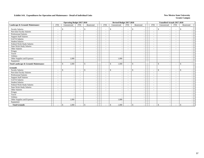|                                                  |                          |                       | <b>Operating Budget 2017-2018</b>                    |                                |                          | Revised Budget 2017-2018                 |                          |                                            |                                    | <b>Unaudited Actuals 2017-2018</b> |                          |               |  |
|--------------------------------------------------|--------------------------|-----------------------|------------------------------------------------------|--------------------------------|--------------------------|------------------------------------------|--------------------------|--------------------------------------------|------------------------------------|------------------------------------|--------------------------|---------------|--|
| Landscape & Grounds Maintenance                  | <b>FTE</b>               | Unrestricted          | <b>FTE</b>                                           | Restricted                     | <b>FTE</b>               | Unrestricted                             | <b>FTE</b>               | Restricted                                 | <b>FTE</b>                         | Unrestricted                       | <b>FTE</b>               | Restricted    |  |
| <b>Faculty Salaries</b>                          | $\overline{\phantom{a}}$ | <sup>\$</sup>         | $\blacksquare$<br>$\overline{\phantom{a}}$           | <sup>\$</sup>                  | $\overline{\phantom{a}}$ | \$                                       | $\overline{\phantom{a}}$ | \$                                         | $\overline{\phantom{a}}$           | $\mathbb{S}$                       | $\blacksquare$           | $\mathcal{S}$ |  |
| Part-time Faculty Salaries                       | $\overline{\phantom{a}}$ |                       | $\overline{\phantom{a}}$                             |                                | $\overline{\phantom{a}}$ | $\overline{\phantom{a}}$                 | $\overline{\phantom{a}}$ | $\overline{\phantom{a}}$                   | $\overline{\phantom{a}}$           |                                    | $\overline{\phantom{a}}$ |               |  |
| <b>Professional Salaries</b>                     | $\overline{\phantom{a}}$ |                       | $\overline{\phantom{a}}$                             |                                | $\overline{\phantom{a}}$ |                                          | $\overline{\phantom{a}}$ | $\blacksquare$                             | $\sim$                             |                                    | $\overline{\phantom{a}}$ |               |  |
| <b>Support Staff Salaries</b>                    | $\overline{\phantom{a}}$ |                       |                                                      |                                | $\sim$                   |                                          | $\overline{\phantom{a}}$ | $\overline{a}$                             | $\sim$                             |                                    | $\sim$                   |               |  |
| <b>GA/TA Salaries</b>                            | $\overline{\phantom{a}}$ |                       | $\overline{\phantom{a}}$                             |                                | $\overline{\phantom{a}}$ |                                          | $\overline{\phantom{a}}$ | $\blacksquare$                             | $\sim$                             |                                    | $\blacksquare$           |               |  |
| <b>Student Salaries</b>                          | $\sim$                   |                       | $\overline{\phantom{a}}$                             |                                | $\sim$                   |                                          | $\sim$                   | $\sim$                                     | $\sim$                             |                                    | $\sim$                   |               |  |
| Federal Work-Study Salaries                      | $\overline{\phantom{a}}$ |                       | $\sim$                                               |                                | $\sim$                   |                                          | $\overline{\phantom{a}}$ | $\sim$                                     | $\sim$                             |                                    |                          |               |  |
| <b>State Work-Study Salaries</b>                 | $\overline{\phantom{a}}$ |                       |                                                      |                                | $\overline{\phantom{a}}$ | $\overline{\phantom{a}}$                 | $\overline{\phantom{a}}$ |                                            |                                    |                                    | $\overline{\phantom{a}}$ |               |  |
| Other Salaries                                   | $\overline{\phantom{a}}$ |                       | $\overline{\phantom{a}}$<br>$\overline{\phantom{a}}$ |                                | $\sim$                   |                                          | $\overline{\phantom{a}}$ | $\overline{\phantom{a}}$<br>$\blacksquare$ | $\sim$<br>$\overline{\phantom{a}}$ |                                    | $\overline{\phantom{a}}$ |               |  |
| Fringes                                          |                          |                       | $\frac{1}{2}$                                        |                                |                          |                                          |                          | $\overline{\phantom{a}}$                   |                                    |                                    |                          |               |  |
| Travel                                           |                          |                       |                                                      |                                |                          |                                          |                          |                                            |                                    |                                    |                          |               |  |
| Utilities                                        |                          |                       | $\overline{\phantom{a}}$                             |                                |                          |                                          |                          | $\overline{\phantom{a}}$                   |                                    |                                    |                          |               |  |
|                                                  |                          | 1,000                 | $\sim$                                               | $\overline{\phantom{a}}$       |                          | 1,000                                    |                          | $\blacksquare$                             |                                    |                                    |                          |               |  |
| Other Supplies and Expenses                      |                          |                       |                                                      |                                |                          |                                          |                          | $\blacksquare$                             |                                    |                                    |                          |               |  |
| Equipment                                        |                          |                       |                                                      |                                |                          |                                          |                          |                                            |                                    |                                    |                          |               |  |
| <b>Total Landscape &amp; Grounds Maintenance</b> | $\overline{\phantom{a}}$ | 1,000<br>$\mathbb{S}$ |                                                      | \$                             | $\overline{\phantom{a}}$ | $\mathbb{S}$<br>1,000                    | $\overline{\phantom{a}}$ | $\mathbb{S}$<br>$\blacksquare$             | $\overline{\phantom{a}}$           | $\mathbb{S}$                       | $\overline{\phantom{a}}$ | \$            |  |
| <b>Grounds</b>                                   |                          |                       |                                                      |                                |                          |                                          |                          |                                            |                                    |                                    |                          |               |  |
| <b>Faculty Salaries</b>                          | $\overline{\phantom{a}}$ | $\mathbf S$           | $\sim$<br>$\overline{\phantom{a}}$                   | \$<br>$\overline{\phantom{a}}$ | $\overline{\phantom{a}}$ | $\mathbb{S}$<br>$\overline{\phantom{a}}$ | $\overline{\phantom{a}}$ | $\mathbf{\hat{s}}$<br>$\blacksquare$       | $\sim$                             | $\mathbb{S}$                       | $\overline{\phantom{a}}$ | \$            |  |
| Part-time Faculty Salaries                       |                          |                       | $\overline{\phantom{a}}$                             |                                | $\overline{\phantom{a}}$ |                                          | $\overline{\phantom{a}}$ | $\blacksquare$                             | $\overline{\phantom{a}}$           |                                    | $\overline{\phantom{a}}$ |               |  |
| <b>Professional Salaries</b>                     | $\overline{\phantom{a}}$ |                       |                                                      |                                | $\sim$                   |                                          | $\overline{\phantom{a}}$ | $\sim$                                     | $\overline{\phantom{a}}$           |                                    |                          |               |  |
| <b>Support Staff Salaries</b>                    | $\overline{\phantom{a}}$ |                       |                                                      |                                | $\overline{\phantom{a}}$ |                                          | $\overline{\phantom{a}}$ | $\overline{\phantom{a}}$                   | $\overline{\phantom{a}}$           |                                    | $\overline{\phantom{a}}$ |               |  |
| GA/TA Salaries                                   | $\sim$                   |                       | $\overline{\phantom{a}}$                             |                                | $\sim$                   |                                          | $\overline{\phantom{a}}$ | $\blacksquare$                             | $\overline{\phantom{a}}$           |                                    | $\overline{\phantom{a}}$ |               |  |
| <b>Student Salaries</b>                          | $\sim$                   |                       | $\sim$                                               |                                | $\sim$                   |                                          | $\overline{\phantom{a}}$ | $\overline{\phantom{a}}$                   | $\overline{\phantom{a}}$           |                                    |                          |               |  |
| Federal Work-Study Salaries                      | $\overline{\phantom{a}}$ |                       | $\overline{\phantom{a}}$<br>$\overline{\phantom{a}}$ |                                | $\overline{\phantom{a}}$ | $\overline{\phantom{a}}$                 | $\overline{\phantom{a}}$ | $\overline{\phantom{a}}$                   | $\sim$                             |                                    | $\overline{\phantom{a}}$ |               |  |
| <b>State Work-Study Salaries</b>                 | $\overline{\phantom{a}}$ |                       | $\overline{\phantom{a}}$                             |                                | $\overline{\phantom{a}}$ | $\overline{\phantom{a}}$                 | $\overline{\phantom{a}}$ | $\blacksquare$                             | $\overline{\phantom{a}}$           |                                    | $\sim$                   |               |  |
| Other Salaries                                   | $\overline{\phantom{a}}$ |                       | $\overline{\phantom{a}}$                             |                                | $\overline{\phantom{a}}$ |                                          | $\sim$                   | $\sim$                                     | $\sim$                             |                                    | $\overline{\phantom{a}}$ |               |  |
| Fringes                                          |                          |                       | $\overline{\phantom{a}}$                             |                                |                          |                                          |                          | $\overline{\phantom{a}}$                   |                                    |                                    |                          |               |  |
| Travel                                           |                          |                       | $\overline{\phantom{a}}$                             | $\overline{\phantom{a}}$       |                          |                                          |                          | $\overline{\phantom{a}}$                   |                                    |                                    |                          |               |  |
| Utilities                                        |                          |                       | $\sim$                                               |                                |                          |                                          |                          | $\overline{\phantom{a}}$                   |                                    |                                    |                          |               |  |
| Other Supplies and Expenses                      |                          | 1,000                 |                                                      |                                |                          | 1,000                                    |                          | $\overline{\phantom{a}}$                   |                                    |                                    |                          |               |  |
| Equipment                                        |                          |                       |                                                      | $\overline{\phantom{a}}$       |                          |                                          |                          | $\overline{\phantom{a}}$                   |                                    |                                    |                          |               |  |
| <b>Total Grounds</b>                             | $\sim$                   | 1,000<br>\$           |                                                      | $\mathcal{S}$                  | $\overline{\phantom{a}}$ | $\mathbb{S}$<br>1,000                    | $\overline{\phantom{a}}$ | $\mathbb{S}$<br>$\overline{\phantom{a}}$   |                                    | \$                                 | $\overline{\phantom{a}}$ | <sup>\$</sup> |  |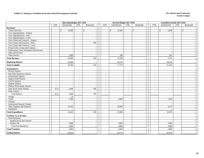#### **Exhibit 15. Summary of Student Social and Cultural Development Activities New Mexico State University New Mexico State University**

|                                        |                          | <b>Operating Budget 2017-2018</b> |                          |                          | Revised Budget 2017-2018 |                              |                          | <b>Unaudited Actuals 2017-2018</b>       |            |                          |                          |              |
|----------------------------------------|--------------------------|-----------------------------------|--------------------------|--------------------------|--------------------------|------------------------------|--------------------------|------------------------------------------|------------|--------------------------|--------------------------|--------------|
|                                        | <b>FTE</b>               | Unrestricted                      | <b>FTE</b>               | Restricted               | <b>FTE</b>               | Unrestricted                 | <b>FTE</b>               | Restricted                               | <b>FTE</b> | Unrestricted             | <b>FTE</b>               | Restricted   |
| <b>Revenues:</b>                       |                          |                                   |                          |                          |                          |                              |                          |                                          |            |                          |                          |              |
| Tuition and Fees                       |                          | \$<br>15,000                      |                          | $\mathbb{S}$             |                          | $\mathbf{\hat{S}}$<br>15,000 |                          | $\mathbb{S}$<br>$\overline{\phantom{a}}$ |            | $\mathbb{S}$<br>5,030    |                          | $\mathbb{S}$ |
| Govt Appropriations - Federal          |                          |                                   |                          |                          |                          |                              |                          | $\sim$                                   |            |                          |                          |              |
| Govt Appropriations - State            |                          |                                   |                          | $\sim$                   |                          | $\overline{\phantom{a}}$     |                          | $\sim$                                   |            | $\overline{\phantom{a}}$ |                          |              |
| Govt Appropriations - Local            |                          |                                   |                          | $\overline{\phantom{a}}$ |                          |                              |                          | $\overline{\phantom{a}}$                 |            |                          |                          |              |
| Govt Grants and Contracts - Federal    |                          | $\overline{\phantom{a}}$          |                          |                          |                          |                              |                          | $\sim$                                   |            |                          |                          |              |
| Govt Grants and Contracts - State      |                          |                                   |                          | 100                      |                          |                              |                          | $\overline{\phantom{a}}$                 |            |                          |                          |              |
| Govt Grants and Contracts - Local      |                          |                                   |                          | $\overline{\phantom{a}}$ |                          |                              |                          | $\overline{\phantom{a}}$                 |            | ۰.                       |                          |              |
| Private Gifts, Grants and Contracts    |                          | $\overline{\phantom{a}}$          |                          | $\overline{\phantom{a}}$ |                          | $\overline{\phantom{a}}$     |                          | $\overline{\phantom{a}}$                 |            | $\sim$                   |                          |              |
| Endowment, Land, Permanent Fund Income |                          |                                   |                          | $\overline{\phantom{a}}$ |                          |                              |                          | $\overline{\phantom{a}}$                 |            |                          |                          |              |
| Sales and Services                     |                          |                                   |                          |                          |                          |                              |                          | $\sim$                                   |            |                          |                          |              |
| Other Sources                          |                          | 1,000                             |                          | $\overline{\phantom{a}}$ |                          | 500                          |                          | $\overline{\phantom{a}}$                 |            | 345                      |                          |              |
| <b>Total Revenue</b>                   |                          | 16,000                            |                          | 100                      |                          | 15,500                       |                          | $\overline{\phantom{a}}$                 |            | 5,375                    |                          |              |
| <b>Beginning Balance</b>               |                          | 54,584                            |                          |                          |                          | 56,279                       |                          |                                          |            | 56,279                   |                          |              |
| <b>Total Available</b>                 |                          | 70,584                            |                          | 100                      |                          | 71,779                       |                          |                                          |            | 61,654                   |                          |              |
| <b>Expenditures:</b>                   |                          |                                   |                          |                          |                          |                              |                          |                                          |            |                          |                          |              |
| <b>Faculty Salaries</b>                | $\overline{\phantom{a}}$ |                                   | $\sim$                   |                          | $\sim$                   |                              | $\sim$                   | $\sim$                                   | $\sim$     | $\overline{\phantom{a}}$ | $\sim$                   |              |
| Part-Time Instructor Salaries          | $\overline{\phantom{a}}$ |                                   | $\overline{a}$           |                          | $\sim$                   |                              | $\sim$                   | $\sim$                                   | $\sim$     | $\overline{\phantom{a}}$ | $\sim$                   |              |
| Professional Salaries                  | $\overline{\phantom{a}}$ | $\overline{a}$                    | $\overline{\phantom{a}}$ | $\sim$                   | $\sim$                   | $\overline{\phantom{a}}$     | $\sim$                   | $\sim$                                   | $\sim$     | $\overline{\phantom{a}}$ | $\sim$                   |              |
| <b>Support Staff Salaries</b>          | $\sim$                   | $\sim$                            | $\overline{\phantom{a}}$ | $\overline{\phantom{a}}$ | $\sim$                   |                              | $\sim$                   | $\sim$                                   | $\sim$     | $\sim$                   | $\sim$                   |              |
| <b>GA/TA Salaries</b>                  | $\overline{a}$           |                                   | $\blacksquare$           |                          | $\overline{\phantom{a}}$ |                              | $\sim$                   | $\overline{\phantom{a}}$                 | $\sim$     |                          | $\sim$                   |              |
| <b>Student Salaries</b>                | $\overline{\phantom{a}}$ |                                   | $\overline{\phantom{a}}$ | $\overline{a}$           | $\overline{\phantom{a}}$ | $\overline{\phantom{a}}$     | $\sim$                   | $\sim$                                   | $\sim$     | $\overline{\phantom{a}}$ | $\sim$                   |              |
| Federal Work-Study Salaries            | $\sim$                   |                                   | $\blacksquare$           |                          | $\sim$                   |                              | $\overline{\phantom{a}}$ | $\overline{\phantom{a}}$                 | $\sim$     |                          | $\blacksquare$           |              |
| <b>State Work-Study Salaries</b>       | 0.15                     | 2,400                             | $\overline{a}$           | 100                      | $\sim$                   |                              | $\sim$                   | $\sim$                                   | $\sim$     |                          | $\sim$                   |              |
| Other Salaries                         | $\overline{\phantom{a}}$ |                                   | $\overline{\phantom{a}}$ |                          | $\blacksquare$           | $\overline{\phantom{a}}$     | $\overline{\phantom{a}}$ | $\overline{\phantom{a}}$                 | $\sim$     | $\overline{\phantom{a}}$ | $\overline{\phantom{a}}$ |              |
| <b>Total Salaries</b>                  | 0.15                     | 2,400                             | $\sim$                   | 100                      | $\sim$                   |                              | $\overline{\phantom{a}}$ | $\sim$                                   | $\sim$     |                          | $\sim$                   |              |
| Fringes                                |                          | 24                                |                          | $\overline{\phantom{a}}$ |                          |                              |                          | $\overline{\phantom{a}}$                 |            |                          |                          |              |
| Travel                                 |                          | 7,500                             |                          |                          |                          | 3,000                        |                          | $\sim$                                   |            | 1,202                    |                          |              |
| Utilities                              |                          |                                   |                          | $\overline{a}$           |                          |                              |                          | $\overline{\phantom{a}}$                 |            |                          |                          |              |
| <b>Institutional Support Charges</b>   |                          |                                   |                          | $\overline{a}$           |                          |                              |                          | $\sim$                                   |            |                          |                          |              |
| Other Supplies and Expenses            |                          | 13,500                            |                          | $\sim$                   |                          | 20,000                       |                          | $\sim$                                   |            | 9,774                    |                          |              |
| Equipment                              |                          |                                   |                          |                          |                          |                              |                          | $\overline{\phantom{a}}$                 |            |                          |                          |              |
| <b>Total Expenditures</b>              |                          | 23,424                            |                          | 100                      |                          | 23,000                       |                          |                                          |            | 10,976                   |                          |              |
| <b>Transfer To or (From):</b>          |                          |                                   |                          |                          |                          |                              |                          |                                          |            |                          |                          |              |
| Non-Mandatory                          |                          |                                   |                          |                          |                          |                              |                          |                                          |            |                          |                          |              |
| Student Social and Cultural            |                          |                                   |                          | $\overline{\phantom{a}}$ |                          |                              |                          | $\overline{\phantom{a}}$                 |            |                          |                          |              |
| Student Aid                            |                          | 3,000                             |                          | $\overline{\phantom{a}}$ |                          | 3,000                        |                          | $\sim$                                   |            | 3,000                    |                          |              |
| Total Non-Mandatory                    |                          | 3,000                             |                          |                          |                          | 3,000                        |                          | $\overline{\phantom{a}}$                 |            | 3,000                    |                          |              |
| <b>Total Transfers</b>                 |                          | 3,000                             |                          |                          |                          | 3,000                        |                          |                                          |            | 3,000                    |                          |              |
| <b>Ending Balance</b>                  |                          | 44,160                            |                          |                          |                          | 45,779                       |                          |                                          |            | 47,678                   |                          |              |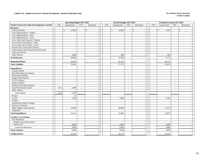#### **Exhibit 15A. Student Social and Cultural Development - Detail of Individual Units New Mexico State University**

|                                                               |                                  | <b>Operating Budget 2017-2018</b> |                  |                          |                                    | Revised Budget 2017-2018 |                          |                          |                          | <b>Unaudited Actuals 2017-2018</b> |                  |                          |  |
|---------------------------------------------------------------|----------------------------------|-----------------------------------|------------------|--------------------------|------------------------------------|--------------------------|--------------------------|--------------------------|--------------------------|------------------------------------|------------------|--------------------------|--|
| <b>Student Social and Cultural Development Activities</b>     | <b>FTE</b>                       | Unrestricted                      | <b>FTE</b>       | Restricted               | <b>FTE</b>                         | Unrestricted             | <b>FTE</b>               | Restricted               | <b>FTE</b>               | Unrestricted                       | <b>FTE</b>       | Restricted               |  |
| <b>Revenues:</b>                                              |                                  |                                   |                  |                          |                                    |                          |                          |                          |                          |                                    |                  |                          |  |
| Tuition and Fees                                              |                                  | \$<br>15,000                      |                  | $\mathbb{S}$             |                                    | \$<br>15,000             |                          | \$                       |                          | \$<br>5,030                        |                  | $\mathbb{S}$             |  |
| Govt Appropriations - Federal                                 |                                  |                                   |                  | $\sim$                   |                                    |                          |                          |                          |                          |                                    |                  |                          |  |
| Govt Appropriations - State                                   |                                  |                                   |                  |                          |                                    |                          |                          |                          |                          |                                    |                  |                          |  |
| Govt Appropriations - Local                                   |                                  |                                   |                  |                          |                                    |                          |                          |                          |                          |                                    |                  |                          |  |
| Govt Grants and Contracts - Federal                           |                                  |                                   |                  | $\sim$                   |                                    | $\sim$                   |                          |                          |                          |                                    |                  |                          |  |
| Govt Grants and Contracts - State                             |                                  |                                   |                  | $\sim$                   |                                    | $\sim$                   |                          |                          |                          |                                    |                  |                          |  |
| Govt Grants and Contracts - Local                             |                                  | $\sim$                            |                  | $\sim$                   |                                    | $\sim$                   |                          |                          |                          | $\overline{\phantom{a}}$           |                  |                          |  |
| Private Gifts, Grants and Contracts                           |                                  |                                   |                  |                          |                                    |                          |                          |                          |                          |                                    |                  |                          |  |
| Endowment, Land, Permanent Fund Income                        |                                  |                                   |                  | $\sim$                   |                                    | $\sim$                   |                          |                          |                          |                                    |                  |                          |  |
| Sales and Services                                            |                                  |                                   |                  | $\sim$                   |                                    |                          |                          |                          |                          |                                    |                  |                          |  |
| Other Sources                                                 |                                  | 1,000                             |                  | $\sim$                   |                                    | 500                      |                          |                          |                          | 345                                |                  |                          |  |
| <b>Total Revenue</b>                                          |                                  | 16,000                            |                  |                          |                                    | 15,500                   |                          |                          |                          | 5,375                              |                  |                          |  |
| <b>Beginning Balance</b>                                      |                                  | 54,584                            |                  |                          |                                    | 56,279                   |                          |                          |                          | 56,279                             |                  |                          |  |
| <b>Total Available</b>                                        |                                  | 70,584                            |                  |                          |                                    | 71,779                   |                          |                          |                          | 61,654                             |                  |                          |  |
|                                                               |                                  |                                   |                  |                          |                                    |                          |                          |                          |                          |                                    |                  |                          |  |
| <b>Expenditures:</b>                                          |                                  |                                   |                  |                          |                                    |                          |                          |                          |                          |                                    |                  |                          |  |
| <b>Faculty Salaries</b>                                       | $\sim$                           | $\overline{\phantom{a}}$          | $\sim$           | $\overline{\phantom{a}}$ | $\overline{a}$                     | $\sim$                   | $\sim$                   |                          | $\overline{a}$           | $\sim$                             | $\sim$           |                          |  |
| Part-Time Instructor Salaries<br><b>Professional Salaries</b> | $\sim$                           | $\overline{\phantom{a}}$          | $\sim$           | $\sim$                   | $\sim$                             | $\overline{\phantom{a}}$ | $\sim$                   |                          | $\sim$                   |                                    | $\sim$           |                          |  |
|                                                               | $\sim$                           | $\overline{\phantom{a}}$          | $\sim$           | $\sim$                   | $\overline{a}$                     | $\overline{\phantom{a}}$ | $\sim$                   |                          | $\sim$                   | $\sim$                             | $\sim$           | $\overline{\phantom{a}}$ |  |
| <b>Support Staff Salaries</b><br>GA/TA Salaries               | $\sim$                           |                                   | $\sim$           | $\sim$                   | $\sim$                             |                          | $\sim$                   |                          | $\sim$                   |                                    | $\sim$           |                          |  |
| <b>Student Salaries</b>                                       | $\sim$<br>$\sim$                 |                                   | $\sim$<br>$\sim$ | $\sim$<br>$\sim$         | $\overline{\phantom{a}}$<br>$\sim$ | $\overline{\phantom{a}}$ | $\sim$<br>$\sim$         |                          | $\blacksquare$<br>$\sim$ | $\bar{a}$                          | $\sim$<br>$\sim$ |                          |  |
| Federal Work-Study Salaries                                   |                                  |                                   | $\sim$           | $\sim$                   |                                    | $\sim$                   | $\overline{\phantom{a}}$ |                          |                          |                                    | $\sim$           |                          |  |
| <b>State Work-Study Salaries</b>                              | $\overline{\phantom{a}}$<br>0.15 | 2,400                             | $\sim$           | $\sim$                   | $\overline{\phantom{a}}$<br>$\sim$ |                          | $\sim$                   |                          | $\sim$<br>$\sim$         |                                    | $\sim$           |                          |  |
| Other Salaries                                                | $\sim$                           |                                   | $\sim$           | $\sim$                   | $\sim$                             | $\overline{\phantom{a}}$ | $\sim$                   |                          | $\sim$                   | $\sim$                             | $\sim$           |                          |  |
| <b>Total Salaries</b>                                         | 0.15                             | 2,400                             | $\sim$           |                          | $\sim$                             |                          |                          |                          | ÷,                       |                                    | $\sim$           |                          |  |
|                                                               |                                  |                                   |                  |                          |                                    |                          |                          |                          |                          |                                    |                  |                          |  |
| Fringes                                                       |                                  | 24                                |                  |                          |                                    |                          |                          |                          |                          |                                    |                  |                          |  |
| Travel                                                        |                                  | 7,500                             |                  | $\sim$                   |                                    | 3,000                    |                          | $\overline{\phantom{a}}$ |                          | 1,202                              |                  | $\overline{\phantom{a}}$ |  |
| Utilities                                                     |                                  |                                   |                  | $\sim$                   |                                    | $\overline{a}$           |                          |                          |                          |                                    |                  | $\overline{\phantom{a}}$ |  |
| <b>Institutional Support Charges</b><br>Purchase for Resale   |                                  |                                   |                  | $\sim$<br>$\sim$         |                                    |                          |                          | $\sim$                   |                          |                                    |                  |                          |  |
| Other Supplies and Expenses                                   |                                  | 13,500                            |                  |                          |                                    | 20,000                   |                          |                          |                          | 9,774                              |                  |                          |  |
| Equipment                                                     |                                  |                                   |                  | $\overline{\phantom{a}}$ |                                    |                          |                          |                          |                          |                                    |                  | $\overline{\phantom{a}}$ |  |
| <b>Total Expenditures</b>                                     |                                  | 23,424                            |                  |                          |                                    | 23,000                   |                          |                          |                          | 10,976                             |                  |                          |  |
|                                                               |                                  |                                   |                  |                          |                                    |                          |                          |                          |                          |                                    |                  |                          |  |
| <b>Transfer To or (From):</b>                                 |                                  |                                   |                  |                          |                                    |                          |                          |                          |                          |                                    |                  |                          |  |
| Non-Mandatory                                                 |                                  |                                   |                  |                          |                                    |                          |                          |                          |                          |                                    |                  |                          |  |
| Student Social and Cultural                                   |                                  |                                   |                  | $\sim$                   |                                    |                          |                          |                          |                          |                                    |                  |                          |  |
| Student Aid                                                   |                                  | 3,000                             |                  | $\sim$                   |                                    | 3,000                    |                          |                          |                          | 3,000                              |                  |                          |  |
| <b>Total Non-Mandatory</b>                                    |                                  | 3,000                             |                  |                          |                                    | 3,000                    |                          |                          |                          | 3,000                              |                  |                          |  |
| <b>Total Transfers</b>                                        |                                  | 3,000                             |                  |                          |                                    | 3,000                    |                          |                          |                          | 3,000                              |                  |                          |  |
| <b>Ending Balance</b>                                         |                                  | 44,160                            |                  |                          |                                    | 45,779                   |                          |                          |                          | 47,678                             |                  |                          |  |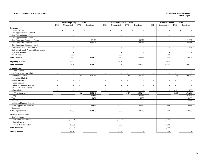|                                        |                          | <b>Operating Budget 2017-2018</b> |            |                          |                          | Revised Budget 2017-2018 |                |                          |                | <b>Unaudited Actuals 2017-2018</b> |                          |            |  |
|----------------------------------------|--------------------------|-----------------------------------|------------|--------------------------|--------------------------|--------------------------|----------------|--------------------------|----------------|------------------------------------|--------------------------|------------|--|
|                                        | <b>FTE</b>               | Unrestricted                      | <b>FTE</b> | Restricted               | <b>FTE</b>               | Unrestricted             | <b>FTE</b>     | Restricted               | <b>FTE</b>     | Unrestricted                       | <b>FTE</b>               | Restricted |  |
| <b>Revenues:</b>                       |                          |                                   |            |                          |                          |                          |                |                          |                |                                    |                          |            |  |
| Tuition and Fees                       |                          | $\mathbb{S}$                      |            | $\mathsf{\$}$            |                          | $\mathbb{S}$             |                | \$                       |                | $\mathbb{S}$                       |                          | \$         |  |
| Govt Appropriations - Federal          |                          | $\sim$                            |            |                          |                          |                          |                |                          |                |                                    |                          |            |  |
| Govt Appropriations - State            |                          | $\overline{\phantom{a}}$          |            |                          |                          | $\sim$                   |                | $\overline{\phantom{a}}$ |                |                                    |                          |            |  |
| Govt Appropriations - Local            |                          | $\overline{\phantom{a}}$          |            |                          |                          |                          |                |                          |                |                                    |                          |            |  |
| Govt Grants and Contracts - Federal    |                          | $\sim$                            |            | 32,159                   |                          | $\overline{a}$           |                | 33,376                   |                | ÷.                                 |                          | 21,837     |  |
| Govt Grants and Contracts - State      |                          | $\sim$                            |            | 152,474                  |                          |                          |                | 160,069                  |                |                                    |                          | 146,911    |  |
| Govt Grants and Contracts - Local      |                          |                                   |            |                          |                          |                          |                |                          |                |                                    |                          |            |  |
| Private Gifts, Grants and Contracts    |                          | $\sim$                            |            | $\sim$                   |                          | $\overline{\phantom{a}}$ |                | $\sim$                   |                | $\overline{\phantom{a}}$           |                          | 658        |  |
| Endowment, Land, Permanent Fund Income |                          | $\sim$                            |            |                          |                          |                          |                | $\sim$                   |                |                                    |                          |            |  |
| Sales and Services                     |                          |                                   |            |                          |                          |                          |                |                          |                |                                    |                          |            |  |
| Other Sources                          |                          | 1,860                             |            | $\overline{\phantom{a}}$ |                          | 1,860                    |                |                          |                | 500                                |                          |            |  |
| <b>Total Revenue</b>                   |                          | 1,860                             |            | 184,633                  |                          | 1,860                    |                | 193,445                  |                | 500                                |                          | 169,406    |  |
| <b>Beginning Balance</b>               |                          | 5,242                             |            |                          |                          | 9,501                    |                |                          |                | 9,501                              |                          |            |  |
| <b>Total Available</b>                 |                          | 7,102                             |            | 184,633                  |                          | 11,361                   |                | 193,445                  |                | 10.001                             |                          | 169,406    |  |
| <b>Expenditures:</b>                   |                          |                                   |            |                          |                          |                          |                |                          |                |                                    |                          |            |  |
| <b>Faculty Salaries</b>                | $\overline{\phantom{a}}$ | $\sim$                            | $\sim$     |                          | $\sim$                   |                          | $\sim$         |                          | $\blacksquare$ |                                    | $\sim$                   | 90         |  |
| Part-Time Insstructor Salaries         | $\sim$                   |                                   | $\sim$     |                          | $\sim$                   | $\sim$                   | $\sim$         |                          | $\sim$         |                                    | $\sim$                   |            |  |
| <b>Professional Salaries</b>           | $\sim$                   | $\sim$                            | 2.32       | 103,245                  | $\bar{a}$                | $\sim$                   | 2.17           | 103,244                  | $\sim$         | $\overline{\phantom{a}}$           | 2.12                     | 100,460    |  |
| <b>Support Staff Salaries</b>          | $\overline{\phantom{a}}$ |                                   |            |                          | $\overline{a}$           |                          | $\sim$         |                          | $\blacksquare$ |                                    | $\blacksquare$           |            |  |
| GA/TA Salaries                         | $\overline{a}$           |                                   |            |                          | $\sim$                   |                          | $\sim$         |                          | $\blacksquare$ |                                    | $\sim$                   |            |  |
| <b>Student Salaries</b>                | $\overline{\phantom{a}}$ | $\sim$                            |            |                          | $\blacksquare$           | $\sim$                   | $\blacksquare$ | $\sim$                   | $\sim$         |                                    | $\sim$                   |            |  |
| Federal Work-Study Salaries            | $\sim$                   |                                   |            |                          | $\sim$                   |                          | $\sim$         | $\sim$                   | $\sim$         |                                    | $\overline{\phantom{a}}$ |            |  |
| <b>State Work-Study Salaries</b>       | $\sim$                   | $\sim$                            | $\sim$     |                          | $\blacksquare$           | $\sim$                   | $\sim$         | $\sim$                   | $\sim$         |                                    | $\sim$                   |            |  |
| Other Salaries                         | $\sim$                   | $\sim$                            |            |                          | $\overline{\phantom{a}}$ | $\overline{\phantom{a}}$ | $\sim$         | $\sim$                   | $\sim$         |                                    | 0.02                     | 700        |  |
| <b>Total Salaries</b>                  | $\overline{\phantom{a}}$ |                                   | 2.32       | 103,245                  | $\overline{a}$           |                          | 2.17           | 103,244                  | $\sim$         |                                    | 2.14                     | 101,250    |  |
| Fringes                                |                          |                                   |            | 37,684                   |                          |                          |                | 37,684                   |                |                                    |                          | 36,436     |  |
| Travel                                 |                          | $\overline{a}$                    |            | 9,050                    |                          | $\sim$                   |                | 14,050                   |                | ÷.                                 |                          | 5,439      |  |
| Utilities                              |                          | $\sim$                            |            |                          |                          | $\sim$                   |                |                          |                |                                    |                          | 6,468      |  |
| <b>Institutional Support Charges</b>   |                          |                                   |            |                          |                          |                          |                |                          |                |                                    |                          |            |  |
| Other Supplies and Expenses            |                          | 3,000                             |            | 34,654                   |                          | 6,000                    |                | 38,467                   |                | 998                                |                          | 19,813     |  |
| Equipment                              |                          |                                   |            |                          |                          |                          |                |                          |                |                                    |                          |            |  |
| <b>Total Expenditures</b>              |                          | 3,000                             |            | 184,633                  |                          | 6,000                    |                | 193,445                  |                | 998                                |                          | 169,406    |  |
| <b>Transfer To or (From):</b>          |                          |                                   |            |                          |                          |                          |                |                          |                |                                    |                          |            |  |
| Non-Mandatory                          |                          |                                   |            |                          |                          |                          |                |                          |                |                                    |                          |            |  |
| Instruction and General                |                          | (2,000)                           |            |                          |                          | (5,000)                  |                |                          |                | (2,000)                            |                          |            |  |
| Public Service                         |                          |                                   |            | $\sim$                   |                          |                          |                | $\sim$                   |                |                                    |                          |            |  |
| <b>Total Non-Mandatory</b>             |                          | (2,000)                           |            |                          |                          | (5,000)                  |                |                          |                | (2,000)                            |                          |            |  |
| <b>Total Transfers</b>                 |                          | (2,000)                           |            |                          |                          | (5,000)                  |                |                          |                | (2,000)                            |                          |            |  |
| <b>Ending Balance</b>                  |                          | 6,102                             |            |                          |                          | 10,361                   |                |                          |                | 11,003                             |                          |            |  |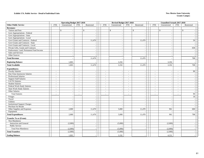#### **Exhibit 17A. Public Service - Detail of Individual Units**

#### **New Mexico State University Grants Campu**<sup>s</sup>

|                                                             |                                                      | <b>Operating Budget 2017-2018</b> |                          |                          |                                                      | Revised Budget 2017-2018                             |                                    |                          |                          | <b>Unaudited Actuals 2017-2018</b> |                                    |                                    |  |
|-------------------------------------------------------------|------------------------------------------------------|-----------------------------------|--------------------------|--------------------------|------------------------------------------------------|------------------------------------------------------|------------------------------------|--------------------------|--------------------------|------------------------------------|------------------------------------|------------------------------------|--|
| <b>Other Public Service</b>                                 | <b>FTE</b>                                           | Unrestricted                      | <b>FTE</b>               | Restricted               | <b>FTE</b>                                           | Unrestricted                                         | <b>FTE</b>                         | Restricted               | FTE                      | Unrestricted                       | <b>FTE</b>                         | Restricted                         |  |
| <b>Revenues:</b>                                            |                                                      |                                   |                          |                          |                                                      |                                                      |                                    |                          |                          |                                    |                                    |                                    |  |
| Tuition and Fees                                            |                                                      | $\mathsf{\$}$                     | \$                       |                          |                                                      | $\mathbf{\hat{S}}$                                   |                                    | $\mathbb{S}$<br>$\sim$   |                          | $\mathbb{S}$                       |                                    | \$                                 |  |
| Govt Appropriations - Federal                               |                                                      |                                   |                          |                          |                                                      |                                                      |                                    |                          |                          |                                    |                                    |                                    |  |
| Govt Appropriations - State                                 |                                                      |                                   |                          | $\sim$                   |                                                      |                                                      |                                    | $\sim$                   |                          |                                    |                                    |                                    |  |
| Govt Appropriations - Local                                 |                                                      |                                   |                          |                          |                                                      |                                                      |                                    |                          |                          |                                    |                                    |                                    |  |
| Govt Grants and Contracts - Federal                         |                                                      | $\overline{\phantom{a}}$          |                          | 11,470                   |                                                      |                                                      |                                    | 11,470                   |                          |                                    |                                    | 50                                 |  |
| Govt Grants and Contracts - State                           |                                                      |                                   |                          |                          |                                                      |                                                      |                                    | $\overline{\phantom{a}}$ |                          |                                    |                                    | $\sim$                             |  |
| Govt Grants and Contracts - Local                           |                                                      |                                   |                          |                          |                                                      |                                                      |                                    |                          |                          |                                    |                                    |                                    |  |
| Private Gifts, Grants and Contracts                         |                                                      | $\overline{\phantom{a}}$          |                          |                          |                                                      | $\overline{a}$                                       |                                    | $\sim$                   |                          |                                    |                                    | 658                                |  |
| Endowment, Land, Permanent Fund Income                      |                                                      |                                   |                          |                          |                                                      |                                                      |                                    | $\overline{a}$           |                          |                                    |                                    |                                    |  |
| Sales and Services                                          |                                                      |                                   |                          |                          |                                                      | $\overline{\phantom{a}}$                             |                                    | $\overline{\phantom{a}}$ |                          |                                    |                                    |                                    |  |
| Other Sources                                               |                                                      |                                   |                          |                          |                                                      |                                                      |                                    | $\sim$                   |                          |                                    |                                    |                                    |  |
| <b>Total Revenue</b>                                        |                                                      |                                   |                          | 11,470                   |                                                      |                                                      |                                    | 11,470                   |                          |                                    |                                    | 708                                |  |
| <b>Beginning Balance</b>                                    |                                                      | 1,003                             |                          |                          |                                                      | 3,192                                                |                                    |                          |                          | 3,192                              |                                    |                                    |  |
| <b>Total Available</b>                                      |                                                      | 1,003                             |                          | 11,470                   |                                                      | 3,192                                                |                                    | 11,470                   |                          | 3,192                              |                                    | 708                                |  |
|                                                             |                                                      |                                   |                          |                          |                                                      |                                                      |                                    |                          |                          |                                    |                                    |                                    |  |
| <b>Expenditures:</b>                                        |                                                      |                                   |                          |                          |                                                      |                                                      |                                    |                          |                          |                                    |                                    |                                    |  |
| <b>Faculty Salaries</b>                                     | $\blacksquare$                                       | $\overline{\phantom{a}}$          | $\overline{\phantom{a}}$ |                          | $\overline{a}$                                       | $\overline{\phantom{a}}$                             | $\overline{a}$                     | $\sim$                   | $\sim$                   | $\overline{\phantom{a}}$           | $\sim$                             | 90                                 |  |
| Part-Time Insstructor Salaries                              | $\overline{\phantom{a}}$                             |                                   | $\sim$                   |                          | $\sim$                                               | $\overline{\phantom{a}}$                             | $\overline{a}$                     | $\overline{\phantom{a}}$ | $\sim$                   |                                    | $\sim$                             |                                    |  |
| Professional Salaries                                       | $\sim$                                               |                                   | $\sim$                   |                          | $\sim$                                               |                                                      | $\overline{a}$                     | $\sim$                   | $\sim$                   |                                    | $\sim$                             |                                    |  |
| <b>Support Staff Salaries</b>                               | $\sim$                                               |                                   | $\overline{\phantom{a}}$ |                          | $\sim$                                               | $\overline{\phantom{a}}$                             | $\sim$                             | $\sim$                   | $\sim$                   | $\overline{\phantom{a}}$           | $\sim$                             | $\overline{\phantom{a}}$           |  |
| GA/TA Salaries<br><b>Student Salaries</b>                   | $\overline{a}$                                       |                                   |                          |                          | $\overline{\phantom{a}}$                             |                                                      | $\overline{a}$                     | $\overline{\phantom{a}}$ | $\sim$                   |                                    | $\overline{\phantom{a}}$           |                                    |  |
| Federal Work-Study Salaries                                 | $\overline{\phantom{a}}$<br>$\overline{\phantom{a}}$ |                                   | $\blacksquare$<br>$\sim$ |                          | $\overline{\phantom{a}}$<br>$\overline{\phantom{a}}$ | $\overline{\phantom{a}}$<br>$\overline{\phantom{a}}$ | $\sim$<br>$\overline{\phantom{a}}$ | $\sim$<br>$\sim$         | $\sim$<br>$\sim$         | $\overline{\phantom{a}}$           | $\overline{\phantom{a}}$<br>$\sim$ | $\sim$                             |  |
| <b>State Work-Study Salaries</b>                            | $\sim$                                               |                                   | $\sim$                   |                          | $\sim$                                               |                                                      | $\sim$                             | $\sim$                   | $\sim$                   |                                    | $\sim$                             |                                    |  |
| Other Salaries                                              | $\overline{\phantom{a}}$                             | $\overline{\phantom{a}}$          | $\sim$                   |                          | $\sim$                                               | $\sim$                                               | $\sim$                             | $\sim$                   | $\sim$                   | $\overline{\phantom{a}}$           | $\sim$                             |                                    |  |
| <b>Total Salaries</b>                                       |                                                      |                                   |                          |                          |                                                      |                                                      |                                    |                          |                          |                                    |                                    | 90                                 |  |
|                                                             | $\overline{\phantom{0}}$                             |                                   |                          |                          |                                                      | $\overline{\phantom{a}}$                             | $\sim$                             | $\overline{\phantom{a}}$ | $\overline{\phantom{a}}$ |                                    | $\sim$                             |                                    |  |
| Fringes                                                     |                                                      |                                   |                          |                          |                                                      |                                                      |                                    |                          |                          |                                    |                                    | 18                                 |  |
| Travel                                                      |                                                      |                                   |                          | $\overline{\phantom{a}}$ |                                                      | $\overline{\phantom{a}}$                             |                                    | $\sim$                   |                          | $\overline{\phantom{a}}$           |                                    |                                    |  |
| Utilities                                                   |                                                      |                                   |                          | $\sim$<br>$\sim$         |                                                      | $\overline{\phantom{a}}$<br>$\sim$                   |                                    | $\sim$<br>$\sim$         |                          |                                    |                                    | $\overline{\phantom{a}}$<br>$\sim$ |  |
| <b>Institutional Support Charges</b><br>Purchase for Resale |                                                      |                                   |                          |                          |                                                      |                                                      |                                    | $\overline{\phantom{a}}$ |                          |                                    |                                    |                                    |  |
| Other Supplies and Expenses                                 |                                                      | 2,000                             |                          | 11,470                   |                                                      | 5,000                                                |                                    | 11,470                   |                          | 961                                |                                    | 600                                |  |
| Equipment                                                   |                                                      |                                   |                          |                          |                                                      |                                                      |                                    |                          |                          |                                    |                                    |                                    |  |
| <b>Total Expenditures</b>                                   |                                                      | 2,000                             |                          | 11,470                   |                                                      | 5,000                                                |                                    | 11,470                   |                          | 961                                |                                    | 708                                |  |
|                                                             |                                                      |                                   |                          |                          |                                                      |                                                      |                                    |                          |                          |                                    |                                    |                                    |  |
| <b>Transfer To or (From):</b>                               |                                                      |                                   |                          |                          |                                                      |                                                      |                                    |                          |                          |                                    |                                    |                                    |  |
| Non-Mandatory                                               |                                                      |                                   |                          |                          |                                                      |                                                      |                                    |                          |                          |                                    |                                    |                                    |  |
| <b>Instruction and General</b>                              |                                                      | (2,000)                           |                          |                          |                                                      | (5,000)                                              |                                    | $\overline{\phantom{a}}$ |                          | (2,000)                            |                                    |                                    |  |
| Public Service                                              |                                                      |                                   |                          | $\sim$                   |                                                      |                                                      |                                    | $\overline{\phantom{a}}$ |                          |                                    |                                    |                                    |  |
| Total Non-Mandatory                                         |                                                      | (2,000)                           |                          |                          |                                                      | (5,000)                                              |                                    | $\overline{\phantom{a}}$ |                          | (2,000)                            |                                    |                                    |  |
| <b>Total Transfers</b>                                      |                                                      | (2,000)                           |                          |                          |                                                      | (5,000)                                              |                                    |                          |                          | (2,000)                            |                                    |                                    |  |
| <b>Ending Balance</b>                                       |                                                      | 1,003                             |                          |                          |                                                      | 3,192                                                |                                    |                          |                          | 4,231                              |                                    |                                    |  |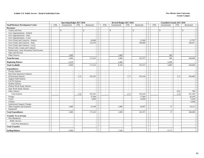#### **Exhibit 17A. Public Service - Detail of Individual Units**

#### **New Mexico State University Grants Campu**<sup>s</sup>

|                                          | <b>Operating Budget 2017-2018</b><br><b>FTE</b><br>Unrestricted<br><b>FTE</b><br>Restricted |              |                          |                          |  |                          | Revised Budget 2017-2018 |                          |                          |                          | <b>Unaudited Actuals 2017-2018</b> |                          |              |  |
|------------------------------------------|---------------------------------------------------------------------------------------------|--------------|--------------------------|--------------------------|--|--------------------------|--------------------------|--------------------------|--------------------------|--------------------------|------------------------------------|--------------------------|--------------|--|
| <b>Small Business Development Center</b> |                                                                                             |              |                          |                          |  | <b>FTE</b>               | Unrestricted             | <b>FTE</b>               | Restricted               | <b>FTE</b>               | Unrestricted                       | <b>FTE</b>               | Restricted   |  |
| <b>Revenues:</b>                         |                                                                                             |              |                          |                          |  |                          |                          |                          |                          |                          |                                    |                          |              |  |
| Tuition and Fees                         |                                                                                             | $\mathbb{S}$ |                          | \$                       |  |                          | $\mathbb{S}$             |                          | $\mathbb{S}$             |                          | $\mathbb{S}$                       |                          | $\mathbb{S}$ |  |
| Govt Appropriations - Federal            |                                                                                             |              |                          |                          |  |                          |                          |                          | $\overline{\phantom{a}}$ |                          |                                    |                          |              |  |
| Govt Appropriations - State              |                                                                                             | $\sim$       |                          |                          |  |                          |                          |                          | $\sim$                   |                          |                                    |                          |              |  |
| Govt Appropriations - Local              |                                                                                             |              |                          |                          |  |                          |                          |                          |                          |                          |                                    |                          |              |  |
| Govt Grants and Contracts - Federal      |                                                                                             |              |                          | 20,689                   |  |                          |                          |                          | 21,906                   |                          |                                    |                          | 21,787       |  |
| Govt Grants and Contracts - State        |                                                                                             |              |                          | 152,474                  |  |                          |                          |                          | 160,069                  |                          |                                    |                          | 146,911      |  |
| Govt Grants and Contracts - Local        |                                                                                             |              |                          |                          |  |                          |                          |                          |                          |                          |                                    |                          |              |  |
| Private Gifts, Grants and Contracts      |                                                                                             |              |                          |                          |  |                          |                          |                          | $\overline{\phantom{a}}$ |                          |                                    |                          |              |  |
| Endowment, Land, Permanent Fund Income   |                                                                                             |              |                          |                          |  |                          |                          |                          |                          |                          |                                    |                          |              |  |
| Sales and Services                       |                                                                                             |              |                          |                          |  |                          |                          |                          | $\overline{\phantom{a}}$ |                          |                                    |                          |              |  |
| Other Sources                            |                                                                                             | 1,860        |                          |                          |  |                          | 1,860                    |                          |                          |                          | 500                                |                          |              |  |
| <b>Total Revenue</b>                     |                                                                                             | 1,860        |                          | 173,163                  |  |                          | 1,860                    |                          | 181,975                  |                          | 500                                |                          | 168,698      |  |
| <b>Beginning Balance</b>                 |                                                                                             | 4,239        |                          |                          |  |                          | 6,309                    |                          |                          |                          | 6,309                              |                          |              |  |
| <b>Total Available</b>                   |                                                                                             | 6,099        |                          | 173,163                  |  |                          | 8,169                    |                          | 181,975                  |                          | 6,809                              |                          | 168,698      |  |
| <b>Expenditures:</b>                     |                                                                                             |              |                          |                          |  |                          |                          |                          |                          |                          |                                    |                          |              |  |
| <b>Faculty Salaries</b>                  | $\sim$                                                                                      |              | $\overline{\phantom{a}}$ |                          |  | $\sim$                   |                          | $\sim$                   |                          | $\sim$                   |                                    | $\sim$                   |              |  |
| Part-Time Insstructor Salaries           | $\overline{a}$                                                                              | $\sim$       | $\sim$                   |                          |  | $\sim$                   |                          | $\overline{a}$           |                          | $\sim$                   | $\overline{\phantom{a}}$           | $\sim$                   |              |  |
| <b>Professional Salaries</b>             | $\overline{a}$                                                                              |              | 2.32                     | 103,245                  |  | $\sim$                   |                          | 2.17                     | 103,244                  | $\sim$                   |                                    | 2.12                     | 100,460      |  |
| <b>Support Staff Salaries</b>            | $\overline{\phantom{a}}$                                                                    |              | $\sim$                   |                          |  | $\overline{\phantom{a}}$ |                          | $\sim$                   |                          | $\sim$                   |                                    | $\sim$                   |              |  |
| GA/TA Salaries                           | $\overline{a}$                                                                              |              | $\overline{\phantom{a}}$ |                          |  | $\overline{a}$           |                          | $\sim$                   |                          | $\sim$                   |                                    | $\overline{\phantom{a}}$ |              |  |
| <b>Student Salaries</b>                  | $\overline{a}$                                                                              |              | $\overline{a}$           |                          |  | $\overline{\phantom{a}}$ |                          | $\sim$                   |                          | $\overline{\phantom{a}}$ |                                    | $\overline{\phantom{a}}$ |              |  |
| Federal Work-Study Salaries              | $\overline{\phantom{a}}$                                                                    |              | $\overline{\phantom{a}}$ |                          |  | $\sim$                   |                          | $\sim$                   |                          | $\overline{\phantom{a}}$ |                                    | $\overline{\phantom{a}}$ |              |  |
| <b>State Work-Study Salaries</b>         | $\overline{a}$                                                                              |              | $\overline{a}$           |                          |  | $\overline{\phantom{a}}$ |                          | $\sim$                   |                          | $\sim$                   |                                    | $\sim$                   |              |  |
| Other Salaries                           | $\overline{\phantom{a}}$                                                                    |              | $\overline{\phantom{a}}$ |                          |  |                          |                          | $\overline{\phantom{0}}$ |                          | $\overline{\phantom{a}}$ |                                    | 0.02                     | 700          |  |
| <b>Total Salaries</b>                    | $\overline{a}$                                                                              |              | 2.32                     | 103,245                  |  | $\overline{a}$           |                          | 2.17                     | 103,244                  | $\sim$                   |                                    | 2.14                     | 101,160      |  |
| Fringes                                  |                                                                                             |              |                          | 37,684                   |  |                          |                          |                          | 37,684                   |                          |                                    |                          | 36,418       |  |
| Travel                                   |                                                                                             |              |                          | 9,050                    |  |                          |                          |                          | 14,050                   |                          |                                    |                          | 5,439        |  |
| Utilities                                |                                                                                             |              |                          |                          |  |                          | $\overline{\phantom{a}}$ |                          |                          |                          | $\overline{\phantom{a}}$           |                          | 6,468        |  |
| <b>Institutional Support Charges</b>     |                                                                                             |              |                          |                          |  |                          |                          |                          |                          |                          |                                    |                          |              |  |
| Other Supplies and Expenses              |                                                                                             | 1,000        |                          | 23,184                   |  |                          | 1,000                    |                          | 26,997                   |                          | 37                                 |                          | 19,213       |  |
| Equipment                                |                                                                                             |              |                          |                          |  |                          |                          |                          |                          |                          |                                    |                          |              |  |
| <b>Total Expenditures</b>                |                                                                                             | 1,000        |                          | 173,163                  |  |                          | 1,000                    |                          | 181,975                  |                          | 37                                 |                          | 168,698      |  |
| <b>Transfer To or (From):</b>            |                                                                                             |              |                          |                          |  |                          |                          |                          |                          |                          |                                    |                          |              |  |
| Non-Mandatory                            |                                                                                             |              |                          |                          |  |                          |                          |                          |                          |                          |                                    |                          |              |  |
| Public Service                           |                                                                                             |              |                          | $\overline{\phantom{a}}$ |  |                          |                          |                          | $\overline{\phantom{a}}$ |                          |                                    |                          |              |  |
| Total Non-Mandatory                      |                                                                                             |              |                          |                          |  |                          |                          |                          |                          |                          |                                    |                          |              |  |
| <b>Total Transfers</b>                   |                                                                                             |              |                          |                          |  |                          |                          |                          |                          |                          |                                    |                          |              |  |
| <b>Ending Balance</b>                    |                                                                                             | 5,099        |                          |                          |  |                          | 7,169                    |                          |                          |                          | 6,772                              |                          |              |  |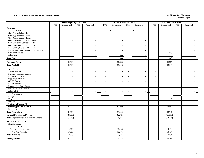#### **Exhibit 18. Summary of Internal Service Departments New Mexico State University**

|                                                   |                          | <b>Operating Budget 2017-2018</b> |                          |                          |                          | Revised Budget 2017-2018 |                          |                          |                          | <b>Unaudited Actuals 2017-2018</b> |                          |                          |  |
|---------------------------------------------------|--------------------------|-----------------------------------|--------------------------|--------------------------|--------------------------|--------------------------|--------------------------|--------------------------|--------------------------|------------------------------------|--------------------------|--------------------------|--|
|                                                   | <b>FTE</b>               | Unrestricted                      | <b>FTE</b>               | Restricted               | <b>FTE</b>               | Unrestricted             | <b>FTE</b>               | Restricted               | <b>FTE</b>               | Unrestricted                       | <b>FTE</b>               | Restricted               |  |
| <b>Revenues:</b>                                  |                          |                                   |                          |                          |                          |                          |                          |                          |                          |                                    |                          |                          |  |
| Tuition and Fees                                  |                          | $\mathbb{S}$<br>$\sim$            |                          | $\mathbb{S}$             |                          | $\mathbb{S}$<br>$\sim$   |                          | $\mathbb{S}$             |                          | $\mathbb{S}$                       |                          | $\mathbb{S}$             |  |
| Govt Appropriations - Federal                     |                          |                                   |                          |                          |                          | $\overline{\phantom{a}}$ |                          | $\sim$                   |                          |                                    |                          |                          |  |
| Govt Appropriations - State                       |                          | $\sim$                            |                          |                          |                          | $\overline{\phantom{a}}$ |                          | $\overline{\phantom{a}}$ |                          |                                    |                          |                          |  |
| Govt Appropriations - Local                       |                          |                                   |                          |                          |                          |                          |                          | $\overline{\phantom{a}}$ |                          |                                    |                          |                          |  |
| Govt Grants and Contracts - Federal               |                          | $\sim$                            |                          |                          |                          | $\overline{\phantom{a}}$ |                          | $\overline{\phantom{a}}$ |                          | $\overline{\phantom{a}}$           |                          |                          |  |
| Govt Grants and Contracts - State                 |                          | ÷                                 |                          |                          |                          |                          |                          | $\overline{a}$           |                          |                                    |                          |                          |  |
| Govt Grants and Contracts - Local                 |                          | $\sim$                            |                          |                          |                          | $\overline{\phantom{a}}$ |                          | $\overline{\phantom{a}}$ |                          | $\overline{\phantom{a}}$           |                          | $\sim$                   |  |
| Private Gifts, Grants and Contracts               |                          | $\overline{\phantom{a}}$          |                          |                          |                          | $\overline{\phantom{a}}$ |                          | $\sim$                   |                          |                                    |                          | $\sim$                   |  |
| Endowment, Land, Permanent Fund Income            |                          | $\overline{\phantom{a}}$          |                          | $\overline{\phantom{a}}$ |                          | $\overline{\phantom{a}}$ |                          | $\overline{\phantom{a}}$ |                          | $\overline{\phantom{a}}$           |                          | $\sim$                   |  |
| Sales and Services                                |                          | $\sim$                            |                          | $\sim$                   |                          | $\sim$                   |                          | $\sim$                   |                          | 1,643                              |                          | $\sim$                   |  |
| Other Sources                                     |                          | $\overline{a}$                    |                          | $\overline{a}$           |                          | 1,643                    |                          | $\sim$                   |                          |                                    |                          | $\sim$                   |  |
| <b>Total Revenue</b>                              |                          |                                   |                          |                          |                          | 1,643                    |                          | $\overline{\phantom{a}}$ |                          | 1,643                              |                          |                          |  |
| <b>Beginning Balance</b>                          |                          | 49,929                            |                          |                          |                          | 56,605                   |                          |                          |                          | 56,605                             |                          |                          |  |
| <b>Total Available</b>                            |                          | 49,929                            |                          |                          |                          | 58,248                   |                          |                          |                          | 58,248                             |                          |                          |  |
| <b>Expenditures:</b>                              |                          |                                   |                          |                          |                          |                          |                          |                          |                          |                                    |                          |                          |  |
| <b>Faculty Salaries</b>                           | $\sim$                   |                                   | $\sim$                   |                          | $\sim$                   | $\overline{\phantom{a}}$ | $\sim$                   | $\overline{\phantom{a}}$ | $\sim$                   |                                    | $\sim$                   |                          |  |
| Part-Time Instructor Salaries                     | $\overline{\phantom{a}}$ |                                   | $\sim$                   |                          | $\sim$                   | $\overline{\phantom{a}}$ | $\sim$                   | $\overline{\phantom{a}}$ | $\sim$                   | $\overline{\phantom{a}}$           | $\sim$                   |                          |  |
| <b>Professional Salaries</b>                      | $\overline{\phantom{a}}$ |                                   | $\overline{\phantom{a}}$ |                          | $\sim$                   |                          | $\overline{\phantom{a}}$ | $\overline{a}$           | $\overline{\phantom{a}}$ |                                    | $\sim$                   |                          |  |
| <b>Support Staff Salaries</b>                     | $\overline{\phantom{a}}$ |                                   | $\overline{a}$           |                          | $\overline{\phantom{a}}$ | $\overline{\phantom{a}}$ | $\overline{\phantom{a}}$ | $\overline{\phantom{a}}$ | $\overline{\phantom{a}}$ | $\overline{\phantom{a}}$           | $\sim$                   | $\overline{\phantom{a}}$ |  |
| <b>GA/TA</b> Salaries                             | $\sim$                   |                                   | $\overline{a}$           |                          |                          |                          | $\sim$                   | $\overline{a}$           | $\sim$                   |                                    | $\sim$                   | $\sim$                   |  |
| <b>Student Salaries</b>                           | $\sim$                   | $\overline{\phantom{a}}$          | $\sim$                   | $\overline{\phantom{a}}$ | $\sim$                   | $\sim$                   | $\sim$                   | $\overline{\phantom{a}}$ | $\overline{\phantom{a}}$ | $\overline{\phantom{a}}$           | $\sim$                   | $\sim$                   |  |
| Federal Work-Study Salaries                       | $\sim$                   |                                   | $\sim$                   | $\overline{\phantom{a}}$ | $\overline{\phantom{a}}$ | $\overline{\phantom{a}}$ | $\sim$                   | $\overline{\phantom{a}}$ | $\overline{\phantom{a}}$ | $\overline{\phantom{a}}$           | $\overline{\phantom{a}}$ | $\sim$                   |  |
| <b>State Work-Study Salaries</b>                  | $\overline{\phantom{a}}$ |                                   | $\overline{\phantom{a}}$ | $\overline{\phantom{a}}$ | $\overline{\phantom{a}}$ | $\sim$                   | $\sim$                   | $\overline{\phantom{a}}$ | $\overline{\phantom{a}}$ | $\overline{\phantom{a}}$           | $\sim$                   | $\sim$                   |  |
| Other Salaries                                    | $\sim$                   | $\sim$                            | $\overline{\phantom{a}}$ | $\overline{a}$           | $\sim$                   | $\sim$                   | $\sim$                   | $\sim$                   | $\sim$                   | $\overline{\phantom{a}}$           | $\sim$                   | $\sim$                   |  |
| <b>Total Salaries</b>                             | $\sim$                   |                                   | $\overline{a}$           |                          | $\sim$                   | $\overline{\phantom{a}}$ | $\sim$                   | $\overline{\phantom{a}}$ | $\sim$                   |                                    | $\sim$                   |                          |  |
| Fringes                                           |                          | $\overline{\phantom{a}}$          |                          | $\sim$                   |                          | $\overline{\phantom{a}}$ |                          | $\overline{\phantom{a}}$ |                          | $\overline{\phantom{a}}$           |                          | $\sim$                   |  |
| Travel                                            |                          |                                   |                          | $\sim$                   |                          | $\sim$                   |                          | $\sim$                   |                          | 5                                  |                          |                          |  |
| Utilities                                         |                          |                                   |                          |                          |                          | $\overline{\phantom{a}}$ |                          | $\overline{\phantom{a}}$ |                          |                                    |                          |                          |  |
| <b>Institutional Support Charges</b>              |                          |                                   |                          |                          |                          | $\overline{\phantom{a}}$ |                          | $\overline{a}$           |                          |                                    |                          |                          |  |
| Other Supplies and Expenses                       |                          | 81,000                            |                          | $\overline{a}$           |                          | 91,000                   |                          | $\sim$                   |                          | 53,542                             |                          |                          |  |
| Equipment                                         |                          |                                   |                          | $\sim$                   |                          |                          |                          | $\overline{\phantom{a}}$ |                          |                                    |                          |                          |  |
| <b>Total Expenditures</b>                         |                          | 81,000                            |                          |                          |                          | 91,000                   |                          |                          |                          | 53,547                             |                          |                          |  |
| <b>Internal Departmental Credits</b>              |                          | (86,000)                          |                          |                          |                          | (82, 725)                |                          |                          |                          | (65, 818)                          |                          |                          |  |
| <b>Total Expenditures net of Internal Credits</b> |                          | (5,000)                           |                          |                          |                          | 8,275                    |                          |                          |                          | (12,271)                           |                          |                          |  |
| <b>Transfer To or (From):</b>                     |                          |                                   |                          |                          |                          |                          |                          |                          |                          |                                    |                          |                          |  |
| Non-Mandatory                                     |                          |                                   |                          |                          |                          |                          |                          |                          |                          |                                    |                          |                          |  |
| <b>Internal Service</b>                           |                          |                                   |                          |                          |                          |                          |                          | $\overline{a}$           |                          |                                    |                          |                          |  |
| Renewal and Replacement                           |                          | 10,000                            |                          |                          |                          | 10,435                   |                          | $\overline{a}$           |                          | 10,434                             |                          |                          |  |
| <b>Total Non-Mandatory</b>                        |                          | 10,000                            |                          |                          |                          | 10,435                   |                          | ÷                        |                          | 10,434                             |                          |                          |  |
| <b>Total Transfers</b>                            |                          | 10,000                            |                          |                          |                          | 10,435                   |                          |                          |                          | 10,434                             |                          |                          |  |
| <b>Ending Balance</b>                             |                          | 44,929                            |                          |                          |                          | 39,538                   |                          |                          |                          | 60,085                             |                          |                          |  |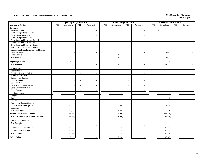#### **Exhibit 18A. Internal Service Departments - Detail of Individual Units New Mexico State University**

|                                                   |                          | <b>Operating Budget 2017-2018</b> |            |                          |                                      | Revised Budget 2017-2018           |            | <b>Unaudited Actuals 2017-2018</b>       |                |                          |
|---------------------------------------------------|--------------------------|-----------------------------------|------------|--------------------------|--------------------------------------|------------------------------------|------------|------------------------------------------|----------------|--------------------------|
| <b>Automotive Service</b>                         | <b>FTE</b>               | Unrestricted                      | <b>FTE</b> | Restricted               | Unrestricted<br><b>FTE</b>           | <b>FTE</b><br>Restricted           | <b>FTE</b> | Unrestricted                             | <b>FTE</b>     | Restricted               |
| <b>Revenues:</b>                                  |                          |                                   |            |                          |                                      |                                    |            |                                          |                |                          |
| Tuition and Fees                                  |                          | \$<br>$\sim$                      |            | $\mathbb{S}$<br>$\sim$   | \$<br>$\overline{\phantom{a}}$       | $\mathbb{S}$<br>$\sim$             |            | $\mathbb{S}$<br>$\overline{\phantom{a}}$ |                | \$                       |
| Govt Appropriations - Federal                     |                          | $\sim$                            |            | $\sim$                   | $\overline{\phantom{a}}$             | $\sim$                             |            | $\sim$                                   |                |                          |
| Govt Appropriations - State                       |                          | $\sim$                            |            | $\sim$                   | $\overline{a}$                       | $\sim$                             |            | $\overline{a}$                           |                |                          |
| Govt Appropriations - Local                       |                          |                                   |            |                          |                                      |                                    |            |                                          |                |                          |
| Govt Grants and Contracts - Federal               |                          | $\sim$                            |            | $\sim$                   | $\overline{\phantom{a}}$             | $\sim$                             |            | $\overline{\phantom{a}}$                 |                |                          |
| Govt Grants and Contracts - State                 |                          | $\overline{\phantom{a}}$          |            | $\sim$                   | $\overline{\phantom{a}}$             | $\sim$                             |            | $\overline{\phantom{a}}$                 |                |                          |
| Govt Grants and Contracts - Local                 |                          | $\sim$                            |            | $\sim$                   | $\overline{a}$                       | $\sim$                             |            | $\overline{a}$                           |                |                          |
| Private Gifts, Grants and Contracts               |                          | $\sim$                            |            | $\sim$                   |                                      | ÷,                                 |            |                                          |                |                          |
| Endowment, Land, Permanent Fund Income            |                          | $\overline{\phantom{a}}$          |            | $\sim$                   |                                      | $\overline{\phantom{a}}$           |            |                                          |                |                          |
| Sales and Services                                |                          | $\sim$                            |            | $\sim$                   |                                      | $\tilde{\phantom{a}}$              |            | 1,643                                    |                |                          |
| Other Sources                                     |                          | $\sim$                            |            | $\sim$                   | 1,643                                | $\overline{\phantom{a}}$           |            |                                          |                |                          |
| <b>Total Revenue</b>                              |                          |                                   |            |                          | 1,643                                | $\sim$                             |            | 1,643                                    |                |                          |
| <b>Beginning Balance</b>                          |                          | 16,695                            |            |                          | 20,128                               |                                    |            | 20,128                                   |                |                          |
| <b>Total Available</b>                            |                          | 16,695                            |            |                          | 21,771                               |                                    |            | 21,771                                   |                |                          |
| <b>Expenditures:</b>                              |                          |                                   |            |                          |                                      |                                    |            |                                          |                |                          |
| <b>Faculty Salaries</b>                           | $\sim$                   | $\sim$                            | $\sim$     | $\sim$                   | $\sim$<br>$\sim$                     | $\sim$<br>$\blacksquare$           | $\sim$     | $\sim$                                   | $\sim$         |                          |
| Part-Time Instructor Salaries                     | $\overline{\phantom{a}}$ | $\sim$                            | $\sim$     | $\sim$                   | $\sim$<br>$\sim$                     | $\sim$<br>$\sim$                   | $\sim$     | $\sim$                                   | $\sim$         |                          |
| <b>Professional Salaries</b>                      | $\tilde{\phantom{a}}$    | $\sim$                            | $\sim$     | $\sim$                   | $\sim$                               | $\sim$<br>$\sim$                   | $\sim$     | $\sim$                                   | $\sim$         |                          |
| <b>Support Staff Salaries</b>                     | $\overline{a}$           | $\sim$                            | $\sim$     | $\sim$                   | $\sim$<br>$\overline{\phantom{a}}$   | $\sim$<br>$\sim$                   | $\sim$     | $\overline{\phantom{a}}$                 | $\sim$         |                          |
| <b>GA/TA Salaries</b>                             | $\sim$                   | $\sim$                            | $\sim$     | $\sim$                   | $\omega$<br>$\overline{\phantom{a}}$ | $\sim$<br>$\overline{\phantom{a}}$ | $\sim$     | $\sim$                                   | $\sim$         | $\overline{\phantom{a}}$ |
| <b>Student Salaries</b>                           | $\sim$                   | $\sim$                            | $\sim$     | $\sim$                   | $\blacksquare$<br>$\sim$             | $\blacksquare$<br>$\sim$           | $\sim$     | $\sim$                                   | $\sim$         | $\sim$                   |
| Federal Work-Study Salaries                       | $\overline{a}$           | $\sim$                            |            | $\sim$                   | $\overline{\phantom{a}}$             | $\overline{a}$<br>$\sim$           | $\sim$     |                                          | $\overline{a}$ |                          |
| <b>State Work-Study Salaries</b>                  | $\tilde{\phantom{a}}$    | $\sim$                            | $\sim$     | $\sim$                   | $\tilde{\phantom{a}}$<br>$\sim$      | $\sim$<br>$\sim$                   | $\sim$     | $\overline{\phantom{a}}$                 | $\blacksquare$ | $\overline{\phantom{a}}$ |
| Other Salaries                                    | ÷,                       | $\sim$                            |            | $\sim$                   | $\sim$                               | $\overline{\phantom{a}}$<br>$\sim$ | $\sim$     | $\overline{\phantom{a}}$                 | $\overline{a}$ |                          |
| <b>Total Salaries</b>                             | $\tilde{\phantom{a}}$    | $\sim$                            | $\sim$     |                          | $\sim$                               | $\sim$<br>÷,                       | $\sim$     | $\sim$                                   | $\sim$         |                          |
| Fringes                                           |                          | $\sim$                            |            | $\overline{\phantom{a}}$ | $\sim$                               | $\blacksquare$                     |            | $\overline{\phantom{a}}$                 |                | $\overline{\phantom{a}}$ |
| Travel                                            |                          | $\sim$                            |            | $\sim$                   | $\overline{\phantom{a}}$             | $\sim$                             |            | 5                                        |                | $\overline{\phantom{a}}$ |
| Utilities                                         |                          | $\sim$                            |            | $\sim$                   | $\sim$                               | $\sim$                             |            | $\sim$                                   |                | $\sim$                   |
| <b>Institutional Support Charges</b>              |                          | $\overline{\phantom{a}}$          |            | $\sim$                   | $\overline{a}$                       | $\sim$                             |            |                                          |                | $\sim$                   |
| Other Supplies and Expenses                       |                          | 12,000                            |            | $\sim$                   | 14,000                               | $\sim$                             |            | 8,425                                    |                |                          |
| Equipment                                         |                          |                                   |            | $\sim$                   |                                      | $\sim$                             |            |                                          |                | $\overline{\phantom{a}}$ |
| <b>Total Expenditures</b>                         |                          | 12,000                            |            |                          | 14,000                               | $\overline{a}$                     |            | 8,430                                    |                |                          |
| <b>Internal Departmental Credits</b>              |                          | (15,000)                          |            |                          | (15,000)                             | $\sim$                             |            | (13,276)                                 |                |                          |
| <b>Total Expenditures net of Internal Credits</b> |                          | (3,000)                           |            |                          | (1,000)                              |                                    |            | (4,846)                                  |                |                          |
| <b>Transfer To or (From):</b>                     |                          |                                   |            |                          |                                      |                                    |            |                                          |                |                          |
| Non-Mandatory                                     |                          |                                   |            |                          |                                      |                                    |            |                                          |                |                          |
| <b>Internal Service</b>                           |                          |                                   |            | $\sim$                   |                                      | $\sim$                             |            |                                          |                |                          |
| Renewal and Replacement                           |                          | 10,000                            |            | $\sim$                   | 10,435                               | $\blacksquare$                     |            | 10,434                                   |                |                          |
| <b>Total Non-Mandatory</b>                        |                          | 10,000                            |            | $\sim$                   | 10,435                               | $\sim$                             |            | 10,434                                   |                |                          |
| <b>Total Transfers</b>                            |                          | 10,000                            |            |                          | 10,435                               |                                    |            | 10,434                                   |                |                          |
| <b>Ending Balance</b>                             |                          | 9,695                             |            |                          | 12,336                               |                                    |            | 16,183                                   |                |                          |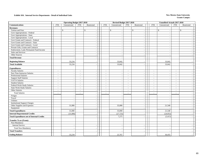### **Exhibit 18A. Internal Service Departments - Detail of Individual Units New Mexico State University New Mexico State University**

|                                                                                           |                          | <b>Operating Budget 2017-2018</b>         |                                            |                                |                          | Revised Budget 2017-2018       |                          |                          |                          | Unaudited Actuals 2017-2018                          |                          |                                                      |
|-------------------------------------------------------------------------------------------|--------------------------|-------------------------------------------|--------------------------------------------|--------------------------------|--------------------------|--------------------------------|--------------------------|--------------------------|--------------------------|------------------------------------------------------|--------------------------|------------------------------------------------------|
| Communications                                                                            | <b>FTE</b>               | Unrestricted                              | FTE                                        | Restricted                     | <b>FTE</b>               | Unrestricted                   | FTE                      | Restricted               | <b>FTE</b>               | Unrestricted                                         | FTE                      | Restricted                                           |
| <b>Revenues:</b>                                                                          |                          |                                           |                                            |                                |                          |                                |                          |                          |                          |                                                      |                          |                                                      |
| Tuition and Fees                                                                          |                          | $\mathcal{S}$<br>$\overline{\phantom{a}}$ |                                            | \$<br>$\overline{\phantom{a}}$ |                          | \$<br>$\overline{\phantom{a}}$ |                          | \$<br>$\sim$             |                          | \$<br>$\sim$                                         |                          | \$                                                   |
| Govt Appropriations - Federal                                                             |                          | $\overline{\phantom{a}}$                  |                                            | $\sim$                         |                          | $\overline{\phantom{a}}$       |                          | $\sim$                   |                          | $\sim$                                               |                          | $\sim$                                               |
| Govt Appropriations - State                                                               |                          |                                           |                                            | $\sim$                         |                          |                                |                          | $\sim$                   |                          | $\sim$                                               |                          | $\sim$                                               |
| Govt Appropriations - Local                                                               |                          |                                           |                                            | $\sim$                         |                          | $\overline{\phantom{a}}$       |                          | $\sim$                   |                          | $\sim$                                               |                          |                                                      |
| Govt Grants and Contracts - Federal                                                       |                          |                                           |                                            | $\sim$                         |                          |                                |                          | $\sim$                   |                          | $\sim$                                               |                          |                                                      |
| Govt Grants and Contracts - State                                                         |                          | $\sim$                                    |                                            | $\overline{\phantom{a}}$       |                          |                                |                          | $\overline{\phantom{a}}$ |                          | $\sim$                                               |                          | $\sim$                                               |
| Govt Grants and Contracts - Local                                                         |                          |                                           |                                            | $\sim$                         |                          |                                |                          | $\sim$                   |                          | $\overline{\phantom{a}}$                             |                          | $\overline{\phantom{a}}$                             |
| Private Gifts, Grants and Contracts                                                       |                          | $\overline{\phantom{a}}$                  |                                            | $\sim$                         |                          | $\sim$                         |                          | $\sim$                   |                          | $\sim$                                               |                          | $\sim$                                               |
| Endowment, Land, Permanent Fund Income                                                    |                          | $\blacksquare$                            |                                            | $\blacksquare$                 |                          | $\sim$                         |                          | $\sim$                   |                          | $\sim$                                               |                          | $\overline{\phantom{a}}$                             |
| Sales and Services                                                                        |                          |                                           |                                            | $\sim$                         |                          |                                |                          | $\overline{\phantom{a}}$ |                          | $\overline{\phantom{a}}$                             |                          |                                                      |
| Other Sources                                                                             |                          |                                           |                                            | $\overline{\phantom{a}}$       |                          |                                |                          | $\overline{\phantom{a}}$ |                          | $\overline{\phantom{a}}$                             |                          |                                                      |
| <b>Total Revenue</b>                                                                      |                          |                                           |                                            | $\sim$                         |                          |                                |                          | $\sim$                   |                          |                                                      |                          |                                                      |
| <b>Beginning Balance</b>                                                                  |                          | 33,234                                    |                                            |                                |                          | 33,042                         |                          | $\overline{\phantom{a}}$ |                          | 33,042                                               |                          |                                                      |
| <b>Total Available</b>                                                                    |                          | 33,234                                    |                                            |                                |                          | 33,042                         |                          | $\overline{\phantom{a}}$ |                          | 33,042                                               |                          |                                                      |
|                                                                                           |                          |                                           |                                            |                                |                          |                                |                          |                          |                          |                                                      |                          |                                                      |
| <b>Expenditures:</b>                                                                      |                          |                                           |                                            |                                |                          |                                |                          |                          |                          |                                                      |                          |                                                      |
| <b>Faculty Salaries</b>                                                                   | $\sim$                   | $\overline{\phantom{a}}$                  | $\overline{\phantom{a}}$                   | $\sim$                         | $\overline{\phantom{a}}$ | $\overline{\phantom{a}}$       | $\overline{\phantom{a}}$ | $\overline{\phantom{a}}$ | $\overline{\phantom{a}}$ | $\sim$                                               | $\sim$                   | $\overline{\phantom{a}}$                             |
| Part-Time Instructor Salaries                                                             | $\sim$                   | $\overline{\phantom{a}}$                  | $\overline{\phantom{a}}$                   | $\sim$                         | $\overline{\phantom{a}}$ | $\sim$                         | $\sim$                   | $\sim$                   | $\blacksquare$           | $\sim$                                               | $\sim$                   | $\sim$                                               |
| Professional Salaries                                                                     | $\overline{\phantom{a}}$ |                                           | $\sim$                                     | $\sim$                         | $\overline{\phantom{a}}$ |                                | $\sim$                   | $\sim$                   | $\blacksquare$           | $\overline{\phantom{a}}$                             | $\sim$                   | $\sim$                                               |
| <b>Support Staff Salaries</b>                                                             | $\sim$                   | $\overline{\phantom{a}}$                  | $\blacksquare$                             | $\overline{\phantom{a}}$       | $\overline{\phantom{a}}$ | $\overline{\phantom{a}}$       | $\sim$                   | $\overline{\phantom{a}}$ | $\overline{\phantom{a}}$ | $\sim$                                               | $\sim$                   | $\sim$                                               |
| GA/TA Salaries<br><b>Student Salaries</b>                                                 | $\overline{\phantom{a}}$ |                                           | $\overline{\phantom{a}}$                   | $\sim$                         | $\blacksquare$           |                                | ÷,                       | $\sim$                   | $\blacksquare$           | $\overline{\phantom{a}}$                             | $\sim$                   | $\sim$                                               |
|                                                                                           | $\sim$                   | $\overline{\phantom{a}}$                  | $\blacksquare$                             | $\blacksquare$                 | $\sim$                   | $\sim$                         | $\sim$                   | $\sim$                   | $\sim$                   | $\sim$                                               | $\sim$                   | $\sim$                                               |
| Federal Work-Study Salaries<br>State Work-Study Salaries                                  | $\sim$<br>$\sim$         | $\sim$                                    | $\overline{\phantom{a}}$<br>$\blacksquare$ | $\sim$<br>$\sim$               | $\sim$                   | $\sim$<br>$\sim$               | $\sim$<br>$\sim$         | $\sim$                   | $\sim$<br>$\blacksquare$ | $\sim$                                               | $\overline{\phantom{a}}$ | $\overline{\phantom{a}}$<br>$\overline{\phantom{a}}$ |
| Other Salaries                                                                            | $\sim$                   | $\overline{\phantom{a}}$                  | $\blacksquare$                             | $\sim$                         | $\sim$<br>$\blacksquare$ | $\sim$                         | $\sim$                   | $\sim$<br>$\sim$         | $\bar{a}$                | $\sim$<br>$\sim$                                     | $\sim$<br>$\sim$         | $\sim$                                               |
| <b>Total Salaries</b>                                                                     |                          |                                           |                                            |                                |                          |                                |                          |                          |                          |                                                      |                          |                                                      |
|                                                                                           |                          |                                           |                                            | $\overline{\phantom{a}}$       |                          |                                |                          | $\sim$                   |                          | $\overline{\phantom{a}}$                             |                          |                                                      |
| Fringes<br>Travel                                                                         |                          |                                           |                                            | $\sim$                         |                          | $\sim$                         |                          | $\sim$                   |                          | $\sim$                                               |                          | $\sim$                                               |
| Utilities                                                                                 |                          |                                           |                                            | $\sim$<br>$\sim$               |                          | $\sim$                         |                          | $\overline{\phantom{a}}$ |                          | $\overline{\phantom{a}}$<br>$\overline{\phantom{a}}$ |                          | $\sim$<br>$\sim$                                     |
| <b>Institutional Support Charges</b>                                                      |                          |                                           |                                            | $\blacksquare$                 |                          | $\sim$                         |                          | $\sim$<br>$\sim$         |                          | $\overline{\phantom{a}}$                             |                          |                                                      |
| Other Supplies and Expenses                                                               |                          | 31,000                                    |                                            | $\sim$                         |                          | 35,000                         |                          | $\sim$                   |                          | 21,540                                               |                          | $\sim$                                               |
| Equipment                                                                                 |                          |                                           |                                            | $\sim$                         |                          | $\sim$                         |                          | $\sim$                   |                          |                                                      |                          | $\sim$                                               |
| <b>Total Expenditures</b>                                                                 |                          | 31,000                                    |                                            | $\sim$                         |                          | 35,000                         |                          | $\sim$                   |                          | 21,540                                               |                          |                                                      |
|                                                                                           |                          |                                           |                                            |                                |                          |                                |                          |                          |                          |                                                      |                          |                                                      |
| <b>Internal Departmental Credits</b><br><b>Total Expenditures net of Internal Credits</b> |                          | (31,000)                                  |                                            | $\overline{\phantom{a}}$       |                          | (27, 725)<br>7,275             |                          | $\overline{\phantom{a}}$ |                          | (24, 953)<br>(3, 413)                                |                          |                                                      |
|                                                                                           |                          |                                           |                                            |                                |                          |                                |                          |                          |                          |                                                      |                          |                                                      |
| <b>Transfer To or (From):</b>                                                             |                          |                                           |                                            |                                |                          |                                |                          |                          |                          |                                                      |                          |                                                      |
| Non-Mandatory                                                                             |                          |                                           |                                            |                                |                          |                                |                          |                          |                          |                                                      |                          |                                                      |
| <b>Internal Service</b>                                                                   |                          |                                           |                                            | $\overline{\phantom{a}}$       |                          | $\overline{\phantom{a}}$       |                          | $\sim$                   |                          | $\overline{\phantom{a}}$                             |                          |                                                      |
| Total Non-Mandatory                                                                       |                          |                                           |                                            |                                |                          |                                |                          |                          |                          |                                                      |                          |                                                      |
| <b>Total Transfers</b>                                                                    |                          |                                           |                                            |                                |                          |                                |                          |                          |                          |                                                      |                          |                                                      |
| <b>Ending Balance</b>                                                                     |                          | 33,234                                    |                                            |                                |                          | 25,767                         |                          |                          |                          | 36,455                                               |                          |                                                      |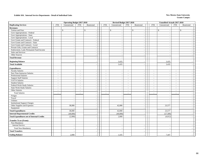#### **Exhibit 18A. Internal Service Departments - Detail of Individual Units New Mexico State University**

|                                                   |                          | <b>Operating Budget 2017-2018</b> |                |                          |                                    | Revised Budget 2017-2018                             |                          | <b>Unaudited Actuals 2017-2018</b> |                          |            |
|---------------------------------------------------|--------------------------|-----------------------------------|----------------|--------------------------|------------------------------------|------------------------------------------------------|--------------------------|------------------------------------|--------------------------|------------|
| <b>Duplicating Services</b>                       | <b>FTE</b>               | Unrestricted                      | <b>FTE</b>     | Restricted               | <b>FTE</b><br>Unrestricted         | <b>FTE</b><br>Restricted                             | <b>FTE</b>               | Unrestricted                       | <b>FTE</b>               | Restricted |
| <b>Revenues:</b>                                  |                          |                                   |                |                          |                                    |                                                      |                          |                                    |                          |            |
| Tuition and Fees                                  |                          | $\mathbb{S}$<br>$\sim$            |                | $\mathbf{s}$<br>$\sim$   | \$<br>$\overline{a}$               | $\mathbf{s}$<br>$\sim$                               |                          | $\mathbb{S}$<br>$\sim$             |                          | \$         |
| Govt Appropriations - Federal                     |                          | $\sim$                            |                | $\sim$                   | $\overline{\phantom{a}}$           | $\sim$                                               |                          | $\overline{\phantom{a}}$           |                          |            |
| Govt Appropriations - State                       |                          | $\sim$                            |                | $\sim$                   | $\overline{\phantom{a}}$           | $\overline{\phantom{a}}$                             |                          | $\overline{\phantom{a}}$           |                          |            |
| Govt Appropriations - Local                       |                          | $\sim$                            |                | $\sim$                   |                                    | $\sim$                                               |                          |                                    |                          |            |
| Govt Grants and Contracts - Federal               |                          | $\sim$                            |                | $\sim$                   | $\overline{\phantom{a}}$           | $\blacksquare$                                       |                          | $\overline{\phantom{a}}$           |                          |            |
| Govt Grants and Contracts - State                 |                          | $\sim$                            |                | $\sim$                   | $\overline{\phantom{a}}$           | $\overline{\phantom{a}}$                             |                          | $\overline{\phantom{a}}$           |                          |            |
| Govt Grants and Contracts - Local                 |                          |                                   |                |                          |                                    | $\sim$                                               |                          |                                    |                          |            |
| Private Gifts, Grants and Contracts               |                          | $\sim$                            |                | $\sim$                   |                                    | $\sim$                                               |                          |                                    |                          |            |
| Endowment, Land, Permanent Fund Income            |                          | $\sim$                            |                | $\sim$                   | $\overline{\phantom{a}}$           | $\sim$                                               |                          |                                    |                          |            |
| Sales and Services                                |                          | $\sim$                            |                | $\sim$                   | $\sim$                             | $\overline{\phantom{a}}$                             |                          |                                    |                          |            |
| Other Sources                                     |                          | $\overline{\phantom{a}}$          |                | $\sim$                   | $\sim$                             | $\overline{\phantom{a}}$                             |                          |                                    |                          |            |
| <b>Total Revenue</b>                              |                          |                                   |                |                          |                                    | $\overline{\phantom{a}}$                             |                          |                                    |                          |            |
| <b>Beginning Balance</b>                          |                          |                                   |                |                          | 3,435                              |                                                      |                          | 3,435                              |                          |            |
| <b>Total Available</b>                            |                          |                                   |                |                          | 3,435                              |                                                      |                          | 3,435                              |                          |            |
| <b>Expenditures:</b>                              |                          |                                   |                |                          |                                    |                                                      |                          |                                    |                          |            |
| <b>Faculty Salaries</b>                           | $\sim$                   | $\sim$                            | $\sim$         | $\sim$                   | $\sim$<br>$\sim$                   | $\sim$<br>$\sim$                                     | $\sim$                   | $\overline{\phantom{a}}$           | $\sim$                   |            |
| Part-Time Instructor Salaries                     | $\tilde{\phantom{a}}$    | $\sim$                            | $\sim$         | $\sim$                   | $\overline{\phantom{a}}$<br>$\sim$ | $\overline{a}$<br>$\sim$                             | $\sim$                   | $\sim$                             | $\mathcal{L}$            |            |
| <b>Professional Salaries</b>                      | $\tilde{\phantom{a}}$    | $\sim$                            | $\sim$         | $\sim$                   | $\sim$<br>$\sim$                   | $\blacksquare$<br>$\sim$                             | $\sim$                   | $\overline{\phantom{a}}$           | $\sim$                   |            |
| <b>Support Staff Salaries</b>                     | $\sim$                   | $\sim$                            | $\sim$         | $\sim$                   | $\sim$<br>$\overline{\phantom{a}}$ | $\sim$<br>$\sim$                                     | $\sim$                   | $\overline{\phantom{a}}$           | $\sim$                   |            |
| GA/TA Salaries                                    | $\sim$                   | $\sim$                            | $\sim$         | $\sim$                   | $\sim$<br>$\sim$                   | $\sim$<br>$\sim$                                     | $\sim$                   | $\sim$                             | $\sim$                   |            |
| <b>Student Salaries</b>                           | $\sim$                   | $\sim$                            | $\overline{a}$ | $\overline{\phantom{a}}$ | $\sim$<br>$\overline{\phantom{a}}$ | $\overline{\phantom{a}}$<br>$\overline{\phantom{a}}$ | $\sim$                   | $\overline{\phantom{a}}$           | $\sim$                   |            |
| Federal Work-Study Salaries                       | $\sim$                   | $\sim$                            | $\sim$         | $\sim$                   | $\sim$<br>$\sim$                   | $\sim$<br>$\overline{\phantom{a}}$                   | $\sim$                   | $\overline{a}$                     | $\sim$                   |            |
| <b>State Work-Study Salaries</b>                  | $\blacksquare$           | $\overline{\phantom{a}}$          |                | $\blacksquare$           | $\blacksquare$<br>$\sim$           | $\blacksquare$<br>$\sim$                             | $\sim$                   | $\sim$                             | $\blacksquare$           |            |
| Other Salaries                                    | $\overline{\phantom{a}}$ | $\overline{\phantom{a}}$          |                | $\sim$                   | $\sim$                             | $\sim$<br>$\sim$                                     | $\overline{\phantom{a}}$ |                                    | $\overline{\phantom{a}}$ |            |
| <b>Total Salaries</b>                             | $\overline{a}$           | $\sim$                            | $\sim$         |                          | $\overline{a}$                     | $\sim$<br>$\overline{a}$                             | $\overline{a}$           |                                    | $\overline{a}$           |            |
| Fringes                                           |                          | $\sim$                            |                | $\sim$                   | $\overline{\phantom{a}}$           | $\sim$                                               |                          | $\sim$                             |                          |            |
| Travel                                            |                          | $\sim$                            |                | $\sim$                   |                                    | $\sim$                                               |                          |                                    |                          |            |
| Utilities                                         |                          | $\sim$                            |                | $\sim$                   | $\overline{\phantom{a}}$           | $\sim$                                               |                          |                                    |                          |            |
| <b>Institutional Support Charges</b>              |                          | $\sim$                            |                | $\sim$                   | $\overline{\phantom{a}}$           | $\blacksquare$                                       |                          |                                    |                          |            |
| Other Supplies and Expenses                       |                          | 38,000                            |                |                          | 42,000                             | $\sim$                                               |                          | 23,577                             |                          |            |
| Equipment                                         |                          |                                   |                | $\sim$                   |                                    | $\blacksquare$                                       |                          |                                    |                          |            |
| <b>Total Expenditures</b>                         |                          | 38,000                            |                |                          | 42,000                             | $\sim$                                               |                          | 23,577                             |                          |            |
| <b>Internal Departmental Credits</b>              |                          | (40,000)                          |                |                          | (40,000)                           | $\overline{a}$                                       |                          | (27, 589)                          |                          |            |
| <b>Total Expenditures net of Internal Credits</b> |                          | (2,000)                           |                |                          | 2,000                              | $\overline{a}$                                       |                          | (4,012)                            |                          |            |
| <b>Transfer To or (From):</b>                     |                          |                                   |                |                          |                                    |                                                      |                          |                                    |                          |            |
| Non-Mandatory                                     |                          |                                   |                |                          |                                    |                                                      |                          |                                    |                          |            |
| <b>Internal Service</b>                           |                          | $\sim$                            |                | $\sim$                   | $\overline{\phantom{a}}$           | $\blacksquare$                                       |                          |                                    |                          |            |
| Total Non-Mandatory                               |                          | $\sim$                            |                |                          |                                    |                                                      |                          |                                    |                          |            |
| <b>Total Transfers</b>                            |                          |                                   |                |                          |                                    |                                                      |                          |                                    |                          |            |
| <b>Ending Balance</b>                             |                          | 2,000                             |                |                          | 1,435                              |                                                      |                          | 7,447                              |                          |            |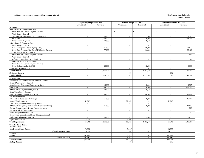#### **Exhibit 19. Summary of Student Aid Grants and Stipends New Mexico State University**

|                                                      |                                    | <b>Operating Budget 2017-2018</b> |               |                          | Revised Budget 2017-2018 |               | Unaudited Actuals 2017-2018 |                  |  |
|------------------------------------------------------|------------------------------------|-----------------------------------|---------------|--------------------------|--------------------------|---------------|-----------------------------|------------------|--|
|                                                      | Unrestricted                       | Restricted                        | Unrestricted  |                          | Restricted               |               | Unrestricted                | Restricted       |  |
| <b>Revenues</b>                                      |                                    |                                   |               |                          |                          |               |                             |                  |  |
| Govt Grants & Contracts - Federal:                   |                                    |                                   |               |                          |                          |               |                             |                  |  |
| <b>Instruction and General Program Stipends</b>      | $\mathbb{S}$<br>$\sim$             | $\mathbb{S}$                      | $\mathcal{S}$ |                          | $\mathcal{S}$            | $\mathcal{S}$ | $\omega$                    | $\mathbb{S}$     |  |
| Work Study - External                                | $\sim$                             | $\overline{a}$                    |               | $\sim$                   | $\overline{a}$           |               | $\sim$                      | $\sim$           |  |
| Supplemental Educational Opportunity Grants          | $\sim$                             | 15.000                            |               | $\sim$                   | 12.000                   |               | $\equiv$                    | 9.365            |  |
| Pell Grants                                          | $\sim$                             | 1,000,000                         |               | $\sim$                   | 920,000                  |               | $\equiv$                    | 932,118          |  |
| Other Federal Programs                               | $\sim$                             | 19,500                            |               | $\sim$                   | 19,500                   |               | $\sim$                      |                  |  |
| Govt Grants & Contracts - State:                     |                                    |                                   |               |                          |                          |               |                             |                  |  |
| Work Study - External                                | $\sim$                             | $\sim$                            |               | $\sim$                   | $\overline{a}$           |               | $\omega$                    | $\sim$           |  |
| NM Leveraging Ed Assist Prgm (LEAP)                  | $\sim$                             | 95,000                            |               | $\blacksquare$           | 80,000                   |               | $\omega$                    | 72,029           |  |
| Other State Programs(Day Care/CHE Leg/St. Success)   | $\sim$                             | 77,000                            |               | $\sim$                   | 50,000                   |               | $\sim$                      | 26,166           |  |
| Private Gifts, Grants & Contracts:                   |                                    |                                   |               |                          |                          |               |                             |                  |  |
| <b>Instruction and General Program Stipends</b>      | $\sim$                             | $\omega$                          |               | $\omega$                 | $\omega$                 |               | $\sim$                      | 500              |  |
| Work Study - External                                | $\sim$                             | $\sim$                            |               | $\sim$                   | $\sim$                   |               | $\equiv$                    | $\sim$           |  |
| Gifts for Scholarships and Fellowships               | $\sim$                             | $\sim$                            |               | $\sim$                   | $\sim$                   |               | $\sim$                      | 100              |  |
| Endowment, Land, & Perm Income                       |                                    |                                   |               |                          |                          |               |                             |                  |  |
| <b>Instruction and General Program Stipends</b>      | $\sim$                             |                                   |               | $\sim$                   |                          |               | $\sim$                      |                  |  |
| Other Endowment Funded Aid                           | $\sim$                             | 10,000                            |               | $\sim$                   | 12,000                   |               | $\sim$                      | 6,039            |  |
| <b>State Govt Appropriations</b>                     | $\sim$                             | $\sim$                            |               | $\sim$                   |                          |               | $\sim$                      |                  |  |
| <b>Total Revenue</b>                                 | $\sim$                             | 1,216,500                         |               | $\omega$                 | 1,093,500                |               | $\blacksquare$              | 1,046,317        |  |
| <b>Beginning Balance</b>                             | $\sim$                             |                                   |               | 579                      |                          |               | 579                         |                  |  |
| <b>Total Available</b>                               |                                    | 1,216,500                         |               | 579                      | 1,093,500                |               | 579                         | 1,046,317        |  |
| <b>Expenditures</b>                                  |                                    |                                   |               |                          |                          |               |                             |                  |  |
| Instruction and General Program Stipends - Federal   |                                    |                                   |               |                          | $\sim$                   |               | $\sim$                      |                  |  |
| Federal Work Study - External                        | $\sim$<br>$\sim$                   | $\sim$<br>$\sim$                  |               | $\blacksquare$           | $\sim$                   |               | $\sim$                      | $\sim$<br>$\sim$ |  |
|                                                      |                                    | 15,000                            |               | $\sim$                   | 12,000                   |               |                             | 9,365            |  |
| Supplemental Educational Opportunity Grants          | $\overline{\phantom{a}}$           |                                   |               | $\overline{\phantom{a}}$ |                          |               | $\sim$                      |                  |  |
| Pell Grants<br>Other Federal Programs (NSF, ONR)     | $\omega$                           | 1,000,000<br>19,500               |               | $\omega$                 | 920,000                  |               | $\omega$                    | 932,118          |  |
|                                                      | $\omega$                           |                                   |               | $\sim$                   | 19,500                   |               | $\omega$                    | $\sim$           |  |
| State Work Study - External                          | $\sim$                             | $\sim$                            |               | $\sim$                   | ÷.                       |               | $\omega$                    | $\sim$           |  |
| NM Leveraging Ed Assist Prgm (LEAP)                  | $\sim$                             | 95,000                            |               | $\sim$                   | 80,000                   |               | $\sim$                      | 72,029           |  |
| NMSU Scholarship                                     | $\overline{\phantom{a}}$<br>$\sim$ |                                   |               | $\sim$                   |                          |               | $\overline{\phantom{a}}$    |                  |  |
| NM Lottery (Success) Scholarships                    |                                    | 61,000                            |               | $\sim$                   | 40,000                   |               | $\omega$                    | 16,117           |  |
| State 3% Scholarships                                | 52.242                             | $\sim$                            |               | 52,242                   | $\overline{a}$           |               | 52.242                      | $\sim$           |  |
| Scholarships and Educational Programming             | $\sim$                             | $\blacksquare$                    |               | $\sim$                   | $\blacksquare$           |               | $\sim$                      | $\equiv$         |  |
| Other State Programs(Day Care/CHE Leg/Affordability) | $\sim$                             | 16,000                            |               | $\sim$                   | 10,000                   |               | $\sim$                      | 10,049           |  |
| Private Instruction and General Program Stipends     | $\sim$                             | $\sim$                            |               | $\sim$                   | $\sim$                   |               | $\sim$                      | 500              |  |
| Private Work Study - External                        | $\sim$                             | $\sim$                            |               | $\omega$                 | $\omega$                 |               | $\sim$                      |                  |  |
| Scholarships from Private Gifts                      | $\omega$                           | $\sim$                            |               | $\sim$                   | $\omega$                 |               | $\omega$                    | 100              |  |
| Endowment Instruction and General Program Stipends   | $\sim$                             | $\sim$                            |               | $\sim$                   | $\sim$                   |               | $\sim$                      | $\sim$           |  |
| Scholarships from Endowments                         | $\sim$                             | 10,000                            |               | $\sim$                   | 12,000                   |               | $\sim$                      | 6,039            |  |
| Special Scholarships                                 | 3,000                              |                                   |               | 3,000                    |                          |               | 3,000                       |                  |  |
| <b>Total Expenditures</b>                            | 55,242                             | 1,216,500                         |               | 55,242                   | 1,093,500                |               | 55,242                      | 1,046,317        |  |
| <b>Transfer To or (From)</b>                         |                                    |                                   |               |                          |                          |               |                             |                  |  |
| Non-Mandatory                                        |                                    |                                   |               |                          |                          |               |                             |                  |  |
| Student Social and Cultural                          | (3,000)                            | $\sim$                            |               | (3,000)                  | $\sim$                   |               | (3,000)                     | $\sim$           |  |
| Subtotal Non-Mandatory                               | (3,000)                            | $\sim$                            |               | (3,000)                  | $\omega$                 |               | (3,000)                     | $\omega$         |  |
| Required                                             |                                    |                                   |               |                          |                          |               |                             |                  |  |
| I & G<br><b>Subtotal Required</b>                    | (52, 242)<br>(52, 242)             | $\sim$<br>$\sim$                  |               | (52, 242)<br>(52, 242)   | $\sim$<br>$\omega$       |               | (52, 242)<br>(52, 242)      | $\sim$<br>$\sim$ |  |
| <b>Total Transfers</b>                               | (55, 242)                          | $\sim$                            |               | (55, 242)                | $\sim$                   |               | (55, 242)                   | $\sim$           |  |
| <b>Ending Balance</b>                                | $\sim$                             | $\sim$                            |               | 579                      | $\blacksquare$           |               | 579                         | $\sim$           |  |
|                                                      |                                    |                                   |               |                          |                          |               |                             |                  |  |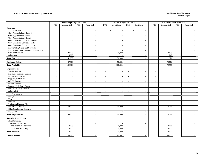### **Exhibit 20. Summary of Auxiliary Enterprises** New Mexico State University

|                                        |                          | <b>Operating Budget 2017-2018</b> |                |                          |                          | Revised Budget 2017-2018 |                          |                                |                          | <b>Unaudited Actuals 2017-2018</b> |                          |                          |  |
|----------------------------------------|--------------------------|-----------------------------------|----------------|--------------------------|--------------------------|--------------------------|--------------------------|--------------------------------|--------------------------|------------------------------------|--------------------------|--------------------------|--|
|                                        | <b>FTE</b>               | Unrestricted                      | <b>FTE</b>     | Restricted               | <b>FTE</b>               | Unrestricted             | <b>FTE</b>               | Restricted                     | <b>FTE</b>               | Unrestricted                       | <b>FTE</b>               | Restricted               |  |
| <b>Revenues:</b>                       |                          |                                   |                |                          |                          |                          |                          |                                |                          |                                    |                          |                          |  |
| Tuition and Fees                       |                          | $\mathsf{\$}$                     |                | $\mathbb{S}$             |                          | $\mathbb{S}$             |                          | $\mathbf{s}$<br>$\blacksquare$ |                          | $\mathbb{S}$                       |                          | $\mathbb{S}$             |  |
| Govt Appropriations - Federal          |                          |                                   |                |                          |                          |                          |                          | $\sim$                         |                          |                                    |                          |                          |  |
| Govt Appropriations - State            |                          |                                   |                | $\overline{\phantom{a}}$ |                          | $\overline{\phantom{a}}$ |                          | $\overline{\phantom{a}}$       |                          | $\overline{\phantom{a}}$           |                          |                          |  |
| Govt Appropriations - Local            |                          |                                   |                |                          |                          |                          |                          | $\sim$                         |                          |                                    |                          |                          |  |
| Govt Grants and Contracts - Federal    |                          |                                   |                | $\overline{\phantom{a}}$ |                          | $\overline{\phantom{a}}$ |                          | $\sim$                         |                          |                                    |                          |                          |  |
| Govt Grants and Contracts - State      |                          | $\overline{\phantom{a}}$          |                | $\overline{\phantom{a}}$ |                          |                          |                          | $\blacksquare$                 |                          |                                    |                          |                          |  |
| Govt Grants and Contracts - Local      |                          |                                   |                |                          |                          |                          |                          | $\sim$                         |                          |                                    |                          |                          |  |
| Private Gifts, Grants and Contracts    |                          | $\overline{\phantom{a}}$          |                | $\overline{\phantom{a}}$ |                          | $\overline{a}$           |                          | $\overline{\phantom{a}}$       |                          | $\overline{\phantom{a}}$           |                          |                          |  |
| Endowment, Land, Permanent Fund Income |                          |                                   |                |                          |                          |                          |                          | $\blacksquare$                 |                          |                                    |                          |                          |  |
| Sales and Services                     |                          | 37,000                            |                | $\overline{\phantom{a}}$ |                          | 30,000                   |                          | $\sim$                         |                          | 2,659                              |                          | $\overline{a}$           |  |
| Other Sources                          |                          | 5,000                             |                | $\overline{a}$           |                          |                          |                          | $\sim$                         |                          | 267                                |                          |                          |  |
| <b>Total Revenue</b>                   |                          | 42,000                            |                |                          |                          | 30,000                   |                          | $\sim$                         |                          | 2,926                              |                          |                          |  |
| <b>Beginning Balance</b>               |                          | 67,870                            |                |                          |                          | 76,662                   |                          |                                |                          | 76,662                             |                          |                          |  |
| <b>Total Available</b>                 |                          | 109,870                           |                |                          |                          | 106,662                  |                          | $\overline{\phantom{a}}$       |                          | 79,588                             |                          |                          |  |
|                                        |                          |                                   |                |                          |                          |                          |                          |                                |                          |                                    |                          |                          |  |
| <b>Expenditures:</b>                   |                          |                                   |                |                          |                          |                          |                          |                                |                          |                                    |                          |                          |  |
| <b>Faculty Salaries</b>                | $\overline{\phantom{a}}$ | $\overline{\phantom{a}}$          | $\sim$         | $\overline{\phantom{a}}$ | $\sim$                   | $\sim$                   | $\sim$                   | $\overline{\phantom{a}}$       | $\sim$                   | $\sim$                             | $\sim$                   | $\overline{\phantom{a}}$ |  |
| Part-Time Instructor Salaries          | $\blacksquare$           |                                   | $\blacksquare$ |                          | $\sim$                   |                          | $\overline{\phantom{a}}$ | $\overline{\phantom{a}}$       | $\overline{\phantom{a}}$ |                                    | $\sim$                   |                          |  |
| Professional Salaries                  | $\overline{\phantom{a}}$ |                                   | $\blacksquare$ |                          | $\overline{\phantom{a}}$ | $\overline{\phantom{a}}$ | $\sim$                   | $\overline{\phantom{a}}$       | $\overline{\phantom{a}}$ | $\overline{\phantom{a}}$           | $\overline{\phantom{a}}$ |                          |  |
| <b>Support Staff Salaries</b>          | $\blacksquare$           | $\overline{\phantom{a}}$          | $\blacksquare$ | $\sim$                   | $\sim$                   | $\sim$                   | $\overline{\phantom{a}}$ | $\overline{\phantom{a}}$       | $\overline{\phantom{a}}$ | $\overline{\phantom{a}}$           | $\overline{\phantom{a}}$ | $\sim$                   |  |
| GA/TA Salaries                         | $\overline{\phantom{a}}$ |                                   | $\blacksquare$ | $\overline{\phantom{a}}$ | $\sim$                   |                          | $\sim$                   | $\sim$                         | $\sim$                   |                                    | $\overline{\phantom{a}}$ | $\overline{\phantom{a}}$ |  |
| <b>Student Salaries</b>                | $\sim$                   | $\sim$                            | $\sim$         | $\sim$                   | $\sim$                   | $\sim$                   | $\sim$                   | $\sim$                         | $\sim$                   | $\sim$                             | $\sim$                   | $\sim$                   |  |
| Federal Work-Study Salaries            | $\sim$                   |                                   | $\sim$         |                          | $\overline{\phantom{a}}$ |                          | $\sim$                   | $\sim$                         | $\sim$                   |                                    | $\sim$                   |                          |  |
| <b>State Work-Study Salaries</b>       | $\overline{a}$           |                                   | $\overline{a}$ |                          | $\sim$                   |                          | $\sim$                   | $\sim$                         | $\sim$                   | $\overline{a}$                     | $\sim$                   |                          |  |
| Other Salaries                         | $\overline{a}$           | $\sim$                            | $\overline{a}$ | $\sim$                   |                          | $\sim$                   | $\sim$                   | $\overline{\phantom{a}}$       | $\overline{\phantom{a}}$ | $\sim$                             | $\sim$                   | $\overline{\phantom{a}}$ |  |
| <b>Total Salaries</b>                  | $\sim$                   |                                   | $\sim$         |                          |                          |                          | $\sim$                   | $\overline{a}$                 | $\sim$                   |                                    |                          |                          |  |
| Fringes                                |                          |                                   |                |                          |                          |                          |                          | $\sim$                         |                          |                                    |                          |                          |  |
| Travel                                 |                          |                                   |                | $\overline{\phantom{a}}$ |                          | $\sim$                   |                          | $\overline{\phantom{a}}$       |                          | $\overline{\phantom{a}}$           |                          | $\sim$                   |  |
| Utilities                              |                          |                                   |                |                          |                          | $\overline{\phantom{a}}$ |                          | $\blacksquare$                 |                          |                                    |                          |                          |  |
| <b>Institutional Support Charges</b>   |                          |                                   |                | $\overline{\phantom{a}}$ |                          | $\overline{\phantom{a}}$ |                          | $\overline{\phantom{a}}$       |                          |                                    |                          |                          |  |
| Purchase for Resale                    |                          | 50,000                            |                | $\overline{\phantom{a}}$ |                          | 30,000                   |                          | $\overline{\phantom{a}}$       |                          | 3,733                              |                          | $\sim$                   |  |
| Other Supplies and Expenses            |                          |                                   |                | $\overline{\phantom{a}}$ |                          | $\overline{\phantom{a}}$ |                          | $\sim$                         |                          |                                    |                          | $\sim$                   |  |
| Equipment                              |                          |                                   |                | $\sim$                   |                          | $\overline{\phantom{a}}$ |                          | $\sim$                         |                          |                                    |                          | $\sim$                   |  |
| <b>Total Expenditures</b>              |                          | 50,000                            |                |                          |                          | 30,000                   |                          | $\overline{\phantom{a}}$       |                          | 3,733                              |                          |                          |  |
| <b>Transfer To or (From):</b>          |                          |                                   |                |                          |                          |                          |                          |                                |                          |                                    |                          |                          |  |
| Non-Mandatory                          |                          |                                   |                |                          |                          |                          |                          |                                |                          |                                    |                          |                          |  |
| <b>Auxiliary Enterprises</b>           |                          |                                   |                |                          |                          |                          |                          | $\overline{\phantom{a}}$       |                          |                                    |                          |                          |  |
| Renewal and Replacement                |                          | 10,000                            |                |                          |                          | 10,000                   |                          | $\sim$                         |                          | 10,000                             |                          |                          |  |
| <b>Total Non-Mandatory</b>             |                          | 10,000                            |                |                          |                          | 10,000                   |                          |                                |                          | 10,000                             |                          |                          |  |
| <b>Total Transfers</b>                 |                          | 10,000                            |                |                          |                          | 10,000                   |                          |                                |                          | 10,000                             |                          |                          |  |
| <b>Ending Balance</b>                  |                          | 49,870                            |                |                          |                          | 66,662                   |                          |                                |                          | 65,855                             |                          |                          |  |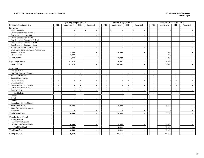#### **Exhibit 20A. Auxiliary Enterprises - Detail of Individual Units New Mexico State University**

|                                           |                          | <b>Operating Budget 2017-2018</b>  |                  |                                    |                          | Revised Budget 2017-2018 |                  |                                                      |                          | <b>Unaudited Actuals 2017-2018</b> |                                    |                          |  |
|-------------------------------------------|--------------------------|------------------------------------|------------------|------------------------------------|--------------------------|--------------------------|------------------|------------------------------------------------------|--------------------------|------------------------------------|------------------------------------|--------------------------|--|
| <b>Bookstore Administration</b>           | <b>FTE</b>               | Unrestricted                       | <b>FTE</b>       | Restricted                         | <b>FTE</b>               | Unrestricted             | <b>FTE</b>       | Restricted                                           | <b>FTE</b>               | Unrestricted                       | <b>FTE</b>                         | Restricted               |  |
| <b>Revenues:</b>                          |                          |                                    |                  |                                    |                          |                          |                  |                                                      |                          |                                    |                                    |                          |  |
| Tuition and Fees                          |                          | \$<br>$\overline{\phantom{a}}$     |                  | $\mathbb{S}$                       |                          | $\mathbb{S}$             |                  | \$                                                   |                          | \$                                 |                                    | $\mathbb{S}$             |  |
| Govt Appropriations - Federal             |                          | $\sim$                             |                  |                                    |                          |                          |                  |                                                      |                          |                                    |                                    |                          |  |
| Govt Appropriations - State               |                          | $\overline{\phantom{a}}$           |                  |                                    |                          |                          |                  | $\overline{\phantom{a}}$                             |                          | $\overline{\phantom{a}}$           |                                    |                          |  |
| Govt Appropriations - Local               |                          | $\sim$                             |                  |                                    |                          |                          |                  |                                                      |                          |                                    |                                    |                          |  |
| Govt Grants and Contracts - Federal       |                          | $\overline{\phantom{a}}$           |                  | $\sim$                             |                          | $\sim$                   |                  | $\overline{\phantom{a}}$                             |                          |                                    |                                    | $\overline{\phantom{a}}$ |  |
| Govt Grants and Contracts - State         |                          | $\overline{\phantom{a}}$           |                  | $\blacksquare$                     |                          |                          |                  | $\overline{\phantom{a}}$                             |                          |                                    |                                    |                          |  |
| Govt Grants and Contracts - Local         |                          | $\overline{\phantom{a}}$           |                  |                                    |                          |                          |                  | $\overline{\phantom{a}}$                             |                          |                                    |                                    |                          |  |
| Private Gifts, Grants and Contracts       |                          | $\overline{\phantom{a}}$           |                  | $\blacksquare$                     |                          | $\sim$                   |                  | $\overline{\phantom{a}}$                             |                          |                                    |                                    | $\sim$                   |  |
| Endowment, Land, Permanent Fund Income    |                          |                                    |                  | $\overline{\phantom{a}}$           |                          |                          |                  | $\sim$                                               |                          |                                    |                                    | $\sim$                   |  |
| Sales and Services                        |                          | 37,000                             |                  | $\overline{\phantom{a}}$           |                          | 30,000                   |                  | $\overline{\phantom{a}}$                             |                          | 2,659                              |                                    | $\sim$                   |  |
| Other Sources                             |                          | 5,000                              |                  |                                    |                          |                          |                  | $\overline{\phantom{a}}$                             |                          | 267                                |                                    |                          |  |
| <b>Total Revenue</b>                      |                          | 42,000                             |                  | $\sim$                             |                          | 30,000                   |                  |                                                      |                          | 2,926                              |                                    |                          |  |
| <b>Beginning Balance</b>                  |                          | 67,870                             |                  |                                    |                          | 76,662                   |                  |                                                      |                          | 76,662                             |                                    |                          |  |
| <b>Total Available</b>                    |                          | 109,870                            |                  |                                    |                          | 106,662                  |                  |                                                      |                          | 79,588                             |                                    |                          |  |
|                                           |                          |                                    |                  |                                    |                          |                          |                  |                                                      |                          |                                    |                                    |                          |  |
| <b>Expenditures:</b>                      |                          |                                    |                  |                                    |                          |                          |                  |                                                      |                          |                                    |                                    |                          |  |
| <b>Faculty Salaries</b>                   | $\sim$                   | $\overline{\phantom{a}}$           | $\sim$           | $\blacksquare$                     | $\sim$                   | $\overline{\phantom{a}}$ | $\sim$           | $\overline{\phantom{a}}$                             | $\overline{\phantom{a}}$ | $\overline{\phantom{a}}$           | $\sim$                             | $\sim$                   |  |
| Part-Time Instructor Salaries             | $\sim$                   | $\overline{a}$                     | $\sim$           |                                    | $\sim$                   |                          | $\sim$           |                                                      | $\sim$                   |                                    | $\sim$                             |                          |  |
| <b>Professional Salaries</b>              | $\sim$                   | $\overline{\phantom{a}}$           | $\sim$           | $\sim$                             | $\sim$                   |                          | $\sim$           | $\overline{\phantom{a}}$                             | $\sim$                   |                                    | $\sim$                             |                          |  |
| <b>Support Staff Salaries</b>             | $\sim$                   | $\sim$                             | $\sim$           | $\overline{\phantom{a}}$           | $\sim$                   |                          | $\sim$           | $\sim$                                               | $\sim$                   | $\overline{\phantom{a}}$           | $\sim$                             | $\sim$                   |  |
| GA/TA Salaries<br><b>Student Salaries</b> | $\overline{\phantom{a}}$ | $\overline{\phantom{a}}$           | $\sim$           | $\sim$                             | $\overline{\phantom{a}}$ |                          | $\sim$           | $\overline{\phantom{a}}$                             | $\sim$                   |                                    | $\overline{\phantom{a}}$           | $\overline{\phantom{a}}$ |  |
| Federal Work-Study Salaries               | $\sim$<br>$\sim$         | $\sim$                             | $\sim$           | $\sim$                             | $\sim$<br>$\sim$         | $\sim$                   | $\sim$<br>$\sim$ | $\overline{\phantom{a}}$                             | $\blacksquare$<br>$\sim$ | $\sim$                             | $\overline{\phantom{a}}$<br>$\sim$ | $\sim$                   |  |
| State Work-Study Salaries                 | $\sim$                   | $\sim$<br>$\overline{\phantom{a}}$ | $\sim$<br>$\sim$ |                                    | $\overline{a}$           |                          | $\sim$           |                                                      | $\sim$                   |                                    | $\sim$                             |                          |  |
| Other Salaries                            | $\sim$                   | $\overline{\phantom{a}}$           | $\sim$           | $\overline{\phantom{a}}$           | $\sim$                   | $\sim$                   | $\sim$           | $\overline{\phantom{a}}$                             | $\overline{\phantom{a}}$ | $\sim$                             | $\sim$                             | $\sim$                   |  |
| <b>Total Salaries</b>                     | $\sim$                   |                                    |                  |                                    |                          |                          | $\sim$           |                                                      | $\overline{a}$           |                                    | $\sim$                             |                          |  |
|                                           |                          | $\sim$                             | $\sim$           |                                    |                          |                          |                  |                                                      |                          |                                    |                                    |                          |  |
| Fringes                                   |                          | $\overline{\phantom{a}}$           |                  | $\sim$                             |                          | $\sim$                   |                  | $\overline{\phantom{a}}$                             |                          |                                    |                                    | $\overline{\phantom{a}}$ |  |
| Travel<br>Utilities                       |                          | $\overline{a}$                     |                  |                                    |                          | $\sim$                   |                  | $\sim$                                               |                          |                                    |                                    | $\sim$                   |  |
| <b>Institutional Support Charges</b>      |                          | $\overline{\phantom{a}}$           |                  | $\overline{\phantom{a}}$           |                          |                          |                  | $\overline{\phantom{a}}$                             |                          |                                    |                                    | $\overline{\phantom{a}}$ |  |
| Purchase for Resale                       |                          | 50,000                             |                  |                                    |                          | 30,000                   |                  | $\overline{\phantom{a}}$                             |                          | 3,733                              |                                    | $\sim$                   |  |
| Other Supplies and Expenses               |                          |                                    |                  | $\overline{\phantom{a}}$<br>$\sim$ |                          |                          |                  | $\overline{\phantom{a}}$<br>$\overline{\phantom{a}}$ |                          |                                    |                                    | $\sim$                   |  |
| Equipment                                 |                          |                                    |                  |                                    |                          |                          |                  | $\overline{\phantom{a}}$                             |                          |                                    |                                    |                          |  |
| <b>Total Expenditures</b>                 |                          | 50,000                             |                  |                                    |                          | 30,000                   |                  |                                                      |                          | 3,733                              |                                    |                          |  |
|                                           |                          |                                    |                  |                                    |                          |                          |                  |                                                      |                          |                                    |                                    |                          |  |
| <b>Transfer To or (From):</b>             |                          |                                    |                  |                                    |                          |                          |                  |                                                      |                          |                                    |                                    |                          |  |
| Non-Mandatory                             |                          |                                    |                  |                                    |                          |                          |                  |                                                      |                          |                                    |                                    |                          |  |
| <b>Auxiliary Enterprises</b>              |                          |                                    |                  |                                    |                          |                          |                  |                                                      |                          |                                    |                                    |                          |  |
| Renewal and Replacement                   |                          | 10,000                             |                  | $\sim$                             |                          | 10,000                   |                  | $\sim$                                               |                          | 10,000                             |                                    |                          |  |
| <b>Total Non-Mandatory</b>                |                          | 10,000                             |                  |                                    |                          | 10,000                   |                  |                                                      |                          | 10,000                             |                                    |                          |  |
| <b>Total Transfers</b>                    |                          | 10,000                             |                  |                                    |                          | 10,000                   |                  |                                                      |                          | 10,000                             |                                    |                          |  |
| <b>Ending Balance</b>                     |                          | 49,870                             |                  |                                    |                          | 66,662                   |                  |                                                      |                          | 65,855                             |                                    |                          |  |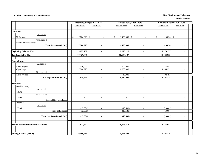### **Exhibit I. Summary of Capital Outlay** New Mexico State University

|                                             |                              | <b>Operating Budget 2017-2018</b> | Revised Budget 2017-2018 |                          | <b>Unaudited Actuals 2017-2018</b> |                             |  |  |  |
|---------------------------------------------|------------------------------|-----------------------------------|--------------------------|--------------------------|------------------------------------|-----------------------------|--|--|--|
|                                             | Unrestricted                 | Restricted                        | Unrestricted             | Restricted               | Unrestricted                       | Restricted                  |  |  |  |
|                                             |                              |                                   |                          |                          |                                    |                             |  |  |  |
| <b>Revenues</b>                             |                              |                                   |                          |                          |                                    |                             |  |  |  |
| Allocated                                   |                              |                                   |                          |                          |                                    |                             |  |  |  |
| All Revenue                                 | 7,704,923 \$<br>$\mathbb{S}$ |                                   | $1,400,000$ \$<br>\$     | $\overline{\phantom{a}}$ | $910,836$ \$<br>\$                 | $\overline{\phantom{a}}$    |  |  |  |
| Unallocated                                 |                              |                                   |                          |                          |                                    |                             |  |  |  |
| Interest on Investments                     |                              |                                   |                          | $\sim$                   |                                    |                             |  |  |  |
| <b>Total Revenues (Exh 1)</b>               | 7,704,923                    | $\blacksquare$                    | 1,400,000                | $\blacksquare$           | 910,836                            | $\blacksquare$              |  |  |  |
|                                             |                              |                                   |                          |                          |                                    |                             |  |  |  |
| <b>Beginning Balance (Exh 1)</b>            | 9,622,758                    |                                   | 9,270,127                |                          | 9,270,127                          |                             |  |  |  |
| <b>Total Available (Exh 1)</b>              | 17,327,681                   | $\sim$                            | 10,670,127               | $\blacksquare$           | 10,180,963                         | $\blacksquare$              |  |  |  |
|                                             |                              |                                   |                          |                          |                                    |                             |  |  |  |
| <b>Expenditures</b>                         |                              |                                   |                          |                          |                                    |                             |  |  |  |
| Allocated                                   |                              |                                   |                          |                          |                                    |                             |  |  |  |
| Minor Projects                              | 130,000                      | $\sim$                            | 100,000                  | $\mathbf{r}$             | 133,882                            | $\mathbf{r}$                |  |  |  |
| Major Projects                              | 7,704,923                    | $\overline{\phantom{a}}$          | 6,000,000                | $\overline{\phantom{a}}$ | 4,365,939                          | $\blacksquare$              |  |  |  |
| Unallocated                                 |                              |                                   |                          |                          |                                    |                             |  |  |  |
| Minor Projects                              | $\mathbf{r}$                 | $\sim$                            | 10,000                   | $\sim$                   | (102, 493)                         | $\sim$                      |  |  |  |
| <b>Total Expenditures (Exh 1)</b>           | 7,834,923                    | $\blacksquare$                    | 6,110,000                | $\blacksquare$           | 4,397,328                          | $\blacksquare$              |  |  |  |
|                                             |                              |                                   |                          |                          |                                    |                             |  |  |  |
| <b>Transfers</b>                            |                              |                                   |                          |                          |                                    |                             |  |  |  |
| Non-Mandatory                               |                              |                                   |                          |                          |                                    |                             |  |  |  |
| Allocated                                   |                              |                                   |                          |                          |                                    |                             |  |  |  |
| I & G                                       | $\overline{\phantom{a}}$     | $\sim$                            | $\blacksquare$           | $\overline{\phantom{a}}$ | $\sim$                             | $\overline{\phantom{a}}$    |  |  |  |
| Unallocated                                 |                              |                                   |                          |                          |                                    |                             |  |  |  |
| I & G                                       | $\sim$                       |                                   | $\overline{\phantom{a}}$ | $\overline{\phantom{a}}$ |                                    |                             |  |  |  |
| Subtotal Non-Mandatory                      | $\blacksquare$               | $\blacksquare$                    | $\blacksquare$           | $\overline{\phantom{a}}$ | $\sim$                             | $\mathcal{L}_{\mathcal{A}}$ |  |  |  |
| Required                                    |                              |                                   |                          |                          |                                    |                             |  |  |  |
| Allocated                                   |                              |                                   |                          |                          |                                    |                             |  |  |  |
| $\rm I\,\&\, G$                             | (13, 681)                    | $\sim$                            | (13, 681)                | $\overline{\phantom{a}}$ | (13, 681)                          | $\overline{\phantom{a}}$    |  |  |  |
| Subtotal Required                           | (13,681)                     | $\sim$                            | (13,681)                 | $\sim$                   | (13, 681)                          |                             |  |  |  |
|                                             |                              |                                   |                          |                          |                                    |                             |  |  |  |
| <b>Total Net Transfers (Exh 1)</b>          | (13,681)                     | $\blacksquare$                    | (13, 681)                | $\blacksquare$           | (13, 681)                          | $\blacksquare$              |  |  |  |
|                                             |                              |                                   |                          |                          |                                    |                             |  |  |  |
|                                             |                              |                                   |                          |                          |                                    |                             |  |  |  |
| <b>Total Expenditures and Net Transfers</b> | 7,821,242                    | $\blacksquare$                    | 6,096,319                | $\blacksquare$           | 4,383,647                          | $\blacksquare$              |  |  |  |
|                                             |                              |                                   |                          |                          |                                    |                             |  |  |  |
|                                             |                              |                                   |                          |                          |                                    |                             |  |  |  |
| <b>Ending Balance (Exh 1)</b>               | 9,506,439                    | $\blacksquare$                    | 4,573,808                | $\overline{\phantom{a}}$ | 5,797,316                          | $\blacksquare$              |  |  |  |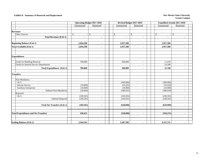### **Exhibit II. Summary of Renewals and Replacement New Mexico State University New Mexico State University**

|                                             | <b>Operating Budget 2017-2018</b> |                          |                | Revised Budget 2017-2018 | <b>Unaudited Actuals 2017-2018</b> |                          |  |  |  |  |
|---------------------------------------------|-----------------------------------|--------------------------|----------------|--------------------------|------------------------------------|--------------------------|--|--|--|--|
|                                             | Unrestricted                      | Restricted               | Unrestricted   | Restricted               | Unrestricted                       | Restricted               |  |  |  |  |
|                                             |                                   |                          |                |                          |                                    |                          |  |  |  |  |
| <b>Revenues</b>                             |                                   |                          |                |                          |                                    |                          |  |  |  |  |
| Other Sources                               | \$                                | $\sqrt[6]{\frac{1}{2}}$  | \$             | \$                       | \$                                 | \$                       |  |  |  |  |
| <b>Total Revenues (Exh 1)</b>               | $\blacksquare$                    | $\overline{\phantom{a}}$ | $\blacksquare$ | $\blacksquare$           |                                    | $\blacksquare$           |  |  |  |  |
| <b>Beginning Balance (Exh 1)</b>            | 2,694,598                         | $\blacksquare$           | 2,957,500      | $\blacksquare$           | 2,957,500                          | ٠                        |  |  |  |  |
|                                             |                                   |                          |                |                          |                                    |                          |  |  |  |  |
| <b>Total Available (Exh 1)</b>              | 2,694,598                         | $\blacksquare$           | 2,957,500      | $\blacksquare$           | 2,957,500                          | $\overline{\phantom{a}}$ |  |  |  |  |
|                                             |                                   |                          |                |                          |                                    |                          |  |  |  |  |
| <b>Expenditures</b>                         |                                   |                          |                |                          |                                    |                          |  |  |  |  |
| Funds for Building Renewal                  | 700,000                           | $\sim$                   | 300,000        | $\sim$                   | 11,470                             | $\overline{\phantom{a}}$ |  |  |  |  |
| Funds for Internal Service Departments      | $\sim$                            | $\overline{\phantom{a}}$ |                | $\blacksquare$           | 24,298                             | $\sim$                   |  |  |  |  |
| <b>Total Expenditures (Exh 1)</b>           | 700,000                           | $\blacksquare$           | 300,000        | $\blacksquare$           | 35,768                             | $\blacksquare$           |  |  |  |  |
| <b>Transfers</b>                            |                                   |                          |                |                          |                                    |                          |  |  |  |  |
| Non-Mandatory                               |                                   |                          |                |                          |                                    |                          |  |  |  |  |
| I & G                                       | $\sim$                            | $\sim$                   | (360,000)      | $\sim$                   | (360,000)                          | ÷.                       |  |  |  |  |
| <b>Internal Service</b>                     | (10,000)                          | $\overline{\phantom{a}}$ | (10, 435)      | $\bar{a}$                | (10, 434)                          | ÷.                       |  |  |  |  |
| <b>Auxiliary Enterprises</b>                | (10,000)                          | ÷                        | (10,000)       | $\overline{\phantom{a}}$ | (10,000)                           | ÷.                       |  |  |  |  |
| Subtotal Non-Mandatory                      | (20,000)                          | $\sim$                   | (380, 435)     | $\sim$                   | (380, 434)                         | ÷.                       |  |  |  |  |
| Required                                    |                                   |                          |                |                          |                                    |                          |  |  |  |  |
| I & G                                       | (249, 565)                        | $\sim$                   | (249, 565)     | $\sim$                   | (249, 565)                         | $\overline{\phantom{a}}$ |  |  |  |  |
| <b>Subtotal Required</b>                    | (249, 565)                        | $\sim$                   | (249, 565)     | $\overline{\phantom{a}}$ | (249, 565)                         | ÷.                       |  |  |  |  |
| <b>Total Net Transfers (Exh 1)</b>          | (269, 565)                        | $\blacksquare$           | (630,000)      | $\blacksquare$           | (629,999)                          | $\overline{\phantom{a}}$ |  |  |  |  |
|                                             |                                   |                          |                |                          |                                    |                          |  |  |  |  |
| <b>Total Expenditures and Net Transfers</b> | 430,435                           | $\blacksquare$           | (330,000)      | $\blacksquare$           | (594, 231)                         | $\overline{\phantom{0}}$ |  |  |  |  |
|                                             |                                   |                          |                |                          |                                    |                          |  |  |  |  |
| <b>Ending Balance (Exh 1)</b>               | 2,264,163                         | $\blacksquare$           | 3,287,500      | $\blacksquare$           | 3,551,731                          | $\blacksquare$           |  |  |  |  |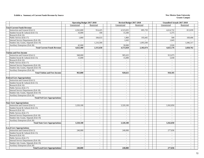#### **Exhibit a. Summary of Current Funds Revenue by Source New Mexico State University New Mexico State University**

|                                        | <b>Operating Budget 2017-2018</b> |                          | Revised Budget 2017-2018    |                          | Unaudited Actuals 2017-2018 |                          |  |
|----------------------------------------|-----------------------------------|--------------------------|-----------------------------|--------------------------|-----------------------------|--------------------------|--|
|                                        | Unrestricted                      | Restricted               | Unrestricted                | Restricted               | Unrestricted                | Restricted               |  |
| <b>Total Current Funds Revenue</b>     |                                   |                          |                             |                          |                             |                          |  |
| Instruction and General (Exh 2)        | 4,562,600                         | 914,425                  | 4,523,025                   | 895,729                  | 4,614,732                   | 813,039                  |  |
| Student Social & Cultural (Exh 15)     | 16,000                            | 100                      | 15,500                      | $\sim$                   | 5,375                       | $\sim$                   |  |
| Research (Exh 16)                      | $\sim$                            | $\overline{\phantom{a}}$ | $\sim$                      |                          | $\sim$                      | $\sim$                   |  |
| Public Service (Exh 17)                | 1,860                             | 184,633                  | 1,860                       | 193,445                  | 500                         | 169,406                  |  |
| Internal Service Departments (Exh 18)  | $\sim$                            |                          | 1,643                       |                          | 1,643                       |                          |  |
| Student Aid, Grants, Stipends (Exh 19) | $\sim$                            | 1,216,500                | $\sim$                      | 1,093,500                |                             | 1,046,317                |  |
| Auxiliary Enterprises (Exh 20)         | 42,000                            |                          | 30,000                      |                          | 2,926                       |                          |  |
| <b>Total Current Funds Revenue</b>     | 4,622,460                         | 2,315,658                | 4,572,028                   | 2,182,674                | 4,625,176                   | 2,028,762                |  |
|                                        |                                   |                          |                             |                          |                             |                          |  |
| <b>Tuition and Fees Income</b>         |                                   |                          |                             |                          |                             |                          |  |
| Instruction and General (Exh 2)        | 948,000                           | $\sim$                   | 905,625                     | $\sim$                   | 913,075                     | $\sim$                   |  |
| Student Social & Cultural (Exh 15)     | 15,000                            | $\overline{a}$           | 15,000                      | $\sim$                   | 5,030                       | $\sim$                   |  |
| Research (Exh 16)                      | $\sim$                            | $\sim$                   | $\sim$                      | $\sim$                   | $\sim$                      | $\sim$                   |  |
| Public Service (Exh 17)                | $\sim$                            | $\sim$                   | $\sim$                      | $\sim$                   | $\sim$                      | $\sim$                   |  |
| Internal Service Departments (Exh 18)  | $\sim$                            | $\overline{\phantom{a}}$ | $\sim$                      | $\sim$                   | $\sim$                      | $\sim$                   |  |
| Student Aid, Grants, Stipends (Exh 19) | $\sim$                            | $\sim$                   | $\sim$                      | $\sim$                   | $\overline{a}$              | $\sim$                   |  |
| Auxiliary Enterprises (Exh 20)         | $\overline{\phantom{a}}$          | $\overline{\phantom{a}}$ | $\sim$                      | $\sim$                   | $\overline{a}$              | $\sim$                   |  |
| <b>Total Tuition and Fees Income</b>   | 963,000                           | $\blacksquare$           | 920,625                     | $\mathbf{r}$             | 918,105                     | $\blacksquare$           |  |
|                                        |                                   |                          |                             |                          |                             |                          |  |
| <b>Federal Govt Appropriations</b>     |                                   |                          |                             |                          |                             |                          |  |
| Instruction and General (Exh 2)        | $\sim$                            | $\overline{a}$           | $\sim$                      | $\sim$                   | $\sim$                      | $\sim$                   |  |
| Student Social & Cultural (Exh 15)     | $\sim$                            | $\overline{a}$           | $\sim$                      | $\sim$                   | $\sim$                      | $\sim$                   |  |
| Research (Exh 16)                      | $\sim$                            | $\overline{a}$           | $\overline{a}$              | $\sim$                   | $\overline{a}$              | $\sim$                   |  |
| Public Service (Exh 17)                | $\sim$                            | $\sim$                   | $\sim$                      | $\sim$                   | $\sim$                      | $\sim$                   |  |
| Internal Service Departments (Exh 18)  | $\sim$                            | $\overline{a}$           | $\overline{a}$              | $\sim$                   | $\overline{a}$              | $\sim$                   |  |
| Student Aid, Grants, Stipends (Exh 19) | $\sim$                            | $\sim$                   | $\sim$                      | $\sim$                   | $\sim$                      | $\sim$                   |  |
| Auxiliary Enterprises (Exh 20)         | $\sim$                            | $\sim$                   | $\sim$                      | $\sim$                   | $\sim$                      | $\overline{\phantom{a}}$ |  |
| <b>Total Fed Govt Appropriations</b>   | $\blacksquare$                    | $\sim$                   | $\sim$                      | $\sim$                   | $\blacksquare$              | $\sim$                   |  |
|                                        |                                   |                          |                             |                          |                             |                          |  |
| <b>State Govt Appropriations</b>       |                                   |                          |                             |                          |                             |                          |  |
| Instruction and General (Exh 2)        | 3,320,100                         | $\overline{\phantom{a}}$ | 3,320,100                   | $\sim$                   | 3,362,850                   | $\sim$                   |  |
| Student Social & Cultural (Exh 15)     | $\sim$                            | $\sim$                   | $\overline{a}$              | $\overline{\phantom{a}}$ | $\overline{a}$              | $\sim$                   |  |
| Research (Exh 16)                      |                                   | $\overline{\phantom{a}}$ | $\sim$                      | $\sim$                   | $\sim$                      | $\sim$                   |  |
| Public Service (Exh 17)                | $\sim$                            | $\sim$                   | $\mathcal{L}^{\mathcal{A}}$ | $\sim$                   | $\overline{a}$              | $\sim$                   |  |
| Internal Service Departments (Exh 18)  | $\sim$                            | $\sim$                   | $\sim$                      | $\sim$                   | $\overline{a}$              | $\sim$                   |  |
| Student Aid, Grants, Stipends (Exh 19) | $\sim$                            | $\overline{a}$           | $\sim$                      | $\sim$                   | $\overline{a}$              | $\sim$                   |  |
| <b>Auxiliary Enterprises (Exh 20)</b>  | $\sim$                            | $\overline{a}$           | $\overline{a}$              | $\sim$                   | $\overline{a}$              | $\sim$                   |  |
| <b>Total State Govt Appropriations</b> | 3,320,100                         | $\overline{a}$           | 3,320,100                   | $\sim$                   | 3,362,850                   | $\sim$                   |  |
|                                        |                                   |                          |                             |                          |                             |                          |  |
| <b>Local Govt Appropriations</b>       |                                   |                          |                             |                          |                             |                          |  |
| Instruction and General (Exh 2)        | 240,000                           | $\sim$                   | 240,000                     | $\sim$                   | 277,836                     | $\sim$                   |  |
| Student Social & Cultural (Exh 15)     | $\sim$                            | $\overline{\phantom{a}}$ | $\sim$                      | $\overline{a}$           | $\overline{\phantom{a}}$    | $\sim$                   |  |
| Research (Exh 16)                      | $\sim$                            | $\sim$                   | $\sim$                      | $\sim$                   | $\sim$                      | $\sim$                   |  |
| Public Service (Exh 17)                | $\sim$                            | $\overline{\phantom{a}}$ | $\sim$                      | $\sim$                   | $\overline{\phantom{a}}$    | $\overline{\phantom{a}}$ |  |
| Internal Service Departments (Exh 18)  | $\sim$                            | $\overline{a}$           | $\overline{a}$              | $\sim$                   | $\overline{a}$              | $\sim$                   |  |
| Student Aid, Grants, Stipends (Exh 19) | $\sim$                            | $\overline{a}$           | $\sim$                      | $\sim$                   | $\overline{a}$              |                          |  |
| Auxiliary Enterprises (Exh 20)         | $\sim$                            | $\sim$                   | $\overline{a}$              | $\sim$                   | $\overline{a}$              | $\sim$                   |  |
| <b>Total Local Govt Appropriations</b> | 240,000                           | $\overline{a}$           | 240,000                     | $\sim$                   | 277,836                     | $\sim$                   |  |
|                                        |                                   |                          |                             |                          |                             |                          |  |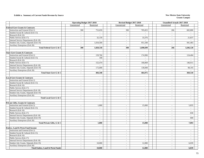#### **Exhibit a. Summary of Current Funds Revenue by Source New Mexico State University New Mexico State University**

| Unrestricted<br>Unrestricted<br>Restricted<br>Unrestricted<br>Restricted<br>Restricted<br><b>Federal Govt Grants &amp; Contracts</b><br>300<br>753,659<br>300<br>705,823<br>266<br>Instruction and General (Exh 2)<br>682,800<br>Student Social & Cultural (Exh 15)<br>$\sim$<br>$\sim$<br>$\sim$<br>$\sim$<br>$\sim$<br>$\sim$<br>Research (Exh 16)<br>$\overline{\phantom{a}}$<br>$\sim$<br>$\sim$<br>$\sim$<br>$\sim$<br>Public Service (Exh 17)<br>32,159<br>33,376<br>21,837<br>$\sim$<br>$\sim$<br>$\sim$<br>Internal Service Departments (Exh 18)<br>$\sim$<br>$\sim$<br>$\overline{\phantom{a}}$<br>Student Aid, Grants, Stipends (Exh 19)<br>1,034,500<br>951,500<br>941,483<br>$\sim$<br>$\sim$<br>$\sim$<br>Auxiliary Enterprises (Exh 20)<br>$\overline{\phantom{a}}$<br>$\overline{a}$ |
|-----------------------------------------------------------------------------------------------------------------------------------------------------------------------------------------------------------------------------------------------------------------------------------------------------------------------------------------------------------------------------------------------------------------------------------------------------------------------------------------------------------------------------------------------------------------------------------------------------------------------------------------------------------------------------------------------------------------------------------------------------------------------------------------------------|
|                                                                                                                                                                                                                                                                                                                                                                                                                                                                                                                                                                                                                                                                                                                                                                                                     |
|                                                                                                                                                                                                                                                                                                                                                                                                                                                                                                                                                                                                                                                                                                                                                                                                     |
|                                                                                                                                                                                                                                                                                                                                                                                                                                                                                                                                                                                                                                                                                                                                                                                                     |
|                                                                                                                                                                                                                                                                                                                                                                                                                                                                                                                                                                                                                                                                                                                                                                                                     |
|                                                                                                                                                                                                                                                                                                                                                                                                                                                                                                                                                                                                                                                                                                                                                                                                     |
|                                                                                                                                                                                                                                                                                                                                                                                                                                                                                                                                                                                                                                                                                                                                                                                                     |
|                                                                                                                                                                                                                                                                                                                                                                                                                                                                                                                                                                                                                                                                                                                                                                                                     |
|                                                                                                                                                                                                                                                                                                                                                                                                                                                                                                                                                                                                                                                                                                                                                                                                     |
|                                                                                                                                                                                                                                                                                                                                                                                                                                                                                                                                                                                                                                                                                                                                                                                                     |
| 300<br>1,820,318<br>300<br>1,690,699<br>266<br>1,646,120<br>Total Federal Govt G & C                                                                                                                                                                                                                                                                                                                                                                                                                                                                                                                                                                                                                                                                                                                |
|                                                                                                                                                                                                                                                                                                                                                                                                                                                                                                                                                                                                                                                                                                                                                                                                     |
| <b>State Govt Grants &amp; Contracts</b>                                                                                                                                                                                                                                                                                                                                                                                                                                                                                                                                                                                                                                                                                                                                                            |
| Instruction and General (Exh 2)<br>159,766<br>174,906<br>124,404<br>$\sim$<br>$\sim$<br>$\sim$                                                                                                                                                                                                                                                                                                                                                                                                                                                                                                                                                                                                                                                                                                      |
| Student Social & Cultural (Exh 15)<br>100<br>$\sim$<br>$\mathcal{L}$<br>$\sim$<br>$\overline{\phantom{a}}$<br>$\sim$                                                                                                                                                                                                                                                                                                                                                                                                                                                                                                                                                                                                                                                                                |
| Research (Exh 16)<br>$\sim$<br>$\sim$<br>$\sim$<br>$\sim$<br>$\sim$<br>$\sim$                                                                                                                                                                                                                                                                                                                                                                                                                                                                                                                                                                                                                                                                                                                       |
| Public Service (Exh 17)<br>152,474<br>146,911<br>160,069<br>$\sim$<br>$\overline{\phantom{a}}$<br>$\overline{\phantom{a}}$                                                                                                                                                                                                                                                                                                                                                                                                                                                                                                                                                                                                                                                                          |
| Internal Service Departments (Exh 18)<br>$\mathbb{Z}^{\mathbb{Z}}$<br>$\sim$<br>$\sim$<br>$\sim$<br>$\sim$<br>$\sim$                                                                                                                                                                                                                                                                                                                                                                                                                                                                                                                                                                                                                                                                                |
| Student Aid, Grants, Stipends (Exh 19)<br>130,000<br>172,000<br>98,195<br>$\sim$<br>$\sim$<br>$\overline{\phantom{a}}$                                                                                                                                                                                                                                                                                                                                                                                                                                                                                                                                                                                                                                                                              |
| Auxiliary Enterprises (Exh 20)<br>$\sim$<br>$\sim$<br>$\sim$                                                                                                                                                                                                                                                                                                                                                                                                                                                                                                                                                                                                                                                                                                                                        |
| 464,975<br>Total State Govt G & C<br>484,340<br>369,510<br>$\blacksquare$<br>$\blacksquare$<br>$\blacksquare$                                                                                                                                                                                                                                                                                                                                                                                                                                                                                                                                                                                                                                                                                       |
|                                                                                                                                                                                                                                                                                                                                                                                                                                                                                                                                                                                                                                                                                                                                                                                                     |
| <b>Local Govt Grants &amp; Contracts</b>                                                                                                                                                                                                                                                                                                                                                                                                                                                                                                                                                                                                                                                                                                                                                            |
| Instruction and General (Exh 2)<br>$\sim$<br>$\sim$<br>$\sim$<br>$\blacksquare$<br>$\sim$<br>$\sim$                                                                                                                                                                                                                                                                                                                                                                                                                                                                                                                                                                                                                                                                                                 |
| Student Social & Cultural (Exh 15)<br>$\overline{a}$<br>$\sim$<br>$\sim$<br>$\sim$<br>$\sim$<br>$\sim$                                                                                                                                                                                                                                                                                                                                                                                                                                                                                                                                                                                                                                                                                              |
| Research (Exh 16)<br>$\sim$<br>$\sim$<br>$\sim$<br>$\sim$<br>$\overline{a}$<br>$\sim$                                                                                                                                                                                                                                                                                                                                                                                                                                                                                                                                                                                                                                                                                                               |
| Public Service (Exh 17)<br>$\mathcal{L}$<br>$\sim$<br>$\overline{a}$<br>$\sim$<br>$\overline{a}$<br>$\sim$                                                                                                                                                                                                                                                                                                                                                                                                                                                                                                                                                                                                                                                                                          |
| Internal Service Departments (Exh 18)<br>$\sim$<br>$\sim$<br>$\overline{\phantom{a}}$<br>$\sim$<br>$\sim$<br>$\sim$                                                                                                                                                                                                                                                                                                                                                                                                                                                                                                                                                                                                                                                                                 |
| Student Aid, Grants, Stipends (Exh 19)<br>$\overline{\phantom{a}}$<br>$\sim$<br>$\sim$<br>$\blacksquare$<br>$\sim$<br>$\sim$                                                                                                                                                                                                                                                                                                                                                                                                                                                                                                                                                                                                                                                                        |
| Auxiliary Enterprises (Exh 20)<br>$\sim$<br>$\overline{\phantom{a}}$<br>$\sim$<br>$\sim$<br>$\sim$<br>$\sim$                                                                                                                                                                                                                                                                                                                                                                                                                                                                                                                                                                                                                                                                                        |
| Total Local Govt G & C<br>$\mathbf{r}$<br>$\blacksquare$<br>$\blacksquare$<br>$\mathbf{r}$<br>$\blacksquare$<br>$\sim$                                                                                                                                                                                                                                                                                                                                                                                                                                                                                                                                                                                                                                                                              |
|                                                                                                                                                                                                                                                                                                                                                                                                                                                                                                                                                                                                                                                                                                                                                                                                     |
| Private Gifts, Grants & Contracts                                                                                                                                                                                                                                                                                                                                                                                                                                                                                                                                                                                                                                                                                                                                                                   |
| Instruction and General (Exh 2)<br>1,000<br>15,000<br>5,835<br>$\overline{a}$<br>$\sim$<br>$\overline{\phantom{a}}$                                                                                                                                                                                                                                                                                                                                                                                                                                                                                                                                                                                                                                                                                 |
| Student Social & Cultural (Exh 15)<br>$\mathbb{L}$<br>$\sim$<br>$\overline{a}$<br>$\sim$<br>$\sim$<br>$\sim$                                                                                                                                                                                                                                                                                                                                                                                                                                                                                                                                                                                                                                                                                        |
| Research (Exh 16)<br>$\overline{\phantom{a}}$<br>$\overline{\phantom{a}}$<br>$\mathbf{r}$<br>$\sim$<br>$\sim$<br>$\overline{\phantom{a}}$                                                                                                                                                                                                                                                                                                                                                                                                                                                                                                                                                                                                                                                           |
| Public Service (Exh 17)<br>658<br>$\sim$<br>$\sim$<br>$\sim$<br>$\sim$<br>$\overline{\phantom{a}}$                                                                                                                                                                                                                                                                                                                                                                                                                                                                                                                                                                                                                                                                                                  |
| Internal Service Departments (Exh 18)<br>$\mathbb{Z}^{\mathbb{Z}}$<br>$\mathcal{L}^{\pm}$<br>$\sim$<br>$\mathcal{L}_{\mathcal{A}}$<br>$\mathbb{L}$<br>$\overline{a}$                                                                                                                                                                                                                                                                                                                                                                                                                                                                                                                                                                                                                                |
| Student Aid, Grants, Stipends (Exh 19)<br>600<br>$\sim$<br>$\sim$<br>$\sim$<br>$\sim$<br>$\overline{a}$                                                                                                                                                                                                                                                                                                                                                                                                                                                                                                                                                                                                                                                                                             |
| Auxiliary Enterprises (Exh 20)<br>$\sim$<br>$\sim$<br>$\sim$<br>$\sim$<br>$\sim$<br>$\sim$                                                                                                                                                                                                                                                                                                                                                                                                                                                                                                                                                                                                                                                                                                          |
| Total Private Gifts, G & C<br>1,000<br>15,000<br>7,093<br>$\sim$<br>$\blacksquare$<br>$\blacksquare$                                                                                                                                                                                                                                                                                                                                                                                                                                                                                                                                                                                                                                                                                                |
|                                                                                                                                                                                                                                                                                                                                                                                                                                                                                                                                                                                                                                                                                                                                                                                                     |
| Endow, Land & Perm Fund Income                                                                                                                                                                                                                                                                                                                                                                                                                                                                                                                                                                                                                                                                                                                                                                      |
| Instruction and General (Exh 2)<br>$\sim$<br>$\sim$<br>$\sim$<br>$\sim$<br>$\sim$<br>$\sim$                                                                                                                                                                                                                                                                                                                                                                                                                                                                                                                                                                                                                                                                                                         |
| Student Social & Cultural (Exh 15)<br>$\sim$<br>$\sim$<br>$\overline{\phantom{a}}$<br>$\overline{\phantom{a}}$<br>$\overline{\phantom{a}}$<br>$\sim$                                                                                                                                                                                                                                                                                                                                                                                                                                                                                                                                                                                                                                                |
| Research (Exh 16)<br>$\overline{\phantom{a}}$<br>$\sim$<br>$\sim$<br>$\sim$<br>$\sim$<br>$\sim$                                                                                                                                                                                                                                                                                                                                                                                                                                                                                                                                                                                                                                                                                                     |
| Public Service (Exh 17)<br>$\overline{a}$<br>$\sim$<br>$\overline{\phantom{a}}$<br>$\sim$                                                                                                                                                                                                                                                                                                                                                                                                                                                                                                                                                                                                                                                                                                           |
| Internal Service Departments (Exh 18)<br>$\overline{\phantom{a}}$<br>$\overline{\phantom{a}}$<br>$\overline{\phantom{a}}$<br>$\overline{\phantom{a}}$<br>$\mathcal{L}_{\mathcal{A}}$<br>$\sim$                                                                                                                                                                                                                                                                                                                                                                                                                                                                                                                                                                                                      |
| Student Aid, Grants, Stipends (Exh 19)<br>12,000<br>10,000<br>6,039<br>$\sim$<br>$\overline{\phantom{a}}$<br>$\sim$                                                                                                                                                                                                                                                                                                                                                                                                                                                                                                                                                                                                                                                                                 |
| Auxiliary Enterprises (Exh 20)<br>$\overline{a}$<br>$\sim$<br>$\sim$<br>$\overline{a}$                                                                                                                                                                                                                                                                                                                                                                                                                                                                                                                                                                                                                                                                                                              |
| 12,000<br>6,039<br><b>Total Endow, Land &amp; Perm Funds</b><br>10.000<br>$\sim$<br>$\blacksquare$<br>$\sim$                                                                                                                                                                                                                                                                                                                                                                                                                                                                                                                                                                                                                                                                                        |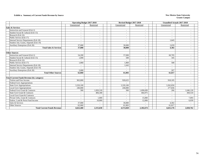#### **Exhibit a. Summary of Current Funds Revenue by Source New Mexico State University New Mexico State University**

|                                                  | <b>Operating Budget 2017-2018</b> |                          | Revised Budget 2017-2018 |                          | <b>Unaudited Actuals 2017-2018</b> |                          |  |
|--------------------------------------------------|-----------------------------------|--------------------------|--------------------------|--------------------------|------------------------------------|--------------------------|--|
|                                                  | Unrestricted                      | Restricted               | Unrestricted             | Restricted               | Unrestricted                       | Restricted               |  |
| <b>Sales &amp; Services</b>                      |                                   |                          |                          |                          |                                    |                          |  |
| Instruction and General (Exh 2)                  | $\overline{\phantom{a}}$          | $\overline{\phantom{a}}$ |                          | $\sim$                   | $\overline{\phantom{a}}$           | $\sim$                   |  |
| Student Social & Cultural (Exh 15)               | $\overline{\phantom{a}}$          | $\overline{\phantom{a}}$ | $\overline{\phantom{a}}$ | $\overline{\phantom{a}}$ | $\overline{\phantom{a}}$           | $\sim$                   |  |
| Research (Exh 16)                                |                                   | $\overline{a}$           | $\overline{\phantom{a}}$ | $\overline{\phantom{a}}$ | $\overline{\phantom{a}}$           |                          |  |
| Public Service (Exh 17)                          | $\overline{\phantom{a}}$          | $\overline{\phantom{a}}$ | $\overline{\phantom{a}}$ | $\sim$                   | $\overline{\phantom{a}}$           | $\sim$                   |  |
| Internal Service Departments (Exh 18)            | $\overline{\phantom{a}}$          | $\overline{\phantom{a}}$ | $\overline{\phantom{a}}$ | $\overline{\phantom{a}}$ | 1,643                              | $\sim$                   |  |
| Student Aid, Grants, Stipends (Exh 19)           |                                   | $\overline{\phantom{a}}$ | $\overline{\phantom{a}}$ | $\overline{\phantom{a}}$ | $\overline{\phantom{a}}$           | $\sim$                   |  |
| Auxiliary Enterprises (Exh 20)                   | 37,000                            | $\overline{\phantom{a}}$ | 30,000                   | $\overline{\phantom{a}}$ | 2,659                              | $\overline{\phantom{a}}$ |  |
| <b>Total Sales &amp; Services</b>                | 37,000                            | ۰                        | 30.000                   | $\blacksquare$           | 4.302                              | $\sim$                   |  |
|                                                  |                                   |                          |                          |                          |                                    |                          |  |
| <b>Other Sources</b>                             |                                   |                          |                          |                          |                                    |                          |  |
| Instruction and General (Exh 2)                  | 54,200                            | -                        | 57,000                   | $\overline{\phantom{a}}$ | 60,705                             |                          |  |
| Student Social & Cultural (Exh 15)               | 1.000                             | $\overline{a}$           | 500                      | $\overline{\phantom{a}}$ | 345                                |                          |  |
| Research (Exh 16)                                |                                   | $\overline{\phantom{a}}$ |                          | $\overline{\phantom{a}}$ |                                    | $\sim$                   |  |
| Public Service (Exh 17)                          | 1,860                             | $\overline{\phantom{a}}$ | 1.860                    | $\overline{\phantom{a}}$ | 500                                | $\sim$                   |  |
| Internal Service Departments (Exh 18)            | $\sim$                            | $\overline{\phantom{a}}$ | 1.643                    | $\overline{\phantom{a}}$ | $\overline{a}$                     | $\overline{\phantom{a}}$ |  |
| Student Aid, Grants, Stipends (Exh 19)           | $\sim$                            | $\overline{\phantom{a}}$ | $\sim$                   | $\sim$                   |                                    | $\sim$                   |  |
| Auxiliary Enterprises (Exh 20)                   | 5.000                             | $\overline{\phantom{0}}$ |                          | $\overline{\phantom{a}}$ | 267                                |                          |  |
| <b>Total Other Sources</b>                       | 62.060                            | $\blacksquare$           | 61.003                   | $\sim$                   | 61,817                             | $\blacksquare$           |  |
| <b>Total Current Funds Revenue (by category)</b> |                                   |                          |                          |                          |                                    |                          |  |
| Tuition and Fees Income                          | 963,000                           | $\overline{\phantom{a}}$ | 920,625                  | $\sim$                   | 918,105                            | $\sim$                   |  |
| Federal Govt Appropriations                      |                                   | $\overline{\phantom{a}}$ |                          | $\overline{\phantom{a}}$ |                                    | $\sim$                   |  |
| <b>State Govt Appropriations</b>                 | 3.320.100                         | $\overline{\phantom{a}}$ | 3.320.100                | $\overline{\phantom{a}}$ | 3.362.850                          | $\overline{\phantom{a}}$ |  |
| <b>Local Govt Appropriations</b>                 | 240,000                           | $\overline{a}$           | 240,000                  | $\overline{a}$           | 277,836                            | $\sim$                   |  |
| Federal Govt Grant & Contracts                   | 300                               | 1,820,318                | 300                      | 1,690,699                | 266                                | 1,646,120                |  |
| <b>State Govt Grant &amp; Contracts</b>          | $\overline{\phantom{a}}$          | 484,340                  | $\overline{\phantom{a}}$ | 464,975                  |                                    | 369,510                  |  |
| Local Govt Grant & Contracts                     | $\overline{\phantom{a}}$          |                          | $\overline{\phantom{a}}$ |                          | $\overline{\phantom{a}}$           |                          |  |
| Private Gifts, Grant & Contracts                 |                                   | 1,000                    | $\overline{\phantom{a}}$ | 15,000                   | $\overline{\phantom{a}}$           | 7,093                    |  |
| Endow, Land & Perm Fund Income                   |                                   | 10,000                   |                          | 12,000                   |                                    | 6,039                    |  |
| Sales & Services                                 | 37,000                            | $\sim$                   | 30,000                   | $\overline{\phantom{a}}$ | 4.302                              | $\sim$                   |  |
| Other Sources                                    | 62,060                            | $\overline{a}$           | 61,003                   |                          | 61,817                             |                          |  |
| <b>Total Current Funds Revenue</b>               | 4,622,460                         | 2,315,658                | 4,572,028                | 2,182,674                | 4,625,176                          | 2,028,762                |  |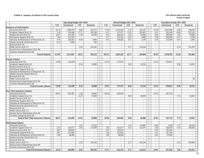#### **Exhibit b. Summary of Salaries in All Current Funds New Mexico State University**

|                                                | <b>Operating Budget 2017-2018</b> |                          |                             | Revised Budget 2017-2018 |                          |                             |                          |                          | <b>Unaudited Actuals 2017-2018</b> |                          |                             |                             |                          |
|------------------------------------------------|-----------------------------------|--------------------------|-----------------------------|--------------------------|--------------------------|-----------------------------|--------------------------|--------------------------|------------------------------------|--------------------------|-----------------------------|-----------------------------|--------------------------|
|                                                | <b>FTE</b>                        | Unrestricted             | <b>FTE</b>                  | Restricted               | <b>FTE</b>               | Unrestricted                | <b>FTE</b>               | Restricted               |                                    | <b>FTE</b>               | Unrestricted                | <b>FTE</b>                  | Restricted               |
| <b>Summary of Total Salaries</b>               |                                   |                          |                             |                          |                          |                             |                          |                          |                                    |                          |                             |                             |                          |
| Instruction (Exh 10)                           | 82.74                             | 1,208,196                | 6.89                        | 167,277                  | 77.03                    | 1,201,442                   | 5.72                     | 161,347                  |                                    | 61.30                    | 1,022,636                   | 4.80                        | 148,320                  |
| Academic Support (Exh 11)                      | 5.16                              | 202,406                  | 17.71                       | 295,200                  | 4.71                     | 197,677                     | 12.81                    | 285,467                  |                                    | 4.21                     | 185,438                     | 13.68                       | 287,102                  |
| Student Services (Exh 12)                      | 10.27                             | 341,502                  | 1.30                        | 20,700                   | 9.75                     | 344,592                     | 1.63                     | 26,000                   |                                    | 9.42                     | 340,992                     | 1.26                        | 20,080                   |
| Institutional Support (Exh 13)                 | 7.94                              | 312,181                  | $\mathcal{L}_{\mathcal{A}}$ | $\overline{a}$           | 7.51                     | 313,322                     | 0.31                     | 4,900                    |                                    | 7.26                     | 304,818                     | 0.17                        | 2,709                    |
| Operation & Maintenance of Plant (Exh 14)      | 4.74                              | 146,262                  | 0.30                        | 4,800                    | 4.51                     | 146,262                     | 0.13                     | 2,100                    |                                    | 3.74                     | 124,308                     | 0.15                        | 2,403                    |
| Student Social & Cultural (Exh 15)             | 0.15                              | 2,400                    | $\mathcal{L}_{\mathcal{A}}$ | 100                      | $\sim$                   | $\sim$                      | $\sim$                   | $\sim$                   |                                    | $\sim$                   | $\sim$                      | $\sim$                      | $\sim$                   |
| Research (Exh 16)                              | $\mathcal{L}$                     | $\sim$                   | $\mathbb{Z}^{\mathbb{Z}}$   | $\overline{\phantom{a}}$ | $\sim$                   | $\omega$                    | $\sim$                   | $\sim$                   |                                    | $\sim$                   | $\sim$                      | $\sim$                      | $\sim$                   |
| Public Service (Exh 17)                        | $\sim$                            | $\omega$                 | 2.32                        | 103,245                  | $\mathcal{L}$            | $\mathcal{L}_{\mathcal{A}}$ | 2.17                     | 103,244                  |                                    | $\overline{\phantom{a}}$ | $\overline{\phantom{a}}$    | 2.14                        | 101,250                  |
| Internal Service Departments (Exh 18)          | $\sim$                            | $\omega$                 | $\mathbb{Z}^{\mathbb{Z}}$   | $\overline{a}$           | $\mathcal{L}$            | $\omega$                    | $\sim$                   |                          |                                    | $\overline{\phantom{a}}$ | $\omega$                    | $\sim$                      |                          |
| Auxiliary Enterprises (Exh 20)                 | $\overline{a}$                    | $\sim$                   | $\mathcal{L}^{\mathcal{A}}$ |                          | $\sim$                   | $\overline{a}$              | $\mathbb{Z}^2$           | $\overline{a}$           |                                    | $\overline{a}$           | $\overline{a}$              | $\sim$                      | $\overline{\phantom{a}}$ |
| <b>Total of Salaries</b>                       | 111.00                            | 2.212.947                | 28.52                       | 591.322                  | 103.51                   | 2,203,295                   | 22.77                    | 583,058                  |                                    | 85.93                    | 1,978,192                   | 22.20                       | 561,864                  |
|                                                |                                   |                          |                             |                          |                          |                             |                          |                          |                                    |                          |                             |                             |                          |
| <b>Faculty Salaries</b>                        |                                   |                          |                             |                          |                          |                             |                          |                          |                                    |                          |                             |                             |                          |
| Instruction (Exh 10)                           | 13.98                             | 734,209                  | $\overline{\phantom{a}}$    |                          | 14.35                    | 727,457                     | $\sim$                   | $\sim$                   |                                    | 13.23                    | 670,811                     | $\sim$                      |                          |
| Academic Support (Exh 11)                      | $\sim$                            | $\sim$                   | 0.34                        | 18,000                   | $\sim$                   | $\omega$                    | 0.64                     | 32,334                   |                                    | $\sim$                   | $\sim$                      | 0.38                        | 19,433                   |
| Student Services (Exh 12)                      | $\sim$                            | $\sim$                   | $\mathcal{L}_{\mathcal{A}}$ | $\sim$                   | $\sim$                   | $\mathcal{L}$               | $\sim$                   | $\sim$                   |                                    | $\sim$                   | $\sim$                      | $\sim$                      | $\sim$                   |
| Institutional Support (Exh 13)                 | $\sim$                            | $\sim$                   | $\sim$                      | $\sim$                   | $\sim$                   | $\omega$ .                  | $\sim$                   | $\sim$                   |                                    | $\overline{\phantom{a}}$ | $\sim$                      | $\sim$                      | $\sim$                   |
| Operation & Maintenance of Plant (Exh 14)      | $\overline{\phantom{a}}$          | $\blacksquare$           | $\mathcal{L}$               | $\sim$                   | $\blacksquare$           | $\blacksquare$              | $\sim$                   | $\overline{\phantom{a}}$ |                                    | $\overline{\phantom{a}}$ | $\blacksquare$              | $\overline{\phantom{a}}$    | $\overline{\phantom{a}}$ |
| Student Social & Cultural (Exh 15)             | $\sim$                            | $\mathcal{L}$            | $\overline{a}$              | $\blacksquare$           | $\frac{1}{2}$            | $\mathcal{L}$               | $\blacksquare$           | $\overline{a}$           |                                    | $\overline{\phantom{a}}$ | $\mathcal{L}_{\mathcal{A}}$ | $\mathcal{L}$               | $\blacksquare$           |
| Research (Exh 16)                              | $\sim$                            | $\sim$                   | $\mathcal{L}^{\mathcal{A}}$ | $\sim$                   | $\sim$                   | $\mathcal{L}^{\mathcal{A}}$ | $\sim$                   | $\sim$                   |                                    | $\overline{a}$           | $\sim$                      | $\sim$                      | $\sim$                   |
| Public Service (Exh 17)                        | $\sim$                            | $\sim$                   | $\overline{\phantom{a}}$    | $\overline{\phantom{a}}$ | $\sim$                   | $\sim$                      | $\overline{\phantom{a}}$ | $\sim$                   |                                    | $\sim$                   | $\sim$                      | $\sim$                      | 90                       |
| Internal Service Departments (Exh 18)          | $\sim$                            | $\overline{\phantom{a}}$ | $\sim$                      | $\sim$                   | $\sim$                   | $\overline{\phantom{a}}$    | $\sim$                   | $\overline{\phantom{a}}$ |                                    | $\overline{\phantom{a}}$ | $\overline{\phantom{a}}$    | $\sim$                      | $\overline{\phantom{a}}$ |
| Auxiliary Enterprises (Exh 20)                 |                                   |                          | $\overline{\phantom{a}}$    |                          | $\overline{a}$           | $\blacksquare$              | $\sim$                   |                          |                                    | ÷.                       | $\overline{\phantom{a}}$    | $\sim$                      |                          |
| <b>Total of Faculty Salaries</b>               | 13.98                             | 734,209                  | 0.34                        | 18,000                   | 14.35                    | 727,457                     | 0.64                     | 32,334                   |                                    | 13.23                    | 670,811                     | 0.38                        | 19,523                   |
|                                                |                                   |                          |                             |                          |                          |                             |                          |                          |                                    |                          |                             |                             |                          |
| <b>Part-Time Instructors Salaries</b>          |                                   |                          |                             |                          |                          |                             |                          |                          |                                    |                          |                             |                             |                          |
| Instruction (Exh 10)                           | 66.47                             | 421,987                  | 1.58                        | 10,000                   | 60.36                    | 420,485                     | $\sim$                   | $\sim$                   |                                    | 47.05                    | 327,732                     | $\sim$                      | $\sim$                   |
| Academic Support (Exh 11)                      | $\sim$                            | $\sim$                   | 11.34                       | 72,000                   | $\overline{\phantom{a}}$ | $\mathcal{L}$               | 6.96                     | 48,466                   |                                    | $\sim$                   | $\overline{\phantom{a}}$    | 7.74                        | 53,941                   |
| Student Services (Exh 12)                      | $\sim$                            | $\overline{\phantom{a}}$ | $\mathcal{L}$               | $\overline{\phantom{a}}$ | $\overline{\phantom{a}}$ | $\overline{\phantom{a}}$    | $\mathcal{L}$            | $\overline{a}$           |                                    | $\overline{a}$           | $\mathcal{L}$               | $\mathcal{L}$               |                          |
| Institutional Support (Exh 13)                 | $\sim$                            | $\sim$                   | $\mathbb{Z}^{\mathbb{Z}}$   | $\sim$                   | $\overline{a}$           | $\overline{a}$              | $\sim$                   | $\overline{a}$           |                                    | $\overline{a}$           | $\mathbf{r}$                | $\mathcal{L}$               | $\sim$                   |
| Operation & Maintenance of Plant (Exh 14)      | $\sim$                            | $\sim$                   | $\mathbb{L}^+$              | $\sim$                   | $\sim$                   | $\mathcal{L}$               | $\sim$                   | $\sim$                   |                                    | $\sim$                   | $\mathcal{L}$               | $\mathcal{L}_{\mathcal{A}}$ | $\sim$                   |
| Student Social & Cultural (Exh 15)             | $\overline{\phantom{a}}$          | $\sim$                   | $\mathcal{L}_{\mathcal{A}}$ | $\sim$                   | $\sim$                   | $\mathcal{L}_{\mathcal{A}}$ | $\sim$                   | $\sim$                   |                                    | $\overline{\phantom{a}}$ | $\mathcal{L}_{\mathcal{A}}$ | $\sim$                      | $\sim$                   |
| Research (Exh 16)                              | $\sim$                            | $\sim$                   | $\sim$                      | $\sim$                   | $\overline{a}$           | $\overline{\phantom{a}}$    | $\sim$                   | $\overline{a}$           |                                    | $\sim$                   | $\sim$                      | $\sim$                      | $\sim$                   |
| Public Service (Exh 17)                        | $\sim$                            | $\overline{\phantom{a}}$ | $\overline{\phantom{a}}$    | $\sim$                   | $\overline{a}$           | $\mathcal{L}_{\mathcal{A}}$ | $\mathbb{L}$             | $\sim$                   |                                    | $\overline{a}$           | $\overline{\phantom{a}}$    | $\sim$                      | $\overline{\phantom{a}}$ |
| Internal Service Departments (Exh 18)          | $\sim$                            | $\omega$                 | $\mathbb{Z}^+$              | $\sim$                   | $\sim$                   | $\overline{\phantom{a}}$    | $\sim$                   | $\overline{a}$           |                                    | $\overline{\phantom{a}}$ | $\mathbf{r}$                | $\mathcal{L}^{\pm}$         | $\overline{\phantom{a}}$ |
| Auxiliary Enterprises (Exh 20)                 | $\overline{a}$                    | $\sim$                   | $\sim$                      | $\overline{\phantom{a}}$ | $\sim$                   | $\overline{\phantom{a}}$    | $\sim$                   | $\sim$                   |                                    | $\sim$                   | $\mathcal{L}_{\mathcal{A}}$ | $\sim$                      | $\sim$                   |
| <b>Total of Part-Time Instructors Salaries</b> | 66.47                             | 421,987                  | 12.92                       | 82,000                   | 60.36                    | 420,485                     | 6.96                     | 48,466                   |                                    | 47.05                    | 327,732                     | 7.74                        | 53,941                   |
|                                                |                                   |                          |                             |                          |                          |                             |                          |                          |                                    |                          |                             |                             |                          |
| <b>Professional Salaries</b>                   |                                   |                          |                             |                          |                          |                             |                          |                          |                                    |                          |                             |                             |                          |
| Instruction (Exh 10)                           | $\sim$                            | $\omega$                 | 1.65                        | 73,320                   | $\sim$                   | $\mathbf{r}$                | 1.37                     | 64,805                   |                                    | 0.03                     | 1,650                       | 1.77                        | 84,185                   |
| Academic Support (Exh 11)                      | 3.73                              | 165,677                  | 2.85                        | 127,000                  | 3.50                     | 165,677                     | 3.23                     | 153,573                  |                                    | 3.50                     | 165,676                     | 3.14                        | 149,282                  |
| Student Services (Exh 12)                      | 4.07                              | 180,832                  | $\mathcal{L}_{\mathcal{A}}$ | $\sim$                   | 3.91                     | 185,422                     | $\sim$                   | $\sim$                   |                                    | 4.12                     | 195,264                     | $\sim$                      | $\sim$                   |
| Institutional Support (Exh 13)                 | 5.67                              | 251,885                  | $\omega$                    | $\sim$                   | 5.34                     | 253,026                     | $\sim$                   | $\overline{\phantom{a}}$ |                                    | 5.21                     | 247,106                     | $\sim$                      | $\sim$                   |
| Operation & Maintenance of Plant (Exh 14)      | 1.09                              | 48,600                   | $\sim$                      | $\sim$                   | 1.02                     | 48,600                      | $\sim$                   | $\sim$                   |                                    | 1.01                     | 47,850                      | $\sim$                      | $\sim$                   |
| Student Social & Cultural (Exh 15)             | $\sim$                            | $\overline{\phantom{a}}$ | $\mathbb{L}^+$              |                          | $\sim$                   | $\overline{\phantom{a}}$    | $\sim$                   |                          |                                    | $\overline{\phantom{a}}$ | $\overline{\phantom{a}}$    | $\sim$                      |                          |
| Research (Exh 16)                              | $\sim$                            | $\sim$                   | $\sim$                      | $\sim$                   | $\overline{a}$           | $\mathcal{L}_{\mathcal{A}}$ | $\sim$                   | $\sim$                   |                                    | $\overline{a}$           | $\mathcal{L}_{\mathcal{A}}$ | $\sim$                      | $\sim$                   |
| Public Service (Exh 17)                        | $\sim$                            | $\sim$                   | 2.32                        | 103,245                  | $\sim$                   | $\omega$                    | 2.17                     | 103,244                  |                                    | $\sim$                   | $\omega$                    | 2.12                        | 100,460                  |
| Internal Service Departments (Exh 18)          | $\overline{\phantom{a}}$          | $\overline{\phantom{a}}$ | $\sim$                      | $\overline{\phantom{a}}$ | $\blacksquare$           | $\blacksquare$              | $\sim$                   | $\frac{1}{2}$            |                                    | $\overline{\phantom{a}}$ | $\overline{\phantom{a}}$    | $\sim$                      | $\overline{\phantom{a}}$ |
| Auxiliary Enterprises (Exh 20)                 | $\sim$                            | $\sim$                   | $\sim$                      | $\sim$                   | $\overline{a}$           | $\sim$                      | $\sim$                   | $\sim$                   |                                    | $\overline{\phantom{a}}$ | $\sim$                      | $\sim$                      | $\sim$                   |
| <b>Total of Professional Salaries</b>          | 14.56                             | 646.994                  | 6.82                        | 303,565                  | 13.77                    | 652,725                     | 6.77                     | 321,622                  |                                    | 13.87                    | 657,546                     | 7.03                        | 333,927                  |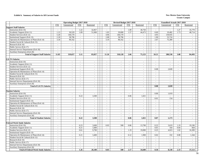#### **Exhibit b. Summary of Salaries in All Current Funds New Mexico State University**

|                                             | <b>Operating Budget 2017-2018</b> |                               |                             |                                            | Revised Budget 2017-2018                   |                                       |                             |                                                      |                                    | <b>Unaudited Actuals 2017-2018</b> |                             |                                    |  |
|---------------------------------------------|-----------------------------------|-------------------------------|-----------------------------|--------------------------------------------|--------------------------------------------|---------------------------------------|-----------------------------|------------------------------------------------------|------------------------------------|------------------------------------|-----------------------------|------------------------------------|--|
|                                             | <b>FTE</b>                        | Unrestricted                  | <b>FTE</b>                  | Restricted                                 | <b>FTE</b>                                 | Unrestricted                          | <b>FTE</b>                  | Restricted                                           | <b>FTE</b>                         | Unrestricted                       | <b>FTE</b>                  | Restricted                         |  |
| <b>Support Staff Salaries</b>               |                                   |                               |                             |                                            |                                            |                                       |                             |                                                      |                                    |                                    |                             |                                    |  |
| Instruction (Exh 10)                        | $\mathcal{L}$                     | $\sim$                        | 1.22                        | 32,857                                     | $\sim$                                     |                                       | 1.09                        | 30,750                                               |                                    | $\sim$                             | 1.27                        | 35,779                             |  |
| Academic Support (Exh 11)                   | 1.13                              | 30,529                        | 1.89                        | 51,000                                     | 1.03                                       | 29,000                                | 1.57                        | 44,473                                               | 0.69                               | 19,482                             | 1.73                        | 48,714                             |  |
| Student Services (Exh 12)                   | 5.20                              | 140,170                       | $\mathcal{L}^{\mathcal{A}}$ | $\sim$                                     | 4.96                                       | 140.170                               | $\sim$                      | $\overline{a}$                                       | 4.95                               | 139,935                            | $\sim$                      | $\sim$                             |  |
| <b>Institutional Support (Exh 13)</b>       | 2.18                              | 58,796                        | $\sim$                      | $\overline{\phantom{a}}$                   | 2.08                                       | 58,796                                | $\sim$                      | $\overline{\phantom{a}}$                             | 1.90                               | 53,724                             | $\sim$                      | $\sim$                             |  |
| Operation & Maintenance of Plant (Exh 14)   | 3.34                              | 90,162                        | $\mathbb{Z}^{\mathbb{Z}}$   | $\sim$                                     | 3.19                                       | 90,162                                | $\sim$                      | $\overline{\phantom{a}}$                             | 2.67                               | 75,389                             | $\mathcal{L}_{\mathcal{A}}$ | $\sim$                             |  |
| Student Social & Cultural (Exh 15)          | $\overline{\phantom{a}}$          | $\sim$                        | $\sim$                      | $\sim$                                     | $\sim$                                     | $\sim$                                | $\sim$                      | $\sim$                                               | $\sim$                             | $\sim$                             | $\sim$                      | $\sim$                             |  |
| Research (Exh 16)                           | $\mathcal{L}$                     | $\overline{\phantom{a}}$      | $\sim$                      | $\overline{\phantom{a}}$                   | $\overline{\phantom{a}}$                   | $\mathcal{L}_{\mathcal{A}}$           | $\sim$                      | $\overline{\phantom{a}}$                             | $\overline{\phantom{a}}$           | $\sim$                             | $\overline{\phantom{a}}$    | $\overline{\phantom{a}}$           |  |
| Public Service (Exh 17)                     | $\mathcal{L}$                     | $\mathbb{Z}^{\mathbb{Z}}$     | $\mathbb{Z}^2$              | $\sim$                                     | $\overline{\phantom{a}}$                   | $\mathbb{Z}^{\mathbb{Z}}$             | $\mathbb{Z}^+$              | $\sim$                                               | $\sim$                             | $\mathbb{Z}^2$                     | $\mathbb{Z}^+$              | $\sim$                             |  |
| Internal Service Departments (Exh 18)       | $\mathcal{L}$                     | $\mathbf{r}$                  | $\sim$                      | $\sim$                                     | $\overline{\phantom{a}}$                   | $\omega$                              | $\sim$                      | $\mathbf{r}$                                         | $\sim$                             | $\sim$                             | $\sim$                      | $\sim$                             |  |
| Auxiliary Enterprises (Exh 20)              | $\sim$                            | $\sim$                        | $\sim$                      |                                            | $\sim$                                     | $\overline{\phantom{a}}$              | $\sim$                      |                                                      | $\sim$                             | $\sim$                             | $\sim$                      | $\sim$                             |  |
| <b>Total of Support Staff Salaries</b>      | 11.85                             | 319,657                       | 3.11                        | 83,857                                     | 11.26                                      | 318,128                               | 2.66                        | 75,223                                               | 10.21                              | 288,530                            | 3.00                        | 84,493                             |  |
|                                             |                                   |                               |                             |                                            |                                            |                                       |                             |                                                      |                                    |                                    |                             |                                    |  |
| <b>GA/TA Salaries</b>                       |                                   |                               |                             |                                            |                                            |                                       |                             |                                                      |                                    |                                    |                             |                                    |  |
| Instruction (Exh 10)                        | $\overline{\phantom{a}}$          | $\sim$                        | $\sim$                      | $\sim$                                     | $\sim$                                     | $\sim$                                | $\sim$                      | $\sim$                                               | $\sim$                             | $\sim$                             | $\sim$                      | $\sim$                             |  |
| Academic Support (Exh 11)                   | $\sim$                            | $\mathcal{L}_{\mathcal{A}}$   | $\sim$                      | $\sim$                                     | $\sim$                                     | $\sim$                                | $\sim$                      | $\overline{\phantom{a}}$                             | $\sim$                             | $\sim$                             | $\mathcal{L}_{\mathcal{A}}$ | $\sim$                             |  |
| Student Services (Exh 12)                   | $\overline{\phantom{a}}$          | $\sim$                        | $\sim$                      | $\overline{\phantom{a}}$                   | $\sim$                                     | $\sim$                                | $\sim$                      | $\overline{\phantom{a}}$                             | $\overline{\phantom{a}}$           | $\sim$                             | $\overline{\phantom{a}}$    | $\sim$                             |  |
| Institutional Support (Exh 13)              | $\overline{\phantom{a}}$          | $\mathcal{L}_{\mathcal{A}}$   | $\sim$                      | $\overline{\phantom{a}}$                   | $\overline{a}$                             | $\sim$                                | $\sim$                      | $\overline{\phantom{a}}$                             | 0.08                               | 2,828                              | $\mathbf{r}$                | $\sim$                             |  |
| Operation & Maintenance of Plant (Exh 14)   | $\sim$                            | $\sim$                        |                             | $\overline{\phantom{a}}$                   | $\sim$                                     | $\mathcal{L}$                         | $\overline{\phantom{a}}$    | $\overline{a}$                                       | $\sim$                             | $\sim$                             | $\overline{\phantom{a}}$    | $\sim$                             |  |
| Student Social & Cultural (Exh 15)          | $\sim$                            | $\mathcal{L}_{\mathcal{A}}$   | $\overline{\phantom{a}}$    | $\overline{\phantom{a}}$                   | $\overline{\phantom{a}}$                   | $\mathcal{L}_{\mathcal{A}}$           | $\overline{\phantom{a}}$    | $\overline{\phantom{a}}$                             | $\overline{\phantom{a}}$           | $\mathcal{L}_{\mathcal{A}}$        | $\mathcal{L}$               | $\overline{\phantom{a}}$           |  |
| Research (Exh 16)                           | $\mathcal{L}$                     | $\sim$                        | $\mathcal{L}$               | $\sim$                                     | $\overline{a}$                             | $\mathcal{L}^{\pm}$                   | $\sim$                      | $\overline{a}$                                       | $\overline{a}$                     | $\sim$                             | $\omega$                    | $\sim$                             |  |
| Public Service (Exh 17)                     | $\sim$                            | $\sim$                        | $\overline{\phantom{a}}$    | $\sim$                                     | $\sim$                                     | $\sim$                                | $\overline{\phantom{a}}$    | $\sim$                                               | $\sim$                             | $\sim$                             | $\sim$                      | $\sim$                             |  |
| Internal Service Departments (Exh 18)       | $\overline{\phantom{a}}$          | $\sim$                        | $\overline{\phantom{a}}$    | $\sim$                                     | $\sim$                                     | $\sim$                                | $\sim$                      | $\sim$                                               | $\sim$                             | $\sim$                             | $\sim$                      | $\sim$                             |  |
| Auxiliary Enterprises (Exh 20)              | $\overline{\phantom{a}}$          | $\sim$                        | $\sim$                      | $\overline{\phantom{a}}$                   | $\sim$                                     | $\sim$                                | $\sim$                      | $\sim$                                               | $\blacksquare$                     | $\sim$                             | $\sim$                      | $\sim$                             |  |
| <b>Total of GA/TA Salaries</b>              | $\mathbf{r}$                      | $\mathbf{r}$                  | $\mathbf{r}$                | $\sim$                                     | ä,                                         | $\mathbf{r}$                          | $\blacksquare$              | $\mathbf{r}$                                         | 0.08                               | 2,828                              | $\mathbf{r}$                | $\mathbf{r}$                       |  |
|                                             |                                   |                               |                             |                                            |                                            |                                       |                             |                                                      |                                    |                                    |                             |                                    |  |
| <b>Student Salaries</b>                     |                                   |                               |                             |                                            |                                            |                                       |                             |                                                      |                                    |                                    |                             |                                    |  |
| Instruction (Exh 10)                        | $\overline{\phantom{a}}$          | $\sim$                        | $\sim$                      | $\overline{\phantom{a}}$                   | $\overline{\phantom{a}}$                   | $\mathcal{L}_{\mathcal{A}}$           | $\sim$                      | $\blacksquare$                                       | 0.06                               | 1,019                              | $\overline{\phantom{a}}$    | $\sim$                             |  |
| Academic Support (Exh 11)                   | $\overline{\phantom{a}}$          | $\sim$                        | 0.22                        | 3,500                                      | $\sim$                                     | $\sim$                                | 0.06                        | 1,021                                                | $\sim$                             | $\sim$                             | $\overline{\phantom{a}}$    | $\sim$                             |  |
| Student Services (Exh 12)                   | $\sim$                            | $\overline{\phantom{a}}$      | $\overline{\phantom{a}}$    | $\overline{\phantom{a}}$                   | $\overline{a}$                             | $\sim$                                | $\sim$                      | $\overline{\phantom{a}}$                             | 0.01                               | 154                                | $\overline{\phantom{a}}$    | $\overline{\phantom{a}}$           |  |
| Institutional Support (Exh 13)              | $\sim$                            | $\mathcal{L}$                 | $\sim$                      | $\sim$                                     | $\overline{\phantom{a}}$                   | $\blacksquare$                        | $\mathbb{Z}^{\mathbb{Z}}$   | $\overline{\phantom{a}}$                             | $\overline{\phantom{a}}$           | $\mathbb{L}$                       | $\mathcal{L}$               | $\sim$                             |  |
| Operation & Maintenance of Plant (Exh 14)   | $\mathcal{L}$                     | $\mathbb{Z}^2$                | $\mathcal{L}$               | $\sim$                                     | $\overline{a}$                             | $\mathcal{L}^{\pm}$                   | $\sim$                      | $\overline{a}$                                       | $\overline{a}$                     | $\sim$                             | $\overline{a}$              | $\sim$                             |  |
| Student Social & Cultural (Exh 15)          | $\sim$                            | $\sim$                        | $\sim$                      | $\sim$                                     | $\sim$                                     | $\sim$                                | $\sim$                      | $\overline{\phantom{a}}$                             | $\sim$                             | $\sim$                             | $\mathcal{L}_{\mathcal{A}}$ | $\sim$                             |  |
| Research (Exh 16)                           | $\overline{\phantom{a}}$          | $\sim$                        | $\sim$                      | $\sim$                                     | $\sim$                                     | $\sim$                                | $\sim$                      | $\sim$                                               | $\sim$                             | $\sim$                             | $\overline{\phantom{a}}$    | $\sim$                             |  |
| Public Service (Exh 17)                     | $\overline{\phantom{a}}$          | $\mathcal{L}^{\pm}$           | $\sim$                      | $\sim$                                     | $\sim$                                     | $\sim$                                | $\sim$                      | $\sim$                                               | $\sim$                             | $\mathcal{L}_{\mathcal{A}}$        | $\mathbf{r}$                | $\sim$                             |  |
| Internal Service Departments (Exh 18)       | $\sim$                            | $\mathcal{L}$                 | $\mathbb{L}$                | $\sim$                                     | $\overline{\phantom{a}}$                   | $\mathbf{r}$                          | $\mathcal{L}_{\mathcal{A}}$ | $\overline{a}$                                       | $\overline{\phantom{a}}$           | $\mathbb{L}$                       | $\mathbf{r}$                | $\overline{\phantom{a}}$           |  |
| Auxiliary Enterprises (Exh 20)              | $\overline{a}$                    | $\omega$                      | $\sim$                      | $\sim$                                     | $\overline{a}$                             | $\mathcal{L}^{\pm}$                   | $\sim$                      | $\overline{\phantom{a}}$                             | $\sim$                             | $\sim$                             | $\overline{a}$              | $\sim$                             |  |
| <b>Total of Student Salaries</b>            | $\sim$                            | $\sim$                        | 0.22                        | 3,500                                      | $\sim$                                     | $\sim$                                | 0.06                        | 1,021                                                | 0.07                               | 1,173                              | $\sim$                      | $\sim$                             |  |
|                                             |                                   |                               |                             |                                            |                                            |                                       |                             |                                                      |                                    |                                    |                             |                                    |  |
| <b>Federal Work Study Salaries</b>          |                                   |                               |                             |                                            |                                            |                                       |                             |                                                      |                                    |                                    |                             |                                    |  |
| Instruction (Exh 10)                        | $\sim$                            | $\sim$                        | 0.23                        | 3,600                                      | 0.03                                       | 500                                   | 0.86                        | 13,700                                               | 0.22                               | 3,619                              | 1.19                        | 19,196                             |  |
| Academic Support (Exh 11)                   | $\sim$                            | $\blacksquare$                | 0.21                        | 3,400                                      | $\overline{a}$                             | $\mathbb{L}$                          | $\mathbb{Z}$                |                                                      | 0.01                               | 164                                | 0.04                        | 664                                |  |
|                                             | $\mathcal{L}$                     | $\mathbb{Z}^2$                | 0.61                        | 9,700                                      | $\mathcal{L}$                              | $\mathbb{Z}^+$                        | 1.19                        | 19,000                                               | 0.25                               | 4,023                              | 1.02                        | 16,309                             |  |
| Student Services (Exh 12)                   |                                   |                               |                             |                                            |                                            |                                       |                             |                                                      |                                    |                                    |                             |                                    |  |
| Institutional Support (Exh 13)              | $\sim$                            | $\sim$                        | $\sim$<br>0.21              | $\sim$                                     | $\sim$                                     | $\mathcal{L}$                         | $\sim$<br>0.12              | $\sim$<br>1,900                                      | $\sim$<br>0.02                     | $\sim$<br>332                      | $\sim$<br>0.08              | $\sim$                             |  |
| Operation & Maintenance of Plant (Exh 14)   | $\overline{\phantom{a}}$          | $\mathbb{L}^{\mathbb{N}}$     |                             | 3,400                                      | $\overline{\phantom{a}}$                   | $\sim$                                |                             |                                                      |                                    |                                    |                             | 1,344                              |  |
| Student Social & Cultural (Exh 15)          | $\overline{\phantom{a}}$          | $\mathbf{r}$                  | $\sim$                      | $\overline{\phantom{a}}$                   | $\sim$                                     | $\omega$                              | $\sim$                      | $\overline{\phantom{a}}$                             | $\overline{\phantom{a}}$           | $\sim$                             | $\sim$<br>$\mathbf{r}$      | $\sim$                             |  |
| Research (Exh 16)                           | $\sim$<br>$\sim$                  | $\mathcal{L}$<br>$\mathbf{r}$ | $\mathbb{L}$<br>$\sim$      | $\overline{\phantom{a}}$<br>$\overline{a}$ | $\overline{\phantom{a}}$<br>$\overline{a}$ | $\mathcal{L}_{\mathcal{A}}$<br>$\sim$ | $\overline{\phantom{a}}$    | $\overline{\phantom{a}}$<br>$\overline{\phantom{a}}$ | $\overline{\phantom{a}}$<br>$\sim$ | $\mathbb{L}$<br>$\sim$             |                             | $\overline{\phantom{a}}$<br>$\sim$ |  |
| Public Service (Exh 17)                     |                                   |                               |                             |                                            |                                            |                                       | $\sim$                      |                                                      |                                    |                                    | $\sim$                      |                                    |  |
| Internal Service Departments (Exh 18)       | $\sim$                            | $\mathcal{L}$                 | $\sim$                      | $\overline{\phantom{a}}$                   | $\overline{\phantom{a}}$                   | $\mathcal{L}$                         | $\sim$                      | $\overline{\phantom{a}}$                             | $\sim$                             | $\sim$                             | $\mathcal{L}_{\mathcal{A}}$ | $\sim$                             |  |
| Auxiliary Enterprises (Exh 20)              | $\overline{\phantom{a}}$          | $\mathcal{L}_{\mathcal{A}}$   | $\mathcal{L}_{\mathcal{A}}$ | $\overline{a}$                             | $\overline{a}$                             | $\mathcal{L}_{\mathcal{A}}$           | $\sim$                      | $\overline{a}$                                       | $\blacksquare$                     | $\mathcal{L}_{\mathcal{A}}$        | $\overline{\phantom{a}}$    | $\blacksquare$                     |  |
| <b>Total of Federal Work Study Salaries</b> | $\sim$                            | $\sim$                        | 1.26                        | 20,100                                     | 0.03                                       | 500                                   | 2.17                        | 34,600                                               | 0.50                               | 8,138                              | 2.33                        | 37,513                             |  |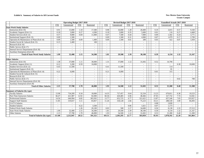#### **Exhibit b. Summary of Salaries in All Current Funds New Mexico State University**

|                                           | <b>Operating Budget 2017-2018</b> |                          |                          |                          | Revised Budget 2017-2018 |                          |                          |                          | <b>Unaudited Actuals 2017-2018</b> |              |                          |                          |
|-------------------------------------------|-----------------------------------|--------------------------|--------------------------|--------------------------|--------------------------|--------------------------|--------------------------|--------------------------|------------------------------------|--------------|--------------------------|--------------------------|
|                                           | <b>FTE</b>                        | Unrestricted             | <b>FTE</b>               | Restricted               | <b>FTE</b>               | Unrestricted             | <b>FTE</b>               | Restricted               | <b>FTE</b>                         | Unrestricted | <b>FTE</b>               | Restricted               |
| <b>State Work Study Salaries</b>          |                                   |                          |                          |                          |                          |                          |                          |                          |                                    |              |                          |                          |
| Instruction (Exh 10)                      | 0.91                              | 15,000                   | 1.10                     | 17,500                   | 0.98                     | 16,000                   | 1.28                     | 20,400                   | 0.19                               | 3,015        | 0.57                     | 9,160                    |
| Academic Support (Exh 11)                 | 0.18                              | 3,000                    | 0.27                     | 4,300                    | 0.18                     | 3,000                    | 0.35                     | 5,600                    | 0.01                               | 116          | 0.27                     | 4,468                    |
| Student Services (Exh 12)                 | 0.57                              | 9.000                    | 0.69                     | 11,000                   | 0.47                     | 7.500                    | 0.44                     | 7.000                    | 0.09                               | 1.502        | 0.24                     | 3,771                    |
| <b>Institutional Support (Exh 13)</b>     | 0.09                              | 1,500                    |                          |                          | 0.09                     | 1,500                    | 0.31                     | 4,900                    | 0.07                               | 1,079        | 0.17                     | 2,709                    |
| Operation & Maintenance of Plant (Exh 14) | 0.09                              | 1,500                    | 0.09                     | 1,400                    | 0.09                     | 1,500                    | 0.01                     | 200                      | 0.03                               | 422          | 0.07                     | 1,059                    |
| Student Social & Cultural (Exh 15)        | 0.15                              | 2,400                    |                          | 100                      |                          |                          | $\sim$                   |                          |                                    | $\sim$       | ÷.                       |                          |
| Research (Exh 16)                         | $\overline{\phantom{a}}$          | $\overline{\phantom{0}}$ | $\sim$                   | $\overline{a}$           | $\overline{a}$           | $\sim$                   | $\sim$                   | $\sim$                   |                                    | $\sim$       | $\overline{\phantom{0}}$ | $\sim$                   |
| Public Service (Exh 17)                   | $\overline{\phantom{a}}$          | $\overline{\phantom{0}}$ | $\sim$                   | $\blacksquare$           | $\overline{\phantom{a}}$ | $\sim$                   | $\sim$                   | $\blacksquare$           | $\overline{\phantom{a}}$           | $\sim$       | $\sim$                   | $\sim$                   |
| Internal Service Departments (Exh 18)     | $\overline{\phantom{a}}$          | $\sim$                   | $\overline{\phantom{a}}$ | $\overline{\phantom{a}}$ | ÷                        | $\sim$                   | $\sim$                   | $\overline{\phantom{a}}$ | $\blacksquare$                     | $\sim$       | $\overline{\phantom{a}}$ | $\overline{\phantom{a}}$ |
| Auxiliary Enterprises (Exh 20)            |                                   |                          |                          |                          |                          |                          |                          |                          |                                    |              |                          |                          |
| <b>Total of State Work Study Salaries</b> | 1.99                              | 32,400                   | 2.15                     | 34,300                   | 1.81                     | 29,500                   | 2.39                     | 38,100                   | 0.39                               | 6,134        | 1.32                     | 21,167                   |
|                                           |                                   |                          |                          |                          |                          |                          |                          |                          |                                    |              |                          |                          |
| <b>Other Salaries</b>                     |                                   |                          |                          |                          |                          |                          |                          |                          |                                    |              |                          |                          |
| Instruction (Exh 10)                      | 1.38                              | 37,000                   | 1.11                     | 30,000                   | 1.31                     | 37,000                   | 1.12                     | 31,692                   | 0.52                               | 14,790       |                          |                          |
| Academic Support (Exh 11)                 | 0.12                              | 3,200                    | 0.59                     | 16,000                   |                          |                          | $\sim$                   |                          |                                    |              | 0.38                     | 10,600                   |
| Student Services (Exh 12)                 | 0.43                              | 11,500                   | $\sim$                   |                          | 0.41                     | 11,500                   | $\sim$                   |                          | $\overline{a}$                     | 114          | $\sim$                   |                          |
| <b>Institutional Support (Exh 13)</b>     | $\sim$                            | $\sim$                   | $\sim$                   | $\sim$                   | $\sim$                   | $\sim$                   | $\sim$                   | $\blacksquare$           | $\overline{a}$                     | 81           | $\overline{\phantom{a}}$ | $\overline{\phantom{a}}$ |
| Operation & Maintenance of Plant (Exh 14) | 0.22                              | 6,000                    | $\sim$                   | $\blacksquare$           | 0.21                     | 6,000                    | $\sim$                   | $\overline{a}$           | 0.01                               | 315          | $\blacksquare$           | $\sim$                   |
| Student Social & Cultural (Exh 15)        | $\overline{\phantom{a}}$          | $\blacksquare$           | $\overline{\phantom{a}}$ | $\overline{\phantom{a}}$ | $\overline{a}$           | $\overline{\phantom{a}}$ | $\overline{\phantom{a}}$ | $\overline{\phantom{a}}$ | $\sim$                             | $\sim$       | $\blacksquare$           | $\sim$                   |
| Research (Exh 16)                         | $\overline{\phantom{a}}$          | $\overline{\phantom{a}}$ |                          | $\overline{\phantom{a}}$ | $\overline{\phantom{0}}$ | $\overline{\phantom{a}}$ | $\overline{\phantom{a}}$ | $\overline{\phantom{a}}$ |                                    | $\sim$       | ÷.                       |                          |
| Public Service (Exh 17)                   | $\overline{\phantom{a}}$          | $\overline{a}$           |                          | $\blacksquare$           | $\overline{a}$           | $\sim$                   | $\overline{\phantom{a}}$ | $\overline{a}$           | $\overline{a}$                     | $\sim$       | 0.02                     | 700                      |
| Internal Service Departments (Exh 18)     | $\overline{\phantom{a}}$          | $\overline{a}$           | $\overline{a}$           | $\blacksquare$           | $\overline{a}$           | $\sim$                   | $\overline{\phantom{a}}$ | $\overline{\phantom{a}}$ | $\sim$                             | $\sim$       | $\sim$                   |                          |
| Auxiliary Enterprises (Exh 20)            |                                   |                          |                          |                          |                          |                          | $\overline{\phantom{a}}$ |                          |                                    |              |                          |                          |
| <b>Total of Other Salaries</b>            | 2.15                              | 57,700                   | 1.70                     | 46.000                   | 1.93                     | 54.500                   | 1.12                     | 31,692                   | 0.53                               | 15,300       | 0.40                     | 11,300                   |
|                                           |                                   |                          |                          |                          |                          |                          |                          |                          |                                    |              |                          |                          |
| <b>Summary of Salaries (by type)</b>      |                                   |                          |                          |                          |                          |                          |                          |                          |                                    |              |                          |                          |
| <b>Faculty Salaries</b>                   | 13.98                             | 734.209                  | 0.34                     | 18,000                   | 14.35                    | 727,457                  | 0.64                     | 32.334                   | 13.23                              | 670.811      | 0.38                     | 19.523                   |
| Part-Time Instructors Salaries            | 66.47                             | 421,987                  | 12.92                    | 82,000                   | 60.36                    | 420,485                  | 6.96                     | 48,466                   | 47.05                              | 327,732      | 7.74                     | 53,941                   |
| Professional Salaries                     | 14.56                             | 646,994                  | 6.82                     | 303,565                  | 13.77                    | 652,725                  | 6.77                     | 321,622                  | 13.87                              | 657,546      | 7.03                     | 333,927                  |
| <b>Support Staff Salaries</b>             | 11.85                             | 319,657                  | 3.11                     | 83,857                   | 11.26                    | 318,128                  | 2.66                     | 75,223                   | 10.21                              | 288,530      | 3.00                     | 84,493                   |
| <b>GA/TA Salaries</b>                     | $\sim$                            | $\sim$                   | $\sim$                   | $\sim$                   | $\sim$                   | $\sim$                   | $\sim$                   |                          | 0.08                               | 2,828        | $\sim$                   | $\sim$                   |
| <b>Student Salaries</b>                   | $\overline{\phantom{a}}$          |                          | 0.22                     | 3,500                    |                          |                          | 0.06                     | 1,021                    | 0.07                               | 1,173        | $\sim$                   |                          |
| Federal Work Study Salaries               |                                   |                          | 1.26                     | 20,100                   | 0.03                     | 500                      | 2.17                     | 34,600                   | 0.50                               | 8,138        | 2.33                     | 37,513                   |
| <b>State Work Study Salaries</b>          | 1.99                              | 32,400                   | 2.15                     | 34,300                   | 1.81                     | 29,500                   | 2.39                     | 38,100                   | 0.39                               | 6,134        | 1.32                     | 21,167                   |
| <b>Other Salaries</b>                     | 2.15                              | 57,700                   | 1.70                     | 46,000                   | 1.93                     | 54,500                   | 1.12                     | 31,692                   | 0.53                               | 15,300       | 0.40                     | 11,300                   |
| <b>Total of Salaries (by type)</b>        | 111.00                            | 2,212,947                | 28.52                    | 591,322                  | 103.51                   | 2,203,295                | 22.77                    | 583,058                  | 85.93                              | 1,978,192    | 22.20                    | 561,864                  |